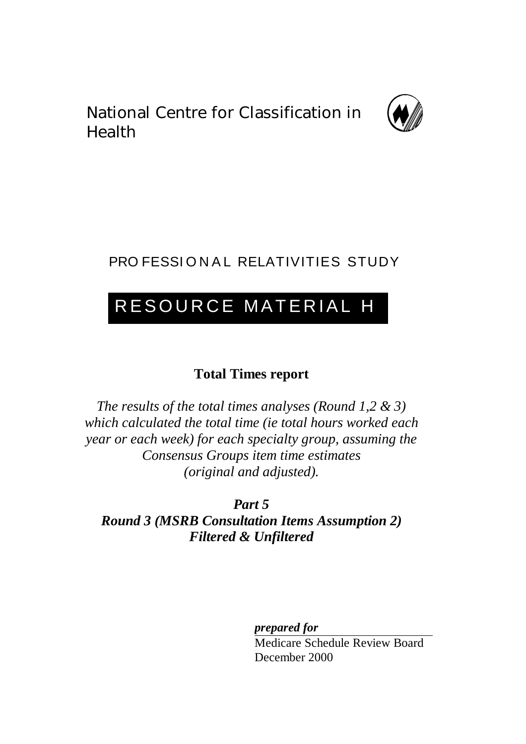National Centre for Classification in Health



# PRO FESSIONAL RELATIVITIES STUDY

# RESOURCE MATERIAL H

# **Total Times report**

*The results of the total times analyses (Round 1,2 & 3) which calculated the total time (ie total hours worked each year or each week) for each specialty group, assuming the Consensus Groups item time estimates (original and adjusted).*

*Part 5 Round 3 (MSRB Consultation Items Assumption 2) Filtered & Unfiltered*

*prepared for*

Medicare Schedule Review Board December 2000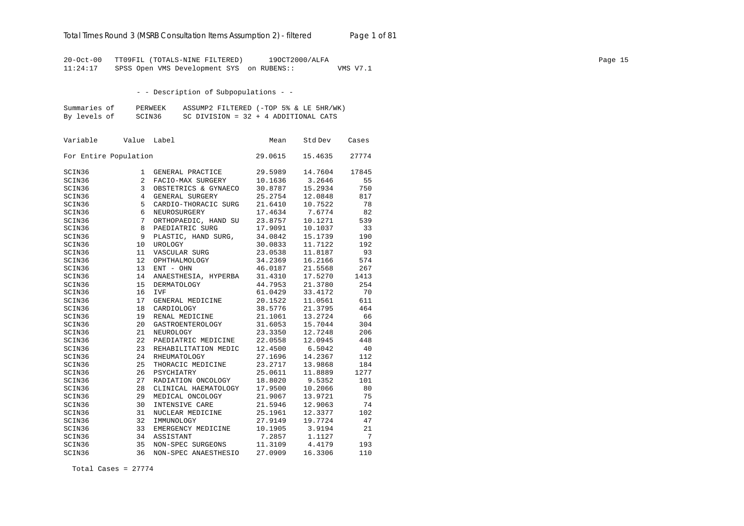20-Oct-00 TT09FIL (TOTALS-NINE FILTERED) 19OCT2000/ALFA Page 15 11:24:17 SPSS Open VMS Development SYS on RUBENS:: VMS V7.1

- - Description of Subpopulations - -

| Summaries of | PERWEEK | ASSUMP2 FILTERED (-TOP 5% & LE 5HR/WK) |  |
|--------------|---------|----------------------------------------|--|
| By levels of | SCIN36  | SC DIVISION = $32 + 4$ ADDITIONAL CATS |  |

| Variable              | Value | Label                | Mean    | Std Dev | Cases |
|-----------------------|-------|----------------------|---------|---------|-------|
| For Entire Population |       |                      | 29.0615 | 15.4635 | 27774 |
| SCIN36                | 1     | GENERAL PRACTICE     | 29.5989 | 14.7604 | 17845 |
| SCIN36                | 2     | FACIO-MAX SURGERY    | 10.1636 | 3.2646  | 55    |
| SCIN36                | 3     | OBSTETRICS & GYNAECO | 30.8787 | 15.2934 | 750   |
| SCIN36                | 4     | GENERAL SURGERY      | 25.2754 | 12.0848 | 817   |
| SCIN36                | 5     | CARDIO-THORACIC SURG | 21.6410 | 10.7522 | 78    |
| SCIN36                | 6     | NEUROSURGERY         | 17.4634 | 7.6774  | 82    |
| SCIN36                | 7     | ORTHOPAEDIC, HAND SU | 23.8757 | 10.1271 | 539   |
| SCIN36                | 8     | PAEDIATRIC SURG      | 17.9091 | 10.1037 | 33    |
| SCIN36                | 9     | PLASTIC, HAND SURG,  | 34.0842 | 15.1739 | 190   |
| SCIN36                | 10    | UROLOGY              | 30.0833 | 11.7122 | 192   |
| SCIN36                | 11    | VASCULAR SURG        | 23.0538 | 11.8187 | 93    |
| SCIN36                | 12    | OPHTHALMOLOGY        | 34.2369 | 16.2166 | 574   |
| SCIN36                | 13    | ENT - OHN            | 46.0187 | 21.5568 | 267   |
| SCIN36                | 14    | ANAESTHESIA, HYPERBA | 31.4310 | 17.5270 | 1413  |
| SCIN36                | 15    | <b>DERMATOLOGY</b>   | 44.7953 | 21.3780 | 254   |
| SCIN36                | 16    | <b>IVF</b>           | 61.0429 | 33.4172 | 70    |
| SCIN36                | 17    | GENERAL MEDICINE     | 20.1522 | 11.0561 | 611   |
| SCIN36                | 18    | CARDIOLOGY           | 38.5776 | 21.3795 | 464   |
| SCIN36                | 19    | RENAL MEDICINE       | 21.1061 | 13.2724 | 66    |
| SCIN36                | 20    | GASTROENTEROLOGY     | 31.6053 | 15.7044 | 304   |
| SCIN36                | 21    | NEUROLOGY            | 23.3350 | 12.7248 | 206   |
| SCIN36                | 22    | PAEDIATRIC MEDICINE  | 22.0558 | 12.0945 | 448   |
| SCIN36                | 23    | REHABILITATION MEDIC | 12.4500 | 6.5042  | 40    |
| SCIN36                | 24    | RHEUMATOLOGY         | 27.1696 | 14.2367 | 112   |
| SCIN36                | 25    | THORACIC MEDICINE    | 23.2717 | 13.9868 | 184   |
| SCIN36                | 26    | PSYCHIATRY           | 25.0611 | 11.8889 | 1277  |
| SCIN36                | 27    | RADIATION ONCOLOGY   | 18.8020 | 9.5352  | 101   |
| SCIN36                | 28    | CLINICAL HAEMATOLOGY | 17.9500 | 10.2066 | 80    |
| SCIN36                | 29    | MEDICAL ONCOLOGY     | 21.9067 | 13.9721 | 75    |
| SCIN36                | 30    | INTENSIVE CARE       | 21.5946 | 12.9063 | 74    |
| SCIN36                | 31    | NUCLEAR MEDICINE     | 25.1961 | 12.3377 | 102   |
| SCIN36                | 32    | IMMUNOLOGY           | 27.9149 | 19.7724 | 47    |
| SCIN36                | 33    | EMERGENCY MEDICINE   | 10.1905 | 3.9194  | 21    |
| SCIN36                | 34    | ASSISTANT            | 7.2857  | 1.1127  | 7     |
| SCIN36                | 35    | NON-SPEC SURGEONS    | 11.3109 | 4.4179  | 193   |
| SCIN36                | 36    | NON-SPEC ANAESTHESIO | 27.0909 | 16.3306 | 110   |

Total Cases = 27774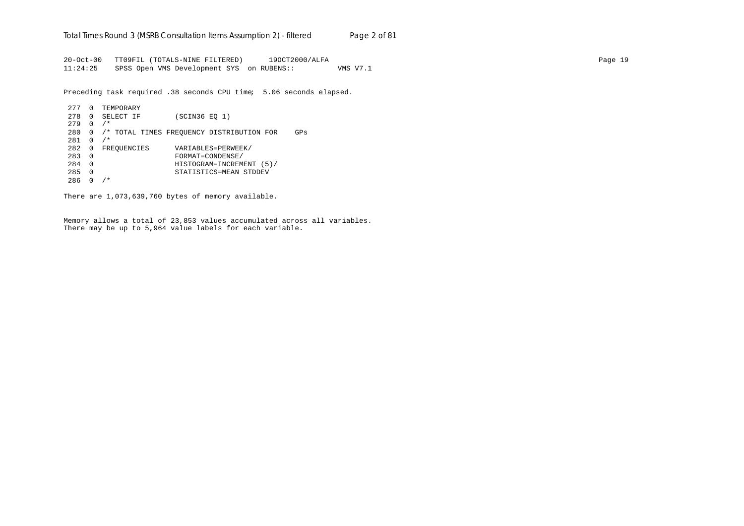20-Oct-00 TT09FIL (TOTALS-NINE FILTERED) 19OCT2000/ALFA Page 19 11:24:25 SPSS Open VMS Development SYS on RUBENS:: VMS V7.1

Preceding task required .38 seconds CPU time; 5.06 seconds elapsed.

```
277 0 TEMPORARY
278 0 SELECT IF (SCIN36 EQ 1)
279 0 /*
280 0 /* TOTAL TIMES FREQUENCY DISTRIBUTION FOR GPs
281 0 /*
282 0 FREQUENCIES VARIABLES=PERWEEK/<br>283 0 FORMAT=CONDENSE/
283 0 FORMAT=CONDENSE/
284 0 HISTOGRAM=INCREMENT (5)/
285 0 STATISTICS=MEAN STDDEV
286 0 /*
```
There are 1,073,639,760 bytes of memory available.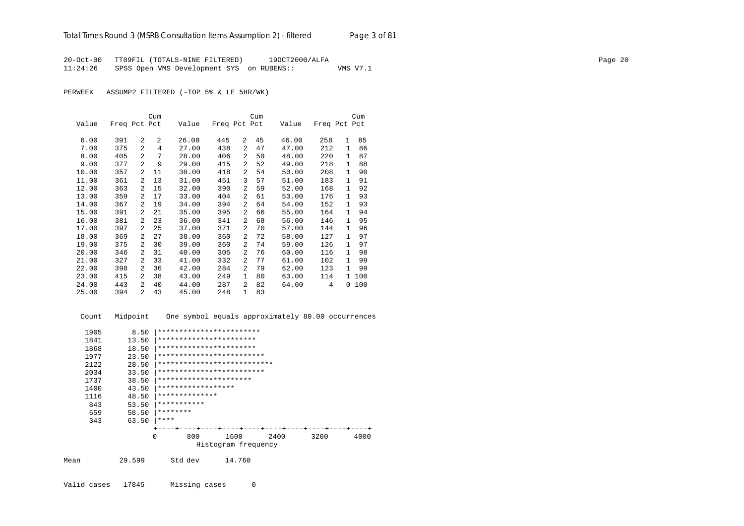20-Oct-00 TT09FIL (TOTALS-NINE FILTERED) 19OCT2000/ALFA Page 20 11:24:26 SPSS Open VMS Development SYS on RUBENS:: VMS V7.1

PERWEEK ASSUMP2 FILTERED (-TOP 5% & LE 5HR/WK)

|       |              |                | Cum |       |              |                | Cum |       |              |              | Cum |
|-------|--------------|----------------|-----|-------|--------------|----------------|-----|-------|--------------|--------------|-----|
| Value | Freq Pct Pct |                |     | Value | Freq Pct Pct |                |     | Value | Freq Pct Pct |              |     |
| 6.00  | 391          | 2              | 2   | 26.00 | 445          | 2              | 45  | 46.00 | 258          | $\mathbf{1}$ | 85  |
| 7.00  | 375          | $\overline{2}$ | 4   | 27.00 | 438          | 2              | 47  | 47.00 | 212          | $\mathbf{1}$ | 86  |
| 8.00  | 405          | $\overline{2}$ | 7   | 28.00 | 406          | 2              | 50  | 48.00 | 220          | 1            | 87  |
| 9.00  | 377          | $\overline{a}$ | 9   | 29.00 | 415          | 2              | 52  | 49.00 | 218          | $\mathbf{1}$ | 88  |
| 10.00 | 357          | 2              | 11  | 30.00 | 418          | 2              | 54  | 50.00 | 208          | 1            | 90  |
| 11.00 | 361          | 2              | 13  | 31.00 | 451          | 3              | 57  | 51.00 | 183          | $\mathbf{1}$ | 91  |
| 12.00 | 363          | 2              | 15  | 32.00 | 390          | 2              | 59  | 52.00 | 168          | $\mathbf{1}$ | 92  |
| 13.00 | 359          | 2              | 17  | 33.00 | 404          | 2              | 61  | 53.00 | 176          | $\mathbf{1}$ | 93  |
| 14.00 | 367          | 2              | 19  | 34.00 | 394          | $\overline{a}$ | 64  | 54.00 | 152          | $\mathbf{1}$ | 93  |
| 15.00 | 391          | 2              | 21  | 35.00 | 395          | 2              | 66  | 55.00 | 164          | $\mathbf{1}$ | 94  |
| 16.00 | 381          | 2              | 23  | 36.00 | 341          | $\overline{a}$ | 68  | 56.00 | 146          | $\mathbf{1}$ | 95  |
| 17.00 | 397          | 2              | 25  | 37.00 | 371          | 2              | 70  | 57.00 | 144          | $\mathbf{1}$ | 96  |
| 18.00 | 369          | 2              | 27  | 38.00 | 360          | 2              | 72  | 58.00 | 127          | $\mathbf{1}$ | 97  |
| 19.00 | 375          | $\overline{2}$ | 30  | 39.00 | 360          | $\overline{a}$ | 74  | 59.00 | 126          | $\mathbf{1}$ | 97  |
| 20.00 | 346          | 2              | 31  | 40.00 | 305          | $\overline{a}$ | 76  | 60.00 | 116          | $\mathbf{1}$ | 98  |
| 21.00 | 327          | 2              | 33  | 41.00 | 332          | 2              | 77  | 61.00 | 102          | 1            | 99  |
| 22.00 | 398          | 2              | 36  | 42.00 | 284          | 2              | 79  | 62.00 | 123          | 1            | 99  |
| 23.00 | 415          | 2              | 38  | 43.00 | 249          | $\mathbf{1}$   | 80  | 63.00 | 114          | $\mathbf{1}$ | 100 |
| 24.00 | 443          | 2              | 40  | 44.00 | 287          | $\overline{a}$ | 82  | 64.00 | 4            | $\Omega$     | 100 |
| 25.00 | 394          | $\overline{2}$ | 43  | 45.00 | 248          | $\mathbf{1}$   | 83  |       |              |              |     |

| Count | Midpoint |             |                    |                             |      |      | One symbol equals approximately 80.00 occurrences |      |
|-------|----------|-------------|--------------------|-----------------------------|------|------|---------------------------------------------------|------|
| 1905  | 8.50     |             |                    | ************************    |      |      |                                                   |      |
| 1841  | 13.50    |             |                    | ***********************     |      |      |                                                   |      |
| 1868  | 18.50    |             |                    | ***********************     |      |      |                                                   |      |
| 1977  | 23.50    |             |                    | *************************   |      |      |                                                   |      |
| 2122  | 28.50    |             |                    | *************************** |      |      |                                                   |      |
| 2034  | 33.50    |             |                    | *************************   |      |      |                                                   |      |
| 1737  | 38.50    |             |                    | **********************      |      |      |                                                   |      |
| 1400  | 43.50    |             | ****************** |                             |      |      |                                                   |      |
| 1116  | 48.50    |             | **************     |                             |      |      |                                                   |      |
| 843   | 53.50    | *********** |                    |                             |      |      |                                                   |      |
| 659   | 58.50    | ********    |                    |                             |      |      |                                                   |      |
| 343   | 63.50    | ****        |                    |                             |      |      |                                                   |      |
|       |          |             |                    |                             |      |      |                                                   |      |
|       |          | $\Omega$    | 800                | 1600                        | 2400 | 3200 |                                                   | 4000 |
|       |          |             |                    | Histogram frequency         |      |      |                                                   |      |
| Mean  | 29.599   |             | Std dev            | 14.760                      |      |      |                                                   |      |
|       |          |             |                    |                             |      |      |                                                   |      |

Valid cases 17845 Missing cases 0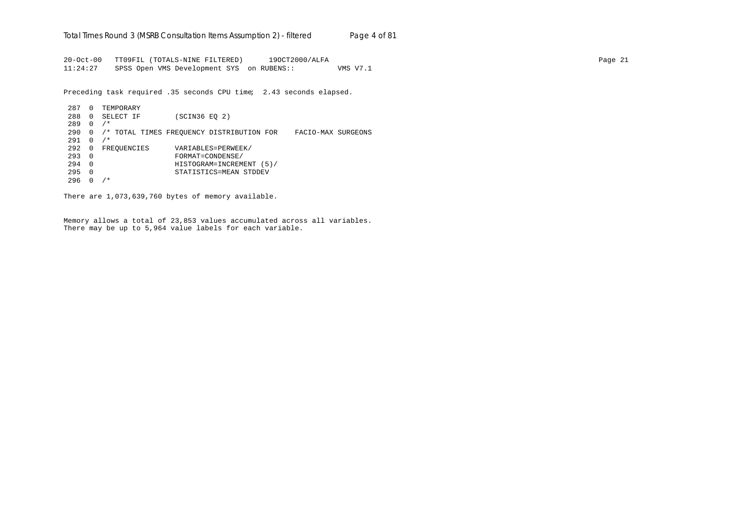20-Oct-00 TT09FIL (TOTALS-NINE FILTERED) 19OCT2000/ALFA Page 21 11:24:27 SPSS Open VMS Development SYS on RUBENS:: VMS V7.1

Preceding task required .35 seconds CPU time; 2.43 seconds elapsed.

287 0 TEMPORARY 288 0 SELECT IF (SCIN36 EQ 2) 289 0 /\* 290 0 /\* TOTAL TIMES FREQUENCY DISTRIBUTION FOR FACIO-MAX SURGEONS  $291 \t 0 \t /\t$ 292 0 FREQUENCIES VARIABLES=PERWEEK/<br>293 0 FORMAT=CONDENSE/ 293 0 FORMAT=CONDENSE/ 294 0 HISTOGRAM=INCREMENT (5)/ 295 0 STATISTICS=MEAN STDDEV  $296 \t 0 / *$ 

There are 1,073,639,760 bytes of memory available.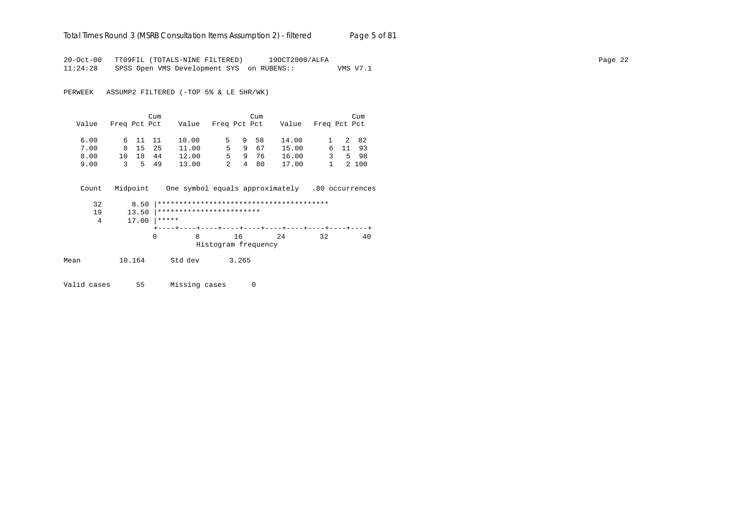# Total Times Round 3 (MSRB Consultation Items Assumption 2) - *filtered* Page 5 of 81

20-Oct-00 TT09FIL (TOTALS-NINE FILTERED) 19OCT2000/ALFA Page 22 11:24:28 SPSS Open VMS Development SYS on RUBENS:: VMS V7.1

PERWEEK ASSUMP2 FILTERED (-TOP 5% & LE 5HR/WK)

|       |              |         | Cum |       |              |        | Cum  |       |              | Cum     |
|-------|--------------|---------|-----|-------|--------------|--------|------|-------|--------------|---------|
| Value | Freq Pct Pct |         |     | Value | Freq Pct Pct |        |      | Value | Freq Pct Pct |         |
|       |              |         |     |       |              |        |      |       |              |         |
| 6.00  |              | 6 11 11 |     | 10.00 |              | 5 9 58 |      | 14.00 |              | 1 2 82  |
| 7.00  |              | 8 15    | 2.5 | 11.00 |              | $5 -$  | 9 67 | 15.00 |              | 6 11 93 |
| 8.00  | 1 ດ          | 18      | 44  | 12.00 |              | 5.     | 976  | 16.00 | 3            | 5 98    |
| 9.00  |              | 35      | 49  | 13.00 |              | 4<br>2 | 80   | 17.00 | 1.           | 2 100   |

 Count Midpoint One symbol equals approximately .80 occurrences 32 8.50 |\*\*\*\*\*\*\*\*\*\*\*\*\*\*\*\*\*\*\*\*\*\*\*\*\*\*\*\*\*\*\*\*\*\*\*\*\*\*\*\*

19 13.50 |\*\*\*\*\*\*\*\*\*\*\*\*\*\*\*\*\*\*\*\*\*\*\*\*\*\*\*<br>4 17.00 |\*\*\*\*\*  $17.00$  \*\*\*\*\* +----+----+----+----+----+----+----+----+----+----+ 0 8 16 24 32 40 Histogram frequency

Mean 10.164 Std dev 3.265

Valid cases 55 Missing cases 0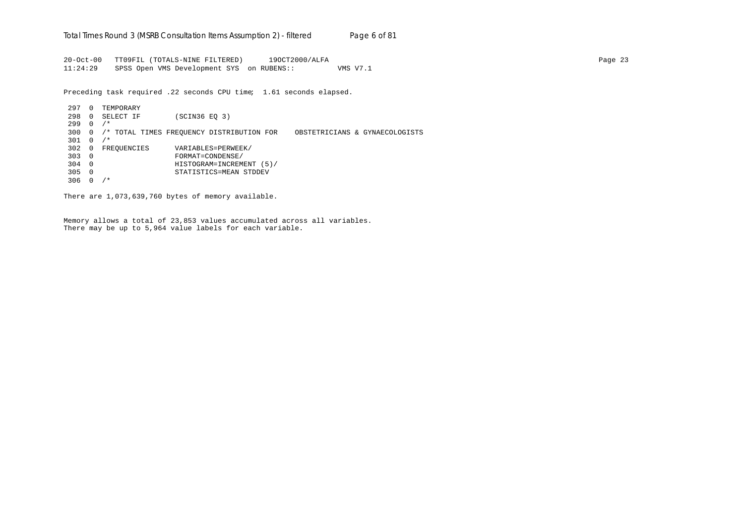20-Oct-00 TT09FIL (TOTALS-NINE FILTERED) 19OCT2000/ALFA Page 23 11:24:29 SPSS Open VMS Development SYS on RUBENS:: VMS V7.1

Preceding task required .22 seconds CPU time; 1.61 seconds elapsed.

297 0 TEMPORARY 298 0 SELECT IF (SCIN36 EQ 3) 299 0 /\* 300 0 /\* TOTAL TIMES FREQUENCY DISTRIBUTION FOR OBSTETRICIANS & GYNAECOLOGISTS 301 0 /\* 302 0 FREQUENCIES VARIABLES=PERWEEK/<br>303 0 FORMAT=CONDENSE/ 303 0 FORMAT=CONDENSE/ 304 0 HISTOGRAM=INCREMENT (5)/ 305 0 STATISTICS=MEAN STDDEV 306 0 /\*

There are 1,073,639,760 bytes of memory available.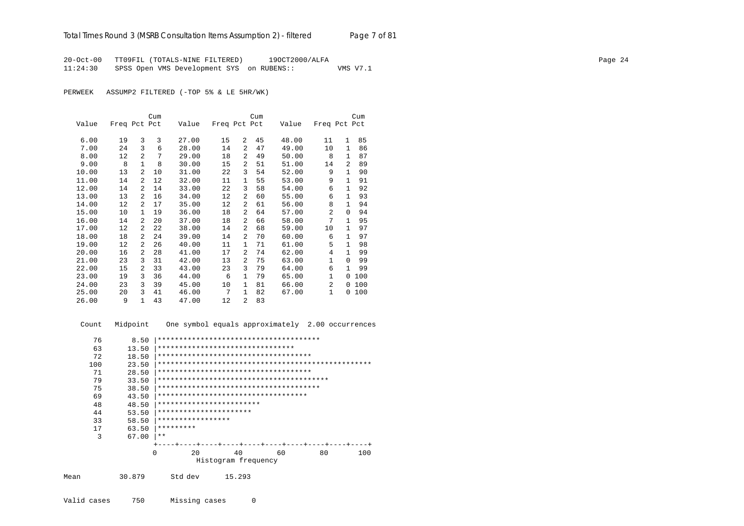20-Oct-00 TT09FIL (TOTALS-NINE FILTERED) 19OCT2000/ALFA Page 24 11:24:30 SPSS Open VMS Development SYS on RUBENS:: VMS V7.1

PERWEEK ASSUMP2 FILTERED (-TOP 5% & LE 5HR/WK)

|       |              |                | Cum |       |              |                | Cum |       |                |              | Cum |
|-------|--------------|----------------|-----|-------|--------------|----------------|-----|-------|----------------|--------------|-----|
| Value | Freq Pct Pct |                |     | Value | Freq Pct Pct |                |     | Value | Freq Pct Pct   |              |     |
|       |              |                |     |       |              |                |     |       |                |              |     |
| 6.00  | 19           | 3              | 3   | 27.00 | 15           | $\mathfrak{D}$ | 45  | 48.00 | 11             | 1            | 85  |
| 7.00  | 24           | 3              | 6   | 28.00 | 14           | $\overline{2}$ | 47  | 49.00 | 10             | 1            | 86  |
| 8.00  | 12           | $\mathfrak{D}$ | 7   | 29.00 | 18           | 2              | 49  | 50.00 | 8              | 1            | 87  |
| 9.00  | 8            | 1              | 8   | 30.00 | 15           | 2              | 51  | 51.00 | 14             | 2            | 89  |
| 10.00 | 13           | 2              | 10  | 31.00 | 22           | 3              | 54  | 52.00 | 9              | $\mathbf{1}$ | 90  |
| 11.00 | 14           | 2              | 12  | 32.00 | 11           | $\mathbf{1}$   | 55  | 53.00 | 9              | $\mathbf{1}$ | 91  |
| 12.00 | 14           | 2              | 14  | 33.00 | 22           | 3              | 58  | 54.00 | 6              | 1            | 92  |
| 13.00 | 13           | 2              | 16  | 34.00 | 12           | 2              | 60  | 55.00 | 6              | $\mathbf{1}$ | 93  |
| 14.00 | 12           | 2              | 17  | 35.00 | 12           | $\overline{a}$ | 61  | 56.00 | 8              | $\mathbf{1}$ | 94  |
| 15.00 | 10           | $\mathbf{1}$   | 19  | 36.00 | 18           | $\overline{a}$ | 64  | 57.00 | $\overline{2}$ | $\Omega$     | 94  |
| 16.00 | 14           | 2              | 20  | 37.00 | 18           | $\overline{a}$ | 66  | 58.00 | 7              | $\mathbf{1}$ | 95  |
| 17.00 | 12           | 2              | 22  | 38.00 | 14           | $\overline{a}$ | 68  | 59.00 | 10             | $\mathbf{1}$ | 97  |
| 18.00 | 18           | 2              | 24  | 39.00 | 14           | 2              | 70  | 60.00 | 6              | 1            | 97  |
| 19.00 | 12           | 2              | 26  | 40.00 | 11           | $\mathbf{1}$   | 71  | 61.00 | 5              | $\mathbf{1}$ | 98  |
| 20.00 | 16           | 2              | 28  | 41.00 | 17           | 2              | 74  | 62.00 | 4              | $\mathbf{1}$ | 99  |
| 21.00 | 23           | 3              | 31  | 42.00 | 13           | $\overline{a}$ | 75  | 63.00 | $\mathbf{1}$   | $\Omega$     | 99  |
| 22.00 | 15           | 2              | 33  | 43.00 | 23           | 3              | 79  | 64.00 | 6              | $\mathbf{1}$ | 99  |
| 23.00 | 19           | 3              | 36  | 44.00 | 6            | $\mathbf{1}$   | 79  | 65.00 | $\mathbf{1}$   | 0            | 100 |
| 24.00 | 23           | 3              | 39  | 45.00 | 10           | $\mathbf{1}$   | 81  | 66.00 | $\overline{2}$ | $\Omega$     | 100 |
| 25.00 | 20           | 3              | 41  | 46.00 | 7            | $\mathbf{1}$   | 82  | 67.00 | 1              | $\Omega$     | 100 |
| 26.00 | 9            | $\mathbf{1}$   | 43  | 47.00 | 12           | $\overline{a}$ | 83  |       |                |              |     |

 Count Midpoint One symbol equals approximately 2.00 occurrences 76 8.50 |\*\*\*\*\*\*\*\*\*\*\*\*\*\*\*\*\*\*\*\*\*\*\*\*\*\*\*\*\*\*\*\*\*\*\*\*\*\* 63 13.50 |\*\*\*\*\*\*\*\*\*\*\*\*\*\*\*\*\*\*\*\*\*\*\*\*\*\*\*\*\*\*\*\*\*\*<br>72 18.50 |\*\*\*\*\*\*\*\*\*\*\*\*\*\*\*\*\*\*\*\*\*\*\*\*\*\*\*\*\*\*\*\*\* 72 18.50 |\*\*\*\*\*\*\*\*\*\*\*\*\*\*\*\*\*\*\*\*\*\*\*\*\*\*\*\*\*\*\*\*\*\*\*\* 100 23.50 |\*\*\*\*\*\*\*\*\*\*\*\*\*\*\*\*\*\*\*\*\*\*\*\*\*\*\*\*\*\*\*\*\*\*\*\*\*\*\*\*\*\*\*\*\*\*\*\*\*\* 71 28.50 |\*\*\*\*\*\*\*\*\*\*\*\*\*\*\*\*\*\*\*\*\*\*\*\*\*\*\*\*\*\*\*\*\*\*\*\* 79 33.50 |\*\*\*\*\*\*\*\*\*\*\*\*\*\*\*\*\*\*\*\*\*\*\*\*\*\*\*\*\*\*\*\*\*\*\*\*\*\*\*\* 75 38.50 |\*\*\*\*\*\*\*\*\*\*\*\*\*\*\*\*\*\*\*\*\*\*\*\*\*\*\*\*\*\*\*\*\*\*\*\*\*\* 69 43.50 |\*\*\*\*\*\*\*\*\*\*\*\*\*\*\*\*\*\*\*\*\*\*\*\*\*\*\*\*\*\*\*\*\*\*\* 48 48.50 |\*\*\*\*\*\*\*\*\*\*\*\*\*\*\*\*\*\*\*\*\*\*\*\*\*\*<br>44 53.50 |\*\*\*\*\*\*\*\*\*\*\*\*\*\*\*\*\*\*\*\*\*\*\*\* 44 53.50 |\*\*\*\*\*\*\*\*\*\*\*\*\*\*\*\*\*\*\*\*\*\* 33 58.50 |\*\*\*\*\*\*\*\*\*\*\*\*\*\*\*\*\* 17 63.50 |\*\*\*\*\*\*\*\*\* 3 67.00 |\*\* +----+----+----+----+----+----+----+----+----+----+ 0 20 40 60 80 100 Histogram frequency Mean 30.879 Std dev 15.293 Valid cases 750 Missing cases 0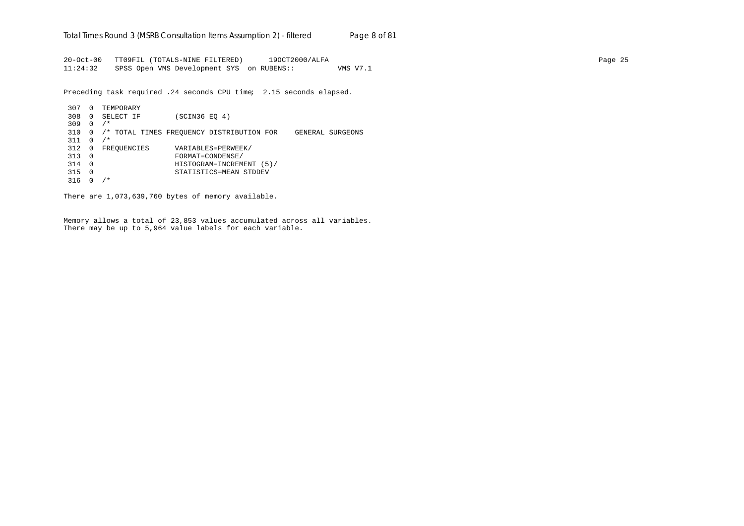20-Oct-00 TT09FIL (TOTALS-NINE FILTERED) 19OCT2000/ALFA Page 25 11:24:32 SPSS Open VMS Development SYS on RUBENS:: VMS V7.1

Preceding task required .24 seconds CPU time; 2.15 seconds elapsed.

307 0 TEMPORARY 308 0 SELECT IF (SCIN36 EQ 4) 309 0 /\* 310 0 /\* TOTAL TIMES FREQUENCY DISTRIBUTION FOR GENERAL SURGEONS  $311 \t0 \t/*$ 312 0 FREQUENCIES VARIABLES=PERWEEK/<br>313 0 FORMAT=CONDENSE/ 313 0 FORMAT=CONDENSE/ 314 0 HISTOGRAM=INCREMENT (5)/ 315 0 STATISTICS=MEAN STDDEV 316 0 /\*

There are 1,073,639,760 bytes of memory available.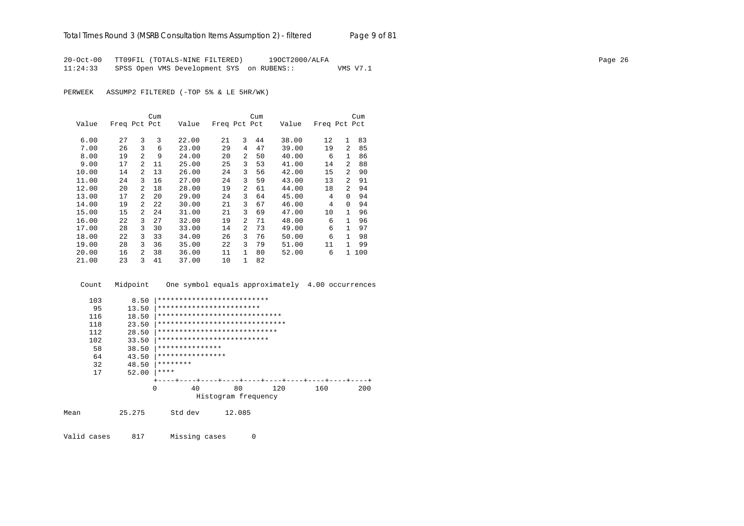20-Oct-00 TT09FIL (TOTALS-NINE FILTERED) 19OCT2000/ALFA Page 26 11:24:33 SPSS Open VMS Development SYS on RUBENS:: VMS V7.1

PERWEEK ASSUMP2 FILTERED (-TOP 5% & LE 5HR/WK)

|       |              |                | Cum |       |              |                | Cum |       |              |                | Cum |
|-------|--------------|----------------|-----|-------|--------------|----------------|-----|-------|--------------|----------------|-----|
| Value | Freq Pct Pct |                |     | Value | Freq Pct Pct |                |     | Value | Freq Pct Pct |                |     |
|       |              |                |     |       |              |                |     |       |              |                |     |
| 6.00  | 27           | 3              | 3   | 22.00 | 21           | 3              | 44  | 38.00 | 12           | $\mathbf{1}$   | 83  |
| 7.00  | 26           | 3              | 6   | 23.00 | 29           | 4              | 47  | 39.00 | 19           | $\overline{2}$ | 85  |
| 8.00  | 19           | $\mathfrak{D}$ | 9   | 24.00 | 20           | $\mathfrak{D}$ | 50  | 40.00 | 6            | $\mathbf{1}$   | 86  |
| 9.00  | 17           | $\mathfrak{D}$ | 11  | 25.00 | 25           | 3              | 53  | 41.00 | 14           | $\mathfrak{D}$ | 88  |
| 10.00 | 14           | $\mathfrak{D}$ | 13  | 26.00 | 24           | 3              | 56  | 42.00 | 15           | $\mathfrak{D}$ | 90  |
| 11.00 | 24           | 3              | 16  | 27.00 | 24           | 3              | 59  | 43.00 | 13           | $\mathfrak{D}$ | 91  |
| 12.00 | 20           | $\overline{a}$ | 18  | 28.00 | 19           | $\overline{a}$ | 61  | 44.00 | 18           | $\mathfrak{D}$ | 94  |
| 13.00 | 17           | 2              | 20  | 29.00 | 24           | 3              | 64  | 45.00 | 4            | 0              | 94  |
| 14.00 | 19           | $\mathcal{L}$  | 22  | 30.00 | 21           | 3              | 67  | 46.00 | 4            | $\Omega$       | 94  |
| 15.00 | 15           | 2              | 24  | 31.00 | 21           | 3              | 69  | 47.00 | 10           | 1              | 96  |
| 16.00 | 22           | 3              | 27  | 32.00 | 19           | $\overline{a}$ | 71  | 48.00 | 6            | $\mathbf{1}$   | 96  |
| 17.00 | 28           | 3              | 30  | 33.00 | 14           | $\overline{a}$ | 73  | 49.00 | 6            |                | 97  |
| 18.00 | 22           | 3              | 33  | 34.00 | 26           | 3              | 76  | 50.00 | 6            |                | 98  |
| 19.00 | 28           | 3              | 36  | 35.00 | 22           | 3              | 79  | 51.00 | 11           |                | 99  |
| 20.00 | 16           | $\mathfrak{D}$ | 38  | 36.00 | 11           | $\mathbf{1}$   | 80  | 52.00 | 6            | $\mathbf{1}$   | 100 |
| 21.00 | 23           | 3              | 41  | 37.00 | 10           | 1              | 82  |       |              |                |     |

Count Midpoint One symbol equals approximately 4.00 occurrences

|      | 103 | 8.50     | **************************     |                     |     |     |     |
|------|-----|----------|--------------------------------|---------------------|-----|-----|-----|
|      | 95  | 13.50    | ************************       |                     |     |     |     |
|      | 116 | 18.50    | *****************************  |                     |     |     |     |
|      | 118 | 23.50    | ****************************** |                     |     |     |     |
|      | 112 | 28.50    | ****************************   |                     |     |     |     |
|      | 102 | 33.50    | **************************     |                     |     |     |     |
|      | 58  | 38.50    | ***************                |                     |     |     |     |
|      | 64  | 43.50    | ****************               |                     |     |     |     |
|      | 32  | 48.50    | ********                       |                     |     |     |     |
|      | 17  | 52.00    | ****                           |                     |     |     |     |
|      |     |          |                                |                     |     |     |     |
|      |     | $\Omega$ | 40                             | 80                  | 120 | 160 | 200 |
|      |     |          |                                | Histogram frequency |     |     |     |
|      |     |          |                                |                     |     |     |     |
| Mean |     | 25.275   | Std dev                        | 12.085              |     |     |     |
|      |     |          |                                |                     |     |     |     |

Valid cases 817 Missing cases 0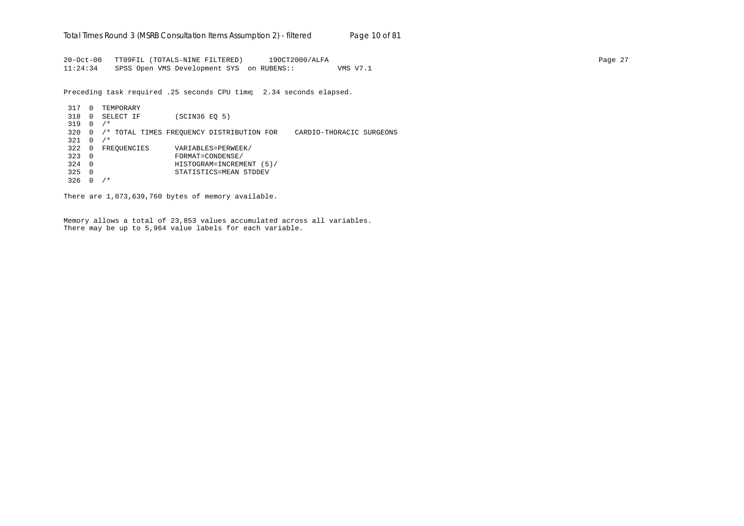20-Oct-00 TT09FIL (TOTALS-NINE FILTERED) 19OCT2000/ALFA Page 27 11:24:34 SPSS Open VMS Development SYS on RUBENS:: VMS V7.1

Preceding task required .25 seconds CPU time; 2.34 seconds elapsed.

317 0 TEMPORARY 318 0 SELECT IF (SCIN36 EQ 5) 319 0 /\* 320 0 /\* TOTAL TIMES FREQUENCY DISTRIBUTION FOR CARDIO-THORACIC SURGEONS  $321 \t 0 / *$ 322 0 FREQUENCIES VARIABLES=PERWEEK/ 323 0 FORMAT=CONDENSE/ 324 0 HISTOGRAM=INCREMENT (5)/ 325 0 STATISTICS=MEAN STDDEV 326 0 /\*

There are 1,073,639,760 bytes of memory available.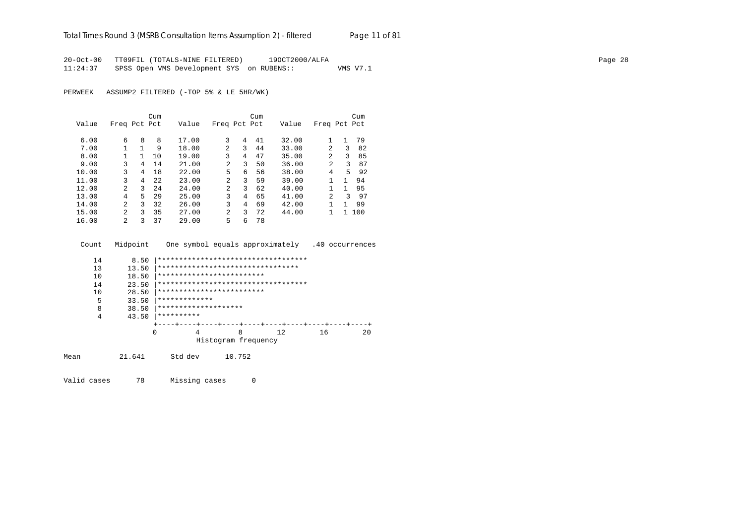20-Oct-00 TT09FIL (TOTALS-NINE FILTERED) 19OCT2000/ALFA Page 28 11:24:37 SPSS Open VMS Development SYS on RUBENS:: VMS V7.1

PERWEEK ASSUMP2 FILTERED (-TOP 5% & LE 5HR/WK)

|       |              |   | Cum  |       |                |   | Cum |       |                |              | Cum |
|-------|--------------|---|------|-------|----------------|---|-----|-------|----------------|--------------|-----|
| Value | Freq Pct Pct |   |      | Value | Freq Pct Pct   |   |     | Value | Freq Pct Pct   |              |     |
|       |              |   |      |       |                |   |     |       |                |              |     |
| 6.00  | 6            | 8 | 8    | 17.00 | 3              | 4 | 41  | 32.00 |                | $\mathbf{1}$ | 79  |
| 7.00  | 1            | 1 | 9    | 18.00 | $\mathfrak{D}$ | 3 | 44  | 33.00 | $\overline{a}$ | 3            | 82  |
| 8.00  |              | 1 | 10   | 19.00 | 3              | 4 | 47  | 35.00 | $\mathfrak{D}$ | 3            | 85  |
| 9.00  | 3            | 4 | 14   | 21.00 | $\mathfrak{D}$ | 3 | 50  | 36.00 | 2              | 3            | 87  |
| 10.00 | 3            | 4 | 18   | 22.00 | 5              | 6 | 56  | 38.00 | 4              | 5            | 92  |
| 11.00 | 3            | 4 | 2.2. | 23.00 | 2              | 3 | 59  | 39.00 |                | 1            | 94  |
| 12.00 | 2            | 3 | 2.4  | 24.00 | $\mathfrak{D}$ | 3 | 62  | 40.00 |                | 1            | 95  |
| 13.00 | 4            | 5 | 29   | 25.00 | 3              | 4 | 65  | 41.00 | 2              | ς            | 97  |
| 14.00 | 2            | 3 | 32   | 26.00 | 3              | 4 | 69  | 42.00 |                |              | 99  |
| 15.00 | 2            | 3 | 35   | 27.00 | 2              | 3 | 72  | 44.00 |                | 1            | 100 |
| 16.00 | 2            | 3 | 37   | 29.00 | 5              | 6 | 78  |       |                |              |     |

Count Midpoint One symbol equals approximately .40 occurrences

| 14   | 8.50   | *********************************** |                     |        |    |    |    |
|------|--------|-------------------------------------|---------------------|--------|----|----|----|
| 13   | 13.50  | *********************************   |                     |        |    |    |    |
| 10   | 18.50  | *************************           |                     |        |    |    |    |
| 14   | 23.50  | *********************************** |                     |        |    |    |    |
| 10   | 28.50  | *************************           |                     |        |    |    |    |
| 5    | 33.50  | *************                       |                     |        |    |    |    |
| 8    | 38.50  | ********************                |                     |        |    |    |    |
| 4    | 43.50  | **********                          |                     |        |    |    |    |
|      |        |                                     |                     |        |    |    |    |
|      |        | 0<br>4                              |                     | 8      | 12 | 16 | 20 |
|      |        |                                     | Histogram frequency |        |    |    |    |
| Mean | 21.641 | Std dev                             |                     | 10.752 |    |    |    |

Valid cases 78 Missing cases 0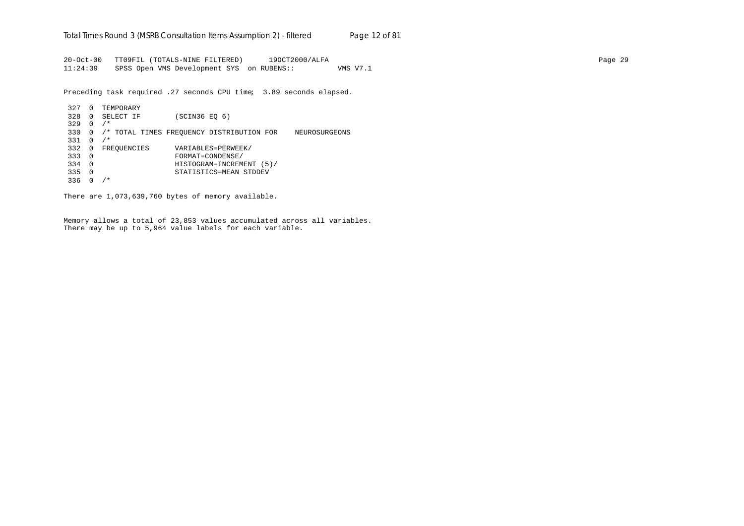20-Oct-00 TT09FIL (TOTALS-NINE FILTERED) 19OCT2000/ALFA Page 29 11:24:39 SPSS Open VMS Development SYS on RUBENS:: VMS V7.1

Preceding task required .27 seconds CPU time; 3.89 seconds elapsed.

```
327 0 TEMPORARY
328 0 SELECT IF (SCIN36 EQ 6)
329 0 /*
330 0 /* TOTAL TIMES FREQUENCY DISTRIBUTION FOR NEUROSURGEONS
331 0 /*
332 0 FREQUENCIES VARIABLES=PERWEEK/<br>333 0 FORMAT=CONDENSE/
333 0 FORMAT=CONDENSE/
334 0 HISTOGRAM=INCREMENT (5)/
335 0 STATISTICS=MEAN STDDEV
336 0 /*
```
There are 1,073,639,760 bytes of memory available.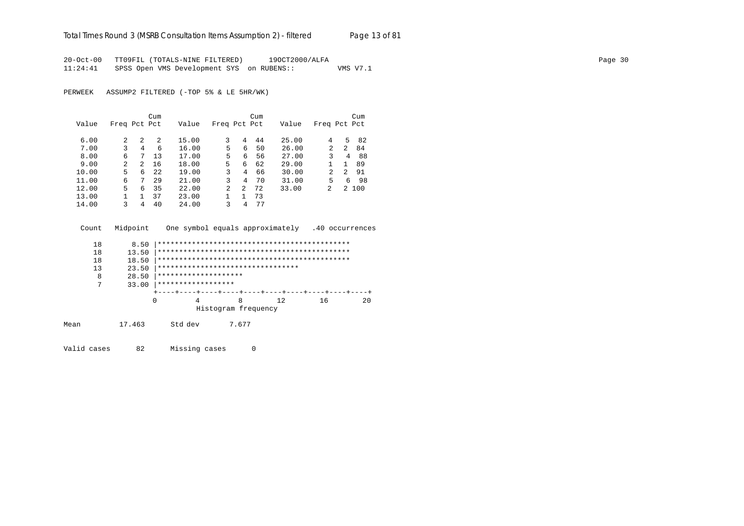## Total Times Round 3 (MSRB Consultation Items Assumption 2) - *filtered* Page 13 of 81

20-Oct-00 TT09FIL (TOTALS-NINE FILTERED) 19OCT2000/ALFA Page 30 11:24:41 SPSS Open VMS Development SYS on RUBENS:: VMS V7.1

PERWEEK ASSUMP2 FILTERED (-TOP 5% & LE 5HR/WK)

|       |                |                | Cum  |       |              |   | Cum |       |                |    | Cum   |
|-------|----------------|----------------|------|-------|--------------|---|-----|-------|----------------|----|-------|
| Value | Freq Pct Pct   |                |      | Value | Freq Pct Pct |   |     | Value | Freq Pct Pct   |    |       |
| 6.00  | 2              | 2              | 2    | 15.00 | 3            | 4 | 44  | 25.00 | 4              | 5. | -82   |
| 7.00  | 3              | $\overline{4}$ | 6    | 16.00 | 5.           | 6 | 50  | 26.00 | 2              | 2  | 84    |
| 8.00  | 6              | 7              | 13   | 17.00 | 5            | 6 | 56  | 27.00 | 3              | 4  | 88    |
| 9.00  | $\overline{2}$ | 2              | 16   | 18.00 | 5.           | 6 | 62  | 29.00 |                | 1  | 89    |
| 10.00 | 5.             | 6              | 2.2. | 19.00 | 3            | 4 | 66  | 30.00 | $\mathfrak{D}$ | 2  | 91    |
| 11.00 | 6              | 7              | 29   | 21.00 | 3            | 4 | 70  | 31.00 | 5              | 6  | 98    |
| 12.00 | 5.             | 6              | 35   | 22.00 | 2            | 2 | 72  | 33.00 | $\mathfrak{D}$ |    | 2 100 |
| 13.00 |                |                | 37   | 23.00 |              |   | 73  |       |                |    |       |
| 14.00 | ζ              | 4              | 40   | 24.00 | 3            | 4 | 77  |       |                |    |       |

| Count | Midpoint |                                   |                     | One symbol equals approximately | .40 occurrences |    |
|-------|----------|-----------------------------------|---------------------|---------------------------------|-----------------|----|
| 18    | 8.50     |                                   |                     |                                 |                 |    |
| 18    | 13.50    |                                   |                     |                                 |                 |    |
| 18    | 18.50    |                                   |                     |                                 |                 |    |
| 13    | 23.50    | ********************************* |                     |                                 |                 |    |
| 8     | 28.50    | ********************              |                     |                                 |                 |    |
| 7     | 33.00    | ******************                |                     |                                 |                 |    |
|       |          |                                   |                     |                                 |                 |    |
|       |          | 0                                 | 8                   | 12                              | 16              | 20 |
|       |          |                                   | Histogram frequency |                                 |                 |    |
| Mean  | 17.463   | Std dev                           | 7.677               |                                 |                 |    |

Valid cases 82 Missing cases 0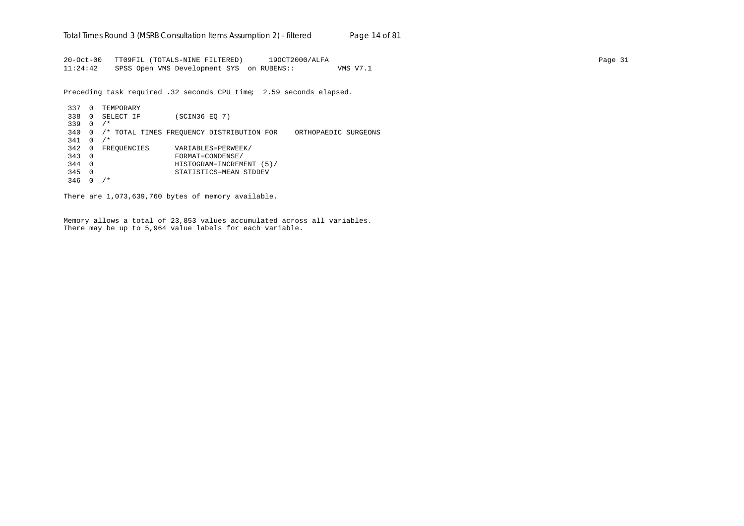20-Oct-00 TT09FIL (TOTALS-NINE FILTERED) 19OCT2000/ALFA Page 31 11:24:42 SPSS Open VMS Development SYS on RUBENS:: VMS V7.1

Preceding task required .32 seconds CPU time; 2.59 seconds elapsed.

337 0 TEMPORARY 338 0 SELECT IF (SCIN36 EQ 7) 339 0 /\* 340 0 /\* TOTAL TIMES FREQUENCY DISTRIBUTION FOR ORTHOPAEDIC SURGEONS  $341 \t0 \t/*$ 342 0 FREQUENCIES VARIABLES=PERWEEK/ 343 0 FORMAT=CONDENSE/ 344 0 HISTOGRAM=INCREMENT (5)/ 345 0 STATISTICS=MEAN STDDEV 346 0 /\*

There are 1,073,639,760 bytes of memory available.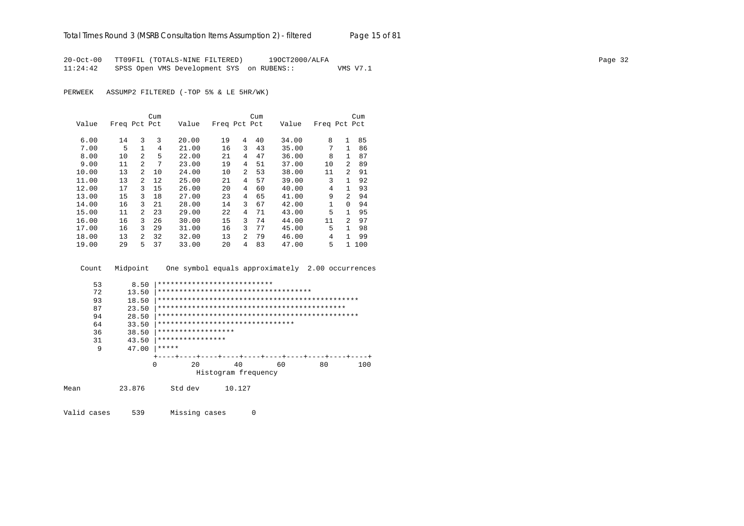20-Oct-00 TT09FIL (TOTALS-NINE FILTERED) 19OCT2000/ALFA Page 32 11:24:42 SPSS Open VMS Development SYS on RUBENS:: VMS V7.1

PERWEEK ASSUMP2 FILTERED (-TOP 5% & LE 5HR/WK)

|       |              |                | Cum |       |              |                | Cum |       |              |                | Cum |
|-------|--------------|----------------|-----|-------|--------------|----------------|-----|-------|--------------|----------------|-----|
| Value | Freq Pct Pct |                |     | Value | Freq Pct Pct |                |     | Value | Freq Pct Pct |                |     |
|       |              |                |     |       |              |                |     |       |              |                |     |
| 6.00  | 14           | 3              | 3   | 20.00 | 19           | 4              | 40  | 34.00 | 8            | 1              | 85  |
| 7.00  | 5            |                | 4   | 21.00 | 16           | 3              | 43  | 35.00 | 7            | 1              | 86  |
| 8.00  | 10           | $\overline{a}$ | 5   | 22.00 | 21           | 4              | 47  | 36.00 | 8            | 1              | 87  |
| 9.00  | 11           | $\mathfrak{D}$ | 7   | 23.00 | 19           | 4              | 51  | 37.00 | 10           | $\overline{2}$ | 89  |
| 10.00 | 13           | $\mathfrak{D}$ | 10  | 24.00 | 10           | $\overline{a}$ | 53  | 38.00 | 11           | $\mathfrak{D}$ | 91  |
| 11.00 | 13           | $\mathfrak{D}$ | 12  | 25.00 | 21           | 4              | 57  | 39.00 | 3            | 1              | 92  |
| 12.00 | 17           | 3              | 15  | 26.00 | 20           | 4              | 60  | 40.00 | 4            | 1              | 93  |
| 13.00 | 15           | 3              | 18  | 27.00 | 23           | 4              | 65  | 41.00 | 9            | $\mathfrak{D}$ | 94  |
| 14.00 | 16           | 3              | 21  | 28.00 | 14           | 3              | 67  | 42.00 | 1            | $\Omega$       | 94  |
| 15.00 | 11           | $\mathfrak{D}$ | 23  | 29.00 | 22           | 4              | 71  | 43.00 | 5            | 1              | 95  |
| 16.00 | 16           | 3              | 26  | 30.00 | 15           | 3              | 74  | 44.00 | 11           | $\mathfrak{D}$ | 97  |
| 17.00 | 16           | 3              | 29  | 31.00 | 16           | 3              | 77  | 45.00 | 5            | $\mathbf{1}$   | 98  |
| 18.00 | 13           | 2              | 32  | 32.00 | 13           | $\overline{a}$ | 79  | 46.00 | 4            | 1              | 99  |
| 19.00 | 29           | 5              | 37  | 33.00 | 20           | 4              | 83  | 47.00 | 5            | $\mathbf{1}$   | 100 |

Count Midpoint One symbol equals approximately 2.00 occurrences

| 53   | 8.50   |                    | ***************************      |                                       |    |     |
|------|--------|--------------------|----------------------------------|---------------------------------------|----|-----|
| 72   | 13.50  |                    |                                  | ************************************* |    |     |
| 93   | 18.50  |                    |                                  |                                       |    |     |
| 87   | 23.50  |                    |                                  |                                       |    |     |
| 94   | 28.50  |                    |                                  |                                       |    |     |
| 64   | 33.50  |                    | ******************************** |                                       |    |     |
| 36   | 38.50  | ****************** |                                  |                                       |    |     |
| 31   | 43.50  | ****************   |                                  |                                       |    |     |
| 9    | 47.00  | *****              |                                  |                                       |    |     |
|      |        |                    |                                  |                                       |    |     |
|      |        | 0<br>20            | 40                               | 60                                    | 80 | 100 |
|      |        |                    | Histogram frequency              |                                       |    |     |
| Mean | 23.876 | Std dev            | 10.127                           |                                       |    |     |

Valid cases 539 Missing cases 0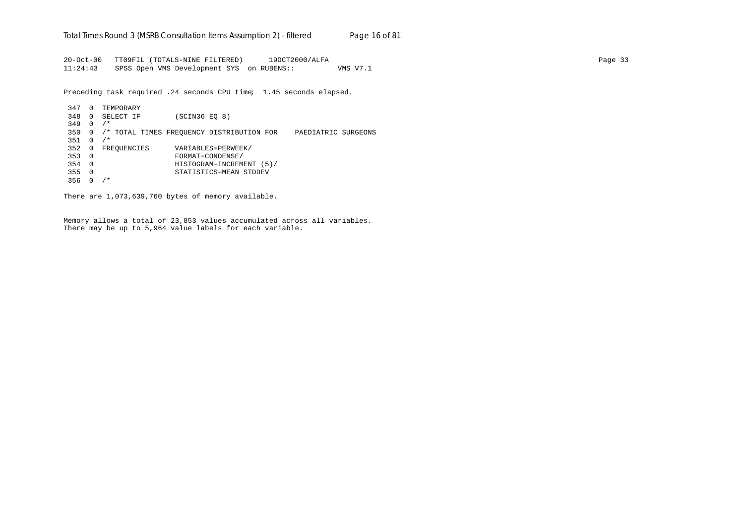20-Oct-00 TT09FIL (TOTALS-NINE FILTERED) 19OCT2000/ALFA Page 33 11:24:43 SPSS Open VMS Development SYS on RUBENS:: VMS V7.1

Preceding task required .24 seconds CPU time; 1.45 seconds elapsed.

347 0 TEMPORARY 348 0 SELECT IF (SCIN36 EQ 8) 349 0 /\* 350 0 /\* TOTAL TIMES FREQUENCY DISTRIBUTION FOR PAEDIATRIC SURGEONS 351 0 /\* 352 0 FREQUENCIES VARIABLES=PERWEEK/<br>353 0 FORMAT=CONDENSE/ 353 0 FORMAT=CONDENSE/ 354 0 HISTOGRAM=INCREMENT (5)/ 355 0 STATISTICS=MEAN STDDEV 356 0 /\*

There are 1,073,639,760 bytes of memory available.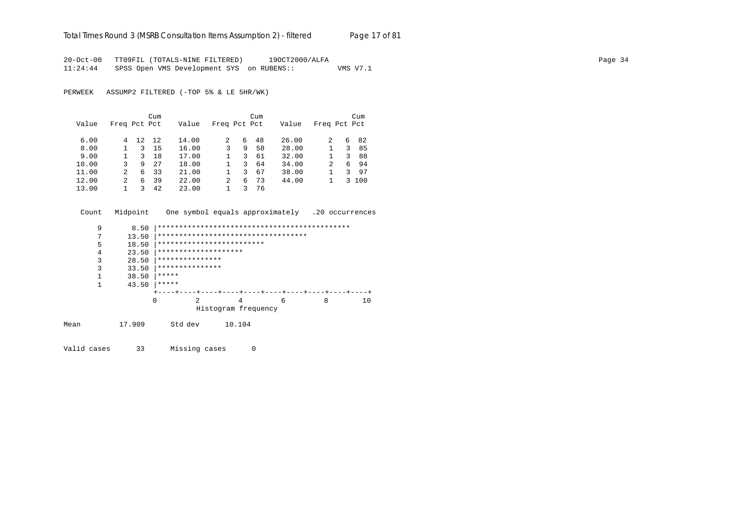#### Total Times Round 3 (MSRB Consultation Items Assumption 2) - *filtered* Page 17 of 81

20-Oct-00 TT09FIL (TOTALS-NINE FILTERED) 19OCT2000/ALFA Page 34 11:24:44 SPSS Open VMS Development SYS on RUBENS:: VMS V7.1

PERWEEK ASSUMP2 FILTERED (-TOP 5% & LE 5HR/WK)

|       |              |    | Cum |       |               |   | Cum |       |              |   | Cum   |
|-------|--------------|----|-----|-------|---------------|---|-----|-------|--------------|---|-------|
| Value | Freq Pct Pct |    |     | Value | Freq Pct Pct  |   |     | Value | Freq Pct Pct |   |       |
| 6.00  | 4            | 12 | 12  | 14.00 | $\mathcal{L}$ | 6 | 48  | 26.00 | 2            | 6 | 82    |
| 8.00  |              | 3  | 15  | 16.00 | 3             | 9 | 58  | 28.00 |              | 3 | 85    |
| 9.00  |              | 3  | 18  | 17.00 |               | 3 | 61  | 32.00 |              | 3 | 88    |
| 10.00 | 3            | 9  | 27  | 18.00 |               | 3 | 64  | 34.00 | 2            | 6 | 94    |
| 11.00 | 2            | 6  | 33  | 21.00 |               | 3 | 67  | 38.00 |              | 3 | 97    |
| 12.00 | 2            | 6  | 39  | 22.00 | 2             | 6 | 73  | 44.00 |              |   | 3 100 |
| 13.00 |              |    | 42  | 23.00 |               |   | 76  |       |              |   |       |

Count Midpoint One symbol equals approximately .20 occurrences

|      | 9 | 8.50   |                           |                                     |   |   |    |
|------|---|--------|---------------------------|-------------------------------------|---|---|----|
|      | 7 | 13.50  |                           | *********************************** |   |   |    |
|      | 5 | 18.50  | ************************* |                                     |   |   |    |
|      | 4 | 23.50  | ********************      |                                     |   |   |    |
|      | 3 | 28.50  | ***************           |                                     |   |   |    |
|      | 3 | 33.50  | ***************           |                                     |   |   |    |
|      |   | 38.50  | *****                     |                                     |   |   |    |
|      |   | 43.50  | *****                     |                                     |   |   |    |
|      |   |        |                           |                                     |   |   |    |
|      |   |        | 2<br>0                    | 4                                   | 6 | 8 | 10 |
|      |   |        |                           | Histogram frequency                 |   |   |    |
| Mean |   | 17.909 | Std dev                   | 10.104                              |   |   |    |

Valid cases 33 Missing cases 0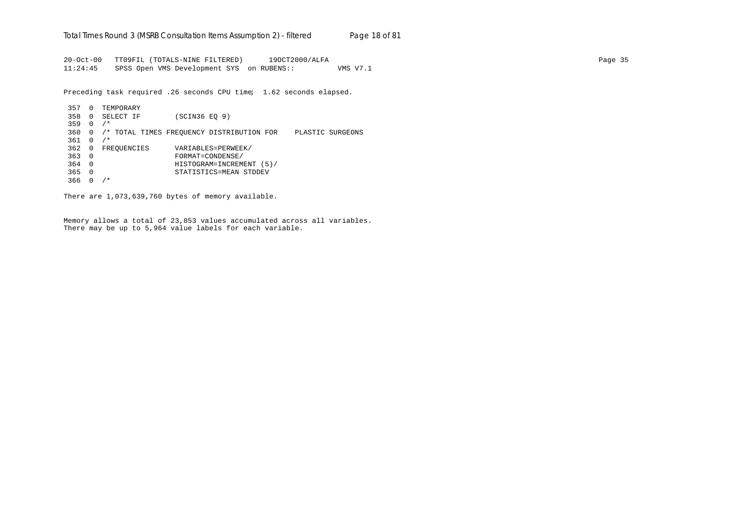20-Oct-00 TT09FIL (TOTALS-NINE FILTERED) 19OCT2000/ALFA Page 35 11:24:45 SPSS Open VMS Development SYS on RUBENS:: VMS V7.1

Preceding task required .26 seconds CPU time; 1.62 seconds elapsed.

357 0 TEMPORARY 358 0 SELECT IF (SCIN36 EQ 9) 359 0 /\* 360 0 /\* TOTAL TIMES FREQUENCY DISTRIBUTION FOR PLASTIC SURGEONS 361 0 /\* 362 0 FREQUENCIES VARIABLES=PERWEEK/ 363 0 FORMAT=CONDENSE/ 364 0 HISTOGRAM=INCREMENT (5)/ 365 0 STATISTICS=MEAN STDDEV 366 0 /\*

There are 1,073,639,760 bytes of memory available.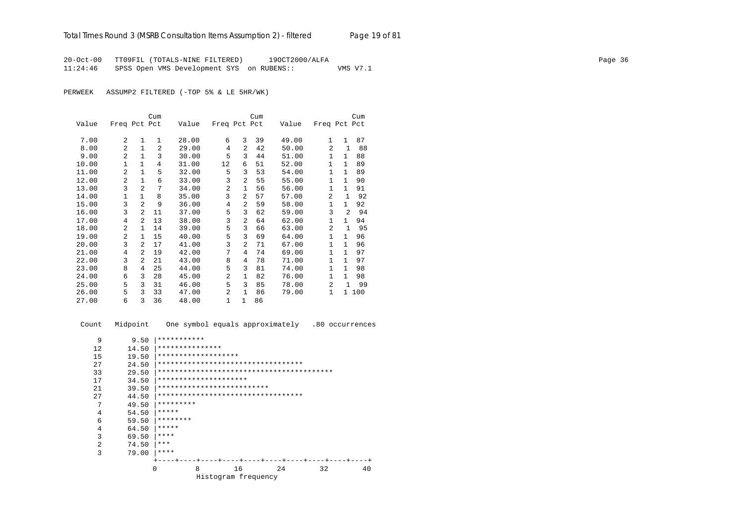20-Oct-00 TT09FIL (TOTALS-NINE FILTERED) 19OCT2000/ALFA Page 36 11:24:46 SPSS Open VMS Development SYS on RUBENS:: VMS V7.1

PERWEEK ASSUMP2 FILTERED (-TOP 5% & LE 5HR/WK)

|       |                |                | Cum          |       |              |                | Cum |       |                |                | Cum   |
|-------|----------------|----------------|--------------|-------|--------------|----------------|-----|-------|----------------|----------------|-------|
| Value | Freq Pct Pct   |                |              | Value | Freq Pct Pct |                |     | Value | Freq Pct Pct   |                |       |
| 7.00  | 2              | 1              | $\mathbf{1}$ | 28.00 | 6            | 3              | 39  | 49.00 | $\mathbf{1}$   | $\mathbf{1}$   | 87    |
|       |                |                |              |       |              |                |     |       |                |                |       |
| 8.00  | $\overline{2}$ | $\mathbf{1}$   | 2            | 29.00 | 4            | $\overline{2}$ | 42  | 50.00 | $\overline{2}$ | $\mathbf{1}$   | 88    |
| 9.00  | $\overline{2}$ | $\mathbf{1}$   | 3            | 30.00 | 5            | 3              | 44  | 51.00 | $\mathbf{1}$   | $\mathbf{1}$   | 88    |
| 10.00 | 1              | $\mathbf{1}$   | 4            | 31.00 | 12           | 6              | 51  | 52.00 | 1              | $\mathbf{1}$   | 89    |
| 11.00 | $\overline{a}$ | $\mathbf{1}$   | 5            | 32.00 | 5            | 3              | 53  | 54.00 | $\mathbf{1}$   | $\mathbf{1}$   | 89    |
| 12.00 | 2              | $\mathbf{1}$   | 6            | 33.00 | 3            | $\overline{a}$ | 55  | 55.00 | $\mathbf{1}$   | $\mathbf{1}$   | 90    |
| 13.00 | 3              | $\mathfrak{D}$ | 7            | 34.00 | 2            | $\mathbf{1}$   | 56  | 56.00 | $\mathbf{1}$   | $\mathbf{1}$   | 91    |
| 14.00 | 1              | 1              | 8            | 35.00 | 3            | 2              | 57  | 57.00 | 2              | 1              | 92    |
| 15.00 | 3              | $\mathfrak{D}$ | 9            | 36.00 | 4            | $\overline{2}$ | 59  | 58.00 | $\mathbf{1}$   | $\mathbf{1}$   | 92    |
| 16.00 | 3              | $\mathfrak{D}$ | 11           | 37.00 | 5            | 3              | 62  | 59.00 | 3              | $\overline{a}$ | 94    |
| 17.00 | 4              | $\mathfrak{D}$ | 13           | 38.00 | 3            | $\overline{a}$ | 64  | 62.00 | $\mathbf{1}$   | $\mathbf{1}$   | 94    |
| 18.00 | $\overline{2}$ | $\mathbf{1}$   | 14           | 39.00 | 5            | 3              | 66  | 63.00 | 2              | 1              | 95    |
| 19.00 | $\overline{a}$ | $\mathbf{1}$   | 15           | 40.00 | 5            | 3              | 69  | 64.00 | $\mathbf{1}$   | $\mathbf{1}$   | 96    |
| 20.00 | 3              | 2              | 17           | 41.00 | 3            | 2              | 71  | 67.00 | $\mathbf{1}$   | $\mathbf{1}$   | 96    |
| 21.00 | 4              | 2              | 19           | 42.00 | 7            | 4              | 74  | 69.00 | $\mathbf{1}$   | $\mathbf{1}$   | 97    |
| 22.00 | 3              | 2              | 21           | 43.00 | 8            | 4              | 78  | 71.00 | $\mathbf{1}$   | $\mathbf{1}$   | 97    |
| 23.00 | 8              | 4              | 25           | 44.00 | 5            | 3              | 81  | 74.00 | $\mathbf{1}$   | $\mathbf{1}$   | 98    |
| 24.00 | 6              | 3              | 28           | 45.00 | 2            | $\mathbf{1}$   | 82  | 76.00 | $\mathbf 1$    | $\mathbf{1}$   | 98    |
| 25.00 | 5              | 3              | 31           | 46.00 | 5            | 3              | 85  | 78.00 | $\overline{2}$ | $\mathbf{1}$   | 99    |
| 26.00 | 5              | 3              | 33           | 47.00 | 2            | 1              | 86  | 79.00 | 1              |                | 1 100 |
| 27.00 | 6              | 3              | 36           | 48.00 | 1            | $\mathbf{1}$   | 86  |       |                |                |       |

 Count Midpoint One symbol equals approximately .80 occurrences 9 9.50 |\*\*\*\*\*\*\*\*\*\*\* 12 14.50 |\*\*\*\*\*\*\*\*\*\*\*\*\*\*\* 15 19.50 |\*\*\*\*\*\*\*\*\*\*\*\*\*\*\*\*\*\*\*\*<br>27 24.50 |\*\*\*\*\*\*\*\*\*\*\*\*\*\*\*\*\*\*\* 27 24.50 |\*\*\*\*\*\*\*\*\*\*\*\*\*\*\*\*\*\*\*\*\*\*\*\*\*\*\*\*\*\*\*\*\*\* 33 29.50 |\*\*\*\*\*\*\*\*\*\*\*\*\*\*\*\*\*\*\*\*\*\*\*\*\*\*\*\*\*\*\*\*\*\*\*\*\*\*\*\*\* 17 34.50 |\*\*\*\*\*\*\*\*\*\*\*\*\*\*\*\*\*\*\*\*\*\*<br>21 39.50 |\*\*\*\*\*\*\*\*\*\*\*\*\*\*\*\*\*\*\*\*\*\* 21 39.50 |\*\*\*\*\*\*\*\*\*\*\*\*\*\*\*\*\*\*\*\*\*\*\*\*\*\*\*\*<br>27 44.50 |\*\*\*\*\*\*\*\*\*\*\*\*\*\*\*\*\*\*\*\*\*\*\*\*\*\*\* 27 44.50 |\*\*\*\*\*\*\*\*\*\*\*\*\*\*\*\*\*\*\*\*\*\*\*\*\*\*\*\*\*\*\*\*\*\* 7  $49.50$   $*********$ <br>4  $54.50$   $*******$ 4  $54.50$   $****$ <br>6  $59.50$   $****$ 6 59.50  $********$ <br>4 64.50  $*****$ 64.50  $*****$ 3 69.50  $****$ <br>2 74.50  $****$ 2 74.50  $***$ <br>3 79.00  $****$  3 79.00 |\*\*\*\*  $+--+--+---++---++---++---++---++---++---+---+$ <br>0 8 16 24 32 40 0 8 16 24 32 40 Histogram frequency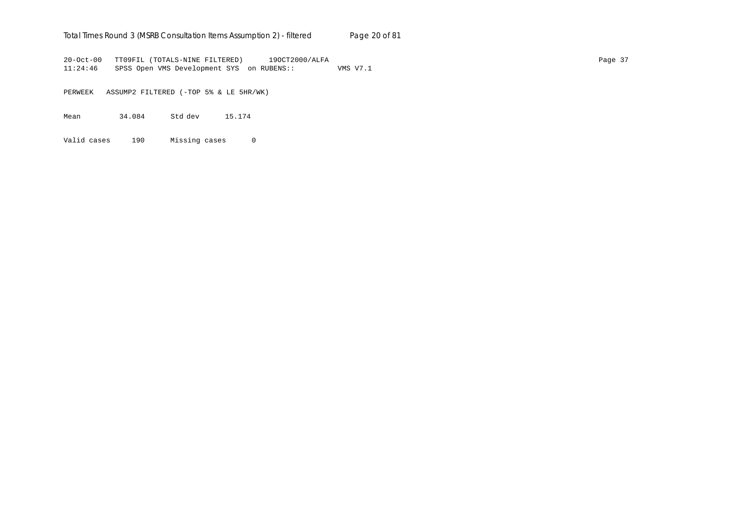## Total Times Round 3 (MSRB Consultation Items Assumption 2) - *filtered* Page 20 of 81

20-Oct-00 TT09FIL (TOTALS-NINE FILTERED) 19OCT2000/ALFA Page 37 11:24:46 SPSS Open VMS Development SYS on RUBENS:: VMS V7.1

PERWEEK ASSUMP2 FILTERED (-TOP 5% & LE 5HR/WK)

Mean 34.084 Std dev 15.174

Valid cases 190 Missing cases 0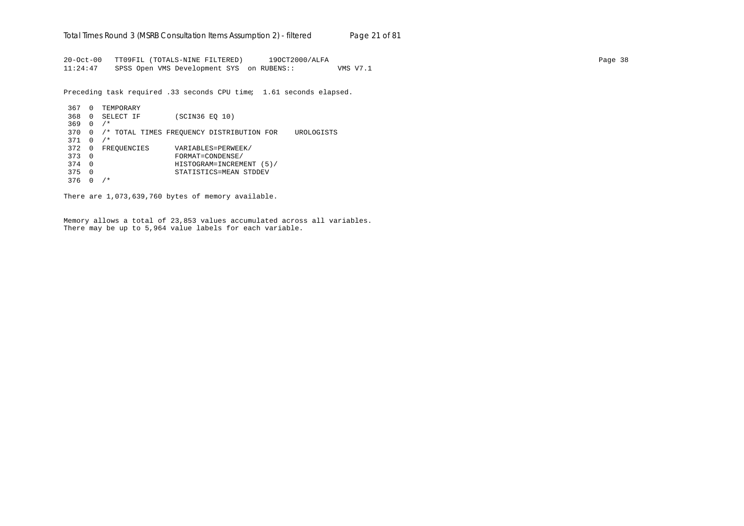20-Oct-00 TT09FIL (TOTALS-NINE FILTERED) 19OCT2000/ALFA Page 38 11:24:47 SPSS Open VMS Development SYS on RUBENS:: VMS V7.1

Preceding task required .33 seconds CPU time; 1.61 seconds elapsed.

```
367 0 TEMPORARY
368 0 SELECT IF (SCIN36 EQ 10)
369 0 /*
370 0 /* TOTAL TIMES FREQUENCY DISTRIBUTION FOR UROLOGISTS
371 0 /*
372 0 FREQUENCIES VARIABLES=PERWEEK/<br>373 0 FORMAT=CONDENSE/
373 0 FORMAT=CONDENSE/
374 0 HISTOGRAM=INCREMENT (5)/
375 0 STATISTICS=MEAN STDDEV
376 0 /*
```
There are 1,073,639,760 bytes of memory available.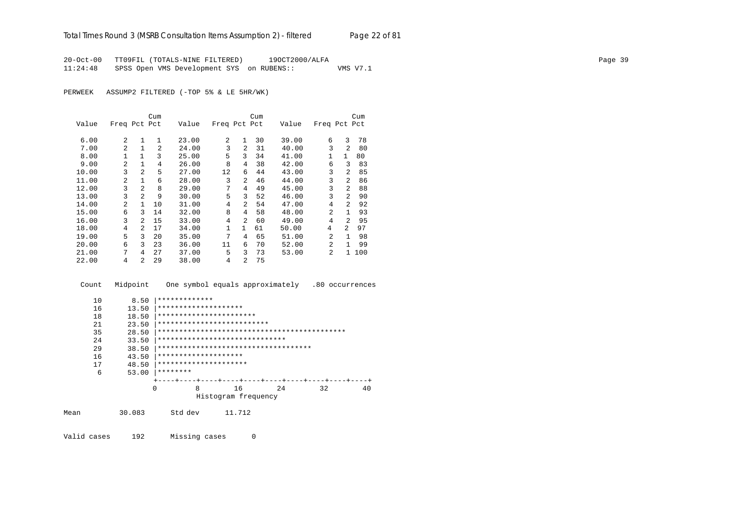20-Oct-00 TT09FIL (TOTALS-NINE FILTERED) 19OCT2000/ALFA Page 39 11:24:48 SPSS Open VMS Development SYS on RUBENS:: VMS V7.1

PERWEEK ASSUMP2 FILTERED (-TOP 5% & LE 5HR/WK)

|       |                |                | Cum            |       |              |                | Cum |       |                |                | Cum |
|-------|----------------|----------------|----------------|-------|--------------|----------------|-----|-------|----------------|----------------|-----|
| Value | Freq Pct Pct   |                |                | Value | Freq Pct Pct |                |     | Value | Freq Pct Pct   |                |     |
|       |                |                |                |       |              |                |     |       |                |                |     |
| 6.00  | 2              |                | 1              | 23.00 | 2            | $\mathbf{1}$   | 30  | 39.00 | 6              | 3              | 78  |
| 7.00  | $\overline{a}$ |                | $\mathfrak{D}$ | 24.00 | 3            | $\mathfrak{D}$ | 31  | 40.00 | 3              | $\mathfrak{D}$ | 80  |
| 8.00  |                | $\mathbf{1}$   | 3              | 25.00 | 5            | 3              | 34  | 41.00 | 1              | $\mathbf{1}$   | 80  |
| 9.00  | $\overline{a}$ | $\mathbf{1}$   | 4              | 26.00 | 8            | 4              | 38  | 42.00 | 6              | ζ              | 83  |
| 10.00 | 3              | $\overline{a}$ | 5              | 27.00 | 12           | 6              | 44  | 43.00 | 3              | $\overline{a}$ | 85  |
| 11.00 | $\mathfrak{D}$ | $\mathbf{1}$   | 6              | 28.00 | 3            | $\overline{a}$ | 46  | 44.00 | 3              | $\mathfrak{D}$ | 86  |
| 12.00 | 3              | $\overline{a}$ | 8              | 29.00 | 7            | 4              | 49  | 45.00 | 3              | $\overline{a}$ | 88  |
| 13.00 | 3              | $\overline{2}$ | 9              | 30.00 | 5            | 3              | 52  | 46.00 | 3              | $\mathfrak{D}$ | 90  |
| 14.00 | $\overline{a}$ | $\mathbf{1}$   | 10             | 31.00 | 4            | $\overline{a}$ | 54  | 47.00 | 4              | $\mathfrak{D}$ | 92  |
| 15.00 | 6              | ζ              | 14             | 32.00 | 8            | 4              | 58  | 48.00 | $\mathfrak{D}$ |                | 93  |
| 16.00 | 3              | $\mathfrak{D}$ | 15             | 33.00 | 4            | $\mathfrak{D}$ | 60  | 49.00 | 4              | $\mathfrak{D}$ | 95  |
| 18.00 | 4              | $\overline{a}$ | 17             | 34.00 | 1            | $\mathbf{1}$   | 61  | 50.00 | 4              | 2              | 97  |
| 19.00 | 5              | 3              | 20             | 35.00 | 7            | 4              | 65  | 51.00 | $\mathfrak{D}$ |                | 98  |
| 20.00 | 6              | 3              | 23             | 36.00 | 11           | 6              | 70  | 52.00 | $\mathfrak{D}$ |                | 99  |
| 21.00 | 7              | 4              | 27             | 37.00 | 5            | 3              | 73  | 53.00 | 2              | $\mathbf{1}$   | 100 |
| 22.00 | 4              | $\overline{a}$ | 29             | 38.00 | 4            | 2              | 75  |       |                |                |     |

 Count Midpoint One symbol equals approximately .80 occurrences 10  $8.50$   $*****************$ <br>16 13.50  $**************$ 16 13.50 \*\*\*\*\*\*\*\*\*\*\*\*\*\*\*\*\*\*\*\*\*<br>18 18.50 \*\*\*\*\*\*\*\*\*\*\*\*\*\*\*\*\*\*\*\*\* 18 18.50 |\*\*\*\*\*\*\*\*\*\*\*\*\*\*\*\*\*\*\*\*\*\*\*\*<br>21 23.50 |\*\*\*\*\*\*\*\*\*\*\*\*\*\*\*\*\*\*\*\*\*\*\*\* 21 23.50 |\*\*\*\*\*\*\*\*\*\*\*\*\*\*\*\*\*\*\*\*\*\*\*\*\*\* 35 28.50 |\*\*\*\*\*\*\*\*\*\*\*\*\*\*\*\*\*\*\*\*\*\*\*\*\*\*\*\*\*\*\*\*\*\*\*\*\*\*\*\*\*\*\*\* 24 33.50 |\*\*\*\*\*\*\*\*\*\*\*\*\*\*\*\*\*\*\*\*\*\*\*\*\*\*\*\*\*\* 29 38.50 |\*\*\*\*\*\*\*\*\*\*\*\*\*\*\*\*\*\*\*\*\*\*\*\*\*\*\*\*\*\*\*\*\*\*\*\* 16 43.50 |\*\*\*\*\*\*\*\*\*\*\*\*\*\*\*\*\*\*\*\*\*<br>17 48.50 |\*\*\*\*\*\*\*\*\*\*\*\*\*\*\*\*\*\*\*\* 17 48.50 |\*\*\*\*\*\*\*\*\*\*\*\*\*\*\*\*\*\*\*\*\* 6 53.00 |\*\*\*\*\*\*\*\*



Mean 30.083 Std dev 11.712

Valid cases 192 Missing cases 0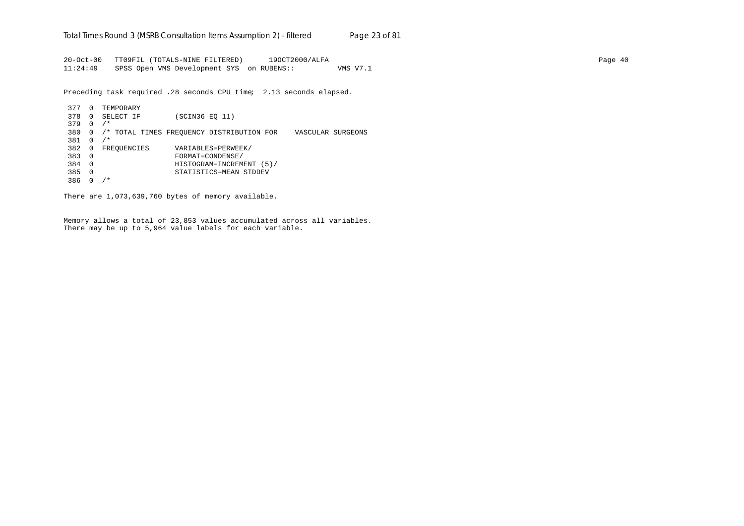20-Oct-00 TT09FIL (TOTALS-NINE FILTERED) 19OCT2000/ALFA Page 40 11:24:49 SPSS Open VMS Development SYS on RUBENS:: VMS V7.1

Preceding task required .28 seconds CPU time; 2.13 seconds elapsed.

377 0 TEMPORARY 378 0 SELECT IF (SCIN36 EQ 11) 379 0 /\* 380 0 /\* TOTAL TIMES FREQUENCY DISTRIBUTION FOR VASCULAR SURGEONS 381 0 /\* 382 0 FREQUENCIES VARIABLES=PERWEEK/<br>383 0 FORMAT=CONDENSE/ 383 0 FORMAT=CONDENSE/ 384 0 HISTOGRAM=INCREMENT (5)/ 385 0 STATISTICS=MEAN STDDEV 386 0 /\*

There are 1,073,639,760 bytes of memory available.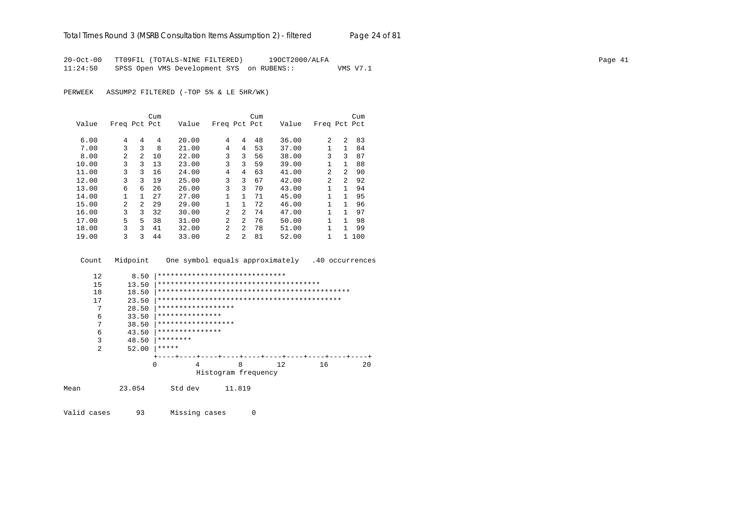20-Oct-00 TT09FIL (TOTALS-NINE FILTERED) 19OCT2000/ALFA Page 41 11:24:50 SPSS Open VMS Development SYS on RUBENS:: VMS V7.1

PERWEEK ASSUMP2 FILTERED (-TOP 5% & LE 5HR/WK)

|       |                |                | Cum |       |                |                | Cum |       |              |                | Cum |
|-------|----------------|----------------|-----|-------|----------------|----------------|-----|-------|--------------|----------------|-----|
| Value | Freq Pct Pct   |                |     | Value | Freq Pct Pct   |                |     | Value | Freq Pct Pct |                |     |
|       |                |                |     |       |                |                |     |       |              |                |     |
| 6.00  | 4              | 4              | 4   | 20.00 | 4              | 4              | 48  | 36.00 | 2            | 2              | 83  |
| 7.00  | 3              | ζ              | 8   | 21.00 | 4              | 4              | 53  | 37.00 | 1            | 1              | 84  |
| 8.00  | 2              | $\overline{a}$ | 10  | 22.00 | 3              | 3              | 56  | 38.00 | 3            | 3              | 87  |
| 10.00 | 3              | 3              | 13  | 23.00 | 3              | ζ              | 59  | 39.00 | 1            | $\mathbf{1}$   | 88  |
| 11.00 | 3              | 3              | 16  | 24.00 | 4              | 4              | 63  | 41.00 | 2            | 2              | 90  |
| 12.00 | 3              | 3              | 19  | 25.00 | 3              | 3              | 67  | 42.00 | 2            | $\overline{a}$ | 92  |
| 13.00 | 6              | 6              | 26  | 26.00 | 3              | 3              | 70  | 43.00 | 1            | 1              | 94  |
| 14.00 | 1              | 1              | 27  | 27.00 | $\mathbf{1}$   | 1.             | 71  | 45.00 | 1            | 1              | 95  |
| 15.00 | $\overline{a}$ | $\mathcal{L}$  | 29  | 29.00 | $\mathbf{1}$   | $\mathbf{1}$   | 72  | 46.00 | 1            | 1              | 96  |
| 16.00 | 3              | 3              | 32  | 30.00 | $\mathfrak{D}$ | $\overline{2}$ | 74  | 47.00 | 1            | 1              | 97  |
| 17.00 | 5.             | 5              | 38  | 31.00 | $\mathfrak{D}$ | $\overline{a}$ | 76  | 50.00 | 1            | 1              | 98  |
| 18.00 | 3              | 3              | 41  | 32.00 | $\overline{a}$ | $\overline{a}$ | 78  | 51.00 | 1            | 1              | 99  |
| 19.00 | ζ              | 3              | 44  | 33.00 | $\mathfrak{D}$ | $\overline{a}$ | 81  | 52.00 | 1            |                | 100 |

Count Midpoint One symbol equals approximately .40 occurrences

```
 12 8.50 |******************************
       15 13.50 |**************************************
       18 18.50 |*********************************************
       17 23.50 |*******************************************
       7 28.50 **************************6 33.50 ************************7 38.50 **************************6 43.50 ************************<br>3 48.50 ******** 3 48.50 |********
       2 52.00 **** +----+----+----+----+----+----+----+----+----+----+
                       0 4 8 12 16 20
                            Histogram frequency
Mean 23.054 Std dev 11.819
```
Valid cases 93 Missing cases 0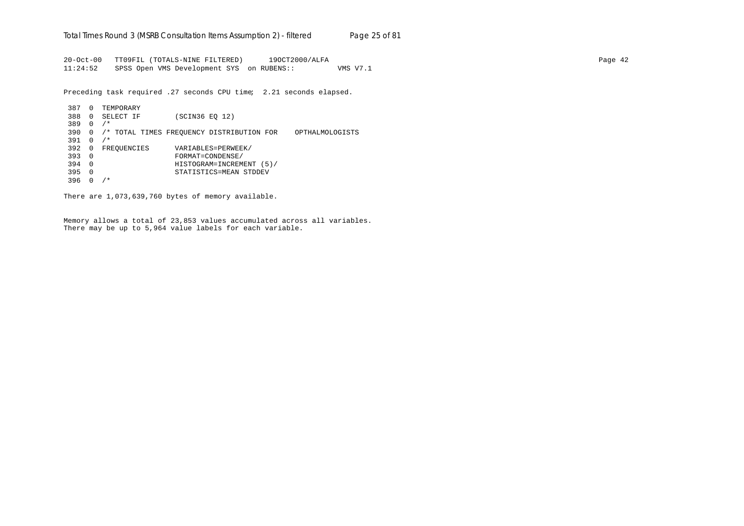20-Oct-00 TT09FIL (TOTALS-NINE FILTERED) 19OCT2000/ALFA Page 42 11:24:52 SPSS Open VMS Development SYS on RUBENS:: VMS V7.1

Preceding task required .27 seconds CPU time; 2.21 seconds elapsed.

```
387 0 TEMPORARY
388 0 SELECT IF (SCIN36 EQ 12)
389 0 /*
390 0 /* TOTAL TIMES FREQUENCY DISTRIBUTION FOR OPTHALMOLOGISTS
391 0 /*
392 0 FREQUENCIES VARIABLES=PERWEEK/<br>393 0 FORMAT=CONDENSE/
393 0 FORMAT=CONDENSE/
394 0 HISTOGRAM=INCREMENT (5)/
395 0 STATISTICS=MEAN STDDEV
396 0 /*
```
There are 1,073,639,760 bytes of memory available.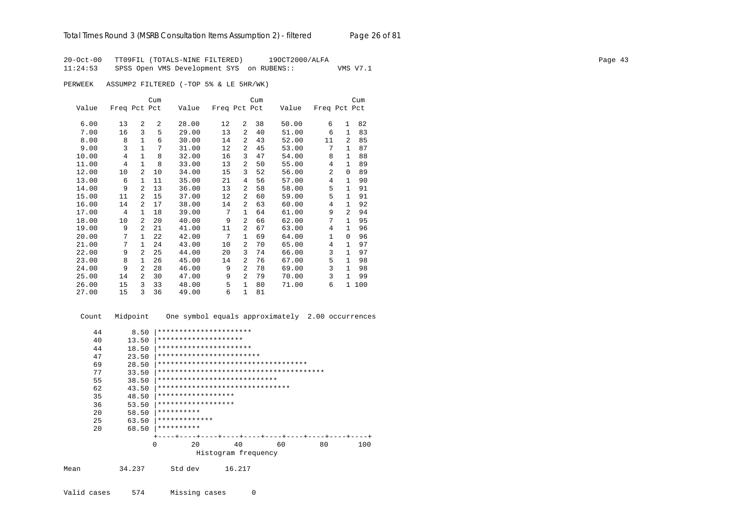20-Oct-00 TT09FIL (TOTALS-NINE FILTERED) 19OCT2000/ALFA<br>11:24:53 SPSS Open VMS Development SYS on RUBENS:: WMS V7.1  $11:24:53$  SPSS Open VMS Development SYS on RUBENS::

PERWEEK ASSUMP2 FILTERED (-TOP 5% & LE 5HR/WK)

|       |              |                | Cum |       |              |                | Cum |       |              |                | Cum |
|-------|--------------|----------------|-----|-------|--------------|----------------|-----|-------|--------------|----------------|-----|
| Value | Freq Pct Pct |                |     | Value | Freq Pct Pct |                |     | Value | Freq Pct Pct |                |     |
|       |              |                |     |       |              |                |     |       |              |                |     |
| 6.00  | 13           | $\overline{a}$ | 2   | 28.00 | 12           | $\overline{2}$ | 38  | 50.00 | 6            | $\mathbf{1}$   | 82  |
| 7.00  | 16           | 3              | 5   | 29.00 | 13           | 2              | 40  | 51.00 | 6            | 1              | 83  |
| 8.00  | 8            | $\mathbf{1}$   | 6   | 30.00 | 14           | 2              | 43  | 52.00 | 11           | 2              | 85  |
| 9.00  | 3            | $\mathbf{1}$   | 7   | 31.00 | 12           | 2              | 45  | 53.00 | 7            | $\mathbf{1}$   | 87  |
| 10.00 | 4            | 1              | 8   | 32.00 | 16           | 3              | 47  | 54.00 | 8            | $\mathbf{1}$   | 88  |
| 11.00 | 4            | $\mathbf{1}$   | 8   | 33.00 | 13           | 2              | 50  | 55.00 | 4            | $\mathbf{1}$   | 89  |
| 12.00 | 10           | 2              | 10  | 34.00 | 15           | 3              | 52  | 56.00 | 2            | $\Omega$       | 89  |
| 13.00 | 6            | $\mathbf{1}$   | 11  | 35.00 | 21           | 4              | 56  | 57.00 | 4            | $\mathbf{1}$   | 90  |
| 14.00 | 9            | $\mathfrak{D}$ | 13  | 36.00 | 13           | 2              | 58  | 58.00 | 5            | $\mathbf{1}$   | 91  |
| 15.00 | 11           | $\overline{a}$ | 15  | 37.00 | 12           | 2              | 60  | 59.00 | 5            | 1              | 91  |
| 16.00 | 14           | 2              | 17  | 38.00 | 14           | 2              | 63  | 60.00 | 4            | $\mathbf{1}$   | 92  |
| 17.00 | 4            | $\mathbf{1}$   | 18  | 39.00 | 7            | $\mathbf{1}$   | 64  | 61.00 | 9            | $\overline{2}$ | 94  |
| 18.00 | 10           | $\overline{a}$ | 20  | 40.00 | 9            | 2              | 66  | 62.00 | 7            | $\mathbf{1}$   | 95  |
| 19.00 | 9            | $\overline{a}$ | 21  | 41.00 | 11           | 2              | 67  | 63.00 | 4            | 1              | 96  |
| 20.00 | 7            | $\mathbf{1}$   | 22  | 42.00 | 7            | $\mathbf{1}$   | 69  | 64.00 | 1            | $\Omega$       | 96  |
| 21.00 | 7            | $\mathbf{1}$   | 24  | 43.00 | 10           | 2              | 70  | 65.00 | 4            | $\mathbf{1}$   | 97  |
| 22.00 | 9            | $\mathfrak{D}$ | 25  | 44.00 | 20           | 3              | 74  | 66.00 | 3            | $\mathbf{1}$   | 97  |
| 23.00 | 8            | $\mathbf{1}$   | 26  | 45.00 | 14           | 2              | 76  | 67.00 | 5            | $\mathbf{1}$   | 98  |
| 24.00 | 9            | $\mathfrak{D}$ | 28  | 46.00 | 9            | $\overline{2}$ | 78  | 69.00 | 3            | $\mathbf{1}$   | 98  |
| 25.00 | 14           | $\overline{a}$ | 30  | 47.00 | 9            | $\overline{2}$ | 79  | 70.00 | 3            | 1              | 99  |
| 26.00 | 15           | 3              | 33  | 48.00 | 5            | $\mathbf{1}$   | 80  | 71.00 | 6            | $\mathbf{1}$   | 100 |
| 27.00 | 15           | 3              | 36  | 49.00 | 6            | $\mathbf{1}$   | 81  |       |              |                |     |

 Count Midpoint One symbol equals approximately 2.00 occurrences 44 8.50 |\*\*\*\*\*\*\*\*\*\*\*\*\*\*\*\*\*\*\*\*\*\*\*<br>40 13.50 |\*\*\*\*\*\*\*\*\*\*\*\*\*\*\*\*\*\*\*\*\* 40 13.50 |\*\*\*\*\*\*\*\*\*\*\*\*\*\*\*\*\*\*\*\* 44 18.50 |\*\*\*\*\*\*\*\*\*\*\*\*\*\*\*\*\*\*\*\*\*\*\*<br>47 23.50 |\*\*\*\*\*\*\*\*\*\*\*\*\*\*\*\*\*\*\*\*\*\*\* 47 23.50 |\*\*\*\*\*\*\*\*\*\*\*\*\*\*\*\*\*\*\*\*\*\*\*\*\*\*\*<br>69 28.50 |\*\*\*\*\*\*\*\*\*\*\*\*\*\*\*\*\*\*\*\*\*\*\*\*\* 69 28.50 |\*\*\*\*\*\*\*\*\*\*\*\*\*\*\*\*\*\*\*\*\*\*\*\*\*\*\*\*\*\*\*\*\*\*\* 77 33.50 |\*\*\*\*\*\*\*\*\*\*\*\*\*\*\*\*\*\*\*\*\*\*\*\*\*\*\*\*\*\*\*\*\*\*\*\*\*\*\* 55 38.50 |\*\*\*\*\*\*\*\*\*\*\*\*\*\*\*\*\*\*\*\*\*\*\*\*\*\*\*\*\*\*<br>62 43.50 |\*\*\*\*\*\*\*\*\*\*\*\*\*\*\*\*\*\*\*\*\*\*\*\*\*\*\*\* 62 43.50 |\*\*\*\*\*\*\*\*\*\*\*\*\*\*\*\*\*\*\*\*\*\*\*\*\*\*\*\*\*\*\* 35 48.50 |\*\*\*\*\*\*\*\*\*\*\*\*\*\*\*\*\*\* 36 53.50 |\*\*\*\*\*\*\*\*\*\*\*\*\*\*\*\*\*\* 20  $58.50$   $***********$ <br>25  $63.50$   $***********$ 25 63.50  $********************$ <br>20 68.50 \*\*\*\*\*\*\*\*\*\*\* 20 68.50 |\*\*\*\*\*\*\*\*\*\* +----+----+----+----+----+----+----+----+----+----+ 0 20 40 60 80 100 Histogram frequency Mean 34.237 Std dev 16.217

Valid cases 574 Missing cases 0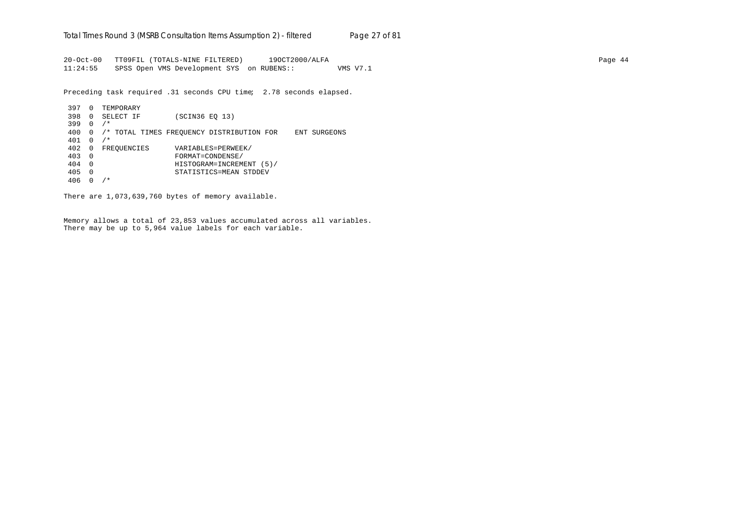20-Oct-00 TT09FIL (TOTALS-NINE FILTERED) 19OCT2000/ALFA Page 44 11:24:55 SPSS Open VMS Development SYS on RUBENS:: VMS V7.1

Preceding task required .31 seconds CPU time; 2.78 seconds elapsed.

```
397 0 TEMPORARY
398 0 SELECT IF (SCIN36 EQ 13)
399 0 /*
400 0 /* TOTAL TIMES FREQUENCY DISTRIBUTION FOR ENT SURGEONS
401 0 /*
402 0 FREQUENCIES VARIABLES=PERWEEK/<br>403 0 FORMAT=CONDENSE/
403 0 FORMAT=CONDENSE/
404 0 HISTOGRAM=INCREMENT (5)/
405 0 STATISTICS=MEAN STDDEV
406 0 /*
```
There are 1,073,639,760 bytes of memory available.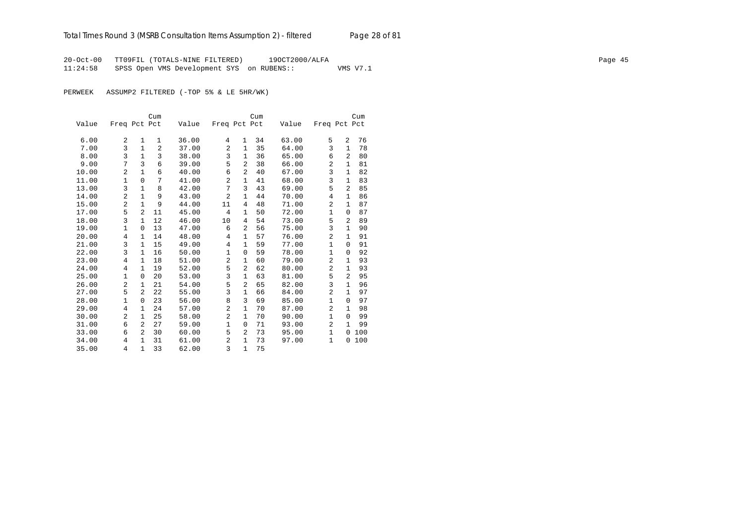20-Oct-00 TT09FIL (TOTALS-NINE FILTERED) 19OCT2000/ALFA Page 45 11:24:58 SPSS Open VMS Development SYS on RUBENS:: VMS V7.1

PERWEEK ASSUMP2 FILTERED (-TOP 5% & LE 5HR/WK)

|       |                |                | Cum            |       |                |                | Cum |       |                |                | Cum |
|-------|----------------|----------------|----------------|-------|----------------|----------------|-----|-------|----------------|----------------|-----|
| Value | Freq Pct Pct   |                |                | Value | Freq Pct Pct   |                |     | Value | Freq Pct Pct   |                |     |
|       |                |                |                |       |                |                |     |       |                |                |     |
| 6.00  | 2              | 1              | 1              | 36.00 | 4              | $\mathbf{1}$   | 34  | 63.00 | 5              | 2              | 76  |
| 7.00  | 3              | $\mathbf{1}$   | $\overline{2}$ | 37.00 | 2              | $\mathbf{1}$   | 35  | 64.00 | 3              | $\mathbf{1}$   | 78  |
| 8.00  | 3              | $\mathbf{1}$   | 3              | 38.00 | 3              | 1              | 36  | 65.00 | 6              | 2              | 80  |
| 9.00  | 7              | 3              | 6              | 39.00 | 5              | 2              | 38  | 66.00 | $\overline{2}$ | $\mathbf{1}$   | 81  |
| 10.00 | 2              | $\mathbf{1}$   | 6              | 40.00 | 6              | 2              | 40  | 67.00 | 3              | $\mathbf{1}$   | 82  |
| 11.00 | 1              | $\Omega$       | 7              | 41.00 | $\overline{2}$ | $\mathbf{1}$   | 41  | 68.00 | 3              | $\mathbf{1}$   | 83  |
| 13.00 | 3              | $\mathbf{1}$   | 8              | 42.00 | 7              | 3              | 43  | 69.00 | 5              | $\overline{a}$ | 85  |
| 14.00 | 2              | $\mathbf{1}$   | 9              | 43.00 | $\overline{a}$ | 1              | 44  | 70.00 | 4              | 1              | 86  |
| 15.00 | 2              | $\mathbf{1}$   | 9              | 44.00 | 11             | 4              | 48  | 71.00 | 2              | $\mathbf{1}$   | 87  |
| 17.00 | 5              | $\overline{a}$ | 11             | 45.00 | 4              | $\mathbf{1}$   | 50  | 72.00 | $\mathbf 1$    | 0              | 87  |
| 18.00 | 3              | $\mathbf{1}$   | 12             | 46.00 | 10             | 4              | 54  | 73.00 | 5              | 2              | 89  |
| 19.00 | 1              | 0              | 13             | 47.00 | 6              | $\overline{2}$ | 56  | 75.00 | 3              | 1              | 90  |
| 20.00 | $\overline{4}$ | $\mathbf{1}$   | 14             | 48.00 | 4              | $\mathbf{1}$   | 57  | 76.00 | 2              | $\mathbf{1}$   | 91  |
| 21.00 | 3              | $\mathbf{1}$   | 15             | 49.00 | 4              | $\mathbf{1}$   | 59  | 77.00 | $\mathbf{1}$   | 0              | 91  |
| 22.00 | 3              | $\mathbf{1}$   | 16             | 50.00 | $\mathbf{1}$   | $\mathbf 0$    | 59  | 78.00 | $\mathbf 1$    | 0              | 92  |
| 23.00 | 4              | $\mathbf{1}$   | 18             | 51.00 | 2              | $\mathbf{1}$   | 60  | 79.00 | $\overline{a}$ | $\mathbf{1}$   | 93  |
| 24.00 | $\overline{4}$ | $\mathbf{1}$   | 19             | 52.00 | 5              | $\overline{2}$ | 62  | 80.00 | 2              | $\mathbf{1}$   | 93  |
| 25.00 | 1              | $\Omega$       | 20             | 53.00 | 3              | 1              | 63  | 81.00 | 5              | $\overline{2}$ | 95  |
| 26.00 | 2              | 1              | 21             | 54.00 | 5              | $\overline{2}$ | 65  | 82.00 | 3              | $\mathbf{1}$   | 96  |
| 27.00 | 5              | $\overline{2}$ | 22             | 55.00 | 3              | 1              | 66  | 84.00 | $\overline{2}$ | 1              | 97  |
| 28.00 | $\mathbf{1}$   | 0              | 23             | 56.00 | 8              | 3              | 69  | 85.00 | $\mathbf 1$    | $\Omega$       | 97  |
| 29.00 | 4              | 1              | 24             | 57.00 | $\overline{2}$ | 1              | 70  | 87.00 | $\overline{2}$ | $\mathbf{1}$   | 98  |
| 30.00 | 2              | $\mathbf{1}$   | 25             | 58.00 | $\overline{a}$ | $\mathbf{1}$   | 70  | 90.00 | $\mathbf 1$    | 0              | 99  |
| 31.00 | 6              | $\overline{a}$ | 27             | 59.00 | $\mathbf{1}$   | $\Omega$       | 71  | 93.00 | $\overline{2}$ | $\mathbf{1}$   | 99  |
| 33.00 | 6              | 2              | 30             | 60.00 | 5              | $\overline{2}$ | 73  | 95.00 | $\mathbf{1}$   | 0              | 100 |
| 34.00 | 4              | $\mathbf{1}$   | 31             | 61.00 | 2              | $\mathbf{1}$   | 73  | 97.00 | 1              | 0              | 100 |
| 35.00 | 4              | $\mathbf{1}$   | 33             | 62.00 | 3              | $\mathbf{1}$   | 75  |       |                |                |     |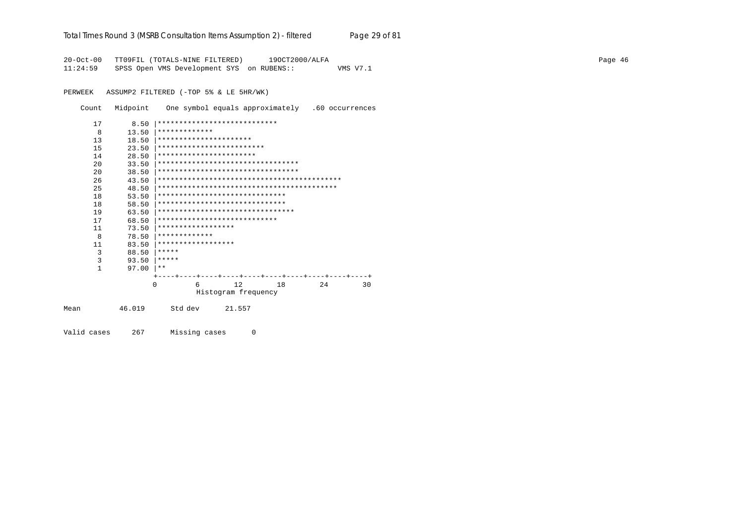#### Total Times Round 3 (MSRB Consultation Items Assumption 2) - *filtered* Page 29 of 81

20-Oct-00 TT09FIL (TOTALS-NINE FILTERED) 19OCT2000/ALFA Page 46 11:24:59 SPSS Open VMS Development SYS on RUBENS:: VMS V7.1

PERWEEK ASSUMP2 FILTERED (-TOP 5% & LE 5HR/WK)

Count Midpoint One symbol equals approximately .60 occurrences

|      | 17           | 8.50   |                         | ****************************      |    |     |    |
|------|--------------|--------|-------------------------|-----------------------------------|----|-----|----|
|      | 8            | 13.50  | *************           |                                   |    |     |    |
|      | 13           | 18.50  | **********************  |                                   |    |     |    |
|      | 15           | 23.50  |                         | *************************         |    |     |    |
|      | 14           | 28.50  | *********************** |                                   |    |     |    |
|      | 20           | 33.50  |                         | ********************************* |    |     |    |
|      | 20           | 38.50  |                         | ********************************* |    |     |    |
|      | 26           | 43.50  |                         |                                   |    |     |    |
|      | 25           | 48.50  |                         |                                   |    |     |    |
|      | 18           | 53.50  |                         | ******************************    |    |     |    |
|      | 18           | 58.50  |                         | ******************************    |    |     |    |
|      | 19           | 63.50  |                         | ********************************  |    |     |    |
|      | 17           | 68.50  |                         | ****************************      |    |     |    |
|      | 11           | 73.50  | ******************      |                                   |    |     |    |
|      | 8            | 78.50  | *************           |                                   |    |     |    |
|      | 11           | 83.50  | ******************      |                                   |    |     |    |
|      | 3            | 88.50  | *****                   |                                   |    |     |    |
|      | 3            | 93.50  | *****                   |                                   |    |     |    |
|      | $\mathbf{1}$ | 97.00  | $***$                   |                                   |    |     |    |
|      |              |        |                         |                                   |    |     |    |
|      |              |        | $\Omega$<br>6           | 12                                | 18 | 2.4 | 30 |
|      |              |        |                         | Histogram frequency               |    |     |    |
| Mean |              | 46.019 | Std dev                 | 21.557                            |    |     |    |
|      |              |        |                         |                                   |    |     |    |

Valid cases 267 Missing cases 0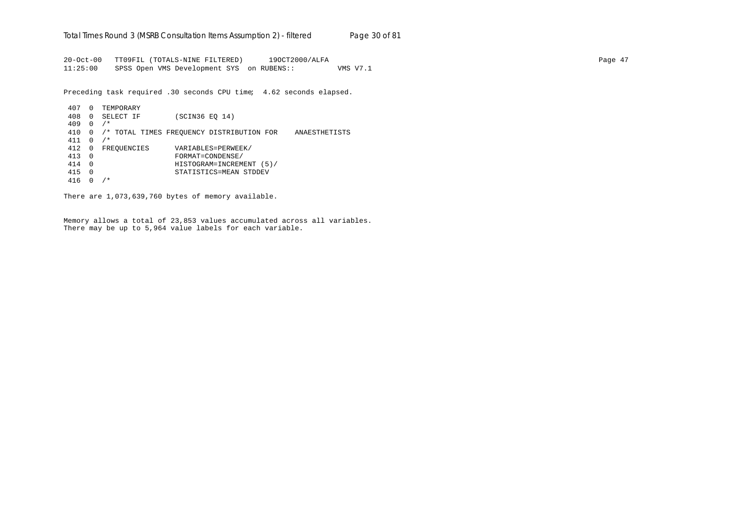20-Oct-00 TT09FIL (TOTALS-NINE FILTERED) 19OCT2000/ALFA Page 47 11:25:00 SPSS Open VMS Development SYS on RUBENS:: VMS V7.1

Preceding task required .30 seconds CPU time; 4.62 seconds elapsed.

407 0 TEMPORARY 408 0 SELECT IF (SCIN36 EQ 14) 409 0 /\* 410 0 /\* TOTAL TIMES FREQUENCY DISTRIBUTION FOR ANAESTHETISTS 411 0 /\* 412 0 FREQUENCIES VARIABLES=PERWEEK/ 413 0 FORMAT=CONDENSE/ 414 0 HISTOGRAM=INCREMENT (5)/ 415 0 STATISTICS=MEAN STDDEV 416 0 /\*

There are 1,073,639,760 bytes of memory available.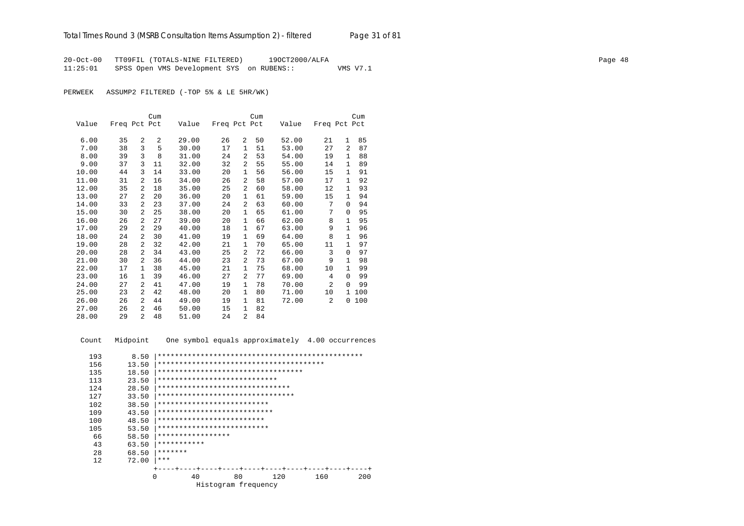20-Oct-00 TT09FIL (TOTALS-NINE FILTERED) 19OCT2000/ALFA Page 48 11:25:01 SPSS Open VMS Development SYS on RUBENS:: VMS V7.1

PERWEEK ASSUMP2 FILTERED (-TOP 5% & LE 5HR/WK)

|       |              |                | Cum            |       |              |                | Cum |       |                |              | Cum |
|-------|--------------|----------------|----------------|-------|--------------|----------------|-----|-------|----------------|--------------|-----|
| Value | Freq Pct Pct |                |                | Value | Freq Pct Pct |                |     | Value | Freq Pct Pct   |              |     |
|       |              |                |                |       |              |                |     |       |                |              |     |
| 6.00  | 35           | 2              | $\overline{a}$ | 29.00 | 26           | 2              | 50  | 52.00 | 21             | $\mathbf{1}$ | 85  |
| 7.00  | 38           | 3              | 5              | 30.00 | 17           | $\mathbf{1}$   | 51  | 53.00 | 27             | 2            | 87  |
| 8.00  | 39           | 3              | 8              | 31.00 | 24           | $\overline{a}$ | 53  | 54.00 | 19             | 1            | 88  |
| 9.00  | 37           | 3              | 11             | 32.00 | 32           | $\overline{a}$ | 55  | 55.00 | 14             | 1            | 89  |
| 10.00 | 44           | 3              | 14             | 33.00 | 20           | 1              | 56  | 56.00 | 15             | $\mathbf{1}$ | 91  |
| 11.00 | 31           | 2              | 16             | 34.00 | 26           | 2              | 58  | 57.00 | 17             | 1            | 92  |
| 12.00 | 35           | 2              | 18             | 35.00 | 25           | 2              | 60  | 58.00 | 12             | 1            | 93  |
| 13.00 | 27           | 2              | 20             | 36.00 | 20           | 1              | 61  | 59.00 | 15             | 1            | 94  |
| 14.00 | 33           | $\overline{a}$ | 23             | 37.00 | 24           | 2              | 63  | 60.00 | 7              | $\Omega$     | 94  |
| 15.00 | 30           | $\overline{a}$ | 25             | 38.00 | 20           | $\mathbf{1}$   | 65  | 61.00 | 7              | $\Omega$     | 95  |
| 16.00 | 26           | $\overline{a}$ | 27             | 39.00 | 20           | $\mathbf{1}$   | 66  | 62.00 | 8              | $\mathbf{1}$ | 95  |
| 17.00 | 29           | 2              | 29             | 40.00 | 18           | $\mathbf{1}$   | 67  | 63.00 | 9              | 1            | 96  |
| 18.00 | 24           | 2              | 30             | 41.00 | 19           | $\mathbf{1}$   | 69  | 64.00 | 8              | $\mathbf{1}$ | 96  |
| 19.00 | 28           | 2              | 32             | 42.00 | 21           | 1              | 70  | 65.00 | 11             | $\mathbf{1}$ | 97  |
| 20.00 | 28           | 2              | 34             | 43.00 | 25           | 2              | 72  | 66.00 | 3              | 0            | 97  |
| 21.00 | 30           | 2              | 36             | 44.00 | 23           | 2              | 73  | 67.00 | 9              | $\mathbf{1}$ | 98  |
| 22.00 | 17           | 1              | 38             | 45.00 | 21           | $\mathbf{1}$   | 75  | 68.00 | 10             | $\mathbf{1}$ | 99  |
| 23.00 | 16           | $\mathbf{1}$   | 39             | 46.00 | 27           | 2              | 77  | 69.00 | 4              | $\Omega$     | 99  |
| 24.00 | 27           | $\overline{a}$ | 41             | 47.00 | 19           | $\mathbf{1}$   | 78  | 70.00 | $\overline{2}$ | $\Omega$     | 99  |
| 25.00 | 23           | 2              | 42             | 48.00 | 20           | 1              | 80  | 71.00 | 10             | 1            | 100 |
| 26.00 | 26           | $\overline{a}$ | 44             | 49.00 | 19           | 1              | 81  | 72.00 | 2              | 0            | 100 |
| 27.00 | 26           | $\overline{a}$ | 46             | 50.00 | 15           | 1              | 82  |       |                |              |     |
| 28.00 | 29           | $\overline{a}$ | 48             | 51.00 | 2.4          | $\overline{a}$ | 84  |       |                |              |     |

Count Midpoint One symbol equals approximately 4.00 occurrences

| 193 | 8.50     |                                    |                     |     |     |     |
|-----|----------|------------------------------------|---------------------|-----|-----|-----|
| 156 | 13.50    |                                    |                     |     |     |     |
| 135 | 18.50    | ********************************** |                     |     |     |     |
| 113 | 23.50    | ****************************       |                     |     |     |     |
| 124 | 28.50    | *******************************    |                     |     |     |     |
| 127 | 33.50    | ********************************   |                     |     |     |     |
| 102 | 38.50    | **************************         |                     |     |     |     |
| 109 | 43.50    | ***************************        |                     |     |     |     |
| 100 | 48.50    | *************************          |                     |     |     |     |
| 105 | 53.50    | **************************         |                     |     |     |     |
| 66  | 58.50    | *****************                  |                     |     |     |     |
| 43  | 63.50    | ***********                        |                     |     |     |     |
| 28  | 68.50    | *******                            |                     |     |     |     |
| 12  | 72.00    | $* * *$                            |                     |     |     |     |
|     |          |                                    |                     |     |     |     |
|     | $\Omega$ | 40                                 | 80                  | 120 | 160 | 200 |
|     |          |                                    | Histogram frequency |     |     |     |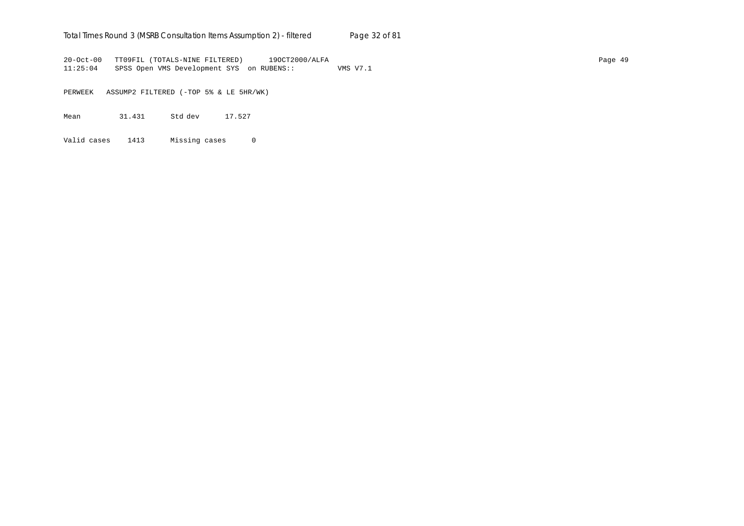## Total Times Round 3 (MSRB Consultation Items Assumption 2) - *filtered* Page 32 of 81

20-Oct-00 TT09FIL (TOTALS-NINE FILTERED) 19OCT2000/ALFA Page 49 11:25:04 SPSS Open VMS Development SYS on RUBENS:: VMS V7.1

PERWEEK ASSUMP2 FILTERED (-TOP 5% & LE 5HR/WK)

Mean 31.431 Std dev 17.527

Valid cases 1413 Missing cases 0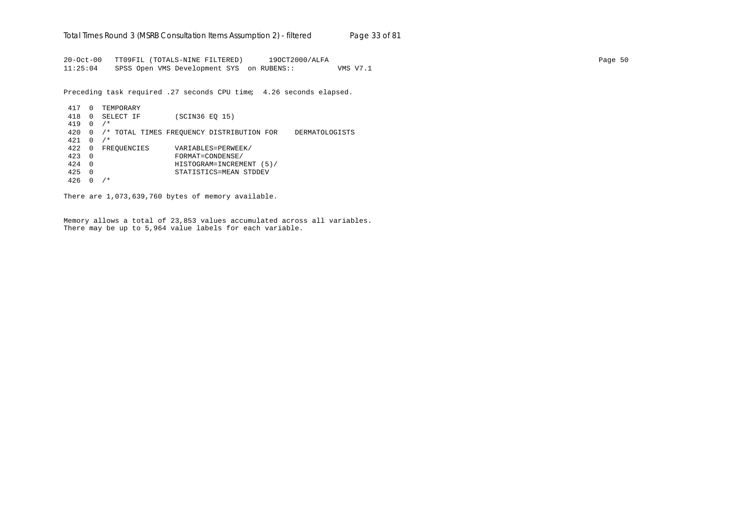20-Oct-00 TT09FIL (TOTALS-NINE FILTERED) 19OCT2000/ALFA Page 50 11:25:04 SPSS Open VMS Development SYS on RUBENS:: VMS V7.1

Preceding task required .27 seconds CPU time; 4.26 seconds elapsed.

```
417 0 TEMPORARY
418 0 SELECT IF (SCIN36 EQ 15)
419 0 /*
420 0 /* TOTAL TIMES FREQUENCY DISTRIBUTION FOR DERMATOLOGISTS
421 0 /*
422 0 FREQUENCIES VARIABLES=PERWEEK/
423 0 FORMAT=CONDENSE/
424 0 HISTOGRAM=INCREMENT (5)/
425 0 STATISTICS=MEAN STDDEV
426 0 /*
```
There are 1,073,639,760 bytes of memory available.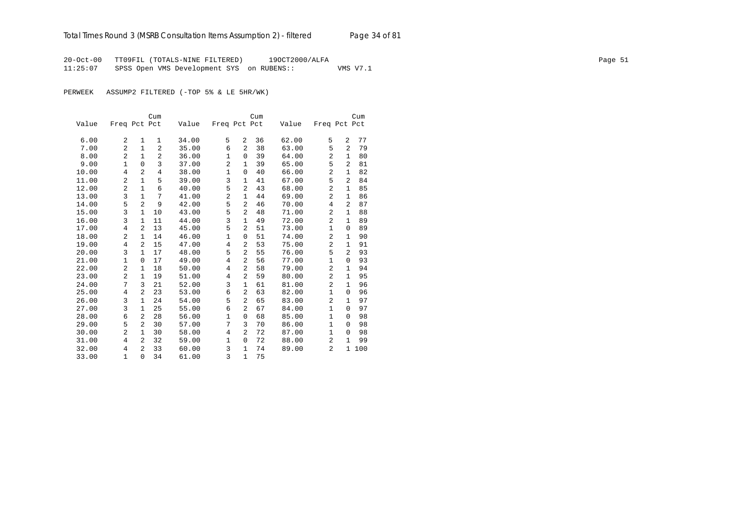20-Oct-00 TT09FIL (TOTALS-NINE FILTERED) 19OCT2000/ALFA Page 51 11:25:07 SPSS Open VMS Development SYS on RUBENS:: VMS V7.1

PERWEEK ASSUMP2 FILTERED (-TOP 5% & LE 5HR/WK)

|       |                |                | Cum            |       |                |                | Cum |       |                |                | Cum |
|-------|----------------|----------------|----------------|-------|----------------|----------------|-----|-------|----------------|----------------|-----|
| Value | Freq Pct Pct   |                |                | Value | Freq Pct Pct   |                |     | Value | Freq Pct Pct   |                |     |
|       |                |                |                |       |                |                |     |       |                |                |     |
| 6.00  | 2              | 1              | 1              | 34.00 | 5              | 2              | 36  | 62.00 | 5              | 2              | 77  |
| 7.00  | $\overline{a}$ | $\mathbf{1}$   | $\overline{2}$ | 35.00 | 6              | $\overline{a}$ | 38  | 63.00 | 5              | 2              | 79  |
| 8.00  | 2              | $\mathbf{1}$   | $\overline{2}$ | 36.00 | $\mathbf{1}$   | $\mathbf 0$    | 39  | 64.00 | $\overline{2}$ | $\mathbf{1}$   | 80  |
| 9.00  | $\mathbf{1}$   | $\mathbf 0$    | 3              | 37.00 | $\overline{2}$ | $\mathbf{1}$   | 39  | 65.00 | 5              | 2              | 81  |
| 10.00 | 4              | $\overline{a}$ | $\overline{4}$ | 38.00 | 1              | 0              | 40  | 66.00 | 2              | 1              | 82  |
| 11.00 | $\overline{2}$ | $\mathbf{1}$   | 5              | 39.00 | 3              | 1              | 41  | 67.00 | 5              | $\overline{2}$ | 84  |
| 12.00 | $\overline{2}$ | $\mathbf{1}$   | 6              | 40.00 | 5              | 2              | 43  | 68.00 | 2              | 1              | 85  |
| 13.00 | 3              | $\mathbf{1}$   | 7              | 41.00 | 2              | $\mathbf{1}$   | 44  | 69.00 | 2              | 1              | 86  |
| 14.00 | 5              | $\overline{a}$ | 9              | 42.00 | 5              | 2              | 46  | 70.00 | 4              | $\overline{2}$ | 87  |
| 15.00 | 3              | $\mathbf{1}$   | 10             | 43.00 | 5              | $\overline{a}$ | 48  | 71.00 | 2              | $\mathbf{1}$   | 88  |
| 16.00 | 3              | $\mathbf{1}$   | 11             | 44.00 | 3              | $\mathbf{1}$   | 49  | 72.00 | 2              | $\mathbf{1}$   | 89  |
| 17.00 | $\overline{4}$ | 2              | 13             | 45.00 | 5              | 2              | 51  | 73.00 | 1              | $\Omega$       | 89  |
| 18.00 | $\overline{2}$ | 1              | 14             | 46.00 | $\mathbf{1}$   | 0              | 51  | 74.00 | $\overline{a}$ | 1              | 90  |
| 19.00 | 4              | 2              | 15             | 47.00 | 4              | 2              | 53  | 75.00 | 2              | 1              | 91  |
| 20.00 | 3              | $\mathbf{1}$   | 17             | 48.00 | 5              | 2              | 55  | 76.00 | 5              | $\overline{a}$ | 93  |
| 21.00 | $\mathbf{1}$   | $\mathbf 0$    | 17             | 49.00 | 4              | 2              | 56  | 77.00 | $\mathbf{1}$   | $\mathbf 0$    | 93  |
| 22.00 | 2              | 1              | 18             | 50.00 | 4              | 2              | 58  | 79.00 | 2              | 1              | 94  |
| 23.00 | $\overline{2}$ | 1              | 19             | 51.00 | 4              | $\overline{2}$ | 59  | 80.00 | $\overline{a}$ | 1              | 95  |
| 24.00 | 7              | 3              | 21             | 52.00 | 3              | 1              | 61  | 81.00 | 2              | 1              | 96  |
| 25.00 | 4              | 2              | 23             | 53.00 | 6              | 2              | 63  | 82.00 | $\mathbf{1}$   | $\Omega$       | 96  |
| 26.00 | 3              | $\mathbf{1}$   | 24             | 54.00 | 5              | $\overline{2}$ | 65  | 83.00 | $\overline{a}$ | $\mathbf{1}$   | 97  |
| 27.00 | 3              | $\mathbf{1}$   | 25             | 55.00 | 6              | $\overline{a}$ | 67  | 84.00 | $\mathbf{1}$   | $\Omega$       | 97  |
| 28.00 | 6              | $\overline{a}$ | 28             | 56.00 | $\mathbf{1}$   | $\mathbf 0$    | 68  | 85.00 | $\mathbf{1}$   | $\mathbf 0$    | 98  |
| 29.00 | 5              | $\mathfrak{D}$ | 30             | 57.00 | 7              | 3              | 70  | 86.00 | 1              | $\Omega$       | 98  |
| 30.00 | $\overline{2}$ | $\mathbf{1}$   | 30             | 58.00 | 4              | 2              | 72  | 87.00 | $\mathbf{1}$   | 0              | 98  |
| 31.00 | 4              | 2              | 32             | 59.00 | $\mathbf{1}$   | $\mathbf 0$    | 72  | 88.00 | 2              | 1              | 99  |
| 32.00 | 4              | 2              | 33             | 60.00 | 3              | $\mathbf{1}$   | 74  | 89.00 | 2              | 1              | 100 |
| 33.00 | $\mathbf{1}$   | $\Omega$       | 34             | 61.00 | 3              | $\mathbf{1}$   | 75  |       |                |                |     |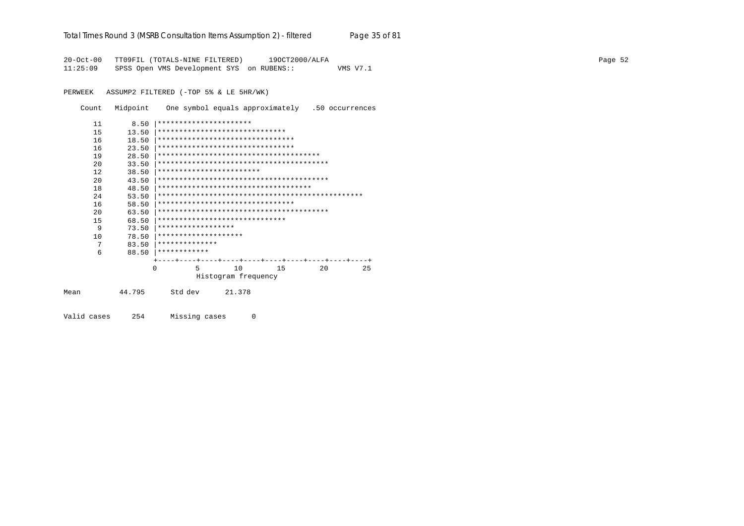#### Total Times Round 3 (MSRB Consultation Items Assumption 2) - *filtered* Page 35 of 81

20-Oct-00 TT09FIL (TOTALS-NINE FILTERED) 19OCT2000/ALFA Page 52 11:25:09 SPSS Open VMS Development SYS on RUBENS:: VMS V7.1

PERWEEK ASSUMP2 FILTERED (-TOP 5% & LE 5HR/WK)

Count Midpoint One symbol equals approximately .50 occurrences

| 11          | 8.50       | **********************           |                     |                                       |    |    |
|-------------|------------|----------------------------------|---------------------|---------------------------------------|----|----|
| 15          | 13.50      | ******************************   |                     |                                       |    |    |
| 16          | 18.50      | ******************************** |                     |                                       |    |    |
| 16          | 23.50      | ******************************** |                     |                                       |    |    |
| 19          | 28.50      |                                  |                     |                                       |    |    |
| $20 \Omega$ | 33.50      |                                  |                     |                                       |    |    |
| 12          | 38.50      | ************************         |                     |                                       |    |    |
| $20 \Omega$ | 43.50      |                                  |                     |                                       |    |    |
| 18          | 48.50      |                                  |                     | ************************************* |    |    |
| 24          | 53.50      |                                  |                     |                                       |    |    |
| 16          | 58.50      | ******************************** |                     |                                       |    |    |
| 20          | 63.50      |                                  |                     |                                       |    |    |
| 15          | 68.50      | ******************************   |                     |                                       |    |    |
|             | 9<br>73.50 | ******************               |                     |                                       |    |    |
| 10          | 78.50      | ********************             |                     |                                       |    |    |
|             | 7<br>83.50 | **************                   |                     |                                       |    |    |
|             | 6<br>88.50 | ************                     |                     |                                       |    |    |
|             |            |                                  |                     |                                       |    |    |
|             |            | 5<br>O                           | 10                  | 15                                    | 20 | 25 |
|             |            |                                  | Histogram frequency |                                       |    |    |
| Mean        | 44.795     | Std dev                          | 21.378              |                                       |    |    |
|             |            |                                  |                     |                                       |    |    |

Valid cases 254 Missing cases 0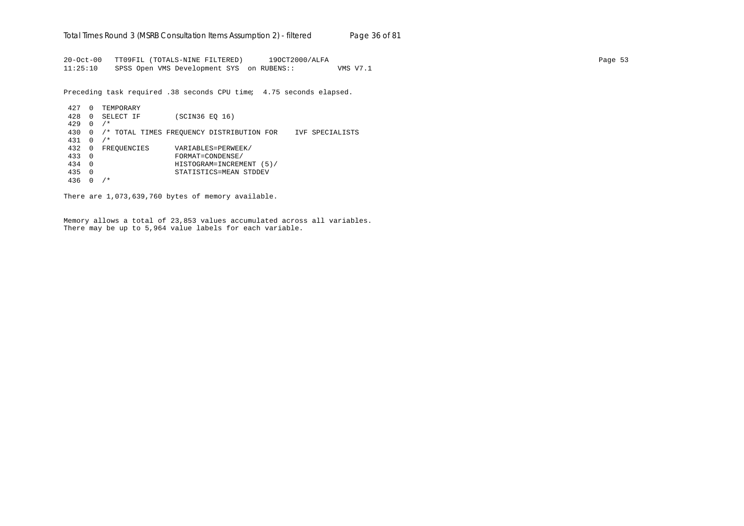20-Oct-00 TT09FIL (TOTALS-NINE FILTERED) 19OCT2000/ALFA Page 53 11:25:10 SPSS Open VMS Development SYS on RUBENS:: VMS V7.1

Preceding task required .38 seconds CPU time; 4.75 seconds elapsed.

```
427 0 TEMPORARY
428 0 SELECT IF (SCIN36 EQ 16)
429 0 /*
430 0 /* TOTAL TIMES FREQUENCY DISTRIBUTION FOR IVF SPECIALISTS
431 0 /*
432 0 FREQUENCIES VARIABLES=PERWEEK/
433 0 FORMAT=CONDENSE/
434 0 HISTOGRAM=INCREMENT (5)/
435 0 STATISTICS=MEAN STDDEV
436 0 /*
```
There are 1,073,639,760 bytes of memory available.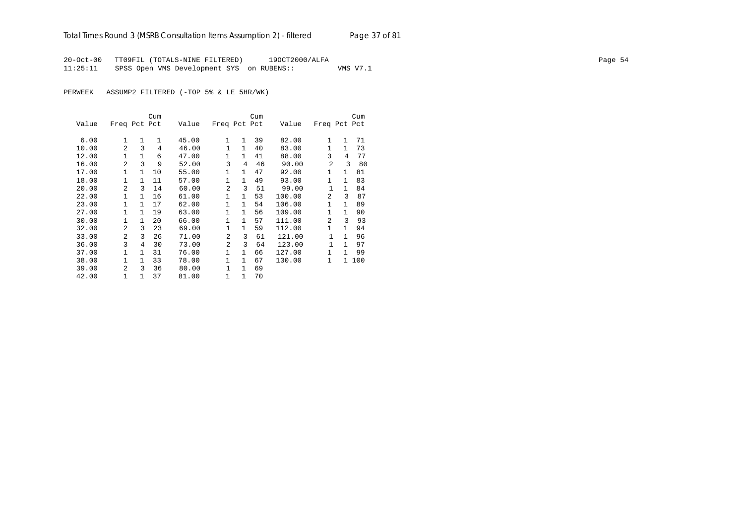20-Oct-00 TT09FIL (TOTALS-NINE FILTERED) 19OCT2000/ALFA Page 54 11:25:11 SPSS Open VMS Development SYS on RUBENS:: VMS V7.1

PERWEEK ASSUMP2 FILTERED (-TOP 5% & LE 5HR/WK)

|       |                |              | Cum |       |                |              | Cum |        |                |              | Cum |
|-------|----------------|--------------|-----|-------|----------------|--------------|-----|--------|----------------|--------------|-----|
| Value | Freq Pct Pct   |              |     | Value | Freq Pct Pct   |              |     | Value  | Freq Pct Pct   |              |     |
| 6.00  | $\mathbf{1}$   | 1            | 1   | 45.00 | 1              | $\mathbf{1}$ | 39  | 82.00  | $\mathbf{1}$   | $\mathbf{1}$ | 71  |
| 10.00 | $\overline{a}$ | 3            | 4   | 46.00 | $\mathbf{1}$   | $\mathbf{1}$ | 40  | 83.00  | $\mathbf{1}$   | $\mathbf{1}$ | 73  |
| 12.00 | $\mathbf{1}$   | $\mathbf{1}$ | 6   | 47.00 | 1              | $\mathbf{1}$ | 41  | 88.00  | 3              | 4            | 77  |
|       |                |              |     |       |                |              |     |        |                |              |     |
| 16.00 | $\overline{a}$ | 3            | 9   | 52.00 | 3              | 4            | 46  | 90.00  | 2              | ζ            | 80  |
| 17.00 | $\mathbf{1}$   | 1            | 10  | 55.00 | $\mathbf{1}$   | $\mathbf{1}$ | 47  | 92.00  | $\mathbf{1}$   | $\mathbf{1}$ | 81  |
| 18.00 | $\mathbf{1}$   | $\mathbf{1}$ | 11  | 57.00 | 1              | $\mathbf{1}$ | 49  | 93.00  | 1              | $\mathbf{1}$ | 83  |
| 20.00 | $\overline{a}$ | 3            | 14  | 60.00 | $\overline{a}$ | 3            | 51  | 99.00  | $\mathbf{1}$   | $\mathbf{1}$ | 84  |
| 22.00 | $\mathbf{1}$   | 1            | 16  | 61.00 | 1              | $\mathbf{1}$ | 53  | 100.00 | $\mathfrak{D}$ | 3            | 87  |
| 23.00 | $\mathbf{1}$   | 1            | 17  | 62.00 | 1              | $\mathbf{1}$ | 54  | 106.00 | 1              | $\mathbf{1}$ | 89  |
| 27.00 | $\mathbf{1}$   | $\mathbf{1}$ | 19  | 63.00 | $\mathbf{1}$   | $\mathbf{1}$ | 56  | 109.00 | 1              | $\mathbf{1}$ | 90  |
| 30.00 | $\mathbf{1}$   | 1            | 20  | 66.00 | $\mathbf{1}$   | $\mathbf{1}$ | 57  | 111.00 | $\mathfrak{D}$ | 3            | 93  |
| 32.00 | $\overline{a}$ | 3            | 23  | 69.00 | 1              | $\mathbf{1}$ | 59  | 112.00 | $\mathbf{1}$   | 1            | 94  |
| 33.00 | $\overline{a}$ | 3            | 26  | 71.00 | $\overline{a}$ | 3            | 61  | 121.00 | 1              | 1            | 96  |
| 36.00 | 3              | 4            | 30  | 73.00 | $\overline{a}$ | 3            | 64  | 123.00 | 1              | $\mathbf{1}$ | 97  |
| 37.00 | 1              | 1            | 31  | 76.00 | 1              | $\mathbf{1}$ | 66  | 127.00 | $\mathbf{1}$   | 1            | 99  |
| 38.00 | $\mathbf{1}$   | 1            | 33  | 78.00 | 1              | $\mathbf{1}$ | 67  | 130.00 | $\mathbf{1}$   | $\mathbf{1}$ | 100 |
| 39.00 | $\mathfrak{D}$ | ζ            | 36  | 80.00 | $\mathbf{1}$   | $\mathbf{1}$ | 69  |        |                |              |     |
| 42.00 | 1              | 1            | 37  | 81.00 | 1              | $\mathbf{1}$ | 70  |        |                |              |     |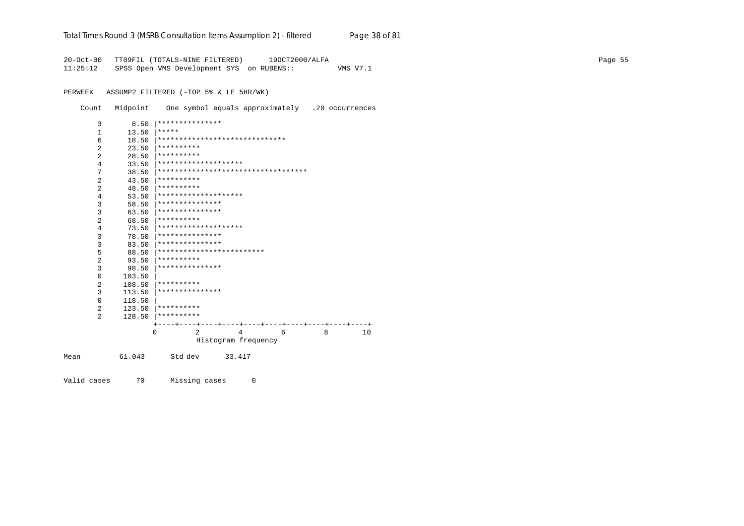|  | Total Times Round 3 (MSRB Consultation Items Assumption 2) - <i>filtered</i> | Page 38 of 81 |
|--|------------------------------------------------------------------------------|---------------|
|  |                                                                              |               |

20-Oct-00 TT09FIL (TOTALS-NINE FILTERED) 19OCT2000/ALFA Page 55 11:25:12 SPSS Open VMS Development SYS on RUBENS:: VMS V7.1

PERWEEK ASSUMP2 FILTERED (-TOP 5% & LE 5HR/WK)

Count Midpoint One symbol equals approximately .20 occurrences

| 3              | 8.50   | ***************                     |           |                     |   |   |    |
|----------------|--------|-------------------------------------|-----------|---------------------|---|---|----|
| 1              | 13.50  | *****                               |           |                     |   |   |    |
| 6              | 18.50  | ******************************      |           |                     |   |   |    |
| 2              | 23.50  | **********                          |           |                     |   |   |    |
| $\mathfrak{D}$ | 28.50  | **********                          |           |                     |   |   |    |
| 4              | 33.50  | ********************                |           |                     |   |   |    |
| 7              | 38.50  | *********************************** |           |                     |   |   |    |
| $\overline{a}$ | 43.50  | **********                          |           |                     |   |   |    |
| 2              | 48.50  | **********                          |           |                     |   |   |    |
| 4              | 53.50  | ********************                |           |                     |   |   |    |
| 3              | 58.50  | ***************                     |           |                     |   |   |    |
| 3              | 63.50  | ***************                     |           |                     |   |   |    |
| $\overline{a}$ | 68.50  | **********                          |           |                     |   |   |    |
| 4              | 73.50  | ********************                |           |                     |   |   |    |
| 3              | 78.50  | ***************                     |           |                     |   |   |    |
| 3              | 83.50  | ***************                     |           |                     |   |   |    |
| 5              | 88.50  | *************************           |           |                     |   |   |    |
| 2              | 93.50  | **********                          |           |                     |   |   |    |
| 3              | 98.50  | ***************                     |           |                     |   |   |    |
| 0              | 103.50 |                                     |           |                     |   |   |    |
| 2              | 108.50 | **********                          |           |                     |   |   |    |
| 3              | 113.50 | ***************                     |           |                     |   |   |    |
| 0              | 118.50 |                                     |           |                     |   |   |    |
| 2              | 123.50 | **********                          |           |                     |   |   |    |
| 2              | 128.50 | **********                          |           |                     |   |   |    |
|                |        |                                     | ---+----+ | ----+----+----+---- |   |   |    |
|                |        | $\Omega$<br>2                       |           | 4                   | 6 | 8 | 10 |
|                |        |                                     |           | Histogram frequency |   |   |    |
| Mean           | 61.043 | Std dev                             |           | 33.417              |   |   |    |

Valid cases 70 Missing cases 0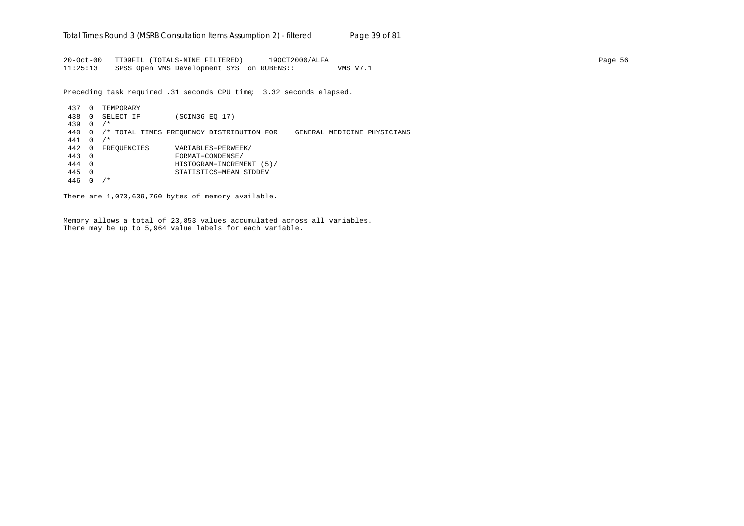20-Oct-00 TT09FIL (TOTALS-NINE FILTERED) 19OCT2000/ALFA Page 56 11:25:13 SPSS Open VMS Development SYS on RUBENS:: VMS V7.1

Preceding task required .31 seconds CPU time; 3.32 seconds elapsed.

437 0 TEMPORARY 438 0 SELECT IF (SCIN36 EQ 17) 439 0 /\* 440 0 /\* TOTAL TIMES FREQUENCY DISTRIBUTION FOR GENERAL MEDICINE PHYSICIANS 441 0 /\* 442 0 FREQUENCIES VARIABLES=PERWEEK/ 443 0 FORMAT=CONDENSE/ 444 0 HISTOGRAM=INCREMENT (5)/ 445 0 STATISTICS=MEAN STDDEV 446 0 /\*

There are 1,073,639,760 bytes of memory available.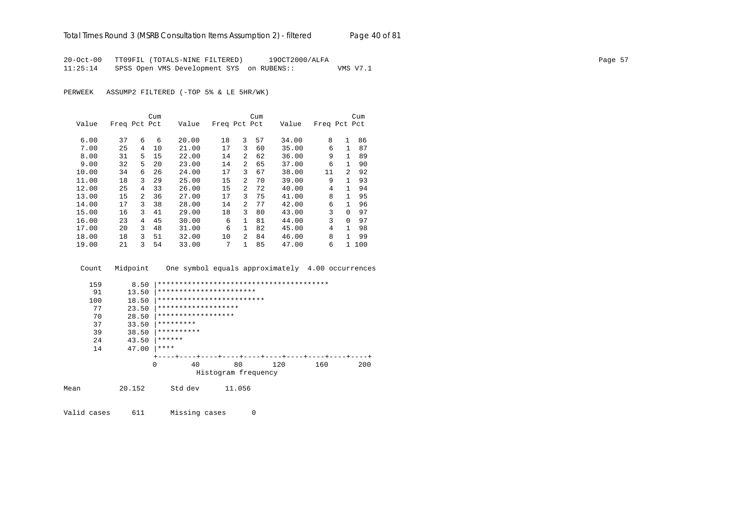20-Oct-00 TT09FIL (TOTALS-NINE FILTERED) 19OCT2000/ALFA Page 57 11:25:14 SPSS Open VMS Development SYS on RUBENS:: VMS V7.1

PERWEEK ASSUMP2 FILTERED (-TOP 5% & LE 5HR/WK)

|       |              |   | Cum |       |              |                | Cum |       |              |                | Cum |
|-------|--------------|---|-----|-------|--------------|----------------|-----|-------|--------------|----------------|-----|
| Value | Freq Pct Pct |   |     | Value | Freq Pct Pct |                |     | Value | Freq Pct Pct |                |     |
|       |              |   |     |       |              |                |     |       |              |                |     |
| 6.00  | 37           | 6 | 6   | 20.00 | 18           | 3              | 57  | 34.00 | 8            | $\mathbf{1}$   | 86  |
| 7.00  | 25           | 4 | 10  | 21.00 | 17           | 3              | 60  | 35.00 | 6            | 1.             | 87  |
| 8.00  | 31           | 5 | 15  | 22.00 | 14           | 2              | 62  | 36.00 | 9            | $\mathbf{1}$   | 89  |
| 9.00  | 32           | 5 | 20  | 23.00 | 14           | 2              | 65  | 37.00 | 6            | 1.             | 90  |
| 10.00 | 34           | 6 | 26  | 24.00 | 17           | 3              | 67  | 38.00 | 11           | $\mathfrak{D}$ | 92  |
| 11.00 | 18           | 3 | 29  | 25.00 | 15           | $\overline{a}$ | 70  | 39.00 | 9            |                | 93  |
| 12.00 | 25           | 4 | 33  | 26.00 | 15           | $\overline{a}$ | 72  | 40.00 | 4            | 1              | 94  |
| 13.00 | 15           | 2 | 36  | 27.00 | 17           | 3              | 75  | 41.00 | 8            | 1              | 95  |
| 14.00 | 17           | 3 | 38  | 28.00 | 14           | $\overline{a}$ | 77  | 42.00 | 6            | 1              | 96  |
| 15.00 | 16           | 3 | 41  | 29.00 | 18           | 3              | 80  | 43.00 | 3            | $\Omega$       | 97  |
| 16.00 | 23           | 4 | 45  | 30.00 | 6            | $\mathbf{1}$   | 81  | 44.00 | 3            | $\Omega$       | 97  |
| 17.00 | 20           | 3 | 48  | 31.00 | 6            | $\mathbf{1}$   | 82  | 45.00 | 4            | 1              | 98  |
| 18.00 | 18           | 3 | 51  | 32.00 | 10           | $\overline{a}$ | 84  | 46.00 | 8            | 1.             | 99  |
| 19.00 | 21           | 3 | 54  | 33.00 | 7            | $\mathbf{1}$   | 85  | 47.00 | 6            |                | 100 |

Count Midpoint One symbol equals approximately 4.00 occurrences

| 159  | 8.50   |                           |                     |        |     |     |     |
|------|--------|---------------------------|---------------------|--------|-----|-----|-----|
| 91   | 13.50  | ***********************   |                     |        |     |     |     |
| 100  | 18.50  | ************************* |                     |        |     |     |     |
| 77   | 23.50  | *******************       |                     |        |     |     |     |
| 70   | 28.50  | ******************        |                     |        |     |     |     |
| 37   | 33.50  | *********                 |                     |        |     |     |     |
| 39   | 38.50  | **********                |                     |        |     |     |     |
| 24   | 43.50  | ******                    |                     |        |     |     |     |
| 14   | 47.00  | ****                      |                     |        |     |     |     |
|      |        |                           |                     |        |     |     |     |
|      |        | $\Omega$<br>40            |                     | 80     | 120 | 160 | 200 |
|      |        |                           | Histogram frequency |        |     |     |     |
| Mean | 20.152 | Std dev                   |                     | 11.056 |     |     |     |

Valid cases 611 Missing cases 0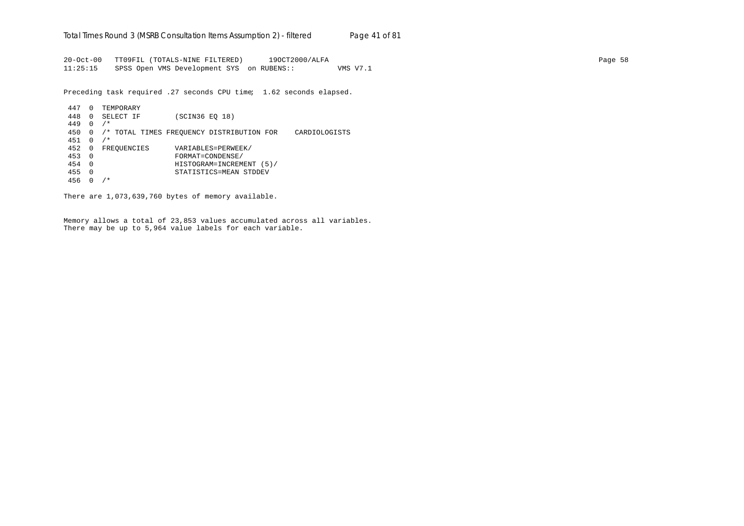20-Oct-00 TT09FIL (TOTALS-NINE FILTERED) 19OCT2000/ALFA Page 58 11:25:15 SPSS Open VMS Development SYS on RUBENS:: VMS V7.1

Preceding task required .27 seconds CPU time; 1.62 seconds elapsed.

```
447 0 TEMPORARY
448 0 SELECT IF (SCIN36 EQ 18)
449 0 /*
450 0 /* TOTAL TIMES FREQUENCY DISTRIBUTION FOR CARDIOLOGISTS
451 0 /*
452 0 FREQUENCIES VARIABLES=PERWEEK/
453 0 FORMAT=CONDENSE/
454 0 HISTOGRAM=INCREMENT (5)/
455 0 STATISTICS=MEAN STDDEV
456 0 /*
```
There are 1,073,639,760 bytes of memory available.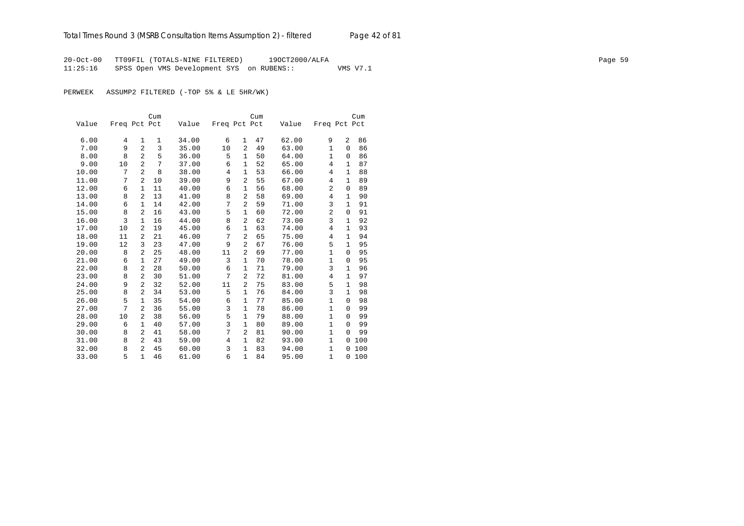20-Oct-00 TT09FIL (TOTALS-NINE FILTERED) 19OCT2000/ALFA Page 59 11:25:16 SPSS Open VMS Development SYS on RUBENS:: VMS V7.1

PERWEEK ASSUMP2 FILTERED (-TOP 5% & LE 5HR/WK)

|       |              |                | Cum |       |                |                | Cum |       |              |              | Cum |
|-------|--------------|----------------|-----|-------|----------------|----------------|-----|-------|--------------|--------------|-----|
| Value | Freq Pct Pct |                |     | Value | Freq Pct Pct   |                |     | Value | Freq Pct Pct |              |     |
|       |              |                |     |       |                |                |     |       |              |              |     |
| 6.00  | 4            | 1              | 1   | 34.00 | 6              | $\mathbf{1}$   | 47  | 62.00 | 9            | 2            | 86  |
| 7.00  | 9            | $\overline{a}$ | 3   | 35.00 | 10             | $\overline{a}$ | 49  | 63.00 | 1            | $\Omega$     | 86  |
| 8.00  | 8            | $\overline{a}$ | 5   | 36.00 | 5              | $\mathbf{1}$   | 50  | 64.00 | $\mathbf{1}$ | $\Omega$     | 86  |
| 9.00  | 10           | $\overline{a}$ | 7   | 37.00 | 6              | 1              | 52  | 65.00 | 4            | 1            | 87  |
| 10.00 | 7            | $\overline{a}$ | 8   | 38.00 | $\overline{4}$ | 1              | 53  | 66.00 | 4            | 1            | 88  |
| 11.00 | 7            | $\overline{2}$ | 10  | 39.00 | 9              | $\overline{2}$ | 55  | 67.00 | 4            | 1            | 89  |
| 12.00 | 6            | $\mathbf{1}$   | 11  | 40.00 | 6              | $\mathbf{1}$   | 56  | 68.00 | 2            | $\mathbf 0$  | 89  |
| 13.00 | 8            | $\overline{a}$ | 13  | 41.00 | 8              | $\overline{a}$ | 58  | 69.00 | 4            | 1            | 90  |
| 14.00 | 6            | 1              | 14  | 42.00 | 7              | $\overline{2}$ | 59  | 71.00 | 3            | $\mathbf{1}$ | 91  |
| 15.00 | 8            | $\overline{a}$ | 16  | 43.00 | 5              | 1              | 60  | 72.00 | 2            | 0            | 91  |
| 16.00 | 3            | $\mathbf{1}$   | 16  | 44.00 | 8              | $\overline{2}$ | 62  | 73.00 | 3            | 1            | 92  |
| 17.00 | 10           | 2              | 19  | 45.00 | 6              | $\mathbf{1}$   | 63  | 74.00 | 4            | $\mathbf 1$  | 93  |
| 18.00 | 11           | 2              | 21  | 46.00 | 7              | $\overline{a}$ | 65  | 75.00 | 4            | 1            | 94  |
| 19.00 | 12           | 3              | 23  | 47.00 | 9              | 2              | 67  | 76.00 | 5            | $\mathbf{1}$ | 95  |
| 20.00 | 8            | $\overline{a}$ | 25  | 48.00 | 11             | 2              | 69  | 77.00 | $\mathbf{1}$ | $\Omega$     | 95  |
| 21.00 | 6            | 1              | 27  | 49.00 | 3              | $\mathbf{1}$   | 70  | 78.00 | $\mathbf 1$  | $\mathbf 0$  | 95  |
| 22.00 | 8            | $\overline{a}$ | 28  | 50.00 | 6              | 1              | 71  | 79.00 | 3            | 1            | 96  |
| 23.00 | 8            | $\mathfrak{D}$ | 30  | 51.00 | 7              | $\overline{a}$ | 72  | 81.00 | 4            | 1            | 97  |
| 24.00 | 9            | 2              | 32  | 52.00 | 11             | $\overline{2}$ | 75  | 83.00 | 5            | $\mathbf{1}$ | 98  |
| 25.00 | 8            | $\overline{a}$ | 34  | 53.00 | 5              | $\mathbf{1}$   | 76  | 84.00 | 3            | 1            | 98  |
| 26.00 | 5            | $\mathbf{1}$   | 35  | 54.00 | 6              | $\mathbf{1}$   | 77  | 85.00 | $\mathbf{1}$ | $\mathbf 0$  | 98  |
| 27.00 | 7            | 2              | 36  | 55.00 | 3              | $\mathbf{1}$   | 78  | 86.00 | $\mathbf{1}$ | $\Omega$     | 99  |
| 28.00 | 10           | $\overline{2}$ | 38  | 56.00 | 5              | $\mathbf{1}$   | 79  | 88.00 | $\mathbf{1}$ | $\Omega$     | 99  |
| 29.00 | 6            | 1              | 40  | 57.00 | 3              | $\mathbf{1}$   | 80  | 89.00 | $\mathbf{1}$ | 0            | 99  |
| 30.00 | 8            | 2              | 41  | 58.00 | 7              | $\overline{2}$ | 81  | 90.00 | 1            | $\Omega$     | 99  |
| 31.00 | 8            | $\overline{a}$ | 43  | 59.00 | $\overline{4}$ | $\mathbf{1}$   | 82  | 93.00 | $\mathbf{1}$ | 0            | 100 |
| 32.00 | 8            | $\mathfrak{D}$ | 45  | 60.00 | 3              | 1              | 83  | 94.00 | 1            | $\Omega$     | 100 |
| 33.00 | 5            | $\mathbf{1}$   | 46  | 61.00 | 6              | $\mathbf{1}$   | 84  | 95.00 | $\mathbf{1}$ | 0            | 100 |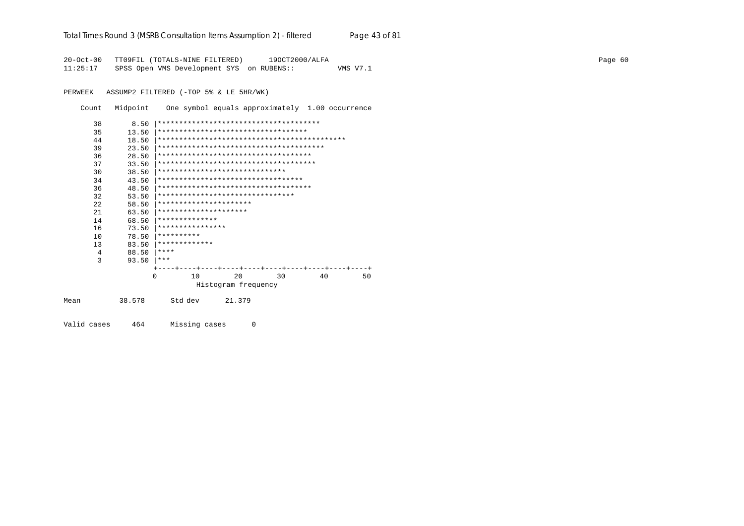## Total Times Round 3 (MSRB Consultation Items Assumption 2) - *filtered* Page 43 of 81

20-Oct-00 TT09FIL (TOTALS-NINE FILTERED) 19OCT2000/ALFA Page 60 11:25:17 SPSS Open VMS Development SYS on RUBENS:: VMS V7.1

PERWEEK ASSUMP2 FILTERED (-TOP 5% & LE 5HR/WK)

Count Midpoint One symbol equals approximately 1.00 occurrence

|      | 38 | 8.50   |                                        |  |         |    |                     |  |        |    |  |  |    |  |  |  |    |  |  |    |
|------|----|--------|----------------------------------------|--|---------|----|---------------------|--|--------|----|--|--|----|--|--|--|----|--|--|----|
|      | 35 | 13.50  | ***********************************    |  |         |    |                     |  |        |    |  |  |    |  |  |  |    |  |  |    |
|      | 44 | 18.50  |                                        |  |         |    |                     |  |        |    |  |  |    |  |  |  |    |  |  |    |
|      | 39 | 23.50  |                                        |  |         |    |                     |  |        |    |  |  |    |  |  |  |    |  |  |    |
|      | 36 | 28.50  | *************************************  |  |         |    |                     |  |        |    |  |  |    |  |  |  |    |  |  |    |
|      | 37 | 33.50  | ************************************** |  |         |    |                     |  |        |    |  |  |    |  |  |  |    |  |  |    |
|      | 30 | 38.50  | ******************************         |  |         |    |                     |  |        |    |  |  |    |  |  |  |    |  |  |    |
|      | 34 | 43.50  | **********************************     |  |         |    |                     |  |        |    |  |  |    |  |  |  |    |  |  |    |
|      | 36 | 48.50  | ************************************   |  |         |    |                     |  |        |    |  |  |    |  |  |  |    |  |  |    |
|      | 32 | 53.50  | ********************************       |  |         |    |                     |  |        |    |  |  |    |  |  |  |    |  |  |    |
|      | 22 | 58.50  | **********************                 |  |         |    |                     |  |        |    |  |  |    |  |  |  |    |  |  |    |
|      | 21 | 63.50  | *********************                  |  |         |    |                     |  |        |    |  |  |    |  |  |  |    |  |  |    |
|      | 14 | 68.50  | **************                         |  |         |    |                     |  |        |    |  |  |    |  |  |  |    |  |  |    |
|      | 16 | 73.50  | ****************                       |  |         |    |                     |  |        |    |  |  |    |  |  |  |    |  |  |    |
|      | 10 | 78.50  | **********                             |  |         |    |                     |  |        |    |  |  |    |  |  |  |    |  |  |    |
|      | 13 | 83.50  | *************                          |  |         |    |                     |  |        |    |  |  |    |  |  |  |    |  |  |    |
|      | 4  | 88.50  | ****                                   |  |         |    |                     |  |        |    |  |  |    |  |  |  |    |  |  |    |
|      | 3  | 93.50  | ***                                    |  |         |    |                     |  |        |    |  |  |    |  |  |  |    |  |  |    |
|      |    |        |                                        |  |         |    |                     |  |        |    |  |  |    |  |  |  |    |  |  |    |
|      |    | 0      |                                        |  |         | 10 |                     |  |        | 20 |  |  | 30 |  |  |  | 40 |  |  | 50 |
|      |    |        |                                        |  |         |    | Histogram frequency |  |        |    |  |  |    |  |  |  |    |  |  |    |
| Mean |    | 38.578 |                                        |  | Std dev |    |                     |  | 21.379 |    |  |  |    |  |  |  |    |  |  |    |
|      |    |        |                                        |  |         |    |                     |  |        |    |  |  |    |  |  |  |    |  |  |    |

Valid cases 464 Missing cases 0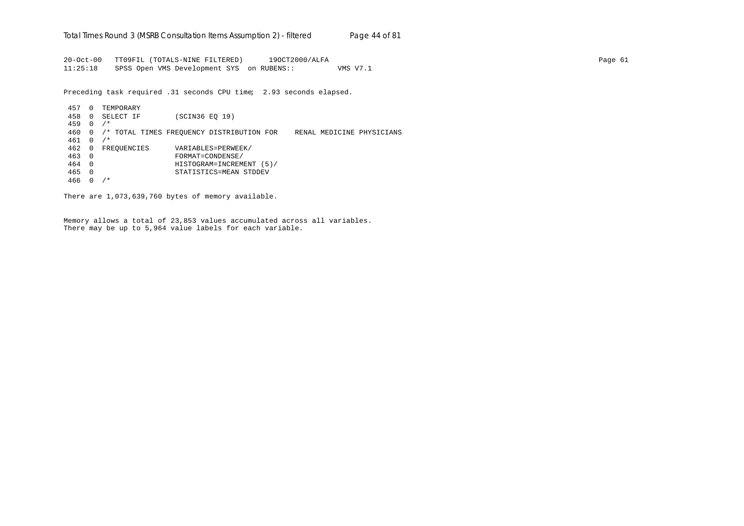20-Oct-00 TT09FIL (TOTALS-NINE FILTERED) 19OCT2000/ALFA Page 61 11:25:18 SPSS Open VMS Development SYS on RUBENS:: VMS V7.1

Preceding task required .31 seconds CPU time; 2.93 seconds elapsed.

457 0 TEMPORARY 458 0 SELECT IF (SCIN36 EQ 19) 459 0 /\* 460 0 /\* TOTAL TIMES FREQUENCY DISTRIBUTION FOR RENAL MEDICINE PHYSICIANS 461 0 /\* 462 0 FREQUENCIES VARIABLES=PERWEEK/ 463 0 FORMAT=CONDENSE/ 464 0 HISTOGRAM=INCREMENT (5)/ 465 0 STATISTICS=MEAN STDDEV 466 0 /\*

There are 1,073,639,760 bytes of memory available.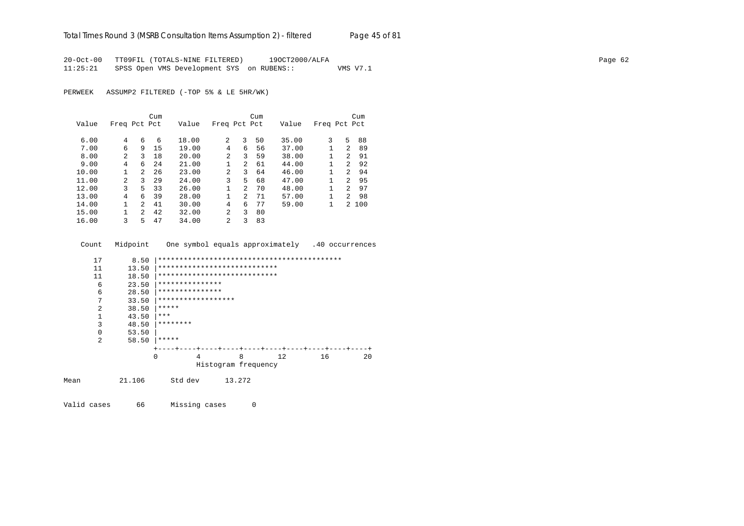20-Oct-00 TT09FIL (TOTALS-NINE FILTERED) 19OCT2000/ALFA Page 62 11:25:21 SPSS Open VMS Development SYS on RUBENS:: VMS V7.1

PERWEEK ASSUMP2 FILTERED (-TOP 5% & LE 5HR/WK)

|       |                |                | Cum |       |                |                | Cum |       |              |                | Cum   |
|-------|----------------|----------------|-----|-------|----------------|----------------|-----|-------|--------------|----------------|-------|
| Value | Freq Pct Pct   |                |     | Value | Freq Pct Pct   |                |     | Value | Freq Pct Pct |                |       |
|       |                |                |     |       |                |                |     |       |              |                |       |
| 6.00  | 4              | 6              | 6   | 18.00 | 2              | 3              | 50  | 35.00 | 3            | 5              | 88    |
| 7.00  | 6              | 9              | 15  | 19.00 | 4              | 6              | 56  | 37.00 |              | $\mathcal{L}$  | 89    |
| 8.00  | 2              | ζ              | 18  | 20.00 | 2              | 3              | 59  | 38.00 |              | $\mathcal{L}$  | 91    |
| 9.00  | 4              | 6              | 24  | 21.00 | 1              | $\overline{2}$ | 61  | 44.00 |              | $\mathcal{L}$  | 92    |
| 10.00 | 1              | $\overline{2}$ | 26  | 23.00 | 2              | 3              | 64  | 46.00 |              | $\mathcal{L}$  | 94    |
| 11.00 | $\mathfrak{D}$ | 3              | 29  | 24.00 | 3              | 5.             | 68  | 47.00 |              | $\mathcal{L}$  | 95    |
| 12.00 | 3              | 5.             | 33  | 26.00 | 1              | $\mathfrak{D}$ | 70  | 48.00 |              | $\mathcal{P}$  | 97    |
| 13.00 | 4              | 6              | 39  | 28.00 | 1              | $\overline{2}$ | 71  | 57.00 | 1            | $\overline{2}$ | 98    |
| 14.00 |                | $\mathcal{L}$  | 41  | 30.00 | 4              | 6              | 77  | 59.00 | 1            |                | 2 100 |
| 15.00 |                | $\overline{a}$ | 42  | 32.00 | $\mathfrak{D}$ | 3              | 80  |       |              |                |       |
| 16.00 | 3              | 5              | 47  | 34.00 | 2              | 3              | 83  |       |              |                |       |

Count Midpoint One symbol equals approximately .40 occurrences

| 17             | 8.50   |                              |                     |        |     |    |    |
|----------------|--------|------------------------------|---------------------|--------|-----|----|----|
| 11             | 13.50  | **************************** |                     |        |     |    |    |
| 11             | 18.50  | **************************** |                     |        |     |    |    |
| 6              | 23.50  | ***************              |                     |        |     |    |    |
| 6              | 28.50  | ***************              |                     |        |     |    |    |
| 7              | 33.50  | ******************           |                     |        |     |    |    |
| 2              | 38.50  | *****                        |                     |        |     |    |    |
|                | 43.50  | ***                          |                     |        |     |    |    |
| 3              | 48.50  | ********                     |                     |        |     |    |    |
| $\Omega$       | 53.50  |                              |                     |        |     |    |    |
| $\mathfrak{D}$ | 58.50  | *****                        |                     |        |     |    |    |
|                |        |                              |                     |        |     |    |    |
|                |        | $\Omega$<br>4                |                     | 8      | 12. | 16 | 20 |
|                |        |                              | Histogram frequency |        |     |    |    |
| Mean           | 21.106 | Std dev                      |                     | 13.272 |     |    |    |

Valid cases 66 Missing cases 0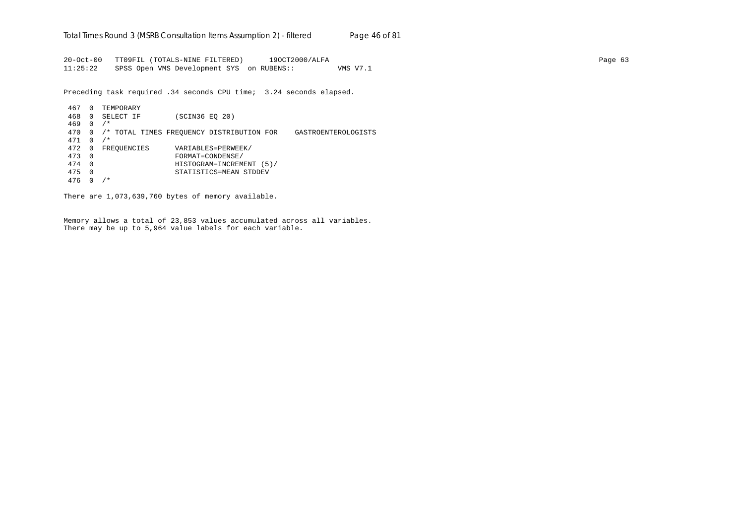20-Oct-00 TT09FIL (TOTALS-NINE FILTERED) 19OCT2000/ALFA Page 63 11:25:22 SPSS Open VMS Development SYS on RUBENS:: VMS V7.1

Preceding task required .34 seconds CPU time; 3.24 seconds elapsed.

 467 0 TEMPORARY 468 0 SELECT IF (SCIN36 EQ 20) 469 0 /\* 470 0 /\* TOTAL TIMES FREQUENCY DISTRIBUTION FOR GASTROENTEROLOGISTS 471 0 /\* 472 0 FREQUENCIES VARIABLES=PERWEEK/<br>473 0 FORMAT=CONDENSE/ 473 0 FORMAT=CONDENSE/ 474 0 HISTOGRAM=INCREMENT (5)/ 475 0 STATISTICS=MEAN STDDEV 476 0 /\*

There are 1,073,639,760 bytes of memory available.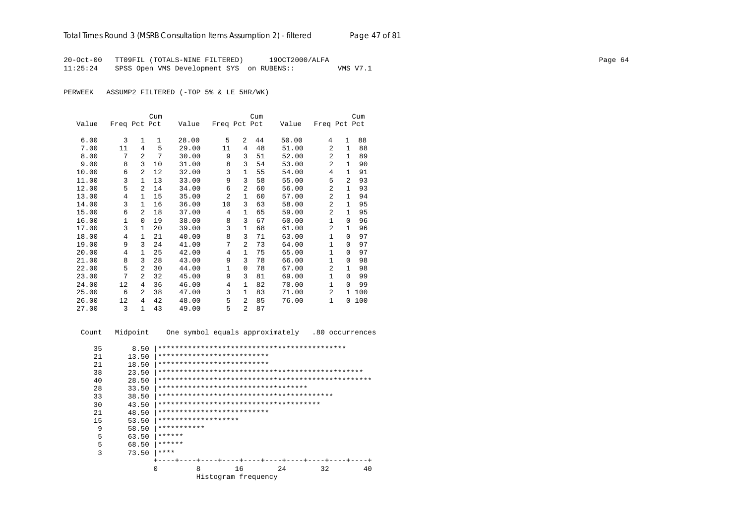20-Oct-00 TT09FIL (TOTALS-NINE FILTERED) 19OCT2000/ALFA Page 64 11:25:24 SPSS Open VMS Development SYS on RUBENS:: VMS V7.1

PERWEEK ASSUMP2 FILTERED (-TOP 5% & LE 5HR/WK)

|       |              |                | Cum          |       |              |                | Cum |       |              |              | Cum |
|-------|--------------|----------------|--------------|-------|--------------|----------------|-----|-------|--------------|--------------|-----|
| Value | Freq Pct Pct |                |              | Value | Freq Pct Pct |                |     | Value | Freq Pct Pct |              |     |
|       |              |                |              |       |              |                |     |       |              |              |     |
| 6.00  | 3            | 1              | $\mathbf{1}$ | 28.00 | 5            | $\overline{2}$ | 44  | 50.00 | 4            | $\mathbf{1}$ | 88  |
| 7.00  | 11           | $\overline{4}$ | 5            | 29.00 | 11           | 4              | 48  | 51.00 | 2            | $\mathbf{1}$ | 88  |
| 8.00  | 7            | $\overline{a}$ | 7            | 30.00 | 9            | 3              | 51  | 52.00 | 2            | 1            | 89  |
| 9.00  | 8            | 3              | 10           | 31.00 | 8            | 3              | 54  | 53.00 | 2            | $\mathbf{1}$ | 90  |
| 10.00 | 6            | $\overline{a}$ | 12           | 32.00 | 3            | 1              | 55  | 54.00 | 4            | 1            | 91  |
| 11.00 | 3            | $\mathbf{1}$   | 13           | 33.00 | 9            | 3              | 58  | 55.00 | 5            | 2            | 93  |
| 12.00 | 5            | $\overline{a}$ | 14           | 34.00 | 6            | 2              | 60  | 56.00 | 2            | $\mathbf{1}$ | 93  |
| 13.00 | 4            | 1              | 15           | 35.00 | 2            | 1              | 60  | 57.00 | 2            | 1            | 94  |
| 14.00 | 3            | 1              | 16           | 36.00 | 10           | 3              | 63  | 58.00 | 2            | $\mathbf{1}$ | 95  |
| 15.00 | 6            | $\overline{a}$ | 18           | 37.00 | 4            | 1              | 65  | 59.00 | 2            | $\mathbf{1}$ | 95  |
| 16.00 | 1            | $\Omega$       | 19           | 38.00 | 8            | 3              | 67  | 60.00 | 1            | $\Omega$     | 96  |
| 17.00 | 3            | $\mathbf{1}$   | 20           | 39.00 | 3            | 1              | 68  | 61.00 | 2            | $\mathbf{1}$ | 96  |
| 18.00 | 4            | $\mathbf{1}$   | 21           | 40.00 | 8            | 3              | 71  | 63.00 | 1            | $\Omega$     | 97  |
| 19.00 | 9            | 3              | 24           | 41.00 | 7            | 2              | 73  | 64.00 | $\mathbf{1}$ | $\Omega$     | 97  |
| 20.00 | 4            | $\mathbf{1}$   | 25           | 42.00 | 4            | 1              | 75  | 65.00 | $\mathbf{1}$ | $\Omega$     | 97  |
| 21.00 | 8            | 3              | 28           | 43.00 | 9            | 3              | 78  | 66.00 | 1            | $\Omega$     | 98  |
| 22.00 | 5            | $\mathfrak{D}$ | 30           | 44.00 | $\mathbf{1}$ | $\Omega$       | 78  | 67.00 | 2            | $\mathbf{1}$ | 98  |
| 23.00 | 7            | 2              | 32           | 45.00 | 9            | 3              | 81  | 69.00 | 1            | $\Omega$     | 99  |
| 24.00 | 12           | 4              | 36           | 46.00 | 4            | 1              | 82  | 70.00 | $\mathbf{1}$ | $\Omega$     | 99  |
| 25.00 | 6            | 2              | 38           | 47.00 | 3            | 1              | 83  | 71.00 | 2            | $\mathbf{1}$ | 100 |
| 26.00 | 12           | 4              | 42           | 48.00 | 5            | 2              | 85  | 76.00 | 1            | $\Omega$     | 100 |
| 27.00 | 3            | $\mathbf{1}$   | 43           | 49.00 | 5            | $\mathfrak{D}$ | 87  |       |              |              |     |

Count Midpoint One symbol equals approximately .80 occurrences

| 35 | 8.50  |                                     |                     |    |  |    |  |  |    |  |  |    |
|----|-------|-------------------------------------|---------------------|----|--|----|--|--|----|--|--|----|
| 21 | 13.50 | **************************          |                     |    |  |    |  |  |    |  |  |    |
| 21 | 18.50 | **************************          |                     |    |  |    |  |  |    |  |  |    |
| 38 | 23.50 |                                     |                     |    |  |    |  |  |    |  |  |    |
| 40 | 28.50 |                                     |                     |    |  |    |  |  |    |  |  |    |
| 28 | 33.50 | *********************************** |                     |    |  |    |  |  |    |  |  |    |
| 33 | 38.50 |                                     |                     |    |  |    |  |  |    |  |  |    |
| 30 | 43.50 |                                     |                     |    |  |    |  |  |    |  |  |    |
| 21 | 48.50 | **************************          |                     |    |  |    |  |  |    |  |  |    |
| 15 | 53.50 | *******************                 |                     |    |  |    |  |  |    |  |  |    |
| 9  | 58.50 | ***********                         |                     |    |  |    |  |  |    |  |  |    |
| 5  | 63.50 | ******                              |                     |    |  |    |  |  |    |  |  |    |
| 5  | 68.50 | ******                              |                     |    |  |    |  |  |    |  |  |    |
| 3  | 73.50 | ****                                |                     |    |  |    |  |  |    |  |  |    |
|    |       |                                     |                     |    |  |    |  |  |    |  |  |    |
|    |       | O                                   | 8                   | 16 |  | 24 |  |  | 32 |  |  | 40 |
|    |       |                                     | Histogram frequency |    |  |    |  |  |    |  |  |    |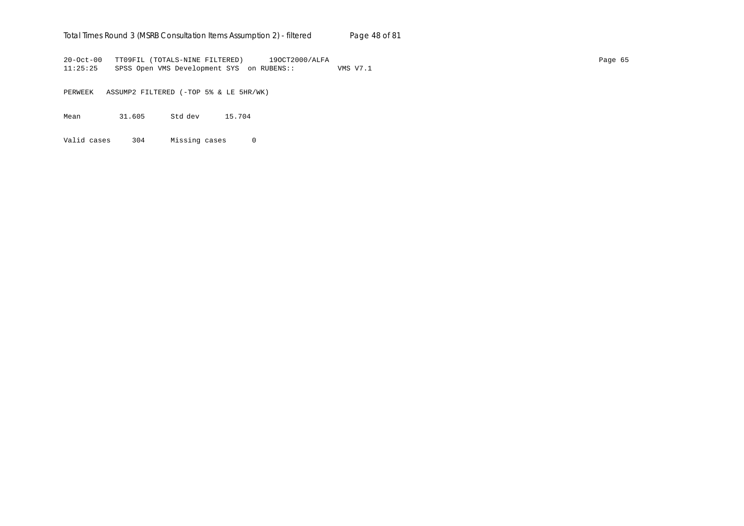## Total Times Round 3 (MSRB Consultation Items Assumption 2) - *filtered* Page 48 of 81

20-Oct-00 TT09FIL (TOTALS-NINE FILTERED) 19OCT2000/ALFA Page 65 11:25:25 SPSS Open VMS Development SYS on RUBENS:: VMS V7.1

PERWEEK ASSUMP2 FILTERED (-TOP 5% & LE 5HR/WK)

Mean 31.605 Std dev 15.704

Valid cases 304 Missing cases 0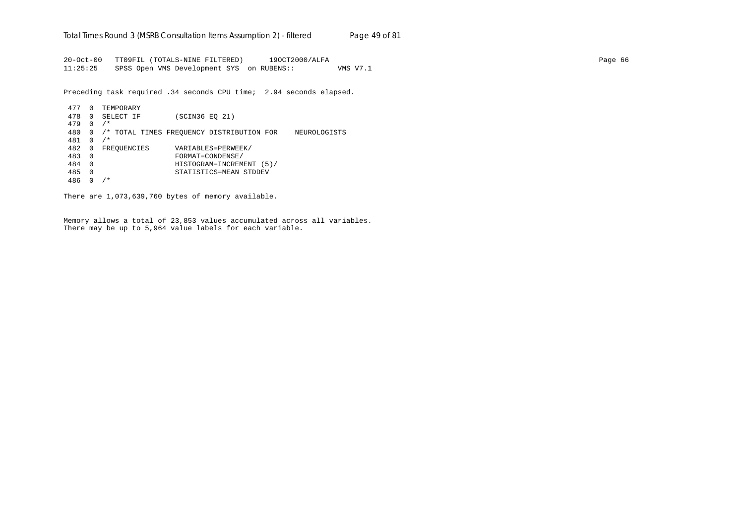20-Oct-00 TT09FIL (TOTALS-NINE FILTERED) 19OCT2000/ALFA Page 66 11:25:25 SPSS Open VMS Development SYS on RUBENS:: VMS V7.1

Preceding task required .34 seconds CPU time; 2.94 seconds elapsed.

```
 477 0 TEMPORARY
 478 0 SELECT IF (SCIN36 EQ 21)
 479 0 /*
 480 0 /* TOTAL TIMES FREQUENCY DISTRIBUTION FOR NEUROLOGISTS
 481 0 /*
482 0 FREQUENCIES VARIABLES=PERWEEK/<br>483 0 FORMAT=CONDENSE/
 483 0 FORMAT=CONDENSE/
 484 0 HISTOGRAM=INCREMENT (5)/
 485 0 STATISTICS=MEAN STDDEV
 486 0 /*
```
There are 1,073,639,760 bytes of memory available.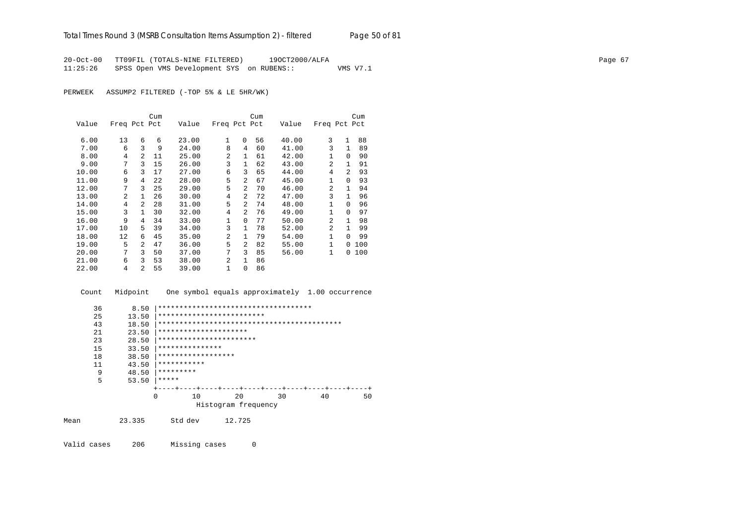20-Oct-00 TT09FIL (TOTALS-NINE FILTERED) 19OCT2000/ALFA Page 67 11:25:26 SPSS Open VMS Development SYS on RUBENS:: VMS V7.1

PERWEEK ASSUMP2 FILTERED (-TOP 5% & LE 5HR/WK)

|       |              |                | Cum |       |                |                | Cum |       |                |                | Cum |
|-------|--------------|----------------|-----|-------|----------------|----------------|-----|-------|----------------|----------------|-----|
| Value | Freq Pct Pct |                |     | Value | Freq Pct Pct   |                |     | Value | Freq Pct Pct   |                |     |
| 6.00  | 13           | 6              | 6   | 23.00 | 1              | $\Omega$       | 56  | 40.00 | 3              | $\mathbf{1}$   | 88  |
| 7.00  | 6            | 3              | 9   | 24.00 | 8              | 4              | 60  | 41.00 | 3              | 1              | 89  |
| 8.00  | 4            | 2              | 11  | 25.00 | $\mathfrak{D}$ | $\mathbf{1}$   | 61  | 42.00 | $\mathbf{1}$   | 0              | 90  |
| 9.00  | 7            | 3              | 15  | 26.00 | 3              | $\mathbf{1}$   | 62  | 43.00 | $\mathfrak{D}$ | $\mathbf{1}$   | 91  |
| 10.00 | 6            | 3              | 17  | 27.00 | 6              | 3              | 65  | 44.00 | 4              | $\mathfrak{D}$ | 93  |
| 11.00 | 9            | 4              | 22  | 28.00 | 5              | $\mathfrak{D}$ | 67  | 45.00 | 1              | 0              | 93  |
| 12.00 | 7            | 3              | 25  | 29.00 | 5              | $\mathfrak{D}$ | 70  | 46.00 | $\mathfrak{D}$ | $\mathbf{1}$   | 94  |
| 13.00 | 2            | 1              | 26  | 30.00 | $\overline{4}$ | 2              | 72  | 47.00 | 3              | 1              | 96  |
| 14.00 | 4            | $\mathfrak{D}$ | 28  | 31.00 | 5              | $\mathfrak{D}$ | 74  | 48.00 | $\mathbf{1}$   | $\Omega$       | 96  |
| 15.00 | 3            | $\mathbf{1}$   | 30  | 32.00 | 4              | $\mathfrak{D}$ | 76  | 49.00 | 1              | <sup>0</sup>   | 97  |
| 16.00 | 9            | 4              | 34  | 33.00 | 1              | $\Omega$       | 77  | 50.00 | $\mathfrak{D}$ | $\mathbf{1}$   | 98  |
| 17.00 | 10           | 5.             | 39  | 34.00 | 3              | $\mathbf{1}$   | 78  | 52.00 | $\mathfrak{D}$ | 1              | 99  |
| 18.00 | 12           | 6              | 45  | 35.00 | 2              | $\mathbf{1}$   | 79  | 54.00 | $\mathbf{1}$   | 0              | 99  |
| 19.00 | 5            | $\overline{a}$ | 47  | 36.00 | 5              | $\mathfrak{D}$ | 82  | 55.00 | $\mathbf{1}$   | 0              | 100 |
| 20.00 | 7            | 3              | 50  | 37.00 | 7              | 3              | 85  | 56.00 | $\mathbf{1}$   | 0              | 100 |
| 21.00 | 6            | 3              | 53  | 38.00 | 2              | 1              | 86  |       |                |                |     |
| 22.00 | 4            | $\overline{2}$ | 55  | 39.00 | $\mathbf{1}$   | 0              | 86  |       |                |                |     |

 Count Midpoint One symbol equals approximately 1.00 occurrence 36 8.50 |\*\*\*\*\*\*\*\*\*\*\*\*\*\*\*\*\*\*\*\*\*\*\*\*\*\*\*\*\*\*\*\*\*\*\*\* 25 13.50 |\*\*\*\*\*\*\*\*\*\*\*\*\*\*\*\*\*\*\*\*\*\*\*\*\*\*\*\*<br>43 18.50 |\*\*\*\*\*\*\*\*\*\*\*\*\*\*\*\*\*\*\*\*\*\*\*\*\*\*\*\* 43 18.50 |\*\*\*\*\*\*\*\*\*\*\*\*\*\*\*\*\*\*\*\*\*\*\*\*\*\*\*\*\*\*\*\*\*\*\*\*\*\*\*\*\*\*\* 21 23.50 |\*\*\*\*\*\*\*\*\*\*\*\*\*\*\*\*\*\*\*\*\*\*<br>23 28.50 |\*\*\*\*\*\*\*\*\*\*\*\*\*\*\*\*\*\*\*\*\* 23 28.50 |\*\*\*\*\*\*\*\*\*\*\*\*\*\*\*\*\*\*\*\*\*\*\*\*\*<br>15 33.50 |\*\*\*\*\*\*\*\*\*\*\*\*\*\*\*\* 15 33.50 |\*\*\*\*\*\*\*\*\*\*\*\*\*\*\* 18 38.50 |\*\*\*\*\*\*\*\*\*\*\*\*\*\*\*\*\*\* 11 43.50 |\*\*\*\*\*\*\*\*\*\*\* 9  $48.50$   $*********$ <br>5  $53.50$   $*******$ 53.50  $*****$  +----+----+----+----+----+----+----+----+----+----+ 0 10 20 30 40 50 Histogram frequency Mean 23.335 Std dev 12.725

Valid cases 206 Missing cases 0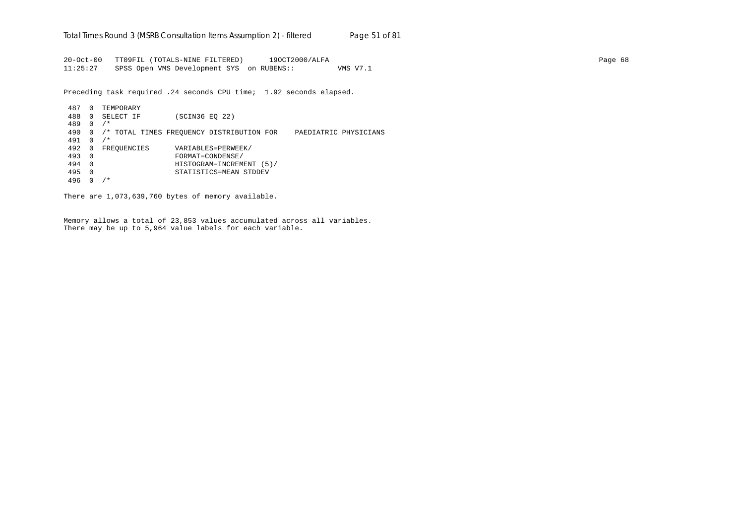20-Oct-00 TT09FIL (TOTALS-NINE FILTERED) 19OCT2000/ALFA Page 68 11:25:27 SPSS Open VMS Development SYS on RUBENS:: VMS V7.1

Preceding task required .24 seconds CPU time; 1.92 seconds elapsed.

 487 0 TEMPORARY 488 0 SELECT IF (SCIN36 EQ 22) 489 0 /\* 490 0 /\* TOTAL TIMES FREQUENCY DISTRIBUTION FOR PAEDIATRIC PHYSICIANS 491 0 /\* 492 0 FREQUENCIES VARIABLES=PERWEEK/<br>493 0 FORMAT=CONDENSE/ 493 0 FORMAT=CONDENSE/ 494 0 HISTOGRAM=INCREMENT (5)/ 495 0 STATISTICS=MEAN STDDEV 496 0 /\*

There are 1,073,639,760 bytes of memory available.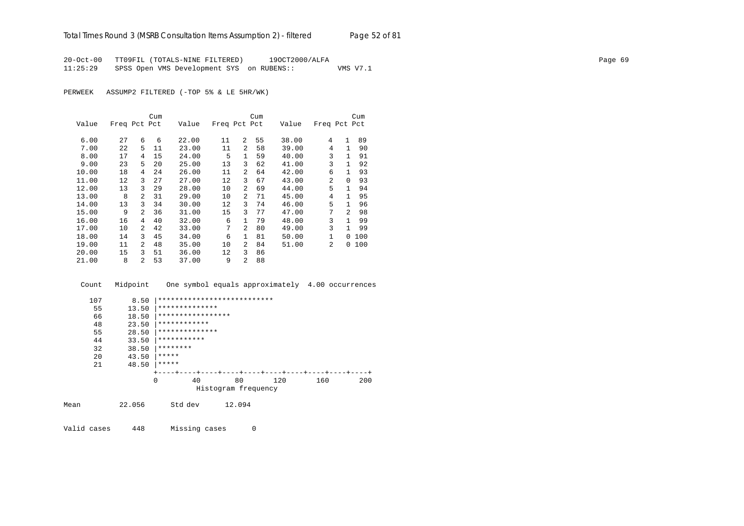20-Oct-00 TT09FIL (TOTALS-NINE FILTERED) 19OCT2000/ALFA Page 69 11:25:29 SPSS Open VMS Development SYS on RUBENS:: VMS V7.1

PERWEEK ASSUMP2 FILTERED (-TOP 5% & LE 5HR/WK)

|       |              |                | Cum |       |              |                | Cum |       |                |                | Cum |
|-------|--------------|----------------|-----|-------|--------------|----------------|-----|-------|----------------|----------------|-----|
| Value | Freq Pct Pct |                |     | Value | Freq Pct Pct |                |     | Value | Freq Pct Pct   |                |     |
| 6.00  | 27           | 6              | 6   | 22.00 | 11           | 2              | 55  | 38.00 | 4              | $\mathbf{1}$   | 89  |
| 7.00  | 22           | 5              | 11  | 23.00 | 11           | $\mathfrak{D}$ | 58  | 39.00 | 4              | 1              | 90  |
|       |              |                |     |       |              |                |     |       |                |                |     |
| 8.00  | 17           | 4              | 15  | 24.00 | 5            | $\mathbf{1}$   | 59  | 40.00 | 3              | 1              | 91  |
| 9.00  | 23           | 5              | 20  | 25.00 | 13           | 3              | 62  | 41.00 | 3              | 1.             | 92  |
| 10.00 | 18           | 4              | 24  | 26.00 | 11           | 2              | 64  | 42.00 | 6              | 1              | 93  |
| 11.00 | 12           | 3              | 27  | 27.00 | 12           | 3              | 67  | 43.00 | 2              | $\Omega$       | 93  |
| 12.00 | 13           | 3              | 29  | 28.00 | 10           | 2              | 69  | 44.00 | 5              | 1              | 94  |
| 13.00 | 8            | 2              | 31  | 29.00 | 10           | 2              | 71  | 45.00 | 4              | 1              | 95  |
| 14.00 | 13           | 3              | 34  | 30.00 | 12           | 3              | 74  | 46.00 | 5              | 1              | 96  |
| 15.00 | 9            | 2              | 36  | 31.00 | 15           | 3              | 77  | 47.00 | 7              | $\mathfrak{D}$ | 98  |
| 16.00 | 16           | 4              | 40  | 32.00 | 6            | 1              | 79  | 48.00 | 3              |                | 99  |
| 17.00 | 10           | 2              | 42  | 33.00 | 7            | $\mathfrak{D}$ | 80  | 49.00 | 3              |                | 99  |
| 18.00 | 14           | 3              | 45  | 34.00 | 6            | 1              | 81  | 50.00 | $\mathbf{1}$   | 0              | 100 |
| 19.00 | 11           | 2              | 48  | 35.00 | 10           | $\mathfrak{D}$ | 84  | 51.00 | $\overline{a}$ | 0              | 100 |
| 20.00 | 15           | 3              | 51  | 36.00 | 12           | 3              | 86  |       |                |                |     |
| 21.00 | 8            | $\mathfrak{D}$ | 53  | 37.00 | 9            | 2              | 88  |       |                |                |     |

 Count Midpoint One symbol equals approximately 4.00 occurrences 107 8.50 |\*\*\*\*\*\*\*\*\*\*\*\*\*\*\*\*\*\*\*\*\*\*\*\*\*\*\* 55 13.50  $*********************$  66 18.50 |\*\*\*\*\*\*\*\*\*\*\*\*\*\*\*\*\* 48 23.50 \*\*\*\*\*\*\*\*\*\*\*\*\*<br>55 28.50 \*\*\*\*\*\*\*\*\*\*\*\*\* 55 28.50  $*********************$ <br>44 33.50 \*\*\*\*\*\*\*\*\*\*\* 44 33.50 |\*\*\*\*\*\*\*\*\*\*\* 32 38.50  $********$ <br>20 43.50 \*\*\*\*\*\* 20  $43.50$   $****$ <br>21  $48.50$   $****$  $48.50$  |\*\*\*\*\*  $+---+---+---++---++---++---++---++---+---+--+$ <br>0 40 80 120 160 200 0 40 80 120 160 200 Histogram frequency

Mean 22.056 Std dev 12.094

Valid cases 448 Missing cases 0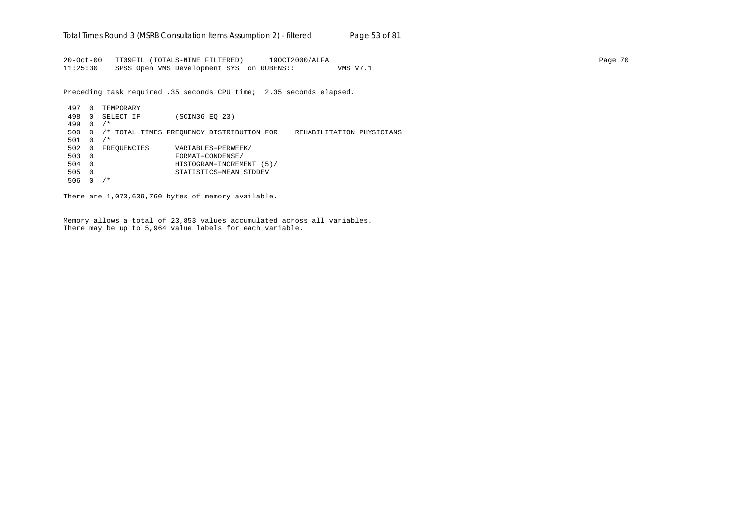20-Oct-00 TT09FIL (TOTALS-NINE FILTERED) 19OCT2000/ALFA Page 70 11:25:30 SPSS Open VMS Development SYS on RUBENS:: VMS V7.1

Preceding task required .35 seconds CPU time; 2.35 seconds elapsed.

 497 0 TEMPORARY 498 0 SELECT IF (SCIN36 EQ 23) 499 0 /\* 500 0 /\* TOTAL TIMES FREQUENCY DISTRIBUTION FOR REHABILITATION PHYSICIANS 501 0 /\* 502 0 FREQUENCIES VARIABLES=PERWEEK/<br>503 0 FORMAT=CONDENSE/ 503 0 FORMAT=CONDENSE/ 504 0 HISTOGRAM=INCREMENT (5)/ 505 0 STATISTICS=MEAN STDDEV 506 0 /\*

There are 1,073,639,760 bytes of memory available.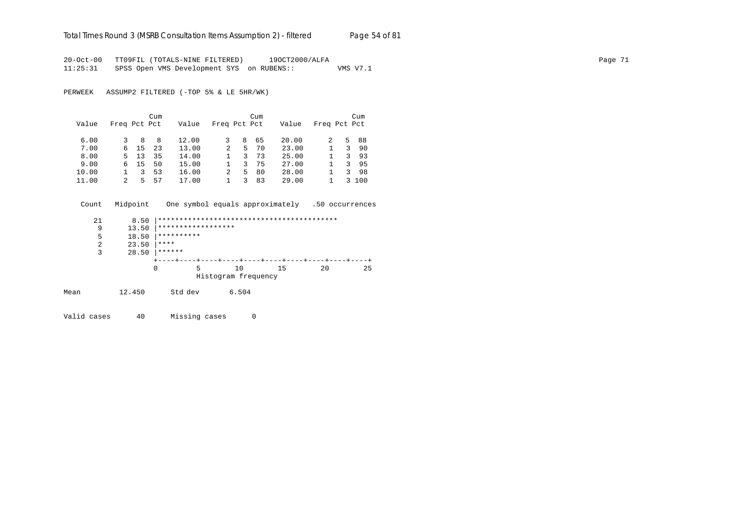## Total Times Round 3 (MSRB Consultation Items Assumption 2) - *filtered* Page 54 of 81

20-Oct-00 TT09FIL (TOTALS-NINE FILTERED) 19OCT2000/ALFA Page 71 11:25:31 SPSS Open VMS Development SYS on RUBENS:: VMS V7.1

PERWEEK ASSUMP2 FILTERED (-TOP 5% & LE 5HR/WK)

|       |              |    | Cum |       |              |    | Cum |       |              |               | Cum  |
|-------|--------------|----|-----|-------|--------------|----|-----|-------|--------------|---------------|------|
| Value | Freq Pct Pct |    |     | Value | Freq Pct Pct |    |     | Value | Freq Pct Pct |               |      |
| 6.00  |              | 8  | 8   | 12.00 |              | 8  | 65  | 20.00 |              |               | 5 88 |
| 7.00  | 6            | 15 | 23  | 13.00 | 2            | 5. | 70  | 23.00 |              | 3             | 90   |
| 8.00  | 5.           | 13 | 35  | 14.00 |              | 3. | 73  | 25.00 |              | 3             | -93  |
| 9.00  | 6.           | 15 | 50  | 15.00 |              | 3. | 75  | 27.00 |              | 3.            | 95   |
| 10.00 |              | 3  | 53  | 16.00 | 2            | 5. | 80  | 28.00 |              | 3             | 98   |
| 11.00 | 2            | ц. | 57  | 17.00 |              |    | 83  | 29.00 |              | $\mathcal{L}$ | 100  |

 Count Midpoint One symbol equals approximately .50 occurrences 21 8.50 |\*\*\*\*\*\*\*\*\*\*\*\*\*\*\*\*\*\*\*\*\*\*\*\*\*\*\*\*\*\*\*\*\*\*\*\*\*\*\*\*\*\* 9 13.50 |\*\*\*\*\*\*\*\*\*\*\*\*\*\*\*\*\*\* 5 18.50  $***********$ <br>2 23.50  $***********$ 2 23.50  $****$ <br>3 28.50  $****$  $28.50$  \*\*\*\*\*\* +----+----+----+----+----+----+----+----+----+----+ 0 5 10 15 20 25 Histogram frequency Mean 12.450 Std dev 6.504

Valid cases 40 Missing cases 0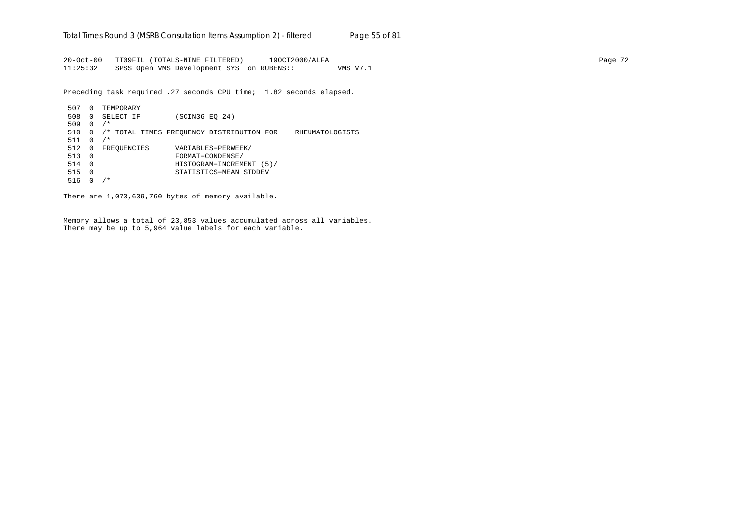20-Oct-00 TT09FIL (TOTALS-NINE FILTERED) 19OCT2000/ALFA Page 72 11:25:32 SPSS Open VMS Development SYS on RUBENS:: VMS V7.1

Preceding task required .27 seconds CPU time; 1.82 seconds elapsed.

```
 507 0 TEMPORARY
 508 0 SELECT IF (SCIN36 EQ 24)
 509 0 /*
 510 0 /* TOTAL TIMES FREQUENCY DISTRIBUTION FOR RHEUMATOLOGISTS
 511 0 /*
512 0 FREQUENCIES VARIABLES=PERWEEK/<br>513 0 FORMAT=CONDENSE/
 513 0 FORMAT=CONDENSE/
 514 0 HISTOGRAM=INCREMENT (5)/
 515 0 STATISTICS=MEAN STDDEV
 516 0 /*
```
There are 1,073,639,760 bytes of memory available.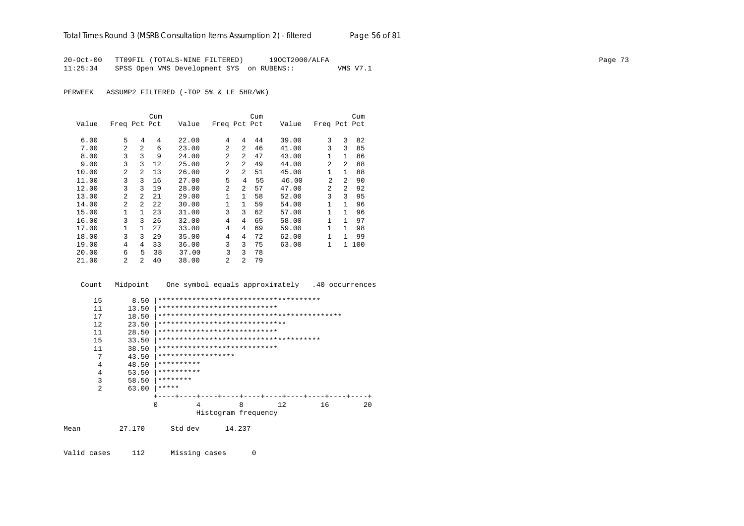20-Oct-00 TT09FIL (TOTALS-NINE FILTERED) 19OCT2000/ALFA Page 73 11:25:34 SPSS Open VMS Development SYS on RUBENS:: VMS V7.1

PERWEEK ASSUMP2 FILTERED (-TOP 5% & LE 5HR/WK)

|       |                |                | Cum |       |                |              | Cum |       |                |                | Cum   |
|-------|----------------|----------------|-----|-------|----------------|--------------|-----|-------|----------------|----------------|-------|
| Value | Freq Pct Pct   |                |     | Value | Freq Pct Pct   |              |     | Value | Freq Pct Pct   |                |       |
| 6.00  | 5              | 4              | 4   | 22.00 | 4              | 4            | 44  | 39.00 | 3              | 3              | 82    |
| 7.00  | $\mathfrak{D}$ | $\overline{a}$ | 6   | 23.00 | $\mathfrak{D}$ | 2            | 46  | 41.00 | 3              | 3              | 85    |
| 8.00  | 3              | 3              | 9   | 24.00 | $\mathfrak{D}$ | 2            | 47  | 43.00 |                | $\mathbf{1}$   | 86    |
| 9.00  | 3              | 3              | 12  | 25.00 | $\mathfrak{D}$ | 2            | 49  | 44.00 | 2              | $\mathfrak{D}$ | 88    |
| 10.00 | $\mathfrak{D}$ | $\mathfrak{D}$ | 13  | 26.00 | $\overline{a}$ | 2            | 51  | 45.00 |                | $\mathbf{1}$   | 88    |
| 11.00 | 3              | 3              | 16  | 27.00 | 5              | 4            | 55  | 46.00 | $\mathfrak{D}$ | $\mathfrak{D}$ | 90    |
| 12.00 | 3              | 3              | 19  | 28.00 | $\mathfrak{D}$ | 2            | 57  | 47.00 | $\mathfrak{D}$ | 2              | 92    |
| 13.00 | $\mathfrak{D}$ | 2              | 21  | 29.00 | $\mathbf{1}$   | $\mathbf{1}$ | 58  | 52.00 | 3              | 3              | 95    |
| 14.00 | $\mathfrak{D}$ | $\overline{a}$ | 22  | 30.00 | $\mathbf{1}$   | $\mathbf{1}$ | 59  | 54.00 | 1              | 1              | 96    |
| 15.00 | 1              | 1              | 23  | 31.00 | 3              | 3            | 62  | 57.00 |                | 1.             | 96    |
| 16.00 | 3              | 3              | 26  | 32.00 | 4              | 4            | 65  | 58.00 | $\mathbf{1}$   | 1              | 97    |
| 17.00 |                |                | 27  | 33.00 | 4              | 4            | 69  | 59.00 | 1              | 1              | 98    |
| 18.00 | 3              | 3              | 29  | 35.00 | 4              | 4            | 72  | 62.00 | 1              | 1              | 99    |
| 19.00 | 4              | 4              | 33  | 36.00 | 3              | 3            | 75  | 63.00 | 1              |                | 1 100 |
| 20.00 | 6              | 5              | 38  | 37.00 | 3              | 3            | 78  |       |                |                |       |
| 21.00 | 2              | $\mathfrak{D}$ | 40  | 38.00 | $\overline{a}$ | 2            | 79  |       |                |                |       |

Count Midpoint One symbol equals approximately .40 occurrences

|      | 15             | 8.50   |                                |                     |    |    |    |
|------|----------------|--------|--------------------------------|---------------------|----|----|----|
|      | 11             | 13.50  | ****************************   |                     |    |    |    |
|      | 17             | 18.50  |                                |                     |    |    |    |
|      | 12             | 23.50  | ****************************** |                     |    |    |    |
|      | 11             | 28.50  | ****************************   |                     |    |    |    |
|      | 15             | 33.50  |                                |                     |    |    |    |
|      | 11             | 38.50  | ****************************   |                     |    |    |    |
|      | 7              | 43.50  | ******************             |                     |    |    |    |
|      | 4              | 48.50  | **********                     |                     |    |    |    |
|      | 4              | 53.50  | **********                     |                     |    |    |    |
|      | 3              | 58.50  | ********                       |                     |    |    |    |
|      | $\overline{a}$ | 63.00  | *****                          |                     |    |    |    |
|      |                |        |                                |                     |    |    |    |
|      |                |        | $\Omega$<br>4                  | 8                   | 12 | 16 | 20 |
|      |                |        |                                | Histogram frequency |    |    |    |
|      |                |        |                                |                     |    |    |    |
| Mean |                | 27.170 | Std dev                        | 14.237              |    |    |    |
|      |                |        |                                |                     |    |    |    |
|      |                |        |                                |                     |    |    |    |

Valid cases 112 Missing cases 0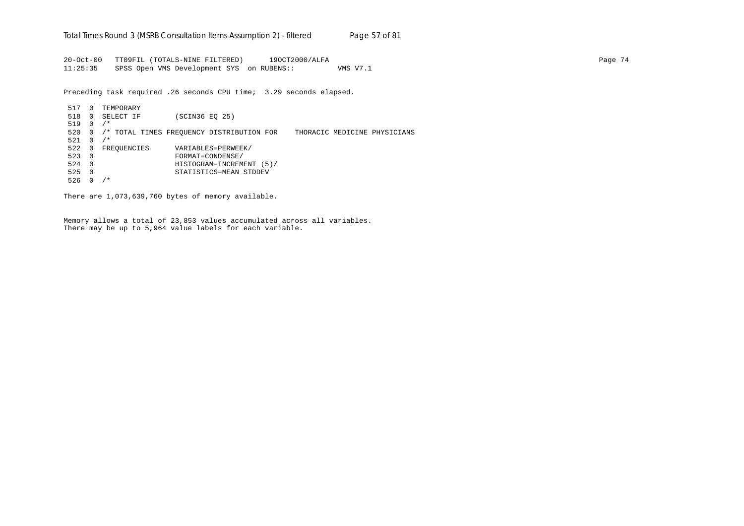20-Oct-00 TT09FIL (TOTALS-NINE FILTERED) 19OCT2000/ALFA Page 74 11:25:35 SPSS Open VMS Development SYS on RUBENS:: VMS V7.1

Preceding task required .26 seconds CPU time; 3.29 seconds elapsed.

 517 0 TEMPORARY 518 0 SELECT IF (SCIN36 EQ 25) 519 0 /\* 520 0 /\* TOTAL TIMES FREQUENCY DISTRIBUTION FOR THORACIC MEDICINE PHYSICIANS  $521 \t 0 / *$ 522 0 FREQUENCIES VARIABLES=PERWEEK/<br>523 0 FORMAT=CONDENSE/ 523 0 FORMAT=CONDENSE/ 524 0 HISTOGRAM=INCREMENT (5)/ 525 0 STATISTICS=MEAN STDDEV 526 0 /\*

There are 1,073,639,760 bytes of memory available.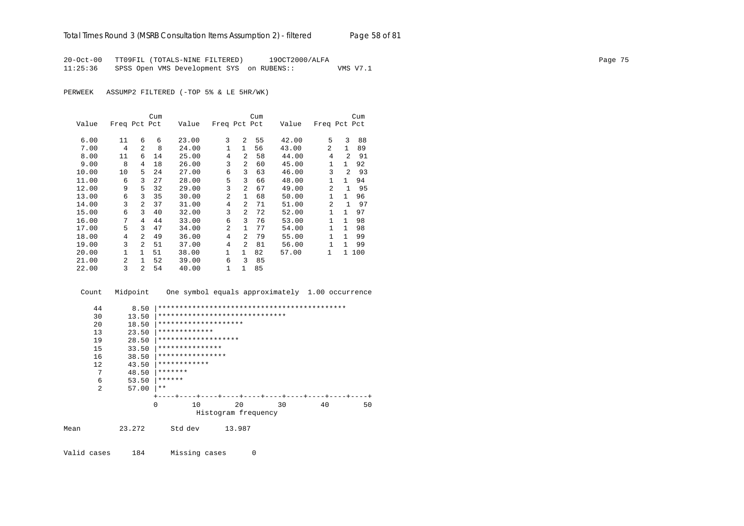20-Oct-00 TT09FIL (TOTALS-NINE FILTERED) 19OCT2000/ALFA Page 75 11:25:36 SPSS Open VMS Development SYS on RUBENS:: VMS V7.1

PERWEEK ASSUMP2 FILTERED (-TOP 5% & LE 5HR/WK)

|       |                |                | Cum |       |              |                | Cum |       |                |                | Cum |
|-------|----------------|----------------|-----|-------|--------------|----------------|-----|-------|----------------|----------------|-----|
| Value | Freq Pct Pct   |                |     | Value | Freq Pct Pct |                |     | Value | Freq Pct Pct   |                |     |
| 6.00  | 11             | 6              | 6   | 23.00 | 3            | 2              | 55  | 42.00 | 5              | 3              | 88  |
| 7.00  | 4              | $\overline{a}$ | 8   | 24.00 | 1            | $\mathbf{1}$   | 56  | 43.00 | 2              | 1.             | 89  |
| 8.00  | 11             | 6              | 14  | 25.00 | 4            | $\mathfrak{D}$ | 58  | 44.00 | 4              | $\mathfrak{D}$ | 91  |
| 9.00  | 8              | 4              | 18  | 26.00 | 3            | $\mathfrak{D}$ | 60  | 45.00 | 1              | $\mathbf{1}$   | 92  |
| 10.00 | 10             | 5              | 24  | 27.00 | 6            | 3              | 63  | 46.00 | 3              | $\mathfrak{D}$ | 93  |
| 11.00 | 6              | 3              | 27  | 28.00 | 5            | 3              | 66  | 48.00 | 1              | 1              | 94  |
| 12.00 | 9              | 5              | 32  | 29.00 | 3            | $\mathfrak{D}$ | 67  | 49.00 | $\mathfrak{D}$ | $\mathbf{1}$   | 95  |
| 13.00 | 6              | 3              | 35  | 30.00 | 2            | $\mathbf{1}$   | 68  | 50.00 | 1              | 1              | 96  |
| 14.00 | 3              | $\mathfrak{D}$ | 37  | 31.00 | 4            | $\mathfrak{D}$ | 71  | 51.00 | $\overline{a}$ | 1              | 97  |
| 15.00 | 6              | 3              | 40  | 32.00 | 3            | $\mathfrak{D}$ | 72  | 52.00 | 1              | 1              | 97  |
| 16.00 | 7              | 4              | 44  | 33.00 | 6            | 3              | 76  | 53.00 | 1              | 1              | 98  |
| 17.00 | 5              | 3              | 47  | 34.00 | 2            | $\mathbf{1}$   | 77  | 54.00 | 1              | 1              | 98  |
| 18.00 | 4              | $\overline{a}$ | 49  | 36.00 | 4            | $\mathfrak{D}$ | 79  | 55.00 | 1              | 1              | 99  |
| 19.00 | 3              | $\mathfrak{D}$ | 51  | 37.00 | 4            | $\overline{a}$ | 81  | 56.00 | $\mathbf{1}$   | 1              | 99  |
| 20.00 | 1              | $\mathbf{1}$   | 51  | 38.00 | 1            | $\mathbf{1}$   | 82  | 57.00 | $\mathbf{1}$   | $\mathbf{1}$   | 100 |
| 21.00 | $\mathfrak{D}$ | 1.             | 52  | 39.00 | 6            | 3              | 85  |       |                |                |     |
| 22.00 | 3              | 2              | 54  | 40.00 | 1            | 1              | 85  |       |                |                |     |

 Count Midpoint One symbol equals approximately 1.00 occurrence 44 8.50 |\*\*\*\*\*\*\*\*\*\*\*\*\*\*\*\*\*\*\*\*\*\*\*\*\*\*\*\*\*\*\*\*\*\*\*\*\*\*\*\*\*\*\*\* 30 13.50 |\*\*\*\*\*\*\*\*\*\*\*\*\*\*\*\*\*\*\*\*\*\*\*\*\*\*\*\*\*\* 20 18.50 |\*\*\*\*\*\*\*\*\*\*\*\*\*\*\*\*\*\*\*\* 13 23.50 |\*\*\*\*\*\*\*\*\*\*\*\*\* 19 28.50 |\*\*\*\*\*\*\*\*\*\*\*\*\*\*\*\*\*\*\* 15 33.50  $************************$ <br>16 38.50 \*\*\*\*\*\*\*\*\*\*\*\*\*\*\*\*  $16$   $38.50$   $************************$ <br>12  $43.50$  \*\*\*\*\*\*\*\*\*\*\*\*\* 12  $43.50$   $**************$ <br>7  $48.50$   $********$  7 48.50 |\*\*\*\*\*\*\* 6  $53.50$   $******$ <br>2  $57.00$   $**$  $57.00$  |\*\* +----+----+----+----+----+----+----+----+----+----+ 0 10 20 30 40 50 Histogram frequency Mean 23.272 Std dev 13.987

Valid cases 184 Missing cases 0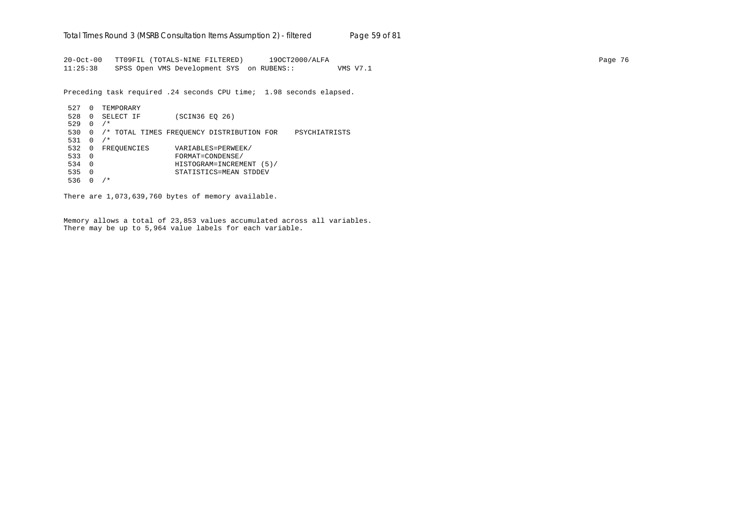20-Oct-00 TT09FIL (TOTALS-NINE FILTERED) 19OCT2000/ALFA Page 76 11:25:38 SPSS Open VMS Development SYS on RUBENS:: VMS V7.1

Preceding task required .24 seconds CPU time; 1.98 seconds elapsed.

```
 527 0 TEMPORARY
 528 0 SELECT IF (SCIN36 EQ 26)
 529 0 /*
 530 0 /* TOTAL TIMES FREQUENCY DISTRIBUTION FOR PSYCHIATRISTS
 531 0 /*
532 0 FREQUENCIES VARIABLES=PERWEEK/<br>533 0 FORMAT=CONDENSE/
 533 0 FORMAT=CONDENSE/
 534 0 HISTOGRAM=INCREMENT (5)/
 535 0 STATISTICS=MEAN STDDEV
 536 0 /*
```
There are 1,073,639,760 bytes of memory available.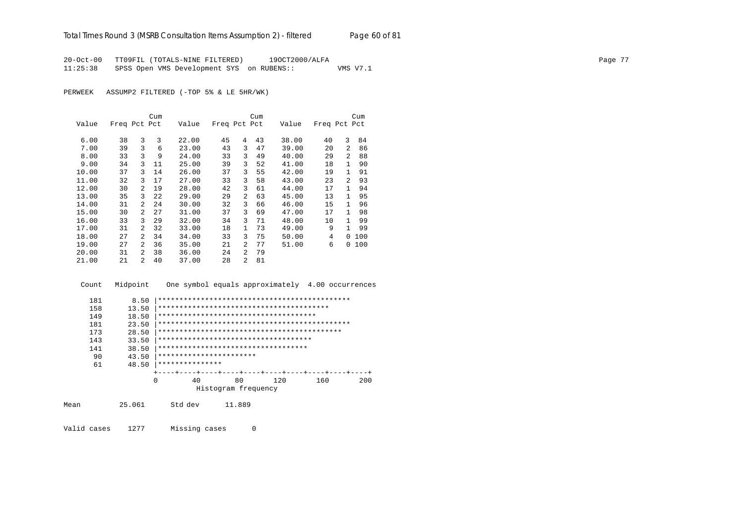20-Oct-00 TT09FIL (TOTALS-NINE FILTERED) 19OCT2000/ALFA<br>11:25:38 SPSS Open VMS Development SYS on RUBENS:: WMS V7.1 SPSS Open VMS Development SYS on RUBENS::

PERWEEK ASSUMP2 FILTERED (-TOP 5% & LE 5HR/WK)

|       |              |                | Cum |       |              |                | Cum |       |              |                | Cum |
|-------|--------------|----------------|-----|-------|--------------|----------------|-----|-------|--------------|----------------|-----|
| Value | Freq Pct Pct |                |     | Value | Freq Pct Pct |                |     | Value | Freq Pct Pct |                |     |
| 6.00  | 38           | 3              | 3   | 22.00 | 45           | 4              | 43  | 38.00 | 40           | 3              | 84  |
| 7.00  | 39           | 3              | 6   | 23.00 | 43           | 3              | 47  | 39.00 | 20           | 2              | 86  |
| 8.00  | 33           | 3              | 9   | 24.00 | 33           | 3              | 49  | 40.00 | 29           | 2              | 88  |
| 9.00  | 34           | 3              | 11  | 25.00 | 39           | 3              | 52  | 41.00 | 18           | 1              | 90  |
| 10.00 | 37           | 3              | 14  | 26.00 | 37           | 3              | 55  | 42.00 | 19           | 1              | 91  |
| 11.00 | 32           | 3              | 17  | 27.00 | 33           | 3              | 58  | 43.00 | 23           | $\mathfrak{D}$ | 93  |
| 12.00 | 30           | 2              | 19  | 28.00 | 42           | 3              | 61  | 44.00 | 17           | 1              | 94  |
| 13.00 | 35           | 3              | 22  | 29.00 | 29           | 2              | 63  | 45.00 | 13           | 1              | 95  |
| 14.00 | 31           | 2              | 24  | 30.00 | 32           | 3              | 66  | 46.00 | 15           | 1              | 96  |
| 15.00 | 30           | 2              | 27  | 31.00 | 37           | 3              | 69  | 47.00 | 17           | 1.             | 98  |
| 16.00 | 33           | 3              | 29  | 32.00 | 34           | 3              | 71  | 48.00 | 10           | 1              | 99  |
| 17.00 | 31           | 2              | 32  | 33.00 | 18           | $\mathbf{1}$   | 73  | 49.00 | 9            | 1.             | 99  |
| 18.00 | 27           | $\overline{a}$ | 34  | 34.00 | 33           | 3              | 75  | 50.00 | 4            | $\Omega$       | 100 |
| 19.00 | 27           | $\overline{a}$ | 36  | 35.00 | 21           | $\mathfrak{D}$ | 77  | 51.00 | 6            | 0              | 100 |
| 20.00 | 31           | 2              | 38  | 36.00 | 24           | 2              | 79  |       |              |                |     |
| 21.00 | 21           | $\overline{a}$ | 40  | 37.00 | 28           | 2              | 81  |       |              |                |     |

 Count Midpoint One symbol equals approximately 4.00 occurrences 181 8.50 |\*\*\*\*\*\*\*\*\*\*\*\*\*\*\*\*\*\*\*\*\*\*\*\*\*\*\*\*\*\*\*\*\*\*\*\*\*\*\*\*\*\*\*\*\* 158 13.50 |\*\*\*\*\*\*\*\*\*\*\*\*\*\*\*\*\*\*\*\*\*\*\*\*\*\*\*\*\*\*\*\*\*\*\*\*\*\*\*\* 149 18.50 |\*\*\*\*\*\*\*\*\*\*\*\*\*\*\*\*\*\*\*\*\*\*\*\*\*\*\*\*\*\*\*\*\*\*\*\*\* 181 23.50 |\*\*\*\*\*\*\*\*\*\*\*\*\*\*\*\*\*\*\*\*\*\*\*\*\*\*\*\*\*\*\*\*\*\*\*\*\*\*\*\*\*\*\*\*\* 173 28.50 |\*\*\*\*\*\*\*\*\*\*\*\*\*\*\*\*\*\*\*\*\*\*\*\*\*\*\*\*\*\*\*\*\*\*\*\*\*\*\*\*\*\*\* 143 33.50 |\*\*\*\*\*\*\*\*\*\*\*\*\*\*\*\*\*\*\*\*\*\*\*\*\*\*\*\*\*\*\*\*\*\*\*\* 141 38.50 |\*\*\*\*\*\*\*\*\*\*\*\*\*\*\*\*\*\*\*\*\*\*\*\*\*\*\*\*\*\*\*\*\*\*\* 90 43.50 |\*\*\*\*\*\*\*\*\*\*\*\*\*\*\*\*\*\*\*\*\*\*\*\*<br>61 48.50 |\*\*\*\*\*\*\*\*\*\*\*\*\*\*\*\* 61 48.50 |\*\*\*\*\*\*\*\*\*\*\*\*\*\*\* +----+----+----+----+----+----+----+----+----+----+ 0 40 80 120 160 200 Histogram frequency

Mean 25.061 Std dev 11.889

Valid cases 1277 Missing cases 0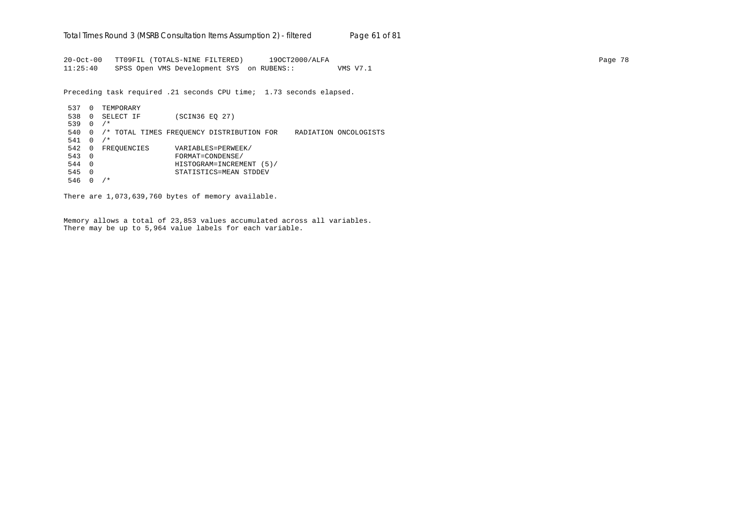20-Oct-00 TT09FIL (TOTALS-NINE FILTERED) 19OCT2000/ALFA Page 78 11:25:40 SPSS Open VMS Development SYS on RUBENS:: VMS V7.1

Preceding task required .21 seconds CPU time; 1.73 seconds elapsed.

 537 0 TEMPORARY 538 0 SELECT IF (SCIN36 EQ 27) 539 0 /\* 540 0 /\* TOTAL TIMES FREQUENCY DISTRIBUTION FOR RADIATION ONCOLOGISTS 541 0 /\* 542 0 FREQUENCIES VARIABLES=PERWEEK/<br>543 0 FORMAT=CONDENSE/ 543 0 FORMAT=CONDENSE/ 544 0 HISTOGRAM=INCREMENT (5)/ 545 0 STATISTICS=MEAN STDDEV 546 0 /\*

There are 1,073,639,760 bytes of memory available.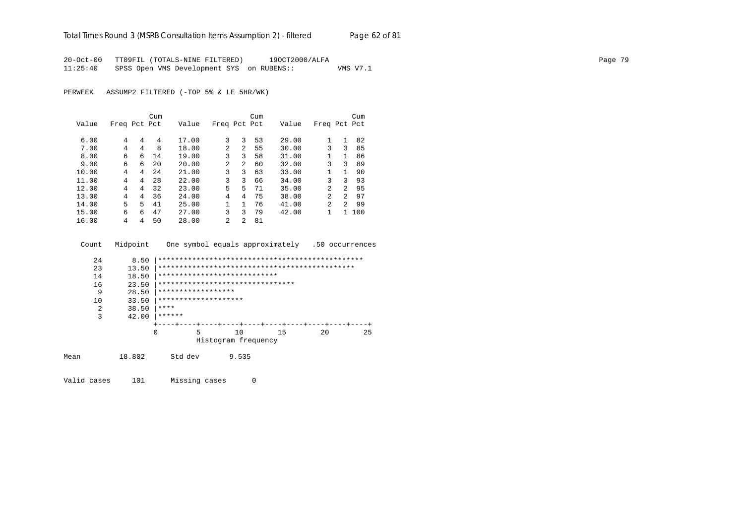20-Oct-00 TT09FIL (TOTALS-NINE FILTERED) 19OCT2000/ALFA Page 79 11:25:40 SPSS Open VMS Development SYS on RUBENS:: VMS V7.1

PERWEEK ASSUMP2 FILTERED (-TOP 5% & LE 5HR/WK)

|       |              |   | Cum |       |                |                | Cum |       |                |              | Cum |
|-------|--------------|---|-----|-------|----------------|----------------|-----|-------|----------------|--------------|-----|
| Value | Freq Pct Pct |   |     | Value | Freq Pct Pct   |                |     | Value | Freq Pct Pct   |              |     |
|       |              |   |     |       |                |                |     |       |                |              |     |
| 6.00  | 4            | 4 | 4   | 17.00 | 3              | 3              | 53  | 29.00 |                | 1            | 82  |
| 7.00  | 4            | 4 | 8   | 18.00 | $\mathfrak{D}$ | $2^{1}$        | 55  | 30.00 | 3              | 3            | 85  |
| 8.00  | 6            | 6 | 14  | 19.00 | 3              | 3              | 58  | 31.00 | 1              | $\mathbf{1}$ | 86  |
| 9.00  | 6            | 6 | 2.0 | 20.00 | $\mathfrak{D}$ | $\overline{a}$ | 60  | 32.00 | 3              | 3            | 89  |
| 10.00 | 4            | 4 | 2.4 | 21.00 | 3              | 3              | 63  | 33.00 |                | 1            | 90  |
| 11.00 | 4            | 4 | 28  | 22.00 | 3              | 3              | 66  | 34.00 | 3              | 3            | 93  |
| 12.00 | 4            | 4 | 32  | 23.00 | 5              | 5.             | 71  | 35.00 | $\mathfrak{D}$ | 2            | 95  |
| 13.00 | 4            | 4 | 36  | 24.00 | 4              | 4              | 75  | 38.00 | $\mathfrak{D}$ | 2            | 97  |
| 14.00 | 5            | 5 | 41  | 25.00 |                | 1              | 76  | 41.00 | $\mathfrak{D}$ | 2            | 99  |
| 15.00 | 6            | 6 | 47  | 27.00 | 3              | ζ              | 79  | 42.00 |                |              | 100 |
| 16.00 | 4            | 4 | 50  | 28.00 | 2              | 2              | 81  |       |                |              |     |

Count Midpoint One symbol equals approximately .50 occurrences

| 24 | 8.50  |                                  |   |                     |    |  |    |  |             |  |    |
|----|-------|----------------------------------|---|---------------------|----|--|----|--|-------------|--|----|
| 23 | 13.50 |                                  |   |                     |    |  |    |  |             |  |    |
| 14 | 18.50 | ****************************     |   |                     |    |  |    |  |             |  |    |
| 16 | 23.50 | ******************************** |   |                     |    |  |    |  |             |  |    |
| 9  | 28.50 | ******************               |   |                     |    |  |    |  |             |  |    |
| 10 | 33.50 | ********************             |   |                     |    |  |    |  |             |  |    |
| 2  | 38.50 | ****                             |   |                     |    |  |    |  |             |  |    |
| 3  | 42.00 | ******                           |   |                     |    |  |    |  |             |  |    |
|    |       |                                  |   |                     |    |  |    |  |             |  |    |
|    |       | O                                | 5 |                     | 10 |  | 15 |  | $20 \Omega$ |  | 25 |
|    |       |                                  |   | Histogram frequency |    |  |    |  |             |  |    |
|    |       |                                  |   |                     |    |  |    |  |             |  |    |

Mean 18.802 Std dev 9.535

Valid cases 101 Missing cases 0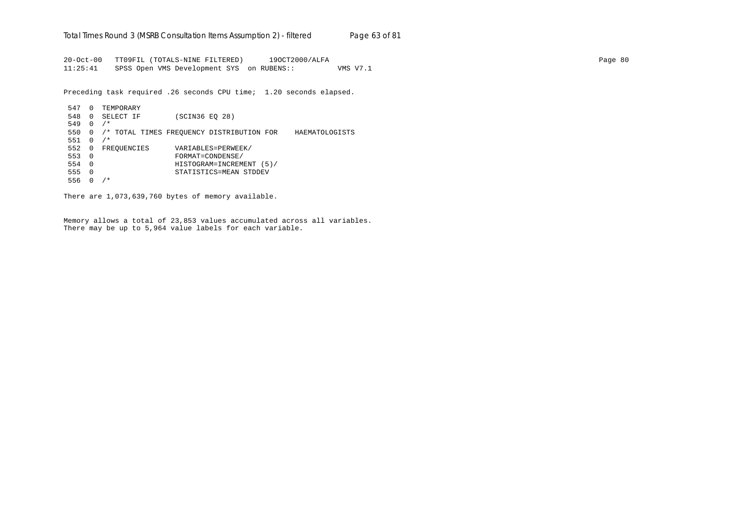20-Oct-00 TT09FIL (TOTALS-NINE FILTERED) 19OCT2000/ALFA Page 80 11:25:41 SPSS Open VMS Development SYS on RUBENS:: VMS V7.1

Preceding task required .26 seconds CPU time; 1.20 seconds elapsed.

```
 547 0 TEMPORARY
 548 0 SELECT IF (SCIN36 EQ 28)
 549 0 /*
 550 0 /* TOTAL TIMES FREQUENCY DISTRIBUTION FOR HAEMATOLOGISTS
 551 0 /*
 552 0 FREQUENCIES VARIABLES=PERWEEK/
 553 0 FORMAT=CONDENSE/
 554 0 HISTOGRAM=INCREMENT (5)/
 555 0 STATISTICS=MEAN STDDEV
 556 0 /*
```
There are 1,073,639,760 bytes of memory available.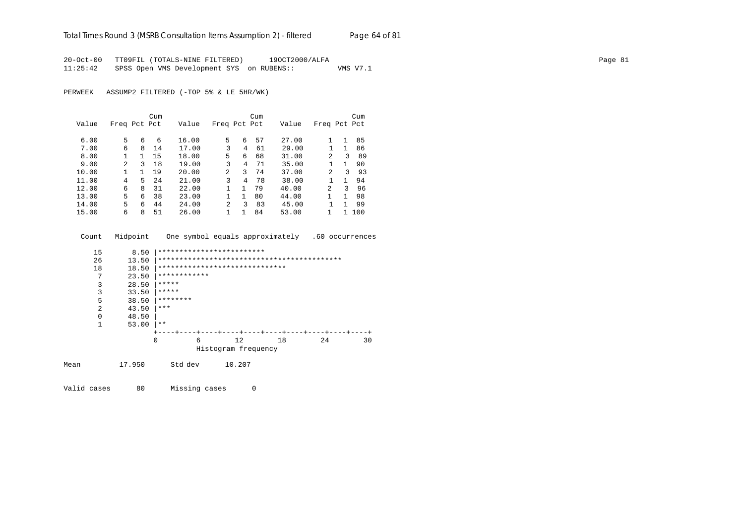20-Oct-00 TT09FIL (TOTALS-NINE FILTERED) 19OCT2000/ALFA Page 81 11:25:42 SPSS Open VMS Development SYS on RUBENS:: VMS V7.1

PERWEEK ASSUMP2 FILTERED (-TOP 5% & LE 5HR/WK)

|       |               |    | Cum |       |                |    | Cum |       |                |   | Cum |
|-------|---------------|----|-----|-------|----------------|----|-----|-------|----------------|---|-----|
| Value | Freq Pct Pct  |    |     | Value | Freq Pct Pct   |    |     | Value | Freq Pct Pct   |   |     |
|       |               |    |     |       |                |    |     |       |                |   |     |
| 6.00  | 5             | 6  | 6   | 16.00 | 5              | 6  | 57  | 27.00 |                | 1 | 85  |
| 7.00  | 6             | 8  | 14  | 17.00 | 3              | 4  | 61  | 29.00 |                | 1 | 86  |
| 8.00  |               |    | 15  | 18.00 | 5              | 6  | 68  | 31.00 | 2              | 3 | 89  |
| 9.00  | $\mathcal{L}$ | 3  | 18  | 19.00 | 3              | 4  | 71  | 35.00 |                | 1 | 90  |
| 10.00 |               | 1. | 19  | 20.00 | $\overline{2}$ | 3  | 74  | 37.00 | $\overline{2}$ | ζ | 93  |
| 11.00 | 4             | 5  | 24  | 21.00 | 3              | 4  | 78  | 38.00 |                | 1 | 94  |
| 12.00 | 6             | 8  | 31  | 22.00 |                | 1. | 79  | 40.00 | $\mathfrak{D}$ | 3 | 96  |
| 13.00 | 5             | 6  | 38  | 23.00 |                | 1. | 80  | 44.00 |                | 1 | 98  |
| 14.00 | 5.            | б  | 44  | 24.00 | 2              | ς  | 83  | 45.00 |                | 1 | 99  |
| 15.00 | 6             | 8  | 51  | 26.00 |                |    | 84  | 53.00 |                |   | 100 |

|      | Count | Midpoint |          |              |                                |        | One symbol equals approximately |    | .60 occurrences |
|------|-------|----------|----------|--------------|--------------------------------|--------|---------------------------------|----|-----------------|
|      | 15    | 8.50     |          |              | *************************      |        |                                 |    |                 |
|      | 26    | 13.50    |          |              |                                |        |                                 |    |                 |
|      | 18    | 18.50    |          |              | ****************************** |        |                                 |    |                 |
|      | 7     | 23.50    |          | ************ |                                |        |                                 |    |                 |
|      | 3     | 28.50    | *****    |              |                                |        |                                 |    |                 |
|      | 3     | 33.50    | *****    |              |                                |        |                                 |    |                 |
|      | 5     | 38.50    | ******** |              |                                |        |                                 |    |                 |
|      | 2     | 43.50    | ***      |              |                                |        |                                 |    |                 |
|      | 0     | 48.50    |          |              |                                |        |                                 |    |                 |
|      | 1     | 53.00    | $* *$    |              |                                |        |                                 |    |                 |
|      |       |          |          |              |                                | ----+- |                                 |    |                 |
|      |       |          | 0        | 6            | 12                             |        | 18                              | 24 | 30              |
|      |       |          |          |              | Histogram frequency            |        |                                 |    |                 |
| Mean |       | 17.950   |          | Std dev      | 10.207                         |        |                                 |    |                 |

Valid cases 80 Missing cases 0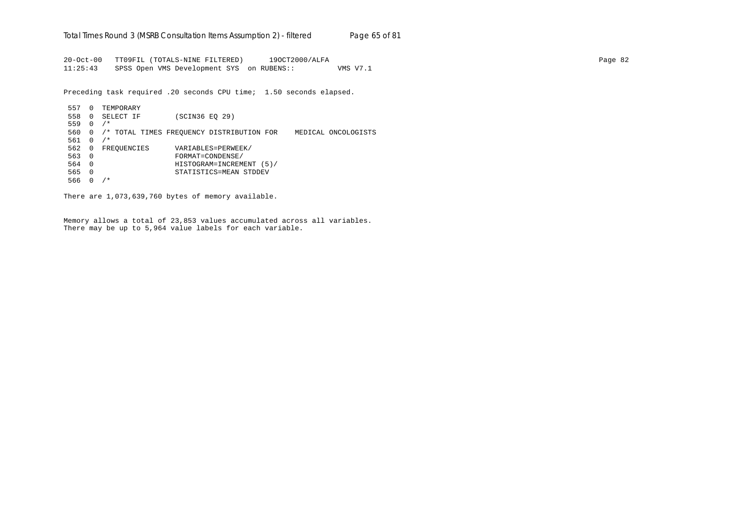20-Oct-00 TT09FIL (TOTALS-NINE FILTERED) 19OCT2000/ALFA Page 82 11:25:43 SPSS Open VMS Development SYS on RUBENS:: VMS V7.1

Preceding task required .20 seconds CPU time; 1.50 seconds elapsed.

 557 0 TEMPORARY 558 0 SELECT IF (SCIN36 EQ 29) 559 0 /\* 560 0 /\* TOTAL TIMES FREQUENCY DISTRIBUTION FOR MEDICAL ONCOLOGISTS 561 0 /\* 562 0 FREQUENCIES VARIABLES=PERWEEK/ 563 0 FORMAT=CONDENSE/ 564 0 HISTOGRAM=INCREMENT (5)/ 565 0 STATISTICS=MEAN STDDEV 566 0 /\*

There are 1,073,639,760 bytes of memory available.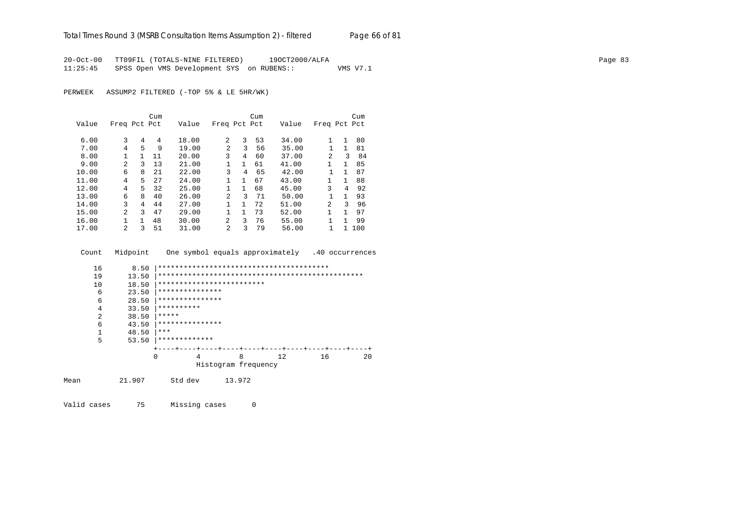20-Oct-00 TT09FIL (TOTALS-NINE FILTERED) 19OCT2000/ALFA Page 83 11:25:45 SPSS Open VMS Development SYS on RUBENS:: VMS V7.1

PERWEEK ASSUMP2 FILTERED (-TOP 5% & LE 5HR/WK)

|       |                |    | Cum |       |                |              | Cum |       |                |              | Cum |
|-------|----------------|----|-----|-------|----------------|--------------|-----|-------|----------------|--------------|-----|
| Value | Freq Pct Pct   |    |     | Value | Freq Pct Pct   |              |     | Value | Freq Pct Pct   |              |     |
|       |                |    |     |       |                |              |     |       |                |              |     |
| 6.00  | 3              | 4  | 4   | 18.00 | 2              | 3            | 53  | 34.00 |                | 1            | 80  |
| 7.00  | 4              | 5  | 9   | 19.00 | $\mathfrak{D}$ | 3            | 56  | 35.00 |                | 1            | 81  |
| 8.00  |                |    | 11  | 20.00 | 3              | 4            | 60  | 37.00 | $\mathfrak{D}$ | 3            | 84  |
| 9.00  | 2              | ζ  | 13  | 21.00 |                | 1            | 61  | 41.00 | 1              | $\mathbf{1}$ | 85  |
| 10.00 | 6              | 8  | 21  | 22.00 | 3              | 4            | 65  | 42.00 |                | 1            | 87  |
| 11.00 | 4              | 5. | 27  | 24.00 | $\mathbf{1}$   | $\mathbf{1}$ | 67  | 43.00 | 1              | 1            | 88  |
| 12.00 | 4              | 5. | 32  | 25.00 | $\mathbf{1}$   | 1            | 68  | 45.00 | 3              | 4            | 92  |
| 13.00 | 6              | 8  | 40  | 26.00 | $\overline{a}$ | ς            | 71  | 50.00 |                | 1            | 93  |
| 14.00 | 3              | 4  | 44  | 27.00 |                | 1            | 72  | 51.00 | 2              | ζ            | 96  |
| 15.00 | $\mathfrak{D}$ | ζ  | 47  | 29.00 |                | 1            | 73  | 52.00 | 1              | 1            | 97  |
| 16.00 |                |    | 48  | 30.00 | 2              | 3            | 76  | 55.00 |                | 1            | 99  |
| 17.00 | 2              | 3  | 51  | 31.00 | $\overline{a}$ | 3            | 79  | 56.00 |                | 1.           | 100 |

Count Midpoint One symbol equals approximately .40 occurrences

| 16   | 8.50   |                           |                     |        |    |    |    |
|------|--------|---------------------------|---------------------|--------|----|----|----|
| 19   | 13.50  |                           |                     |        |    |    |    |
| 10   | 18.50  | ************************* |                     |        |    |    |    |
| 6    | 23.50  | ***************           |                     |        |    |    |    |
| 6    | 28.50  | ***************           |                     |        |    |    |    |
| 4    | 33.50  | **********                |                     |        |    |    |    |
| 2    | 38.50  | *****                     |                     |        |    |    |    |
| 6    | 43.50  | ***************           |                     |        |    |    |    |
|      | 48.50  | ***                       |                     |        |    |    |    |
| 5    | 53.50  | *************             |                     |        |    |    |    |
|      |        |                           |                     |        |    |    |    |
|      |        | 0<br>4                    |                     | 8      | 12 | 16 | 20 |
|      |        |                           | Histogram frequency |        |    |    |    |
| Mean | 21.907 | Std dev                   |                     | 13.972 |    |    |    |

Valid cases 75 Missing cases 0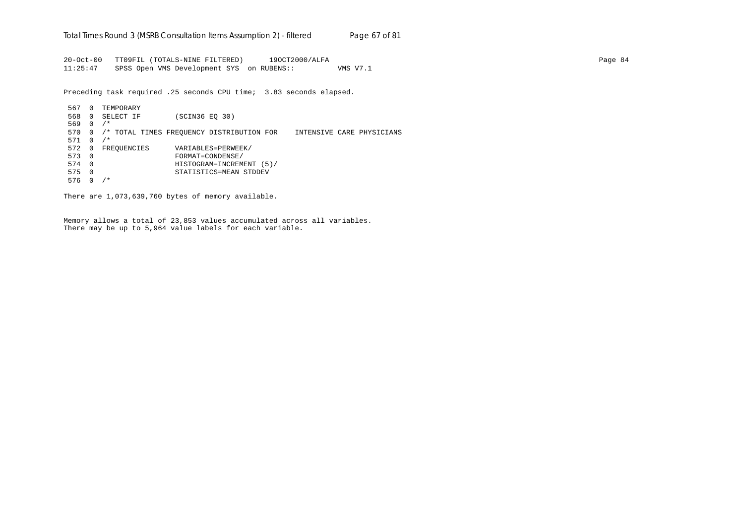20-Oct-00 TT09FIL (TOTALS-NINE FILTERED) 19OCT2000/ALFA Page 84 11:25:47 SPSS Open VMS Development SYS on RUBENS:: VMS V7.1

Preceding task required .25 seconds CPU time; 3.83 seconds elapsed.

 567 0 TEMPORARY 568 0 SELECT IF (SCIN36 EQ 30) 569 0 /\* 570 0 /\* TOTAL TIMES FREQUENCY DISTRIBUTION FOR INTENSIVE CARE PHYSICIANS 571 0 /\* 572 0 FREQUENCIES VARIABLES=PERWEEK/<br>573 0 FORMAT=CONDENSE/ 573 0 FORMAT=CONDENSE/ 574 0 HISTOGRAM=INCREMENT (5)/ 575 0 STATISTICS=MEAN STDDEV 576 0 /\*

There are 1,073,639,760 bytes of memory available.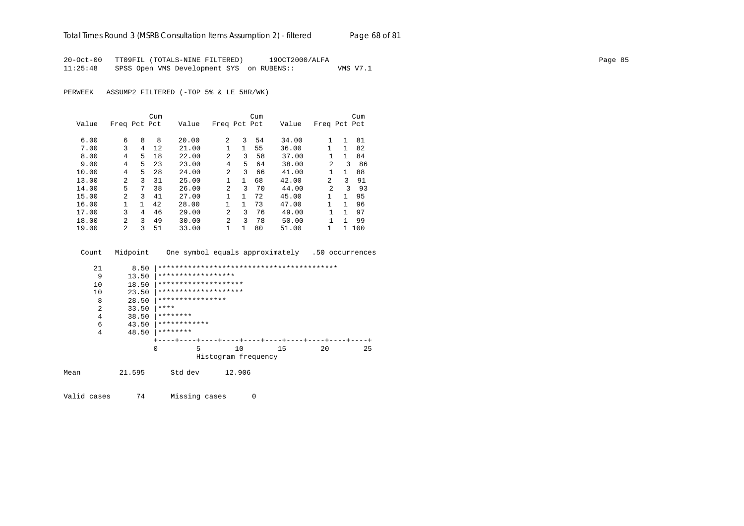20-Oct-00 TT09FIL (TOTALS-NINE FILTERED) 19OCT2000/ALFA Page 85 11:25:48 SPSS Open VMS Development SYS on RUBENS:: VMS V7.1

PERWEEK ASSUMP2 FILTERED (-TOP 5% & LE 5HR/WK)

|       |                |    | Cum |       |                |              | Cum |       |                |              | Cum |
|-------|----------------|----|-----|-------|----------------|--------------|-----|-------|----------------|--------------|-----|
| Value | Freq Pct Pct   |    |     | Value | Freq Pct Pct   |              |     | Value | Freq Pct Pct   |              |     |
|       |                |    |     |       |                |              |     |       |                |              |     |
| 6.00  | 6              | 8  | 8   | 20.00 | 2              | 3            | 54  | 34.00 |                | 1            | 81  |
| 7.00  | 3              | 4  | 12  | 21.00 |                | 1            | 55  | 36.00 |                | 1            | 82  |
| 8.00  | 4              | 5. | 18  | 22.00 | $\mathfrak{D}$ | 3            | 58  | 37.00 |                | $\mathbf{1}$ | 84  |
| 9.00  | 4              | 5. | 23  | 23.00 | 4              | 5            | 64  | 38.00 | $\mathfrak{D}$ | ζ            | 86  |
| 10.00 | 4              | 5. | 28  | 24.00 | $\mathfrak{D}$ | 3            | 66  | 41.00 |                | $\mathbf{1}$ | 88  |
| 13.00 | $\mathfrak{D}$ | ζ  | 31  | 25.00 | $\mathbf{1}$   | $\mathbf{1}$ | 68  | 42.00 | 2              | 3            | 91  |
| 14.00 | 5              | 7  | 38  | 26.00 | $\overline{a}$ | 3            | 70  | 44.00 | $\mathfrak{D}$ | 3            | 93  |
| 15.00 | $\mathfrak{D}$ | ζ  | 41  | 27.00 | $\mathbf{1}$   | $\mathbf{1}$ | 72  | 45.00 | 1              | 1            | 95  |
| 16.00 |                |    | 42  | 28.00 |                | 1.           | 73  | 47.00 | 1              | 1            | 96  |
| 17.00 | 3              | 4  | 46  | 29.00 | $\mathfrak{D}$ | 3            | 76  | 49.00 |                | 1            | 97  |
| 18.00 | 2              | ζ  | 49  | 30.00 | $\mathfrak{D}$ | 3            | 78  | 50.00 |                | 1            | 99  |
| 19.00 | $\mathcal{L}$  | 3  | 51  | 33.00 |                | 1            | 80  | 51.00 | 1              |              | 100 |

Count Midpoint One symbol equals approximately .50 occurrences

| 21   | 8.50   |                      |                              |    |             |    |
|------|--------|----------------------|------------------------------|----|-------------|----|
| 9    | 13.50  | ******************   |                              |    |             |    |
| 10   | 18.50  | ******************** |                              |    |             |    |
| 10   | 23.50  | ******************** |                              |    |             |    |
| 8    | 28.50  | ****************     |                              |    |             |    |
| 2    | 33.50  | ****                 |                              |    |             |    |
| 4    | 38.50  | ********             |                              |    |             |    |
| 6    | 43.50  | ************         |                              |    |             |    |
| 4    | 48.50  | ********             |                              |    |             |    |
|      |        |                      | -+----+----+----+----+----+- |    |             |    |
|      |        | $\Omega$<br>5        | 10                           | 15 | $20 \Omega$ | 25 |
|      |        |                      | Histogram frequency          |    |             |    |
| Mean | 21.595 | Std dev              | 12.906                       |    |             |    |
|      |        |                      |                              |    |             |    |

Valid cases 74 Missing cases 0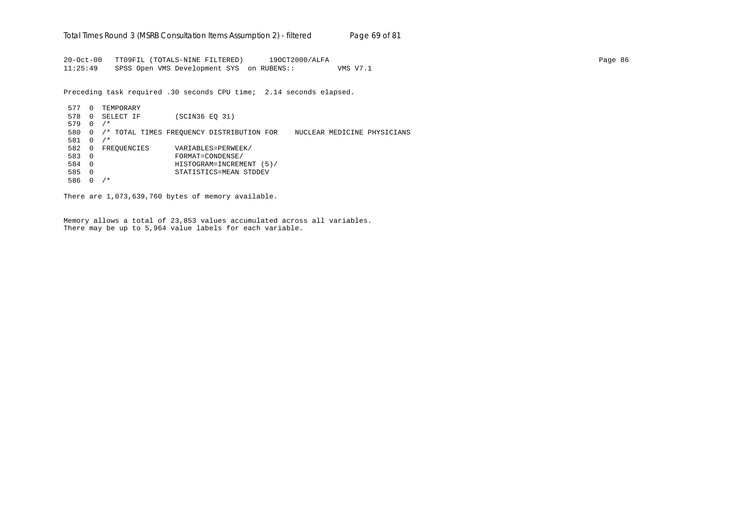20-Oct-00 TT09FIL (TOTALS-NINE FILTERED) 19OCT2000/ALFA Page 86 11:25:49 SPSS Open VMS Development SYS on RUBENS:: VMS V7.1

Preceding task required .30 seconds CPU time; 2.14 seconds elapsed.

 577 0 TEMPORARY 578 0 SELECT IF (SCIN36 EQ 31) 579 0 /\* 580 0 /\* TOTAL TIMES FREQUENCY DISTRIBUTION FOR NUCLEAR MEDICINE PHYSICIANS 581 0 /\* 582 0 FREQUENCIES VARIABLES=PERWEEK/<br>583 0 FORMAT=CONDENSE/ 583 0 FORMAT=CONDENSE/ 584 0 HISTOGRAM=INCREMENT (5)/ 585 0 STATISTICS=MEAN STDDEV 586 0 /\*

There are 1,073,639,760 bytes of memory available.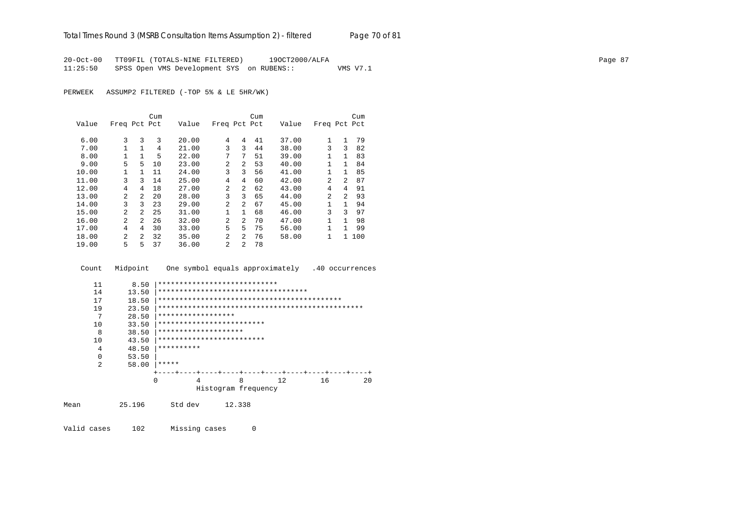20-Oct-00 TT09FIL (TOTALS-NINE FILTERED) 19OCT2000/ALFA Page 87 11:25:50 SPSS Open VMS Development SYS on RUBENS:: VMS V7.1

PERWEEK ASSUMP2 FILTERED (-TOP 5% & LE 5HR/WK)

|       |                |                | Cum |       |                |                | Cum |       |                |                | Cum   |
|-------|----------------|----------------|-----|-------|----------------|----------------|-----|-------|----------------|----------------|-------|
| Value | Freq Pct Pct   |                |     | Value | Freq Pct Pct   |                |     | Value | Freq Pct Pct   |                |       |
|       |                |                |     |       |                |                |     |       |                |                |       |
| 6.00  | 3              | 3              | 3   | 20.00 | 4              | 4              | 41  | 37.00 | 1              | 1              | 79    |
| 7.00  |                | $\mathbf{1}$   | 4   | 21.00 | 3              | 3              | 44  | 38.00 | 3              | 3              | 82    |
| 8.00  | $\mathbf{1}$   | $\mathbf{1}$   | 5   | 22.00 | 7              | 7              | 51  | 39.00 | 1              | $\mathbf{1}$   | 83    |
| 9.00  | 5              | 5              | 10  | 23.00 | $\mathfrak{D}$ | $\mathcal{L}$  | 53  | 40.00 | 1              | 1              | 84    |
| 10.00 |                | 1.             | 11  | 24.00 | 3              | 3              | 56  | 41.00 | 1              | 1              | 85    |
| 11.00 | 3              | 3              | 14  | 25.00 | 4              | 4              | 60  | 42.00 | $\overline{a}$ | $\overline{2}$ | 87    |
| 12.00 | 4              | 4              | 18  | 27.00 | $\mathfrak{D}$ | $\overline{a}$ | 62  | 43.00 | 4              | 4              | 91    |
| 13.00 | 2              | $\overline{2}$ | 20  | 28.00 | 3              | 3              | 65  | 44.00 | 2              | 2              | 93    |
| 14.00 | 3              | 3              | 23  | 29.00 | $\mathfrak{D}$ | 2              | 67  | 45.00 | 1              | $\mathbf{1}$   | 94    |
| 15.00 | $\mathfrak{D}$ | $\mathfrak{D}$ | 25  | 31.00 | 1              | $\mathbf{1}$   | 68  | 46.00 | 3              | 3              | 97    |
| 16.00 | $\overline{2}$ | $\overline{2}$ | 26  | 32.00 | $\mathfrak{D}$ | $\overline{a}$ | 70  | 47.00 | 1              | 1              | 98    |
| 17.00 | 4              | 4              | 30  | 33.00 | 5              | 5.             | 75  | 56.00 | $\mathbf{1}$   | 1              | 99    |
| 18.00 | $\mathfrak{D}$ | $\overline{2}$ | 32  | 35.00 | $\mathfrak{D}$ | $\overline{a}$ | 76  | 58.00 | 1              |                | 1 100 |
| 19.00 | 5              | 5              | 37  | 36.00 | $\mathfrak{D}$ | $\overline{a}$ | 78  |       |                |                |       |

Count Midpoint One symbol equals approximately .40 occurrences

| 11 | 8.50  |            | ****************************        |   |     |    |    |
|----|-------|------------|-------------------------------------|---|-----|----|----|
| 14 | 13.50 |            | *********************************** |   |     |    |    |
| 17 | 18.50 |            |                                     |   |     |    |    |
| 19 | 23.50 |            |                                     |   |     |    |    |
| 7  | 28.50 |            | ******************                  |   |     |    |    |
| 10 | 33.50 |            | *************************           |   |     |    |    |
| 8  | 38.50 |            | ********************                |   |     |    |    |
| 10 | 43.50 |            | *************************           |   |     |    |    |
| 4  | 48.50 | ********** |                                     |   |     |    |    |
| 0  | 53.50 |            |                                     |   |     |    |    |
| 2  | 58.00 | *****      |                                     |   |     |    |    |
|    |       |            |                                     |   |     |    |    |
|    |       | $\Omega$   | 4                                   | 8 | 12. | 16 | 20 |
|    |       |            | Histogram frequency                 |   |     |    |    |

Mean 25.196 Std dev 12.338

Valid cases 102 Missing cases 0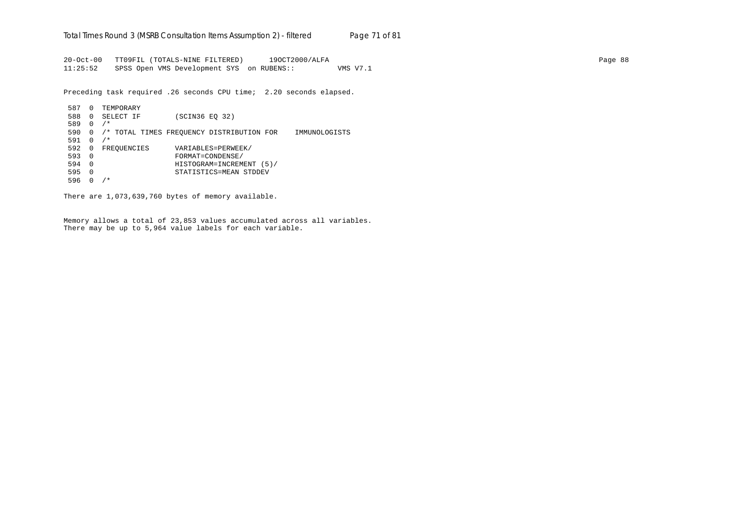20-Oct-00 TT09FIL (TOTALS-NINE FILTERED) 19OCT2000/ALFA Page 88 11:25:52 SPSS Open VMS Development SYS on RUBENS:: VMS V7.1

Preceding task required .26 seconds CPU time; 2.20 seconds elapsed.

 587 0 TEMPORARY 588 0 SELECT IF (SCIN36 EQ 32) 589 0 /\* 590 0 /\* TOTAL TIMES FREQUENCY DISTRIBUTION FOR IMMUNOLOGISTS 591 0 /\* 592 0 FREQUENCIES VARIABLES=PERWEEK/<br>593 0 FORMAT=CONDENSE/ 593 0 FORMAT=CONDENSE/ 594 0 HISTOGRAM=INCREMENT (5)/ 595 0 STATISTICS=MEAN STDDEV 596 0 /\*

There are 1,073,639,760 bytes of memory available.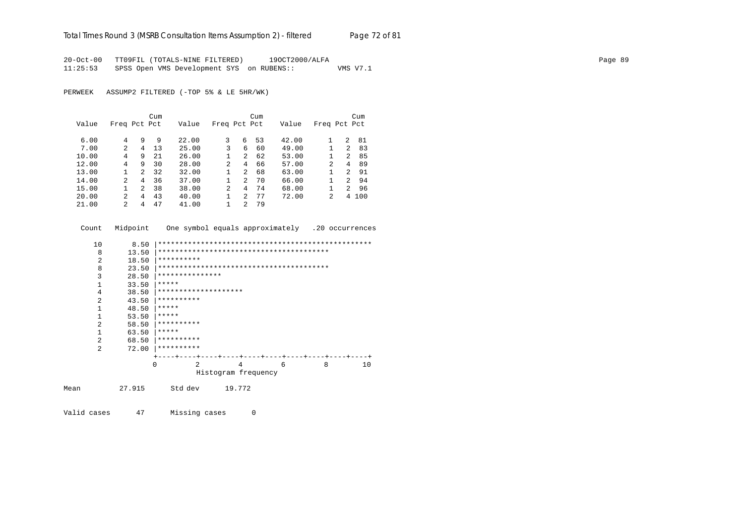# Total Times Round 3 (MSRB Consultation Items Assumption 2) - *filtered* Page 72 of 81

20-Oct-00 TT09FIL (TOTALS-NINE FILTERED) 19OCT2000/ALFA Page 89 11:25:53 SPSS Open VMS Development SYS on RUBENS:: VMS V7.1

PERWEEK ASSUMP2 FILTERED (-TOP 5% & LE 5HR/WK)

|       |                |   | Cum |       |                |                | Cum |       |              |                | Cum |
|-------|----------------|---|-----|-------|----------------|----------------|-----|-------|--------------|----------------|-----|
| Value | Freq Pct Pct   |   |     | Value | Freq Pct Pct   |                |     | Value | Freq Pct Pct |                |     |
| 6.00  | 4              | 9 | 9   | 22.00 | 3              | 6              | 53  | 42.00 |              | 2              | 81  |
| 7.00  | $\mathcal{L}$  | 4 | 13  | 25.00 | 3              | 6              | 60  | 49.00 |              | $\overline{2}$ | 83  |
| 10.00 | 4              | 9 | 21  | 26.00 |                | 2              | 62  | 53.00 |              | 2              | 85  |
| 12.00 | 4              | 9 | 30  | 28.00 | $\overline{2}$ | 4              | 66  | 57.00 | 2            | 4              | 89  |
| 13.00 |                | 2 | 32  | 32.00 | 1              | $\mathfrak{D}$ | 68  | 63.00 |              | $\overline{a}$ | 91  |
| 14.00 | $\overline{a}$ | 4 | 36  | 37.00 |                | 2              | 70  | 66.00 |              | $\overline{2}$ | 94  |
| 15.00 |                | 2 | 38  | 38.00 | $\overline{2}$ | 4              | 74  | 68.00 |              | $\overline{2}$ | 96  |
| 20.00 | $2^{1}$        | 4 | 43  | 40.00 |                | $\mathfrak{D}$ | 77  | 72.00 | 2            | 4              | 100 |
| 21.00 | 2              | 4 | 47  | 41.00 |                | 2              | 79  |       |              |                |     |

| Count          | Midpoint |            |                 |                      |                     |   |   | One symbol equals approximately .20 occurrences |
|----------------|----------|------------|-----------------|----------------------|---------------------|---|---|-------------------------------------------------|
| 10             | 8.50     |            |                 |                      |                     |   |   |                                                 |
| 8              | 13.50    |            |                 |                      |                     |   |   |                                                 |
| 2              | 18.50    | ********** |                 |                      |                     |   |   |                                                 |
| 8              | 23.50    |            |                 |                      |                     |   |   |                                                 |
| 3              | 28.50    |            | *************** |                      |                     |   |   |                                                 |
| $\mathbf{1}$   | 33.50    | *****      |                 |                      |                     |   |   |                                                 |
| 4              | 38.50    |            |                 | ******************** |                     |   |   |                                                 |
| 2              | 43.50    | ********** |                 |                      |                     |   |   |                                                 |
| $\mathbf{1}$   | 48.50    | *****      |                 |                      |                     |   |   |                                                 |
| 1              | 53.50    | *****      |                 |                      |                     |   |   |                                                 |
| 2              | 58.50    | ********** |                 |                      |                     |   |   |                                                 |
| 1              | 63.50    | *****      |                 |                      |                     |   |   |                                                 |
| $\overline{a}$ | 68.50    | ********** |                 |                      |                     |   |   |                                                 |
| 2              | 72.00    | ********** |                 |                      |                     |   |   |                                                 |
|                |          |            |                 |                      |                     |   |   |                                                 |
|                |          | $\Omega$   | 2               |                      | 4                   | 6 | 8 | 10                                              |
|                |          |            |                 |                      | Histogram frequency |   |   |                                                 |
| Mean           | 27.915   |            | Std dev         | 19.772               |                     |   |   |                                                 |

Valid cases 47 Missing cases 0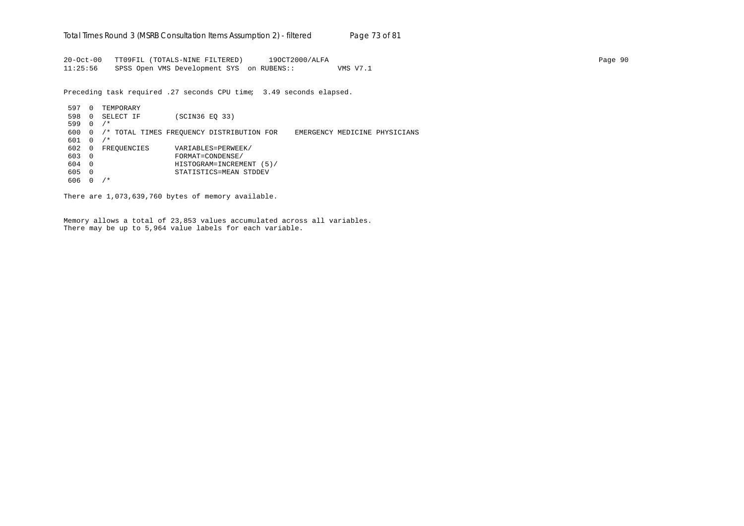20-Oct-00 TT09FIL (TOTALS-NINE FILTERED) 19OCT2000/ALFA Page 90 11:25:56 SPSS Open VMS Development SYS on RUBENS:: VMS V7.1

Preceding task required .27 seconds CPU time; 3.49 seconds elapsed.

597 0 TEMPORARY 598 0 SELECT IF (SCIN36 EQ 33) 599 0 /\* 600 0 /\* TOTAL TIMES FREQUENCY DISTRIBUTION FOR EMERGENCY MEDICINE PHYSICIANS 601 0 /\* 602 0 FREQUENCIES VARIABLES=PERWEEK/ 603 0 FORMAT=CONDENSE/ 604 0 HISTOGRAM=INCREMENT (5)/ 605 0 STATISTICS=MEAN STDDEV 606 0 /\*

There are 1,073,639,760 bytes of memory available.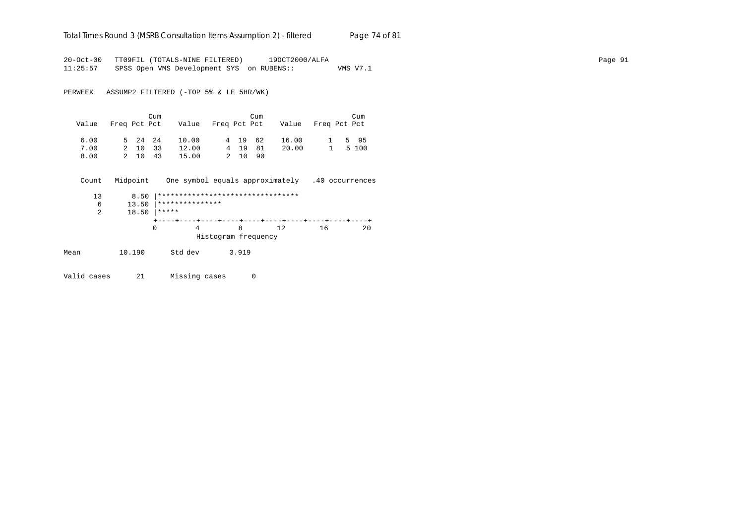#### Total Times Round 3 (MSRB Consultation Items Assumption 2) - *filtered* Page 74 of 81

20-Oct-00 TT09FIL (TOTALS-NINE FILTERED) 19OCT2000/ALFA Page 91 11:25:57 SPSS Open VMS Development SYS on RUBENS:: VMS V7.1

PERWEEK ASSUMP2 FILTERED (-TOP 5% & LE 5HR/WK)

| Value | Freq Pct Pct |         | Cum     | Value Freq Pct Pct Value Freq Pct Pct |         | Cum |       |           | Cum    |
|-------|--------------|---------|---------|---------------------------------------|---------|-----|-------|-----------|--------|
| 6.00  |              | 5 24 24 |         | 10.00                                 | 4 19 62 |     | 16.00 |           | 1 5 95 |
| 7.00  |              | 2 10    | 33      | 12.00                                 | 4 19 81 |     | 20.00 | $1 \quad$ | 5 100  |
| 8.00  |              |         | 2 10 43 | 15.00                                 | 2 10 90 |     |       |           |        |

 Count Midpoint One symbol equals approximately .40 occurrences 13 8.50 |\*\*\*\*\*\*\*\*\*\*\*\*\*\*\*\*\*\*\*\*\*\*\*\*\*\*\*\*\*\*\*\*\* 6 13.50  $************************$ <br>2 18.50  $*****$  2 18.50 |\*\*\*\*\* +----+----+----+----+----+----+----+----+----+----+ 0 4 8 12 16 20 Histogram frequency Mean 10.190 Std dev 3.919

Valid cases 21 Missing cases 0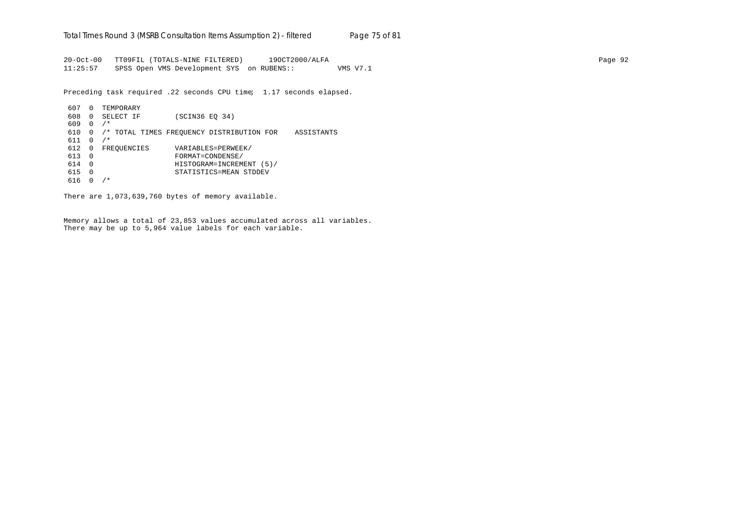20-Oct-00 TT09FIL (TOTALS-NINE FILTERED) 19OCT2000/ALFA Page 92 11:25:57 SPSS Open VMS Development SYS on RUBENS:: VMS V7.1

Preceding task required .22 seconds CPU time; 1.17 seconds elapsed.

| 607 | 0            | TEMPORARY   |                                                         |
|-----|--------------|-------------|---------------------------------------------------------|
|     |              |             |                                                         |
| 608 | 0            | SELECT IF   | (SCIN36 EO 34)                                          |
| 609 | <sup>0</sup> | $/$ *       |                                                         |
| 610 | $\Omega$     |             | /* TOTAL TIMES FREOUENCY DISTRIBUTION FOR<br>ASSISTANTS |
| 611 |              | $/$ *       |                                                         |
| 612 | 0            | FREOUENCIES | VARIABLES=PERWEEK/                                      |
| 613 | $\Omega$     |             | FORMAT=CONDENSE/                                        |
| 614 | $\Omega$     |             | HISTOGRAM=INCREMENT<br>(5)                              |
| 615 | $\Omega$     |             | STATISTICS=MEAN STDDEV                                  |
| 616 |              | $^\star$    |                                                         |

There are 1,073,639,760 bytes of memory available.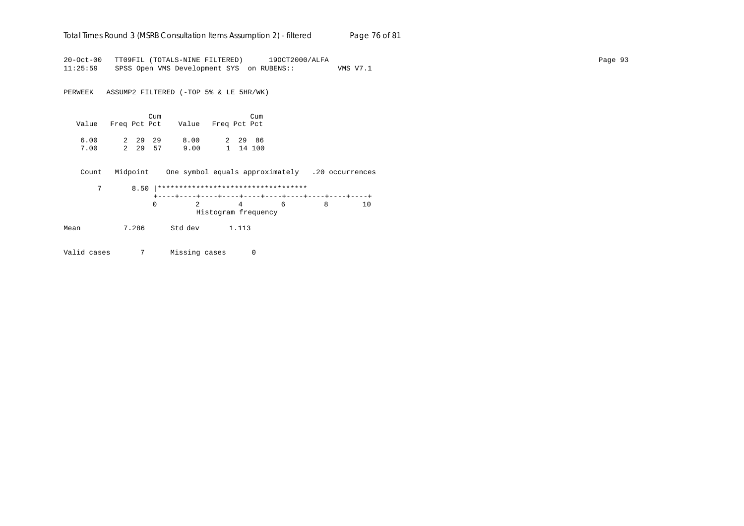#### Total Times Round 3 (MSRB Consultation Items Assumption 2) - *filtered* Page 76 of 81

20-Oct-00 TT09FIL (TOTALS-NINE FILTERED) 19OCT2000/ALFA Page 93 11:25:59 SPSS Open VMS Development SYS on RUBENS:: VMS V7.1

PERWEEK ASSUMP2 FILTERED (-TOP 5% & LE 5HR/WK)

| Value        | Freg Pct Pct |                 | Cum | Value        | Freq Pct Pct | Cum                 |
|--------------|--------------|-----------------|-----|--------------|--------------|---------------------|
| 6.00<br>7.00 |              | 2 29 29<br>2 29 | -57 | 8.00<br>9.00 |              | 2 29 86<br>1 14 100 |

Count Midpoint One symbol equals approximately .20 occurrences

|  |  | $\overline{4}$ and $\overline{4}$ | 6 | 1 ດ |
|--|--|-----------------------------------|---|-----|
|  |  | Histogram frequency               |   |     |

Mean 7.286 Std dev 1.113

Valid cases 7 Missing cases 0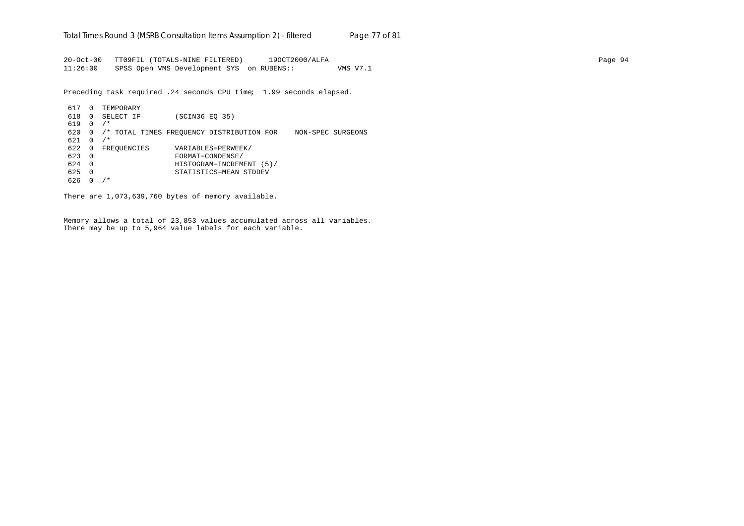20-Oct-00 TT09FIL (TOTALS-NINE FILTERED) 19OCT2000/ALFA Page 94 11:26:00 SPSS Open VMS Development SYS on RUBENS:: VMS V7.1

Preceding task required .24 seconds CPU time; 1.99 seconds elapsed.

617 0 TEMPORARY 618 0 SELECT IF (SCIN36 EQ 35) 619 0 /\* 620 0 /\* TOTAL TIMES FREQUENCY DISTRIBUTION FOR NON-SPEC SURGEONS  $621 \t 0 / *$ 622 0 FREQUENCIES VARIABLES=PERWEEK/<br>623 0 FORMAT=CONDENSE/ 623 0 FORMAT=CONDENSE/ 624 0 HISTOGRAM=INCREMENT (5)/ 625 0 STATISTICS=MEAN STDDEV 626 0 /\*

There are 1,073,639,760 bytes of memory available.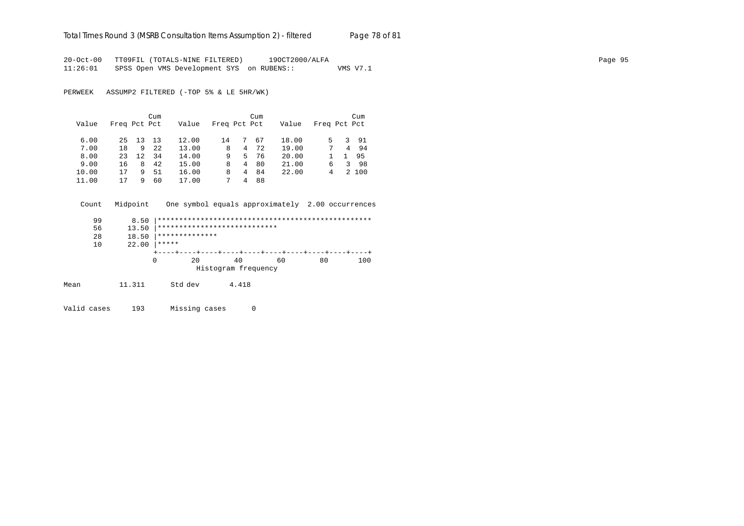# Total Times Round 3 (MSRB Consultation Items Assumption 2) - *filtered* Page 78 of 81

20-Oct-00 TT09FIL (TOTALS-NINE FILTERED) 19OCT2000/ALFA Page 95 11:26:01 SPSS Open VMS Development SYS on RUBENS:: VMS V7.1

PERWEEK ASSUMP2 FILTERED (-TOP 5% & LE 5HR/WK)

|       |              |     | Cum |       |              |    | Cum |       |              |   | Cum   |
|-------|--------------|-----|-----|-------|--------------|----|-----|-------|--------------|---|-------|
| Value | Freq Pct Pct |     |     | Value | Freq Pct Pct |    |     | Value | Freq Pct Pct |   |       |
| 6.00  | 25           | 13  | 13  | 12.00 | 14           | 7. | 67  | 18.00 | 5            |   | 3 91  |
| 7.00  | 18           | 9   | 2.2 | 13.00 | 8            | 4  | 72  | 19.00 | 7            | 4 | 94    |
| 8.00  | 23           | 12. | 34  | 14.00 | 9            | 5. | 76  | 20.00 |              |   | 95    |
| 9.00  | 16           | 8   | 42  | 15.00 | 8            | 4  | 80  | 21.00 | 6            | 3 | -98   |
| 10.00 | 17           | 9   | 51  | 16.00 | 8            | 4  | 84  | 22.00 | 4            |   | 2 100 |
| 11.00 | 17           | q   | 60  | 17.00 | 7            | 4  | 88  |       |              |   |       |

| Count | Midpoint |                  | One symbol equals approximately 2.00 occurrences |    |    |     |
|-------|----------|------------------|--------------------------------------------------|----|----|-----|
| 99    | 8.50     |                  |                                                  |    |    |     |
| 56    | 13.50    |                  | ****************************                     |    |    |     |
| 28    | 18.50    | **************   |                                                  |    |    |     |
| 10    | 22.00    | *****            |                                                  |    |    |     |
|       |          |                  |                                                  |    |    |     |
|       |          | 0<br>$20 \sigma$ | 40                                               | 60 | 80 | 100 |
|       |          |                  | Histogram frequency                              |    |    |     |
| Mean  | 11.311   | Std dev          | 4.418                                            |    |    |     |

Valid cases 193 Missing cases 0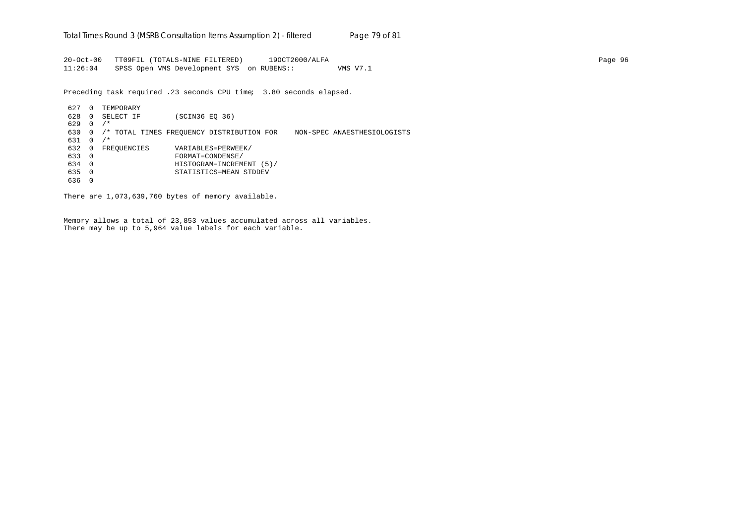20-Oct-00 TT09FIL (TOTALS-NINE FILTERED) 19OCT2000/ALFA Page 96 11:26:04 SPSS Open VMS Development SYS on RUBENS:: VMS V7.1

Preceding task required .23 seconds CPU time; 3.80 seconds elapsed.

627 0 TEMPORARY 628 0 SELECT IF (SCIN36 EQ 36)  $629 \quad 0 \quad / *$ 630 0 /\* TOTAL TIMES FREQUENCY DISTRIBUTION FOR NON-SPEC ANAESTHESIOLOGISTS 631 0 /\* 632 0 FREQUENCIES VARIABLES=PERWEEK/ 633 0 FORMAT=CONDENSE/ 634 0 HISTOGRAM=INCREMENT (5)/ 635 0 STATISTICS=MEAN STDDEV 636 0

There are 1,073,639,760 bytes of memory available.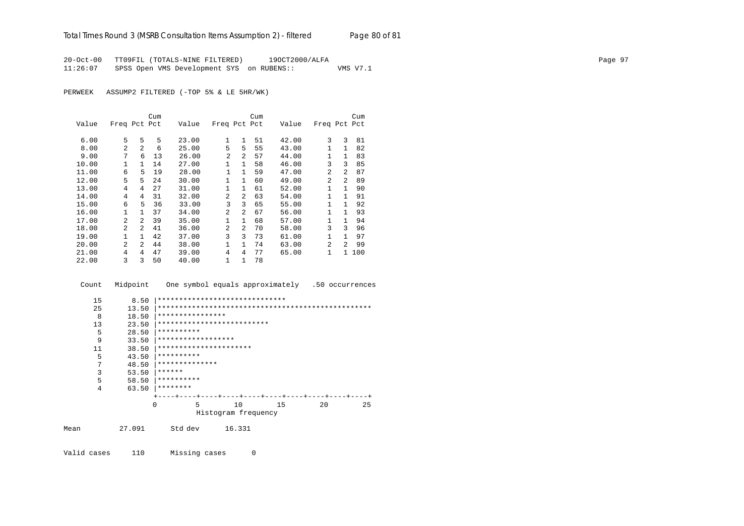20-Oct-00 TT09FIL (TOTALS-NINE FILTERED) 19OCT2000/ALFA Page 97 11:26:07 SPSS Open VMS Development SYS on RUBENS:: VMS V7.1

PERWEEK ASSUMP2 FILTERED (-TOP 5% & LE 5HR/WK)

|       |                |                | Cum |       |                |                | Cum |       |                |                | Cum |
|-------|----------------|----------------|-----|-------|----------------|----------------|-----|-------|----------------|----------------|-----|
| Value | Freq Pct Pct   |                |     | Value | Freq Pct Pct   |                |     | Value | Freq Pct Pct   |                |     |
| 6.00  | 5              | 5              | 5   | 23.00 | 1              | $\mathbf{1}$   | 51  | 42.00 | 3              | 3              | 81  |
| 8.00  | $\mathfrak{D}$ | 2              | 6   | 25.00 | 5              | 5              | 55  | 43.00 | 1              | $\mathbf{1}$   | 82  |
| 9.00  | 7              | 6              | 13  | 26.00 | 2              | 2              | 57  | 44.00 | 1              | $\mathbf{1}$   | 83  |
| 10.00 | 1              | $\mathbf{1}$   | 14  | 27.00 | 1              | $\mathbf{1}$   | 58  | 46.00 | 3              | 3              | 85  |
| 11.00 | 6              | 5              | 19  | 28.00 | $\mathbf{1}$   | $\mathbf{1}$   | 59  | 47.00 | $\mathfrak{D}$ | $\overline{a}$ | 87  |
| 12.00 | 5              | 5              | 24  | 30.00 | $\mathbf{1}$   | $\mathbf{1}$   | 60  | 49.00 | $\overline{a}$ | $\overline{2}$ | 89  |
| 13.00 | 4              | 4              | 27  | 31.00 | $\mathbf{1}$   | $\mathbf{1}$   | 61  | 52.00 | 1              | 1              | 90  |
| 14.00 | 4              | 4              | 31  | 32.00 | 2              | $\overline{a}$ | 63  | 54.00 | 1              | 1              | 91  |
| 15.00 | 6              | 5              | 36  | 33.00 | 3              | 3              | 65  | 55.00 | 1              | 1              | 92  |
| 16.00 | 1              | $\mathbf{1}$   | 37  | 34.00 | $\overline{a}$ | $\mathfrak{D}$ | 67  | 56.00 | 1              | 1              | 93  |
| 17.00 | 2              | $\mathfrak{D}$ | 39  | 35.00 | $\mathbf{1}$   | $\mathbf{1}$   | 68  | 57.00 | 1              | 1              | 94  |
| 18.00 | 2              | 2              | 41  | 36.00 | 2              | $\mathfrak{D}$ | 70  | 58.00 | 3              | 3              | 96  |
| 19.00 | $\mathbf{1}$   | 1              | 42  | 37.00 | 3              | 3              | 73  | 61.00 | 1              | 1              | 97  |
| 20.00 | $\mathfrak{D}$ | $\mathfrak{D}$ | 44  | 38.00 | 1              | $\mathbf{1}$   | 74  | 63.00 | $\mathfrak{D}$ | $\mathfrak{D}$ | 99  |
| 21.00 | 4              | 4              | 47  | 39.00 | 4              | 4              | 77  | 65.00 | 1              | $\mathbf{1}$   | 100 |
| 22.00 | 3              | 3              | 50  | 40.00 | 1              | 1              | 78  |       |                |                |     |

Count Midpoint One symbol equals approximately .50 occurrences

| 15   | 8.50     | ****************************** |
|------|----------|--------------------------------|
| 25   | 13.50    |                                |
| 8    | 18.50    | ****************               |
| 13   | 23.50    | **************************     |
| 5    | 28.50    | **********                     |
| 9    | 33.50    | ******************             |
| 11   | 38.50    | **********************         |
| 5    | 43.50    | **********                     |
| 7    | 48.50    | **************                 |
| 3    | 53.50    | ******                         |
| 5    | 58.50    | **********                     |
| 4    | 63.50    | ********                       |
|      |          |                                |
|      | $\Omega$ | 5<br>20<br>10<br>15<br>25      |
|      |          | Histogram frequency            |
|      |          |                                |
| Mean | 27.091   | Std dev<br>16.331              |
|      |          |                                |
|      |          |                                |

Valid cases 110 Missing cases 0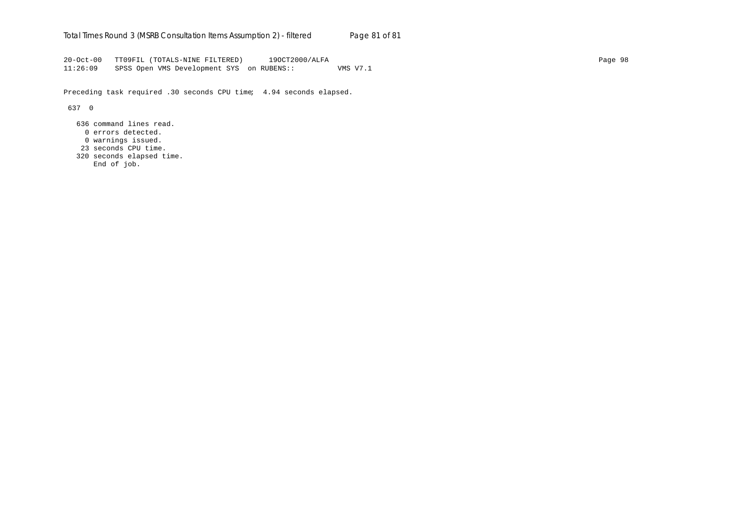20-Oct-00 TT09FIL (TOTALS-NINE FILTERED) 19OCT2000/ALFA Page 98 11:26:09 SPSS Open VMS Development SYS on RUBENS:: VMS V7.1

Preceding task required .30 seconds CPU time; 4.94 seconds elapsed.

637 0

 636 command lines read. 0 errors detected.

- 0 warnings issued.
- 23 seconds CPU time.
- 320 seconds elapsed time.
	- End of job.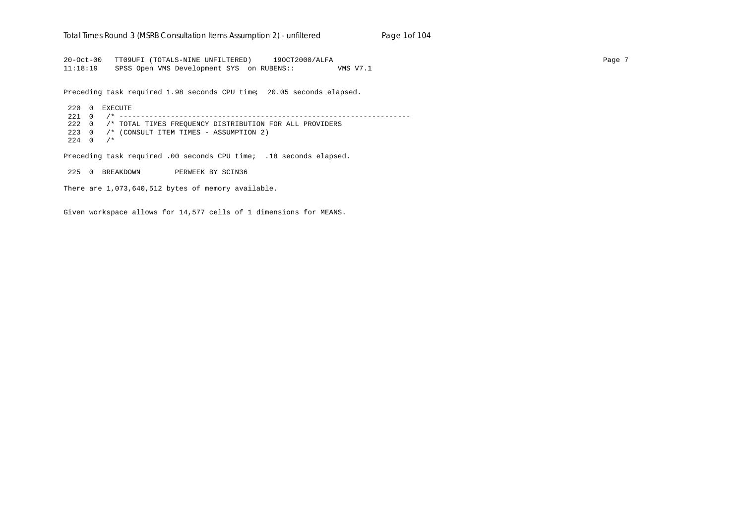#### Total Times Round 3 (MSRB Consultation Items Assumption 2) - *unfiltered* Page 1of 104

20-Oct-00 TT09UFI (TOTALS-NINE UNFILTERED) 19OCT2000/ALFA Page 7 11:18:19 SPSS Open VMS Development SYS on RUBENS:: VMS V7.1

Preceding task required 1.98 seconds CPU time; 20.05 seconds elapsed.

220 0 EXECUTE 221 0 /\* -------------------------------------------------------------------- 222 0 /\* TOTAL TIMES FREQUENCY DISTRIBUTION FOR ALL PROVIDERS 223 0 /\* (CONSULT ITEM TIMES - ASSUMPTION 2)  $224 \t 0 \t /\t$ 

Preceding task required .00 seconds CPU time; .18 seconds elapsed.

225 0 BREAKDOWN PERWEEK BY SCIN36

There are 1,073,640,512 bytes of memory available.

Given workspace allows for 14,577 cells of 1 dimensions for MEANS.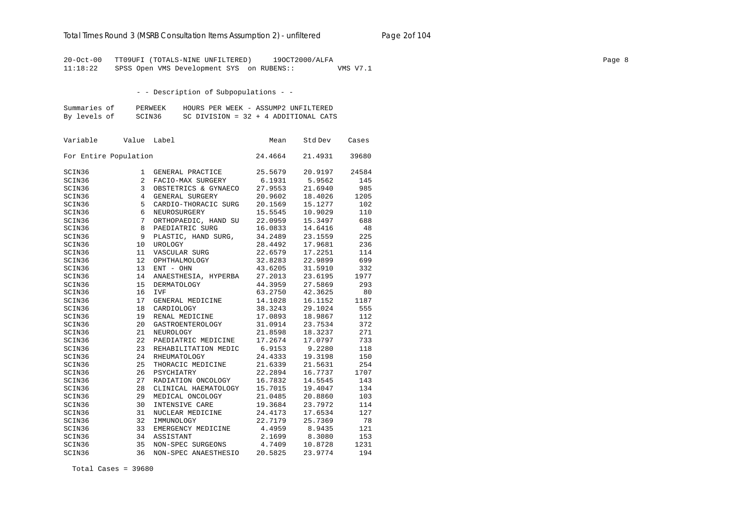# Total Times Round 3 (MSRB Consultation Items Assumption 2) - *unfiltered* Page 2of 104

20-Oct-00 TT09UFI (TOTALS-NINE UNFILTERED) 19OCT2000/ALFA Page 8 11:18:22 SPSS Open VMS Development SYS on RUBENS:: VMS V7.1

- - Description of Subpopulations - -

| Summaries of | PERWEEK | HOURS PER WEEK - ASSUMP2 UNFILTERED    |
|--------------|---------|----------------------------------------|
| By levels of | SCIN36  | SC DIVISION = $32 + 4$ ADDITIONAL CATS |

| Variable              | Value | Label                | Mean    | Std Dev | Cases |
|-----------------------|-------|----------------------|---------|---------|-------|
| For Entire Population |       |                      | 24.4664 | 21.4931 | 39680 |
| SCIN36                | 1     | GENERAL PRACTICE     | 25.5679 | 20.9197 | 24584 |
| SCIN36                | 2     | FACIO-MAX SURGERY    | 6.1931  | 5.9562  | 145   |
| SCIN36                | 3     | OBSTETRICS & GYNAECO | 27.9553 | 21.6940 | 985   |
| SCIN36                | 4     | GENERAL SURGERY      | 20.9602 | 18.4026 | 1205  |
| SCIN36                | 5     | CARDIO-THORACIC SURG | 20.1569 | 15.1277 | 102   |
| SCIN36                | 6     | NEUROSURGERY         | 15.5545 | 10.9029 | 110   |
| SCIN36                | 7     | ORTHOPAEDIC, HAND SU | 22.0959 | 15.3497 | 688   |
| SCIN36                | 8     | PAEDIATRIC SURG      | 16.0833 | 14.6416 | 48    |
| SCIN36                | 9     | PLASTIC, HAND SURG,  | 34.2489 | 23.1559 | 225   |
| SCIN36                | 10    | <b>UROLOGY</b>       | 28.4492 | 17.9681 | 236   |
| SCIN36                | 11    | VASCULAR SURG        | 22.6579 | 17.2251 | 114   |
| SCIN36                | 12    | OPHTHALMOLOGY        | 32.8283 | 22.9899 | 699   |
| SCIN36                | 13    | ENT - OHN            | 43.6205 | 31.5910 | 332   |
| SCIN36                | 14    | ANAESTHESIA, HYPERBA | 27.2013 | 23.6195 | 1977  |
| SCIN36                | 15    | <b>DERMATOLOGY</b>   | 44.3959 | 27.5869 | 293   |
| SCIN36                | 16    | <b>IVF</b>           | 63.2750 | 42.3625 | 80    |
| SCIN36                | 17    | GENERAL MEDICINE     | 14.1028 | 16.1152 | 1187  |
| SCIN36                | 18    | CARDIOLOGY           | 38.3243 | 29.1024 | 555   |
| SCIN36                | 19    | RENAL MEDICINE       | 17.0893 | 18.9867 | 112   |
| SCIN36                | 20    | GASTROENTEROLOGY     | 31.0914 | 23.7534 | 372   |
| SCIN36                | 21    | NEUROLOGY            | 21.8598 | 18.3237 | 271   |
| SCIN36                | 22    | PAEDIATRIC MEDICINE  | 17.2674 | 17.0797 | 733   |
| SCIN36                | 23    | REHABILITATION MEDIC | 6.9153  | 9.2280  | 118   |
| SCIN36                | 24    | RHEUMATOLOGY         | 24.4333 | 19.3198 | 150   |
| SCIN36                | 25    | THORACIC MEDICINE    | 21.6339 | 21.5631 | 254   |
| SCIN36                | 26    | PSYCHIATRY           | 22.2894 | 16.7737 | 1707  |
| SCIN36                | 27    | RADIATION ONCOLOGY   | 16.7832 | 14.5545 | 143   |
| SCIN36                | 28    | CLINICAL HAEMATOLOGY | 15.7015 | 19.4047 | 134   |
| SCIN36                | 29    | MEDICAL ONCOLOGY     | 21.0485 | 20.8860 | 103   |
| SCIN36                | 30    | INTENSIVE CARE       | 19.3684 | 23.7972 | 114   |
| SCIN36                | 31    | NUCLEAR MEDICINE     | 24.4173 | 17.6534 | 127   |
| SCIN36                | 32    | IMMUNOLOGY           | 22.7179 | 25.7369 | 78    |
| SCIN36                | 33    | EMERGENCY MEDICINE   | 4.4959  | 8.9435  | 121   |
| SCIN36                | 34    | ASSISTANT            | 2.1699  | 8.3080  | 153   |
| SCIN36                | 35    | NON-SPEC SURGEONS    | 4.7409  | 10.8728 | 1231  |
| SCIN36                | 36    | NON-SPEC ANAESTHESIO | 20.5825 | 23.9774 | 194   |

Total Cases = 39680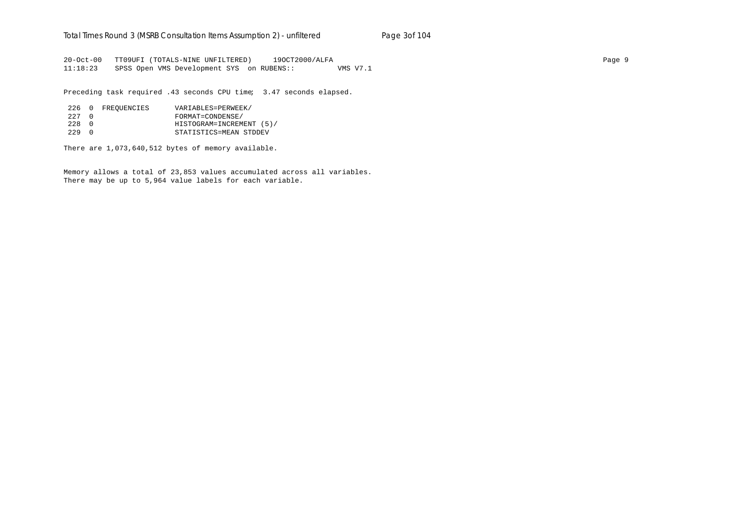20-Oct-00 TT09UFI (TOTALS-NINE UNFILTERED) 19OCT2000/ALFA Page 9 11:18:23 SPSS Open VMS Development SYS on RUBENS:: VMS V7.1

Preceding task required .43 seconds CPU time; 3.47 seconds elapsed.

|       | 226 0 FREOUENCIES | VARIABLES=PERWEEK/       |
|-------|-------------------|--------------------------|
| 227 0 |                   | FORMAT=CONDENSE/         |
| 228 0 |                   | HISTOGRAM=INCREMENT (5)/ |
| 229 O |                   | STATISTICS=MEAN STDDEV   |

There are 1,073,640,512 bytes of memory available.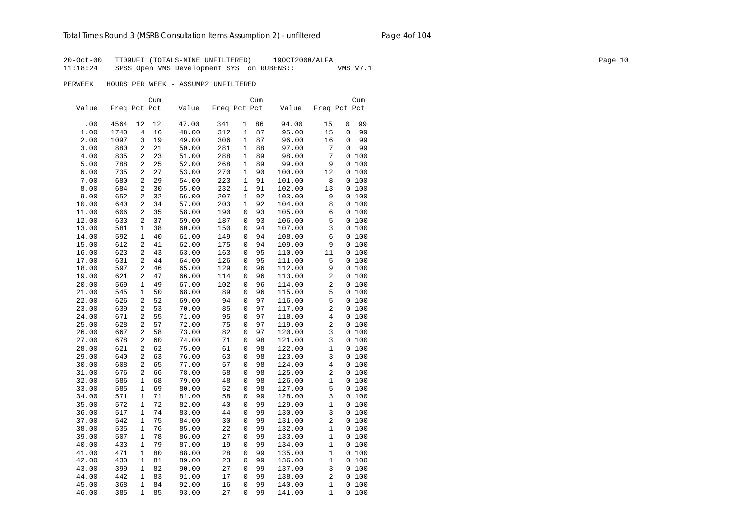20-Oct-00 TT09UFI (TOTALS-NINE UNFILTERED) 19OCT2000/ALFA Page 10 11:18:24 SPSS Open VMS Development SYS on RUBENS:: VMS V7.1

PERWEEK HOURS PER WEEK - ASSUMP2 UNFILTERED

|       |              |                | Cum |       |              |              | Cum |        |                |          | Cum |
|-------|--------------|----------------|-----|-------|--------------|--------------|-----|--------|----------------|----------|-----|
| Value | Freq Pct Pct |                |     | Value | Freq Pct Pct |              |     | Value  | Freq Pct Pct   |          |     |
|       |              |                |     |       |              |              |     |        |                |          |     |
| .00   | 4564         | 12             | 12  | 47.00 | 341          | 1            | 86  | 94.00  | 15             | 0        | 99  |
| 1.00  | 1740         | 4              | 16  | 48.00 | 312          | $\mathbf{1}$ | 87  | 95.00  | 15             | 0        | 99  |
| 2.00  | 1097         | 3              | 19  | 49.00 | 306          | $\mathbf 1$  | 87  | 96.00  | 16             | 0        | 99  |
| 3.00  | 880          | 2              | 21  | 50.00 | 281          | $\mathbf{1}$ | 88  | 97.00  | 7              | 0        | 99  |
| 4.00  | 835          | 2              | 23  | 51.00 | 288          | $\mathbf{1}$ | 89  | 98.00  | 7              | 0 100    |     |
| 5.00  | 788          | 2              | 25  | 52.00 | 268          | $\mathbf{1}$ | 89  | 99.00  | 9              | 0 100    |     |
| 6.00  | 735          | 2              | 27  | 53.00 | 270          | $\mathbf{1}$ | 90  | 100.00 | 12             | 0 100    |     |
| 7.00  | 680          | 2              | 29  | 54.00 | 223          | 1            | 91  | 101.00 | 8              | 0 100    |     |
| 8.00  | 684          | 2              | 30  | 55.00 | 232          | 1            | 91  | 102.00 | 13             | 0 100    |     |
| 9.00  | 652          | 2              | 32  | 56.00 | 207          | $\mathbf 1$  | 92  | 103.00 | 9              | 0 100    |     |
| 10.00 | 640          | 2              | 34  | 57.00 | 203          | $\mathbf{1}$ | 92  | 104.00 | 8              | 0 100    |     |
| 11.00 | 606          | 2              | 35  | 58.00 | 190          | $\mathbf 0$  | 93  | 105.00 | 6              | 0100     |     |
| 12.00 | 633          | 2              | 37  | 59.00 | 187          | 0            | 93  | 106.00 | 5              | 0 100    |     |
| 13.00 | 581          | 1              | 38  | 60.00 | 150          | $\mathbf 0$  | 94  | 107.00 | 3              | 0 100    |     |
| 14.00 | 592          | 1              | 40  | 61.00 | 149          | $\mathbf 0$  | 94  | 108.00 | 6              | 0 100    |     |
| 15.00 | 612          | 2              | 41  | 62.00 | 175          | $\mathbf 0$  | 94  | 109.00 | 9              | 0 100    |     |
| 16.00 | 623          | 2              | 43  | 63.00 | 163          | $\mathbf 0$  | 95  | 110.00 | 11             | 0 100    |     |
| 17.00 | 631          | 2              | 44  | 64.00 | 126          | 0            | 95  | 111.00 | 5              | 0 100    |     |
| 18.00 | 597          | 2              | 46  | 65.00 | 129          | 0            | 96  | 112.00 | 9              | 0 100    |     |
| 19.00 | 621          | 2              | 47  | 66.00 | 114          | 0            | 96  | 113.00 | 2              | 0 100    |     |
| 20.00 | 569          | 1              | 49  | 67.00 | 102          | $\mathbf 0$  | 96  | 114.00 | 2              | 0100     |     |
| 21.00 | 545          | 1              | 50  | 68.00 | 89           | 0            | 96  | 115.00 | 5              | 0 100    |     |
| 22.00 | 626          | 2              | 52  | 69.00 | 94           | $\mathbf 0$  | 97  | 116.00 | 5              | 0100     |     |
| 23.00 | 639          | 2              | 53  | 70.00 | 85           | $\mathbf 0$  | 97  | 117.00 | 2              | 0100     |     |
| 24.00 | 671          | 2              | 55  | 71.00 | 95           | $\mathbf 0$  | 97  | 118.00 | 4              | 0 100    |     |
| 25.00 | 628          | $\overline{a}$ | 57  | 72.00 | 75           | $\mathbf 0$  | 97  | 119.00 | $\overline{2}$ | 0100     |     |
| 26.00 | 667          | 2              | 58  | 73.00 | 82           | $\mathbf 0$  | 97  | 120.00 | 3              | 0 100    |     |
| 27.00 | 678          | 2              | 60  | 74.00 | 71           | 0            | 98  | 121.00 | 3              | 0 100    |     |
| 28.00 | 621          | 2              | 62  | 75.00 | 61           | 0            | 98  | 122.00 | 1              | 0 100    |     |
| 29.00 | 640          | 2              | 63  | 76.00 | 63           | 0            | 98  | 123.00 | 3              | 0 100    |     |
| 30.00 | 608          | 2              | 65  | 77.00 | 57           | 0            | 98  | 124.00 | 4              | 0 100    |     |
| 31.00 | 676          | 2              | 66  | 78.00 | 58           | 0            | 98  | 125.00 | 2              | 0 100    |     |
| 32.00 | 586          | 1              | 68  | 79.00 | 48           | $\mathbf 0$  | 98  | 126.00 | 1              | 0100     |     |
| 33.00 | 585          | 1              | 69  | 80.00 | 52           | 0            | 98  | 127.00 | 5              | 0 100    |     |
| 34.00 | 571          | $\mathbf{1}$   | 71  | 81.00 | 58           | $\mathbf 0$  | 99  | 128.00 | 3              | 0 100    |     |
| 35.00 | 572          | $\mathbf{1}$   | 72  | 82.00 | 40           | $\mathbf 0$  | 99  | 129.00 | $\mathbf{1}$   | 0 100    |     |
|       |              | $\mathbf{1}$   |     |       | 44           | $\Omega$     | 99  |        | 3              |          |     |
| 36.00 | 517          |                | 74  | 83.00 |              |              |     | 130.00 |                | 0 100    |     |
| 37.00 | 542          | 1              | 75  | 84.00 | 30           | 0            | 99  | 131.00 | 2              | 0 100    |     |
| 38.00 | 535          | 1              | 76  | 85.00 | 22           | 0            | 99  | 132.00 | 1              | 0100     |     |
| 39.00 | 507          | 1              | 78  | 86.00 | 27           | 0            | 99  | 133.00 | 1              | 0 100    |     |
| 40.00 | 433          | 1              | 79  | 87.00 | 19           | $\mathbf 0$  | 99  | 134.00 | 1              | 0 100    |     |
| 41.00 | 471          | 1              | 80  | 88.00 | 28           | $\mathbf 0$  | 99  | 135.00 | 1              | 0 100    |     |
| 42.00 | 430          | 1              | 81  | 89.00 | 23           | 0            | 99  | 136.00 | 1              | 0 100    |     |
| 43.00 | 399          | 1              | 82  | 90.00 | 27           | 0            | 99  | 137.00 | 3              | 0 100    |     |
| 44.00 | 442          | 1              | 83  | 91.00 | 17           | $\Omega$     | 99  | 138.00 | $\overline{2}$ | 0100     |     |
| 45.00 | 368          | $\mathbf{1}$   | 84  | 92.00 | 16           | $\mathbf 0$  | 99  | 140.00 | $\mathbf{1}$   | 0 100    |     |
| 46.00 | 385          | $\mathbf{1}$   | 85  | 93.00 | 27           | $\Omega$     | 99  | 141.00 | $\mathbf{1}$   | $\Omega$ | 100 |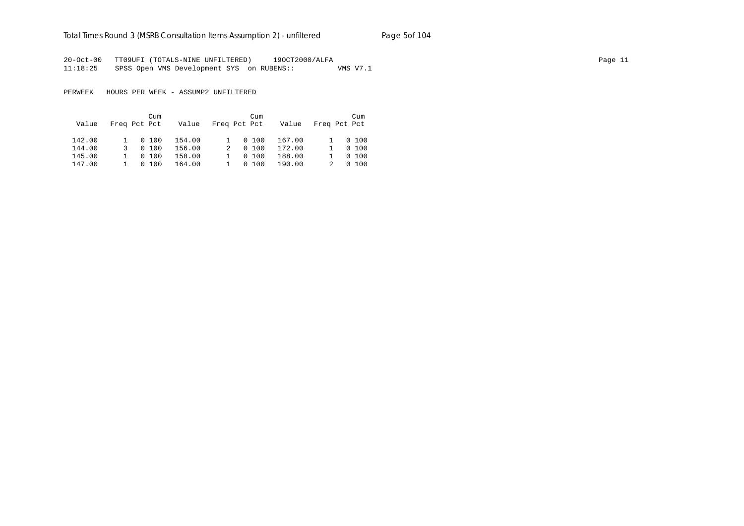# Total Times Round 3 (MSRB Consultation Items Assumption 2) - *unfiltered* Page 5of 104

20-Oct-00 TT09UFI (TOTALS-NINE UNFILTERED) 19OCT2000/ALFA Page 11 11:18:25 SPSS Open VMS Development SYS on RUBENS:: VMS V7.1

PERWEEK HOURS PER WEEK - ASSUMP2 UNFILTERED

|        |                | Cum          |        |  | Cum          |        |              |         |
|--------|----------------|--------------|--------|--|--------------|--------|--------------|---------|
| Value  |                | Freq Pct Pct | Value  |  | Freq Pct Pct | Value  | Freq Pct Pct |         |
| 142.00 |                | 1 0 100      | 154.00 |  | 0, 100       | 167.00 |              | 1 0 100 |
| 144.00 | 3              | 0, 100       | 156.00 |  | 0, 100       | 172.00 |              | 0, 100  |
| 145.00 |                | 0, 100       | 158.00 |  | 0, 100       | 188.00 |              | 0, 100  |
| 147.00 | $1 \quad \Box$ | 0, 100       | 164.00 |  | 0, 100       | 190.00 |              | 0, 100  |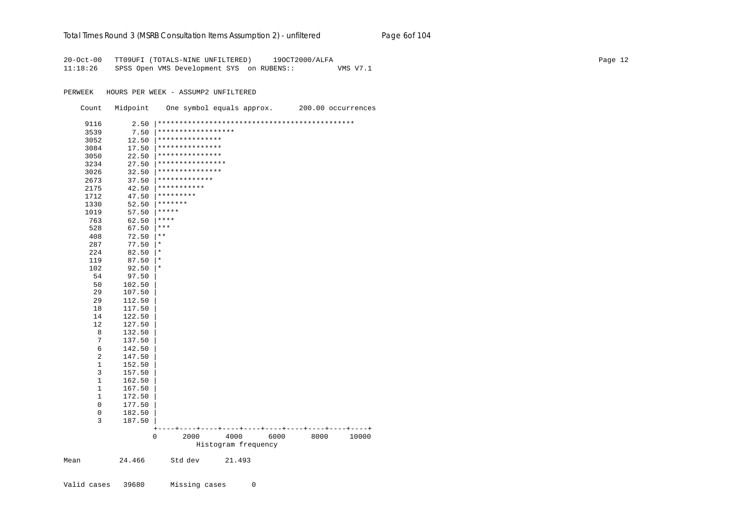# Total Times Round 3 (MSRB Consultation Items Assumption 2) - *unfiltered* Page 6of 104

20-Oct-00 TT09UFI (TOTALS-NINE UNFILTERED) 19OCT2000/ALFA Page 12 11:18:26 SPSS Open VMS Development SYS on RUBENS:: VMS V7.1

PERWEEK HOURS PER WEEK - ASSUMP2 UNFILTERED

| Count       | Midpoint         |                    | One symbol equals approx.   |      |      | 200.00 occurrences |
|-------------|------------------|--------------------|-----------------------------|------|------|--------------------|
| 9116        | 2.50             |                    |                             |      |      |                    |
| 3539        | 7.50             | ****************** |                             |      |      |                    |
| 3052        | 12.50            | ***************    |                             |      |      |                    |
| 3084        | 17.50            | ***************    |                             |      |      |                    |
| 3050        | 22.50            | ***************    |                             |      |      |                    |
| 3234        | 27.50            | ****************   |                             |      |      |                    |
| 3026        | 32.50            | ***************    |                             |      |      |                    |
| 2673        | 37.50            | *************      |                             |      |      |                    |
| 2175        | 42.50            | ***********        |                             |      |      |                    |
| 1712        | 47.50            | *********          |                             |      |      |                    |
| 1330        | 52.50            | *******            |                             |      |      |                    |
| 1019        | 57.50            | *****              |                             |      |      |                    |
| 763         | 62.50            | $***$ * * *        |                             |      |      |                    |
| 528         | 67.50            | $***$              |                             |      |      |                    |
| 408         | 72.50            | $\star$ $\star$    |                             |      |      |                    |
| 287         | 77.50            | $^\star$           |                             |      |      |                    |
| 224         | 82.50            | $^\star$           |                             |      |      |                    |
| 119         | 87.50            | $\ast$             |                             |      |      |                    |
| 102         | 92.50            | $^\star$           |                             |      |      |                    |
| 54          | 97.50            |                    |                             |      |      |                    |
| 50          | 102.50           |                    |                             |      |      |                    |
| 29          | 107.50           |                    |                             |      |      |                    |
| 29          | 112.50           |                    |                             |      |      |                    |
| 18          | 117.50           |                    |                             |      |      |                    |
| 14          | 122.50           |                    |                             |      |      |                    |
| 12          | 127.50           |                    |                             |      |      |                    |
| 8           | 132.50           |                    |                             |      |      |                    |
| 7           | 137.50           |                    |                             |      |      |                    |
| 6           | 142.50           |                    |                             |      |      |                    |
| 2           | 147.50           |                    |                             |      |      |                    |
| $\mathbf 1$ | 152.50           |                    |                             |      |      |                    |
| 3           | 157.50           |                    |                             |      |      |                    |
| 1           | 162.50           |                    |                             |      |      |                    |
| 1           | 167.50           |                    |                             |      |      |                    |
| 1<br>0      | 172.50           |                    |                             |      |      |                    |
| 0           | 177.50           |                    |                             |      |      |                    |
| 3           | 182.50<br>187.50 |                    |                             |      |      |                    |
|             |                  | $\ddot{}$          |                             |      |      |                    |
|             |                  | 0<br>2000          | 4000<br>Histogram frequency | 6000 | 8000 | 10000              |
| Mean        | 24.466           | Std dev            | 21.493                      |      |      |                    |
|             |                  |                    |                             |      |      |                    |

Valid cases 39680 Missing cases 0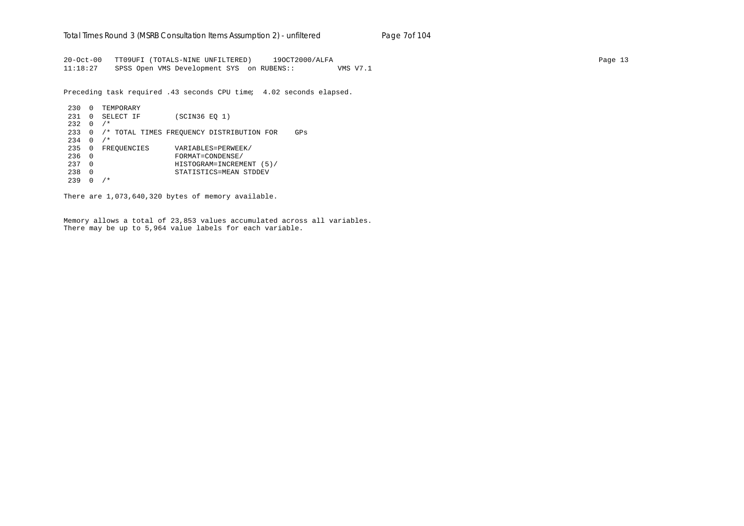20-Oct-00 TT09UFI (TOTALS-NINE UNFILTERED) 19OCT2000/ALFA Page 13 11:18:27 SPSS Open VMS Development SYS on RUBENS:: VMS V7.1

Preceding task required .43 seconds CPU time; 4.02 seconds elapsed.

```
230 0 TEMPORARY
231 0 SELECT IF (SCIN36 EQ 1)
232 \t 0 / *233 0 /* TOTAL TIMES FREQUENCY DISTRIBUTION FOR GPs
234 \t 0 / *235 0 FREQUENCIES VARIABLES=PERWEEK/
236 0 FORMAT=CONDENSE/
237 0 HISTOGRAM=INCREMENT (5)/
238 0 STATISTICS=MEAN STDDEV
239 0 /*
```
There are 1,073,640,320 bytes of memory available.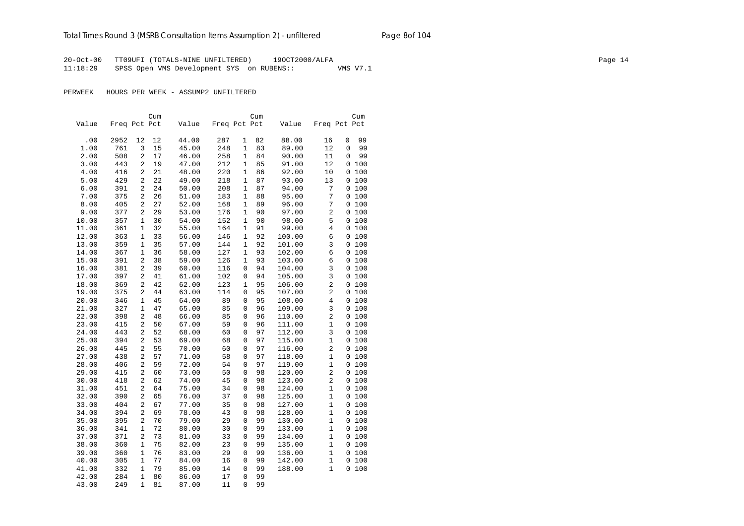20-Oct-00 TT09UFI (TOTALS-NINE UNFILTERED) 19OCT2000/ALFA Page 14 11:18:29 SPSS Open VMS Development SYS on RUBENS:: VMS V7.1

PERWEEK HOURS PER WEEK - ASSUMP2 UNFILTERED

|       |              |              | Cum |       |              |              | Cum |        |                | Cum          |
|-------|--------------|--------------|-----|-------|--------------|--------------|-----|--------|----------------|--------------|
| Value | Freq Pct Pct |              |     | Value | Freq Pct Pct |              |     | Value  |                | Freq Pct Pct |
|       |              |              |     |       |              |              |     |        |                |              |
| .00   | 2952         | 12           | 12  | 44.00 | 287          | 1            | 82  | 88.00  | 16             | 99<br>0      |
| 1.00  | 761          | 3            | 15  | 45.00 | 248          | 1            | 83  | 89.00  | 12             | 99<br>0      |
| 2.00  | 508          | 2            | 17  | 46.00 | 258          | 1            | 84  | 90.00  | 11             | 99<br>0      |
| 3.00  | 443          | 2            | 19  | 47.00 | 212          | $\mathbf{1}$ | 85  | 91.00  | 12             | 0 100        |
| 4.00  | 416          | 2            | 21  | 48.00 | 220          | $\mathbf{1}$ | 86  | 92.00  | 10             | 100<br>0     |
| 5.00  | 429          | 2            | 22  | 49.00 | 218          | 1            | 87  | 93.00  | 13             | 0 100        |
| 6.00  | 391          | 2            | 24  | 50.00 | 208          | 1            | 87  | 94.00  | 7              | 0 100        |
| 7.00  | 375          | 2            | 26  | 51.00 | 183          | 1            | 88  | 95.00  | 7              | 0 100        |
| 8.00  | 405          | 2            | 27  | 52.00 | 168          | $\mathbf{1}$ | 89  | 96.00  | 7              | 0 100        |
| 9.00  | 377          | 2            | 29  | 53.00 | 176          | $\mathbf{1}$ | 90  | 97.00  | $\overline{c}$ | 0 100        |
| 10.00 | 357          | 1            | 30  | 54.00 | 152          | 1            | 90  | 98.00  | 5              | 0 100        |
| 11.00 | 361          | 1            | 32  | 55.00 | 164          | 1            | 91  | 99.00  | $\overline{4}$ | 0 100        |
| 12.00 | 363          | $\mathbf 1$  | 33  | 56.00 | 146          | 1            | 92  | 100.00 | 6              | 0 100        |
| 13.00 | 359          | $\mathbf 1$  | 35  | 57.00 | 144          | 1            | 92  | 101.00 | 3              | 0 100        |
| 14.00 | 367          | $\mathbf{1}$ | 36  | 58.00 | 127          | $\mathbf{1}$ | 93  | 102.00 | 6              | 0 100        |
| 15.00 | 391          | 2            | 38  | 59.00 | 126          | 1            | 93  | 103.00 | 6              | 0 100        |
| 16.00 | 381          | 2            | 39  | 60.00 | 116          | 0            | 94  | 104.00 | 3              | 0 100        |
| 17.00 | 397          | 2            | 41  | 61.00 | 102          | 0            | 94  | 105.00 | 3              | 0 100        |
| 18.00 | 369          | 2            | 42  | 62.00 | 123          | 1            | 95  | 106.00 | 2              | 0 100        |
| 19.00 | 375          | 2            | 44  | 63.00 | 114          | 0            | 95  | 107.00 | 2              | 0100         |
| 20.00 | 346          | 1            | 45  | 64.00 | 89           | 0            | 95  | 108.00 | 4              | 0 100        |
| 21.00 | 327          | 1            | 47  | 65.00 | 85           | 0            | 96  | 109.00 | 3              | 0 100        |
| 22.00 | 398          | 2            | 48  | 66.00 | 85           | 0            | 96  | 110.00 | $\overline{a}$ | 0100         |
| 23.00 | 415          | 2            | 50  | 67.00 | 59           | 0            | 96  | 111.00 | 1              | 0 100        |
| 24.00 | 443          | 2            | 52  | 68.00 | 60           | 0            | 97  | 112.00 | 3              | 0 100        |
| 25.00 | 394          | 2            | 53  | 69.00 | 68           | $\Omega$     | 97  | 115.00 | $\mathbf 1$    | 0100         |
| 26.00 | 445          | 2            | 55  | 70.00 | 60           | 0            | 97  | 116.00 | $\overline{a}$ | 0 100        |
| 27.00 | 438          | 2            | 57  | 71.00 | 58           | 0            | 97  | 118.00 | 1              | 0 100        |
| 28.00 | 406          | 2            | 59  | 72.00 | 54           | 0            | 97  | 119.00 | 1              | 0 100        |
| 29.00 | 415          | 2            | 60  | 73.00 | 50           | 0            | 98  | 120.00 | $\overline{c}$ | 0 100        |
| 30.00 | 418          | 2            | 62  | 74.00 | 45           | $\Omega$     | 98  | 123.00 | $\overline{2}$ | 0 100        |
| 31.00 | 451          | 2            | 64  | 75.00 | 34           | 0            | 98  | 124.00 | $\mathbf 1$    | 0 100        |
| 32.00 | 390          | 2            | 65  | 76.00 | 37           | 0            | 98  | 125.00 | 1              | 0 100        |
| 33.00 | 404          | 2            | 67  | 77.00 | 35           | 0            | 98  | 127.00 | 1              | 0 100        |
| 34.00 | 394          | 2            | 69  | 78.00 | 43           | 0            | 98  | 128.00 | $\mathbf{1}$   | 0 100        |
| 35.00 | 395          | 2            | 70  | 79.00 | 29           | 0            | 99  | 130.00 | 1              | 0 100        |
| 36.00 | 341          | $\mathbf{1}$ | 72  | 80.00 | 30           | 0            | 99  | 133.00 | $\mathbf 1$    | 0 100        |
| 37.00 | 371          | 2            | 73  | 81.00 | 33           | 0            | 99  | 134.00 | 1              | 0 100        |
| 38.00 | 360          | 1            | 75  | 82.00 | 23           | 0            | 99  | 135.00 | 1              | 0 100        |
| 39.00 | 360          | $\mathbf 1$  | 76  | 83.00 | 29           | 0            | 99  | 136.00 | $\mathbf{1}$   | 0 100        |
| 40.00 | 305          | 1            | 77  | 84.00 | 16           | 0            | 99  | 142.00 | 1              | 100<br>0     |
| 41.00 | 332          | $\mathbf{1}$ | 79  | 85.00 | 14           | 0            | 99  | 188.00 | $\mathbf{1}$   | 0 100        |
| 42.00 | 284          | $\mathbf{1}$ | 80  | 86.00 | 17           | 0            | 99  |        |                |              |
| 43.00 | 249          | 1            | 81  | 87.00 | 11           | $\Omega$     | 99  |        |                |              |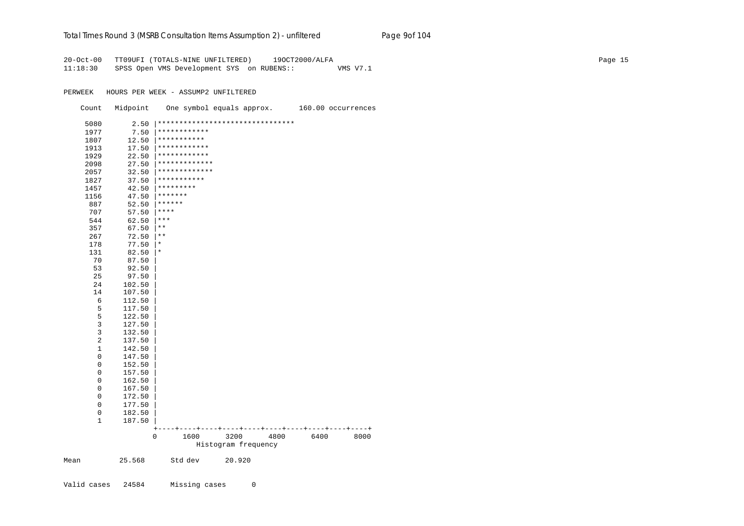#### Total Times Round 3 (MSRB Consultation Items Assumption 2) - *unfiltered* Page 9of 104

20-Oct-00 TT09UFI (TOTALS-NINE UNFILTERED) 19OCT2000/ALFA Page 15 11:18:30 SPSS Open VMS Development SYS on RUBENS:: VMS V7.1

PERWEEK HOURS PER WEEK - ASSUMP2 UNFILTERED Count Midpoint One symbol equals approx. 160.00 occurrences 5080 2.50 |\*\*\*\*\*\*\*\*\*\*\*\*\*\*\*\*\*\*\*\*\*\*\*\*\*\*\*\*\*\*\*\* 1977 7.50 |\*\*\*\*\*\*\*\*\*\*\*\* 1807 12.50 |\*\*\*\*\*\*\*\*\*\*\* 1913 17.50 |\*\*\*\*\*\*\*\*\*\*\*\* 1929 22.50 |\*\*\*\*\*\*\*\*\*\*\*\* 2098 27.50 |\*\*\*\*\*\*\*\*\*\*\*\*\* 2057 32.50 |\*\*\*\*\*\*\*\*\*\*\*\*\* 1827 37.50 |\*\*\*\*\*\*\*\*\*\*\* 1457 42.50 |\*\*\*\*\*\*\*\*\* 1156 47.50 |\*\*\*\*\*\*\* 887 52.50 |\*\*\*\*\*\* 707 57.50 |\*\*\*\*  $544$  62.50  $***$  357 67.50 |\*\*  $267$  72.50  $**$  178 77.50 |\* 131 82.50 |\* 70 87.50 | 53 92.50 | 25 97.50 | 24 102.50 | 14 107.50 |  $\begin{array}{cc} 6 & 112.50 \\ 5 & 117.50 \end{array}$  $\begin{array}{cc} 5 & 117.50 \\ 5 & 122.50 \end{array}$  $\begin{array}{cc} 5 & 122.50 \\ 3 & 127.50 \end{array}$  $\begin{array}{cc} 3 & 127.50 \\ 3 & 132.50 \end{array}$ 3 132.50<br>2 137.50 2 137.50 | 1 142.50 |  $0 147.50$  $0$  152.50<br>0 157.50 0 157.50 |  $0$  162.50<br>0 167.50 0 167.50 |  $0 \t 172.50$  0 177.50 |  $0 182.50$  1 187.50 | +----+----+----+----+----+----+----+----+----+----+ 0 1600 3200 4800 6400 8000 Histogram frequency Mean 25.568 Std dev 20.920

Valid cases 24584 Missing cases 0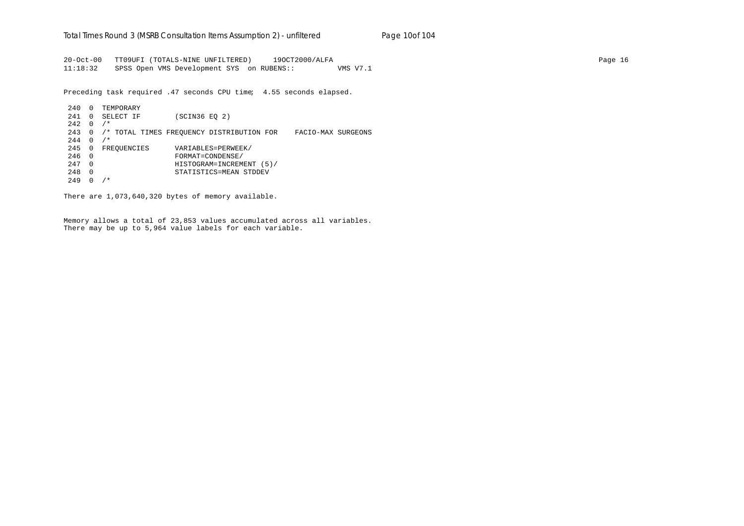20-Oct-00 TT09UFI (TOTALS-NINE UNFILTERED) 19OCT2000/ALFA Page 16 11:18:32 SPSS Open VMS Development SYS on RUBENS:: VMS V7.1

Preceding task required .47 seconds CPU time; 4.55 seconds elapsed.

240 0 TEMPORARY 241 0 SELECT IF (SCIN36 EQ 2)  $242 \quad 0 \quad /*$ 243 0 /\* TOTAL TIMES FREQUENCY DISTRIBUTION FOR FACIO-MAX SURGEONS  $244 \t0 \t/*$ 245 0 FREQUENCIES VARIABLES=PERWEEK/ 246 0 FORMAT=CONDENSE/ 247 0 HISTOGRAM=INCREMENT (5)/ 248 0 STATISTICS=MEAN STDDEV  $249 \quad 0 \quad /*$ 

There are 1,073,640,320 bytes of memory available.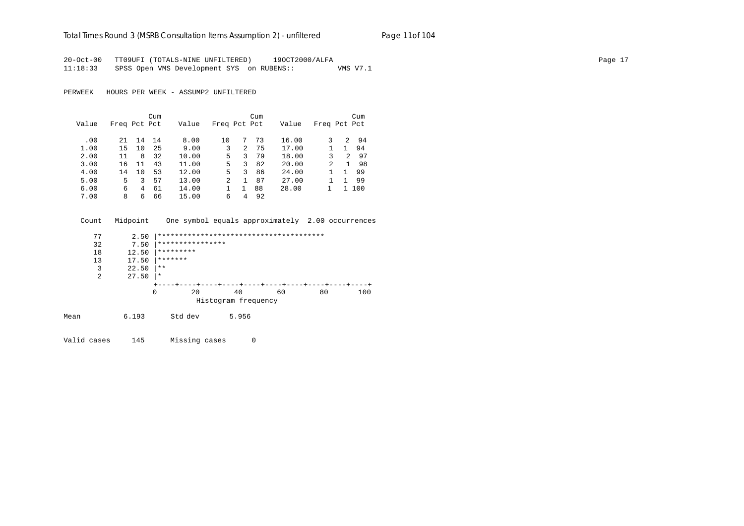#### Total Times Round 3 (MSRB Consultation Items Assumption 2) - *unfiltered* Page 11of 104

20-Oct-00 TT09UFI (TOTALS-NINE UNFILTERED) 19OCT2000/ALFA Page 17 11:18:33 SPSS Open VMS Development SYS on RUBENS:: VMS V7.1

PERWEEK HOURS PER WEEK - ASSUMP2 UNFILTERED

|       |              |    | Cum |       |                |   | Cum |       |               |               | Cum |
|-------|--------------|----|-----|-------|----------------|---|-----|-------|---------------|---------------|-----|
| Value | Freq Pct Pct |    |     | Value | Freq Pct Pct   |   |     | Value | Freq Pct Pct  |               |     |
|       |              |    |     |       |                |   |     |       |               |               |     |
| .00   | 21           | 14 | 14  | 8.00  | 10             | 7 | 73  | 16.00 |               | 2             | 94  |
| 1.00  | 15           | 10 | 25  | 9.00  | 3              | 2 | 75  | 17.00 |               |               | 94  |
| 2.00  | 11           | 8  | 32  | 10.00 | 5.             | 3 | 79  | 18.00 | 3             | $\mathcal{L}$ | 97  |
| 3.00  | 16           | 11 | 43  | 11.00 | 5.             | 3 | 82  | 20.00 | $\mathcal{L}$ |               | 98  |
| 4.00  | 14           | 10 | 53  | 12.00 | 5.             | 3 | 86  | 24.00 |               |               | 99  |
| 5.00  | 5.           | 3. | 57  | 13.00 | $\overline{a}$ |   | 87  | 27.00 |               |               | 99  |
| 6.00  | 6            | 4  | 61  | 14.00 |                |   | 88  | 28.00 |               |               | 100 |
| 7.00  | 8            | 6  | 66  | 15.00 | 6              | 4 | 92  |       |               |               |     |

Count Midpoint One symbol equals approximately 2.00 occurrences

|      | 77 | 2.50  |                  |                                        |    |    |     |
|------|----|-------|------------------|----------------------------------------|----|----|-----|
|      | 32 | 7.50  | **************** |                                        |    |    |     |
|      | 18 | 12.50 | *********        |                                        |    |    |     |
|      | 13 | 17.50 | *******          |                                        |    |    |     |
|      | 3  | 22.50 | $***$            |                                        |    |    |     |
|      | 2  | 27.50 | $\star$          |                                        |    |    |     |
|      |    |       |                  | -+----+----+----+----+----+----+----+- |    |    |     |
|      |    | 0     | 20               | 40                                     | 60 | 80 | 100 |
|      |    |       |                  | Histogram frequency                    |    |    |     |
| Mean |    | 6.193 | Std dev          | 5.956                                  |    |    |     |

Valid cases 145 Missing cases 0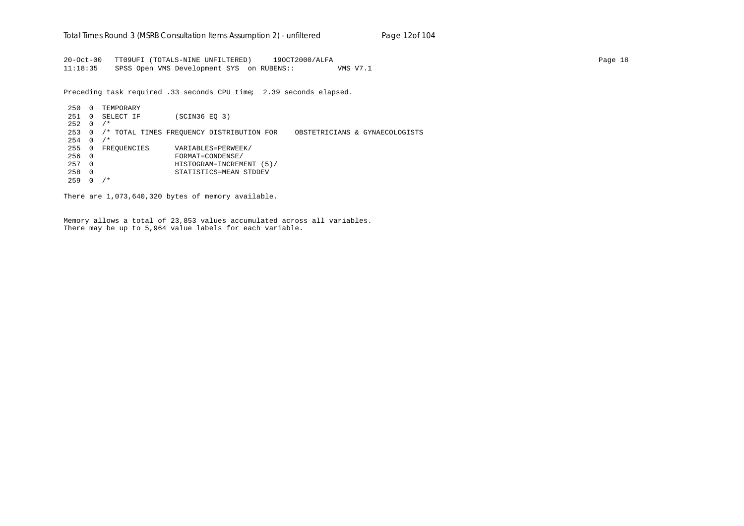20-Oct-00 TT09UFI (TOTALS-NINE UNFILTERED) 19OCT2000/ALFA Page 18 11:18:35 SPSS Open VMS Development SYS on RUBENS:: VMS V7.1

Preceding task required .33 seconds CPU time; 2.39 seconds elapsed.

250 0 TEMPORARY 251 0 SELECT IF (SCIN36 EQ 3)  $252 \t 0 / *$ 253 0 /\* TOTAL TIMES FREQUENCY DISTRIBUTION FOR OBSTETRICIANS & GYNAECOLOGISTS  $254 \t 0 / *$ 255 0 FREQUENCIES VARIABLES=PERWEEK/ 256 0 FORMAT=CONDENSE/ 257 0 HISTOGRAM=INCREMENT (5)/ 258 0 STATISTICS=MEAN STDDEV 259 0 /\*

There are 1,073,640,320 bytes of memory available.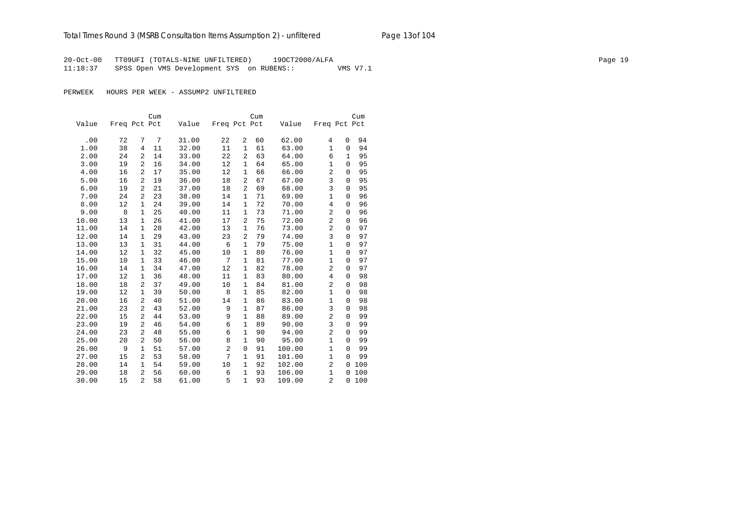20-Oct-00 TT09UFI (TOTALS-NINE UNFILTERED) 19OCT2000/ALFA Page 19 11:18:37 SPSS Open VMS Development SYS on RUBENS:: VMS V7.1

PERWEEK HOURS PER WEEK - ASSUMP2 UNFILTERED

|       |              |                | Cum |       |                |                | Cum |        |                |              | Cum |
|-------|--------------|----------------|-----|-------|----------------|----------------|-----|--------|----------------|--------------|-----|
| Value | Freq Pct Pct |                |     | Value | Freq Pct Pct   |                |     | Value  | Freq Pct Pct   |              |     |
|       |              |                |     |       |                |                |     |        |                |              |     |
| .00   | 72           | 7              | 7   | 31.00 | 22             | 2              | 60  | 62.00  | 4              | 0            | 94  |
| 1.00  | 38           | 4              | 11  | 32.00 | 11             | $\mathbf 1$    | 61  | 63.00  | $\mathbf{1}$   | $\mathbf 0$  | 94  |
| 2.00  | 24           | 2              | 14  | 33.00 | 22             | 2              | 63  | 64.00  | 6              | 1            | 95  |
| 3.00  | 19           | $\overline{2}$ | 16  | 34.00 | 12             | $\mathbf{1}$   | 64  | 65.00  | $\mathbf{1}$   | $\mathbf{0}$ | 95  |
| 4.00  | 16           | $\overline{a}$ | 17  | 35.00 | 12             | $\mathbf{1}$   | 66  | 66.00  | $\overline{a}$ | $\mathbf 0$  | 95  |
| 5.00  | 16           | $\overline{a}$ | 19  | 36.00 | 18             | $\overline{a}$ | 67  | 67.00  | 3              | $\mathbf 0$  | 95  |
| 6.00  | 19           | 2              | 21  | 37.00 | 18             | 2              | 69  | 68.00  | 3              | $\mathbf 0$  | 95  |
| 7.00  | 24           | $\overline{2}$ | 23  | 38.00 | 14             | $\mathbf{1}$   | 71  | 69.00  | $\mathbf{1}$   | $\mathbf 0$  | 96  |
| 8.00  | 12           | 1              | 24  | 39.00 | 14             | $\mathbf{1}$   | 72  | 70.00  | 4              | $\mathbf{0}$ | 96  |
| 9.00  | 8            | 1              | 25  | 40.00 | 11             | $\mathbf{1}$   | 73  | 71.00  | $\overline{a}$ | $\mathbf 0$  | 96  |
| 10.00 | 13           | $\mathbf{1}$   | 26  | 41.00 | 17             | $\overline{2}$ | 75  | 72.00  | 2              | $\mathbf 0$  | 96  |
| 11.00 | 14           | $\mathbf{1}$   | 28  | 42.00 | 13             | $\mathbf{1}$   | 76  | 73.00  | $\overline{a}$ | $\mathbf 0$  | 97  |
| 12.00 | 14           | $\mathbf{1}$   | 29  | 43.00 | 23             | 2              | 79  | 74.00  | 3              | $\mathbf 0$  | 97  |
| 13.00 | 13           | 1              | 31  | 44.00 | 6              | 1              | 79  | 75.00  | $\mathbf{1}$   | $\Omega$     | 97  |
| 14.00 | 12           | 1              | 32  | 45.00 | 10             | $\mathbf{1}$   | 80  | 76.00  | $\mathbf{1}$   | $\mathbf 0$  | 97  |
| 15.00 | 10           | $\mathbf{1}$   | 33  | 46.00 | 7              | 1              | 81  | 77.00  | $\mathbf{1}$   | $\mathbf 0$  | 97  |
| 16.00 | 14           | $\mathbf{1}$   | 34  | 47.00 | 12             | 1              | 82  | 78.00  | $\overline{c}$ | $\mathbf 0$  | 97  |
| 17.00 | 12           | 1              | 36  | 48.00 | 11             | 1              | 83  | 80.00  | 4              | 0            | 98  |
| 18.00 | 18           | 2              | 37  | 49.00 | 10             | $\mathbf{1}$   | 84  | 81.00  | 2              | 0            | 98  |
| 19.00 | 12           | 1              | 39  | 50.00 | 8              | $\mathbf{1}$   | 85  | 82.00  | $\mathbf{1}$   | $\mathbf 0$  | 98  |
| 20.00 | 16           | 2              | 40  | 51.00 | 14             | 1              | 86  | 83.00  | $\mathbf{1}$   | $\mathbf 0$  | 98  |
| 21.00 | 23           | 2              | 43  | 52.00 | 9              | 1              | 87  | 86.00  | 3              | $\mathbf 0$  | 98  |
| 22.00 | 15           | 2              | 44  | 53.00 | 9              | 1              | 88  | 89.00  | 2              | 0            | 99  |
| 23.00 | 19           | 2              | 46  | 54.00 | 6              | 1              | 89  | 90.00  | 3              | 0            | 99  |
| 24.00 | 23           | 2              | 48  | 55.00 | 6              | 1              | 90  | 94.00  | $\overline{2}$ | $\Omega$     | 99  |
| 25.00 | 20           | 2              | 50  | 56.00 | 8              | 1              | 90  | 95.00  | $\mathbf{1}$   | $\mathbf 0$  | 99  |
| 26.00 | 9            | 1              | 51  | 57.00 | $\overline{2}$ | 0              | 91  | 100.00 | $\mathbf{1}$   | $\mathbf 0$  | 99  |
| 27.00 | 15           | $\overline{a}$ | 53  | 58.00 | 7              | $\mathbf{1}$   | 91  | 101.00 | $\mathbf 1$    | $\Omega$     | 99  |
| 28.00 | 14           | 1              | 54  | 59.00 | 10             | 1              | 92  | 102.00 | 2              | 0            | 100 |
| 29.00 | 18           | 2              | 56  | 60.00 | 6              | 1              | 93  | 106.00 | $\mathbf{1}$   | $\mathbf 0$  | 100 |
| 30.00 | 15           | $\overline{a}$ | 58  | 61.00 | 5              | $\mathbf{1}$   | 93  | 109.00 | $\overline{2}$ | $\mathbf 0$  | 100 |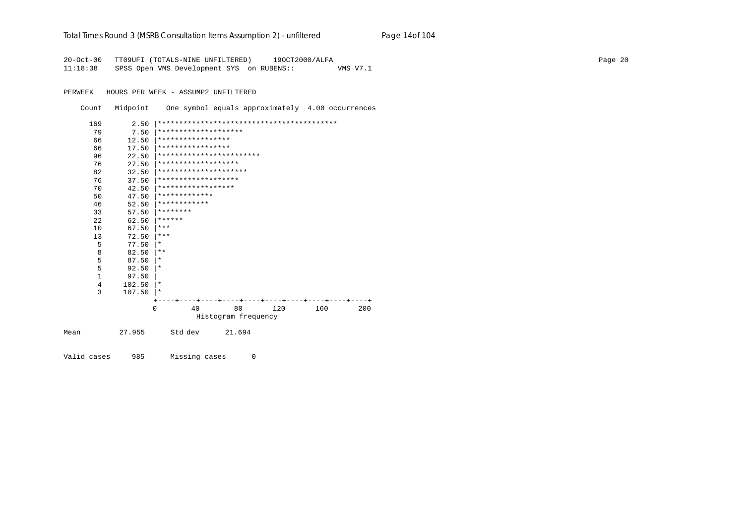#### Total Times Round 3 (MSRB Consultation Items Assumption 2) - *unfiltered* Page 14of 104

20-Oct-00 TT09UFI (TOTALS-NINE UNFILTERED) 19OCT2000/ALFA Page 20 11:18:38 SPSS Open VMS Development SYS on RUBENS:: VMS V7.1

PERWEEK HOURS PER WEEK - ASSUMP2 UNFILTERED

Count Midpoint One symbol equals approximately 4.00 occurrences

| 169          | 2.50   |                      |                          |     |     |     |
|--------------|--------|----------------------|--------------------------|-----|-----|-----|
| 79           | 7.50   | ******************** |                          |     |     |     |
| 66           | 12.50  | *****************    |                          |     |     |     |
| 66           | 17.50  | *****************    |                          |     |     |     |
| 96           | 22.50  |                      | ************************ |     |     |     |
| 76           | 27.50  | *******************  |                          |     |     |     |
| 82           | 32.50  |                      | *********************    |     |     |     |
| 76           | 37.50  | *******************  |                          |     |     |     |
| 70           | 42.50  | ******************   |                          |     |     |     |
| 50           | 47.50  | *************        |                          |     |     |     |
| 46           | 52.50  | ************         |                          |     |     |     |
| 33           | 57.50  | ********             |                          |     |     |     |
| 22           | 62.50  | ******               |                          |     |     |     |
| 10           | 67.50  | $***$                |                          |     |     |     |
| 13           | 72.50  | ***                  |                          |     |     |     |
| 5            | 77.50  | $\ast$               |                          |     |     |     |
| 8            | 82.50  | $* *$                |                          |     |     |     |
| 5            | 87.50  | $\ast$               |                          |     |     |     |
| 5            | 92.50  | $^\star$             |                          |     |     |     |
| $\mathbf{1}$ | 97.50  |                      |                          |     |     |     |
| 4            | 102.50 | $\star$              |                          |     |     |     |
| 3            | 107.50 | $\ast$               |                          |     |     |     |
|              |        |                      |                          |     |     |     |
|              |        | 40<br>$\Omega$       | 80                       | 120 | 160 | 200 |
|              |        |                      | Histogram frequency      |     |     |     |
| Mean         | 27.955 | Std dev              | 21.694                   |     |     |     |
|              |        |                      |                          |     |     |     |

Valid cases 985 Missing cases 0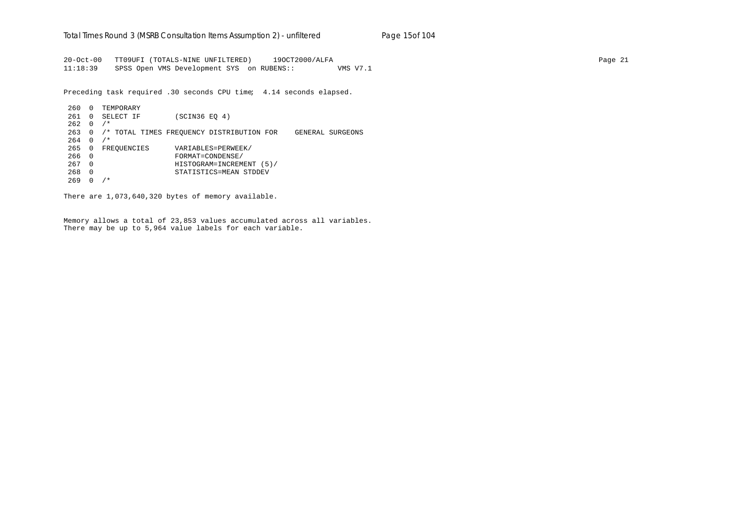20-Oct-00 TT09UFI (TOTALS-NINE UNFILTERED) 19OCT2000/ALFA Page 21 11:18:39 SPSS Open VMS Development SYS on RUBENS:: VMS V7.1

Preceding task required .30 seconds CPU time; 4.14 seconds elapsed.

260 0 TEMPORARY 261 0 SELECT IF (SCIN36 EQ 4)  $262 \quad 0 \quad /$ \* 263 0 /\* TOTAL TIMES FREQUENCY DISTRIBUTION FOR GENERAL SURGEONS  $264 \t 0 / *$ 265 0 FREQUENCIES VARIABLES=PERWEEK/ 266 0 FORMAT=CONDENSE/ 267 0 HISTOGRAM=INCREMENT (5)/ 268 0 STATISTICS=MEAN STDDEV 269 0 /\*

There are 1,073,640,320 bytes of memory available.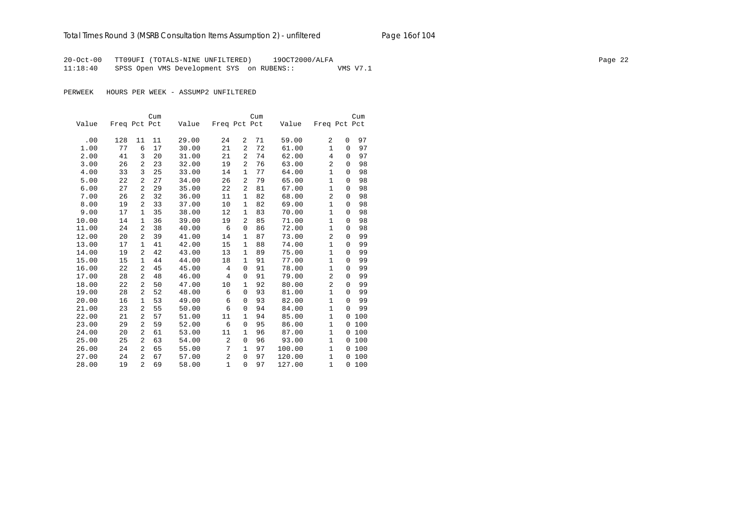# Total Times Round 3 (MSRB Consultation Items Assumption 2) - *unfiltered* Page 16of 104

20-Oct-00 TT09UFI (TOTALS-NINE UNFILTERED) 19OCT2000/ALFA Page 22 11:18:40 SPSS Open VMS Development SYS on RUBENS:: VMS V7.1

PERWEEK HOURS PER WEEK - ASSUMP2 UNFILTERED

|       |              |                | Cum |       |                |                | Cum |        |                |             | Cum |
|-------|--------------|----------------|-----|-------|----------------|----------------|-----|--------|----------------|-------------|-----|
| Value | Freq Pct Pct |                |     | Value | Freq Pct Pct   |                |     | Value  | Freq Pct Pct   |             |     |
|       |              |                |     |       |                |                |     |        |                |             |     |
| .00   | 128          | 11             | 11  | 29.00 | 24             | 2              | 71  | 59.00  | 2              | 0           | 97  |
| 1.00  | 77           | 6              | 17  | 30.00 | 21             | $\overline{2}$ | 72  | 61.00  | $\mathbf{1}$   | $\Omega$    | 97  |
| 2.00  | 41           | 3              | 20  | 31.00 | 21             | $\overline{a}$ | 74  | 62.00  | 4              | $\mathbf 0$ | 97  |
| 3.00  | 26           | 2              | 23  | 32.00 | 19             | $\overline{a}$ | 76  | 63.00  | $\overline{a}$ | 0           | 98  |
| 4.00  | 33           | 3              | 25  | 33.00 | 14             | $\mathbf{1}$   | 77  | 64.00  | $\mathbf{1}$   | $\Omega$    | 98  |
| 5.00  | 22           | 2              | 27  | 34.00 | 26             | 2              | 79  | 65.00  | $\mathbf 1$    | $\mathbf 0$ | 98  |
| 6.00  | 27           | 2              | 29  | 35.00 | 22             | 2              | 81  | 67.00  | 1              | $\mathbf 0$ | 98  |
| 7.00  | 26           | 2              | 32  | 36.00 | 11             | 1              | 82  | 68.00  | $\overline{a}$ | $\mathbf 0$ | 98  |
| 8.00  | 19           | 2              | 33  | 37.00 | 10             | 1              | 82  | 69.00  | $\mathbf{1}$   | $\mathbf 0$ | 98  |
| 9.00  | 17           | 1              | 35  | 38.00 | 12             | 1              | 83  | 70.00  | $\mathbf{1}$   | $\Omega$    | 98  |
| 10.00 | 14           | 1              | 36  | 39.00 | 19             | $\overline{2}$ | 85  | 71.00  | $\mathbf{1}$   | 0           | 98  |
| 11.00 | 24           | 2              | 38  | 40.00 | 6              | $\mathbf 0$    | 86  | 72.00  | 1              | 0           | 98  |
| 12.00 | 20           | 2              | 39  | 41.00 | 14             | 1              | 87  | 73.00  | 2              | $\Omega$    | 99  |
| 13.00 | 17           | $\mathbf{1}$   | 41  | 42.00 | 15             | $\mathbf{1}$   | 88  | 74.00  | $\mathbf{1}$   | 0           | 99  |
| 14.00 | 19           | 2              | 42  | 43.00 | 13             | 1              | 89  | 75.00  | 1              | $\Omega$    | 99  |
| 15.00 | 15           | 1              | 44  | 44.00 | 18             | $\mathbf{1}$   | 91  | 77.00  | $\mathbf{1}$   | $\Omega$    | 99  |
| 16.00 | 22           | 2              | 45  | 45.00 | 4              | $\mathbf 0$    | 91  | 78.00  | $\mathbf{1}$   | 0           | 99  |
| 17.00 | 28           | 2              | 48  | 46.00 | 4              | $\mathbf 0$    | 91  | 79.00  | $\overline{c}$ | $\mathbf 0$ | 99  |
| 18.00 | 22           | 2              | 50  | 47.00 | 10             | $\mathbf{1}$   | 92  | 80.00  | $\overline{2}$ | 0           | 99  |
| 19.00 | 28           | 2              | 52  | 48.00 | 6              | $\mathbf 0$    | 93  | 81.00  | $\mathbf{1}$   | $\Omega$    | 99  |
| 20.00 | 16           | 1              | 53  | 49.00 | 6              | $\mathbf 0$    | 93  | 82.00  | 1              | $\Omega$    | 99  |
| 21.00 | 23           | 2              | 55  | 50.00 | 6              | $\mathbf 0$    | 94  | 84.00  | $\mathbf{1}$   | $\Omega$    | 99  |
| 22.00 | 21           | 2              | 57  | 51.00 | 11             | $\mathbf{1}$   | 94  | 85.00  | $\mathbf{1}$   | 0           | 100 |
| 23.00 | 29           | 2              | 59  | 52.00 | 6              | $\mathbf 0$    | 95  | 86.00  | $\mathbf{1}$   | 0           | 100 |
| 24.00 | 20           | 2              | 61  | 53.00 | 11             | $\mathbf{1}$   | 96  | 87.00  | $\mathbf{1}$   | 0           | 100 |
| 25.00 | 25           | 2              | 63  | 54.00 | $\overline{a}$ | $\mathbf 0$    | 96  | 93.00  | $\mathbf{1}$   | 0           | 100 |
| 26.00 | 24           | 2              | 65  | 55.00 | 7              | $\mathbf{1}$   | 97  | 100.00 | 1              | $\mathbf 0$ | 100 |
| 27.00 | 24           | 2              | 67  | 57.00 | 2              | $\mathbf{0}$   | 97  | 120.00 | $\mathbf{1}$   | $\Omega$    | 100 |
| 28.00 | 19           | $\overline{2}$ | 69  | 58.00 | $\mathbf{1}$   | $\Omega$       | 97  | 127.00 | $\mathbf{1}$   | $\Omega$    | 100 |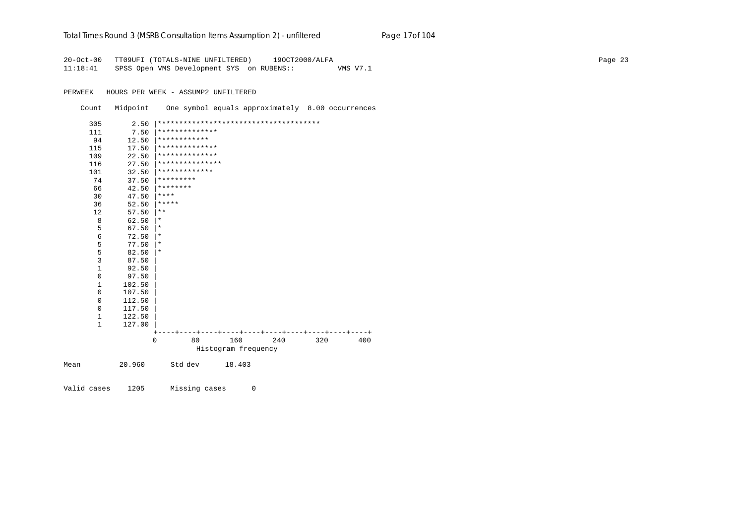#### Total Times Round 3 (MSRB Consultation Items Assumption 2) - *unfiltered* Page 17of 104

20-Oct-00 TT09UFI (TOTALS-NINE UNFILTERED) 19OCT2000/ALFA Page 23 11:18:41 SPSS Open VMS Development SYS on RUBENS:: VMS V7.1

PERWEEK HOURS PER WEEK - ASSUMP2 UNFILTERED

Count Midpoint One symbol equals approximately 8.00 occurrences

| 305          | 2.50   |                 |         |                                |     |     |        |
|--------------|--------|-----------------|---------|--------------------------------|-----|-----|--------|
| 111          | 7.50   | **************  |         |                                |     |     |        |
| 94           | 12.50  | ************    |         |                                |     |     |        |
| 115          | 17.50  | **************  |         |                                |     |     |        |
| 109          | 22.50  | **************  |         |                                |     |     |        |
| 116          | 27.50  | *************** |         |                                |     |     |        |
| 101          | 32.50  | *************   |         |                                |     |     |        |
| 74           | 37.50  | *********       |         |                                |     |     |        |
| 66           | 42.50  | ********        |         |                                |     |     |        |
| 30           | 47.50  | ****            |         |                                |     |     |        |
| 36           | 52.50  | *****           |         |                                |     |     |        |
| 12           | 57.50  | $***$           |         |                                |     |     |        |
| 8            | 62.50  | *               |         |                                |     |     |        |
| 5            | 67.50  | *               |         |                                |     |     |        |
| 6            | 72.50  | *               |         |                                |     |     |        |
| 5            | 77.50  | $^\ast$         |         |                                |     |     |        |
| 5            | 82.50  | $^\star$        |         |                                |     |     |        |
| 3            | 87.50  |                 |         |                                |     |     |        |
| $\mathbf{1}$ | 92.50  |                 |         |                                |     |     |        |
| 0            | 97.50  |                 |         |                                |     |     |        |
| $\mathbf{1}$ | 102.50 |                 |         |                                |     |     |        |
| $\mathbf 0$  | 107.50 |                 |         |                                |     |     |        |
| 0            | 112.50 |                 |         |                                |     |     |        |
| $\mathbf 0$  | 117.50 |                 |         |                                |     |     |        |
| 1            | 122.50 |                 |         |                                |     |     |        |
| $\mathbf{1}$ | 127.00 |                 |         |                                |     |     |        |
|              |        |                 | ---+--- | -+----+----+----+----+----+--- |     |     | $-- +$ |
|              |        | 0               | 80      | 160                            | 240 | 320 | 400    |
|              |        |                 |         | Histogram frequency            |     |     |        |
| Mean         | 20.960 | Std dev         |         | 18.403                         |     |     |        |

Valid cases 1205 Missing cases 0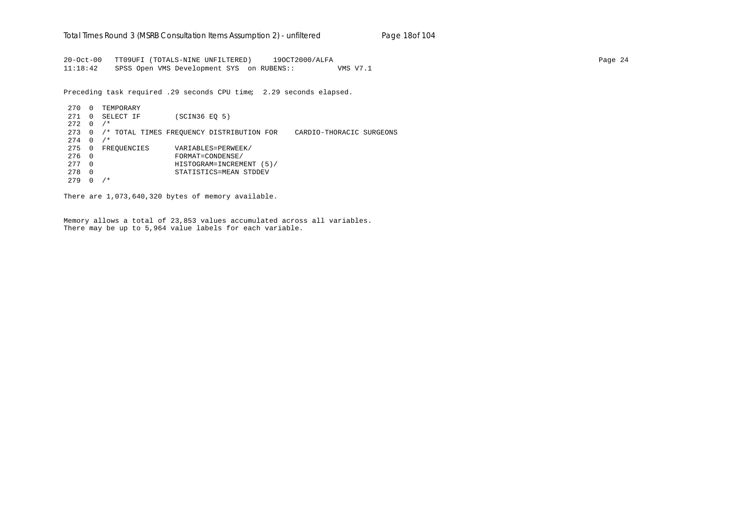20-Oct-00 TT09UFI (TOTALS-NINE UNFILTERED) 19OCT2000/ALFA Page 24 11:18:42 SPSS Open VMS Development SYS on RUBENS:: VMS V7.1

Preceding task required .29 seconds CPU time; 2.29 seconds elapsed.

270 0 TEMPORARY 271 0 SELECT IF (SCIN36 EQ 5)  $272 \quad 0 \quad /*$ 273 0 /\* TOTAL TIMES FREQUENCY DISTRIBUTION FOR CARDIO-THORACIC SURGEONS  $274 \t 0 \t /\t$ 275 0 FREQUENCIES VARIABLES=PERWEEK/ 276 0 FORMAT=CONDENSE/ 277 0 HISTOGRAM=INCREMENT (5)/ 278 0 STATISTICS=MEAN STDDEV 279 0 /\*

There are 1,073,640,320 bytes of memory available.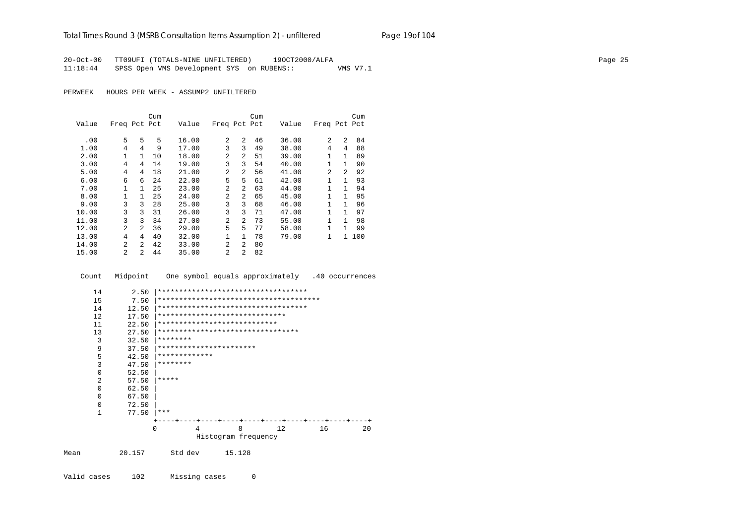# Total Times Round 3 (MSRB Consultation Items Assumption 2) - *unfiltered* Page 19of 104

20-Oct-00 TT09UFI (TOTALS-NINE UNFILTERED) 19OCT2000/ALFA Page 25 11:18:44 SPSS Open VMS Development SYS on RUBENS:: VMS V7.1

PERWEEK HOURS PER WEEK - ASSUMP2 UNFILTERED

|       |                |                | Cum |       |                |                | Cum |       |              |                | Cum |
|-------|----------------|----------------|-----|-------|----------------|----------------|-----|-------|--------------|----------------|-----|
| Value | Freq Pct Pct   |                |     | Value | Freq Pct Pct   |                |     | Value | Freq Pct Pct |                |     |
| .00   | 5              | 5              | 5   | 16.00 | $\mathfrak{D}$ | 2              | 46  | 36.00 | 2            | 2              | 84  |
| 1.00  | 4              | 4              | 9   | 17.00 | 3              | 3              | 49  | 38.00 | 4            | 4              | 88  |
|       |                |                |     |       |                |                |     |       |              |                |     |
| 2.00  | 1              | 1              | 10  | 18.00 | $\overline{a}$ | $\overline{a}$ | 51  | 39.00 | $\mathbf{1}$ | $\mathbf{1}$   | 89  |
| 3.00  | 4              | 4              | 14  | 19.00 | 3              | 3              | 54  | 40.00 | $\mathbf{1}$ | 1              | 90  |
| 5.00  | 4              | 4              | 18  | 21.00 | $\mathfrak{D}$ | 2              | 56  | 41.00 | 2            | $\mathfrak{D}$ | 92  |
| 6.00  | 6              | 6              | 24  | 22.00 | 5              | 5              | 61  | 42.00 | 1            | 1              | 93  |
| 7.00  | $\mathbf{1}$   | $\mathbf{1}$   | 25  | 23.00 | $\overline{a}$ | 2              | 63  | 44.00 | $\mathbf{1}$ | 1              | 94  |
| 8.00  | $\mathbf{1}$   | $\mathbf{1}$   | 25  | 24.00 | $\overline{2}$ | $\overline{a}$ | 65  | 45.00 | 1            | $\mathbf{1}$   | 95  |
| 9.00  | 3              | 3              | 28  | 25.00 | 3              | 3              | 68  | 46.00 | 1            | 1              | 96  |
| 10.00 | 3              | 3              | 31  | 26.00 | 3              | 3              | 71  | 47.00 | 1            | 1              | 97  |
| 11.00 | 3              | 3              | 34  | 27.00 | $\overline{a}$ | $\overline{a}$ | 73  | 55.00 | $\mathbf{1}$ | 1              | 98  |
| 12.00 | 2              | 2              | 36  | 29.00 | 5              | 5              | 77  | 58.00 | $\mathbf{1}$ | 1.             | 99  |
| 13.00 | 4              | 4              | 40  | 32.00 | 1              | $\mathbf{1}$   | 78  | 79.00 | $\mathbf{1}$ | $\mathbf{1}$   | 100 |
| 14.00 | $\mathfrak{D}$ | $\mathfrak{D}$ | 42  | 33.00 | $\overline{a}$ | $\mathfrak{D}$ | 80  |       |              |                |     |
| 15.00 | $\mathfrak{D}$ | 2              | 44  | 35.00 | 2              | 2              | 82  |       |              |                |     |

Count Midpoint One symbol equals approximately .40 occurrences

| 14       | 2.50   | ************************************ |                     |    |    |    |
|----------|--------|--------------------------------------|---------------------|----|----|----|
| 15       | 7.50   |                                      |                     |    |    |    |
| 14       | 12.50  | ************************************ |                     |    |    |    |
| 12       | 17.50  | ******************************       |                     |    |    |    |
| 11       | 22.50  | ****************************         |                     |    |    |    |
| 13       | 27.50  | *********************************    |                     |    |    |    |
| 3        | 32.50  | ********                             |                     |    |    |    |
| 9        | 37.50  | ***********************              |                     |    |    |    |
| 5        | 42.50  | *************                        |                     |    |    |    |
| 3        | 47.50  | ********                             |                     |    |    |    |
| $\Omega$ | 52.50  |                                      |                     |    |    |    |
| 2        | 57.50  | $*****$                              |                     |    |    |    |
| $\Omega$ | 62.50  |                                      |                     |    |    |    |
| $\Omega$ | 67.50  |                                      |                     |    |    |    |
| $\Omega$ | 72.50  |                                      |                     |    |    |    |
| 1        | 77.50  | ***                                  |                     |    |    |    |
|          |        |                                      |                     |    |    |    |
|          |        | 0<br>4                               | 8                   | 12 | 16 | 20 |
|          |        |                                      | Histogram frequency |    |    |    |
| Mean     | 20.157 | Std dev                              | 15.128              |    |    |    |

Valid cases 102 Missing cases 0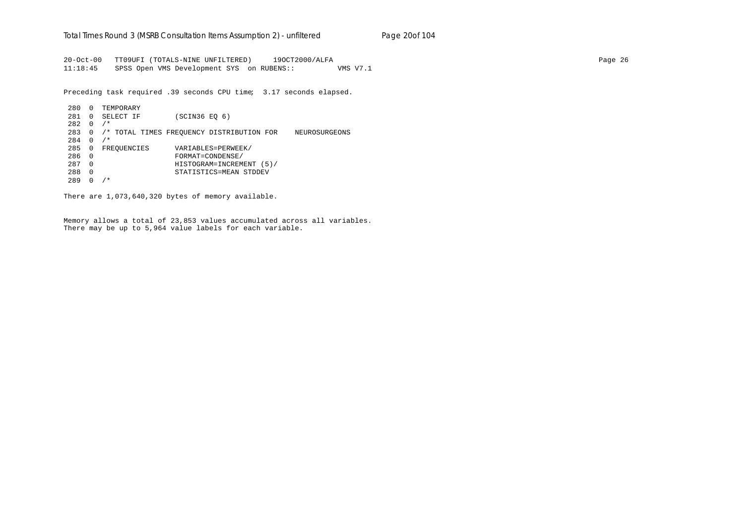20-Oct-00 TT09UFI (TOTALS-NINE UNFILTERED) 19OCT2000/ALFA Page 26 11:18:45 SPSS Open VMS Development SYS on RUBENS:: VMS V7.1

Preceding task required .39 seconds CPU time; 3.17 seconds elapsed.

280 0 TEMPORARY 281 0 SELECT IF (SCIN36 EQ 6)  $282 \quad 0 \quad /*$ 283 0 /\* TOTAL TIMES FREQUENCY DISTRIBUTION FOR NEUROSURGEONS 284 0 /\* 285 0 FREQUENCIES VARIABLES=PERWEEK/ 286 0 FORMAT=CONDENSE/ 287 0 HISTOGRAM=INCREMENT (5)/ 288 0 STATISTICS=MEAN STDDEV 289 0 /\*

There are 1,073,640,320 bytes of memory available.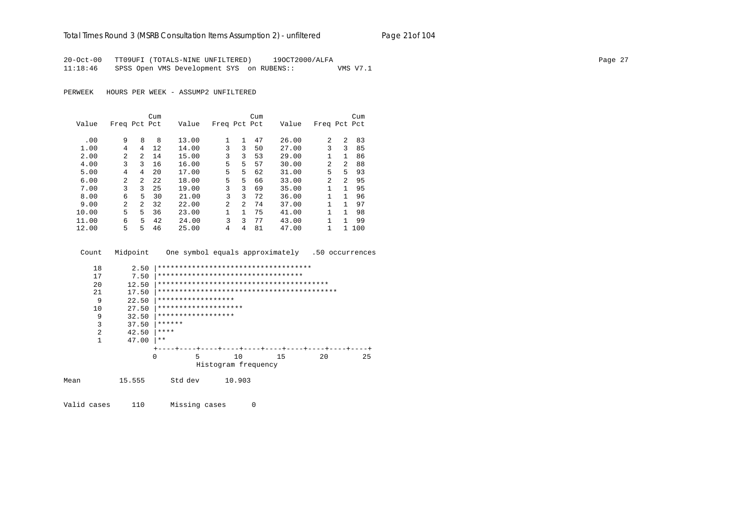#### Total Times Round 3 (MSRB Consultation Items Assumption 2) - *unfiltered* Page 21of 104

20-Oct-00 TT09UFI (TOTALS-NINE UNFILTERED) 19OCT2000/ALFA Page 27 11:18:46 SPSS Open VMS Development SYS on RUBENS:: VMS V7.1

PERWEEK HOURS PER WEEK - ASSUMP2 UNFILTERED

|       |                |                | Cum  |       |                |              | Cum |       |                |               | Cum |
|-------|----------------|----------------|------|-------|----------------|--------------|-----|-------|----------------|---------------|-----|
| Value | Freq Pct Pct   |                |      | Value | Freq Pct Pct   |              |     | Value | Freq Pct Pct   |               |     |
|       |                |                |      |       |                |              |     |       |                |               |     |
| .00   | 9              | 8              | 8    | 13.00 | 1              | $\mathbf{1}$ | 47  | 26.00 | $\mathfrak{D}$ | 2             | 83  |
| 1.00  | 4              | 4              | 12   | 14.00 | 3              | 3            | 50  | 27.00 | 3              | 3             | 85  |
| 2.00  | $\overline{a}$ | $\overline{2}$ | 14   | 15.00 | 3              | 3            | 53  | 29.00 |                | $\mathbf{1}$  | 86  |
| 4.00  | 3              | 3              | 16   | 16.00 | 5              | 5            | 57  | 30.00 | 2              | 2             | 88  |
| 5.00  | 4              | 4              | 20   | 17.00 | 5              | 5            | 62  | 31.00 | 5.             | 5             | 93  |
| 6.00  | $\overline{a}$ | $\mathcal{L}$  | 2.2. | 18.00 | 5              | 5            | 66  | 33.00 | $\mathfrak{D}$ | $\mathcal{L}$ | 95  |
| 7.00  | 3              | 3              | 25   | 19.00 | 3              | 3            | 69  | 35.00 |                | 1             | 95  |
| 8.00  | 6              | 5              | 30   | 21.00 | 3              | ζ            | 72  | 36.00 | 1              | 1             | 96  |
| 9.00  | $\mathfrak{D}$ | 2              | 32   | 22.00 | $\overline{a}$ | 2            | 74  | 37.00 |                | 1             | 97  |
| 10.00 | 5              | 5              | 36   | 23.00 |                | $\mathbf{1}$ | 75  | 41.00 |                | 1             | 98  |
| 11.00 | 6              | 5.             | 42   | 24.00 | 3              | 3            | 77  | 43.00 | 1              | 1             | 99  |
| 12.00 | 5              | 5              | 46   | 25.00 | 4              | 4            | 81  | 47.00 | 1              |               | 100 |

Count Midpoint One symbol equals approximately .50 occurrences

| 18   | 2.50       | ************************************* |                     |    |    |    |
|------|------------|---------------------------------------|---------------------|----|----|----|
| 17   | 7.50       | **********************************    |                     |    |    |    |
| 20   | 12.50      |                                       |                     |    |    |    |
| 21   | 17.50      |                                       |                     |    |    |    |
|      | 9<br>22.50 | ******************                    |                     |    |    |    |
| 10   | 27.50      | ********************                  |                     |    |    |    |
|      | 9<br>32.50 | ******************                    |                     |    |    |    |
|      | 3<br>37.50 | ******                                |                     |    |    |    |
|      | 2<br>42.50 | ****                                  |                     |    |    |    |
|      | 47.00      | $***$                                 |                     |    |    |    |
|      |            |                                       |                     |    |    |    |
|      |            | 5<br>0                                | 10                  | 15 | 20 | 25 |
|      |            |                                       | Histogram frequency |    |    |    |
|      |            |                                       |                     |    |    |    |
| Mean | 15.555     | Std dev                               | 10.903              |    |    |    |

Valid cases 110 Missing cases 0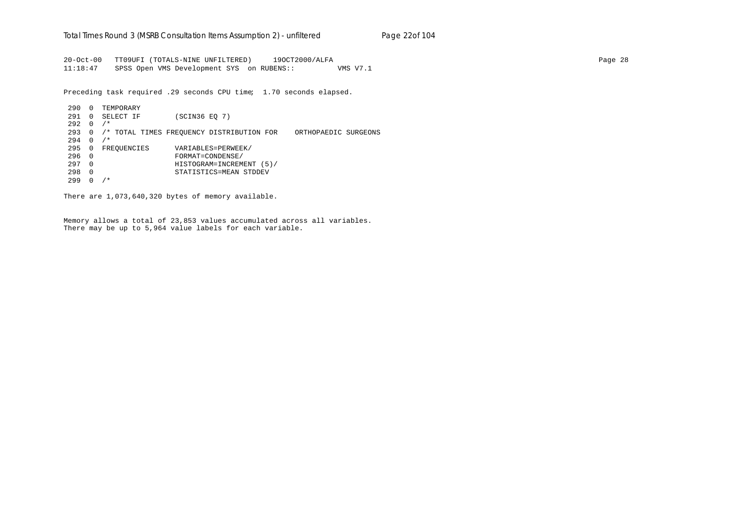20-Oct-00 TT09UFI (TOTALS-NINE UNFILTERED) 19OCT2000/ALFA Page 28 11:18:47 SPSS Open VMS Development SYS on RUBENS:: VMS V7.1

Preceding task required .29 seconds CPU time; 1.70 seconds elapsed.

290 0 TEMPORARY 291 0 SELECT IF (SCIN36 EQ 7)  $292 \t 0 / *$ 293 0 /\* TOTAL TIMES FREQUENCY DISTRIBUTION FOR ORTHOPAEDIC SURGEONS  $294 \t 0 \t /\t$ 295 0 FREQUENCIES VARIABLES=PERWEEK/ 296 0 FORMAT=CONDENSE/ 297 0 HISTOGRAM=INCREMENT (5)/ 298 0 STATISTICS=MEAN STDDEV 299 0 /\*

There are 1,073,640,320 bytes of memory available.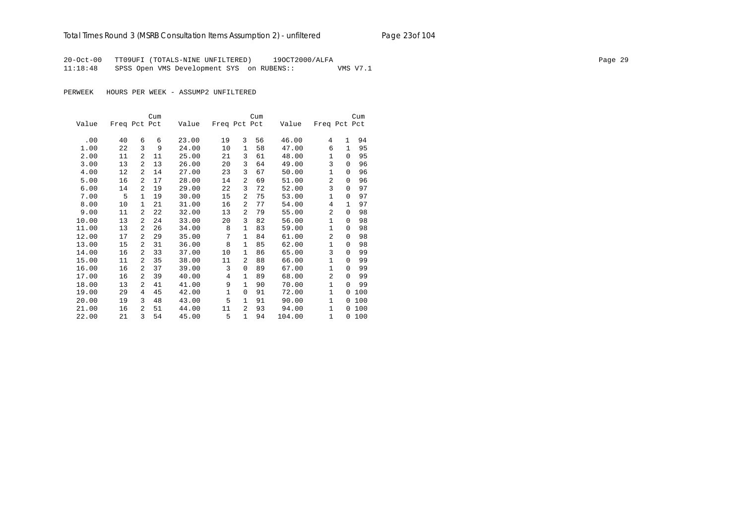# Total Times Round 3 (MSRB Consultation Items Assumption 2) - *unfiltered* Page 23of 104

20-Oct-00 TT09UFI (TOTALS-NINE UNFILTERED) 19OCT2000/ALFA Page 29 11:18:48 SPSS Open VMS Development SYS on RUBENS:: VMS V7.1

PERWEEK HOURS PER WEEK - ASSUMP2 UNFILTERED

|       |              |                | Cum |       |              |                | Cum |        |                |              | Cum   |
|-------|--------------|----------------|-----|-------|--------------|----------------|-----|--------|----------------|--------------|-------|
| Value | Freq Pct Pct |                |     | Value | Freq Pct Pct |                |     | Value  | Freq Pct Pct   |              |       |
|       |              |                |     |       |              |                |     |        |                |              |       |
| .00   | 40           | 6              | 6   | 23.00 | 19           | 3              | 56  | 46.00  | 4              | $\mathbf{1}$ | 94    |
| 1.00  | 22           | 3              | 9   | 24.00 | 10           | 1              | 58  | 47.00  | 6              | 1            | 95    |
| 2.00  | 11           | 2              | 11  | 25.00 | 21           | 3              | 61  | 48.00  | 1              | $\Omega$     | 95    |
| 3.00  | 13           | 2              | 13  | 26.00 | 20           | 3              | 64  | 49.00  | 3              | 0            | 96    |
| 4.00  | 12           | $\overline{a}$ | 14  | 27.00 | 23           | 3              | 67  | 50.00  | 1              | $\Omega$     | 96    |
| 5.00  | 16           | $\overline{2}$ | 17  | 28.00 | 14           | 2              | 69  | 51.00  | $\overline{2}$ | $\Omega$     | 96    |
| 6.00  | 14           | $\overline{2}$ | 19  | 29.00 | 22           | 3              | 72  | 52.00  | 3              | $\Omega$     | 97    |
| 7.00  | 5            | $\mathbf{1}$   | 19  | 30.00 | 15           | 2              | 75  | 53.00  | 1              | $\Omega$     | 97    |
| 8.00  | 10           | 1              | 21  | 31.00 | 16           | 2              | 77  | 54.00  | $\overline{4}$ | $\mathbf{1}$ | 97    |
| 9.00  | 11           | $\overline{a}$ | 22  | 32.00 | 13           | 2              | 79  | 55.00  | $\overline{a}$ | $\Omega$     | 98    |
| 10.00 | 13           | 2              | 24  | 33.00 | 20           | 3              | 82  | 56.00  | $\mathbf{1}$   | $\Omega$     | 98    |
| 11.00 | 13           | 2              | 26  | 34.00 | 8            | $\mathbf{1}$   | 83  | 59.00  | $\mathbf{1}$   | $\Omega$     | 98    |
| 12.00 | 17           | 2              | 29  | 35.00 | 7            | $\mathbf{1}$   | 84  | 61.00  | 2              | $\Omega$     | 98    |
| 13.00 | 15           | 2              | 31  | 36.00 | 8            | $\mathbf{1}$   | 85  | 62.00  | $\mathbf{1}$   | $\Omega$     | 98    |
| 14.00 | 16           | 2              | 33  | 37.00 | 10           | $\mathbf{1}$   | 86  | 65.00  | 3              | $\Omega$     | 99    |
| 15.00 | 11           | 2              | 35  | 38.00 | 11           | $\overline{a}$ | 88  | 66.00  | $\mathbf{1}$   | $\Omega$     | 99    |
| 16.00 | 16           | 2              | 37  | 39.00 | 3            | $\mathbf 0$    | 89  | 67.00  | $\mathbf 1$    | $\Omega$     | 99    |
| 17.00 | 16           | 2              | 39  | 40.00 | 4            | $\mathbf{1}$   | 89  | 68.00  | 2              | $\Omega$     | 99    |
| 18.00 | 13           | 2              | 41  | 41.00 | 9            | $\mathbf{1}$   | 90  | 70.00  | $\mathbf 1$    | $\Omega$     | 99    |
| 19.00 | 29           | 4              | 45  | 42.00 | $\mathbf{1}$ | 0              | 91  | 72.00  | $\mathbf{1}$   | $\Omega$     | 100   |
| 20.00 | 19           | 3              | 48  | 43.00 | 5            | $\mathbf{1}$   | 91  | 90.00  | 1              | 0            | 100   |
| 21.00 | 16           | 2              | 51  | 44.00 | 11           | 2              | 93  | 94.00  | $\mathbf{1}$   | 0            | 100   |
| 22.00 | 21           | 3              | 54  | 45.00 | 5            | $\mathbf{1}$   | 94  | 104.00 | 1              |              | 0 100 |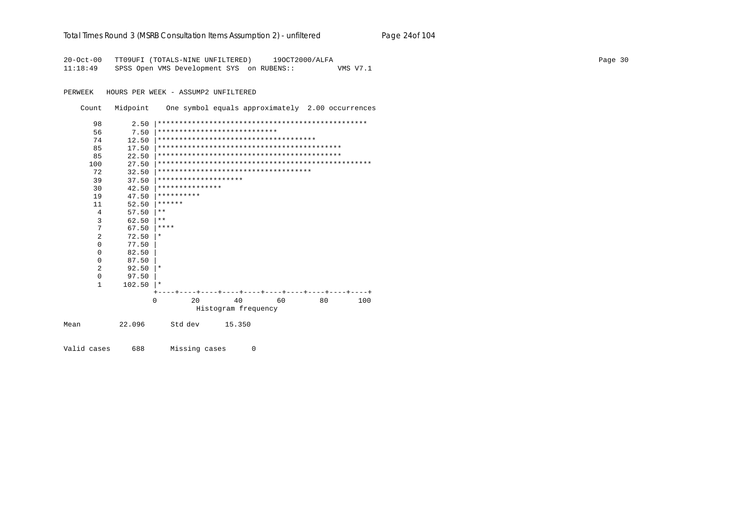| Total Times Round 3 (MSRB Consultation Items Assumption 2) - unfiltered | Page 24of 104 |
|-------------------------------------------------------------------------|---------------|
|-------------------------------------------------------------------------|---------------|

20-Oct-00 TT09UFI (TOTALS-NINE UNFILTERED) 19OCT2000/ALFA<br>11:18:49 SPSS Open VMS Development SYS on RUBENS:: WMS V7.1  $11:18:49$  SPSS Open VMS Development SYS on RUBENS::

PERWEEK HOURS PER WEEK - ASSUMP2 UNFILTERED

Count Midpoint One symbol equals approximately 2.00 occurrences

| 98             | 2.50   |                      |                                        |    |    |     |
|----------------|--------|----------------------|----------------------------------------|----|----|-----|
| 56             | 7.50   |                      | ****************************           |    |    |     |
| 74             | 12.50  |                      | ************************************** |    |    |     |
| 85             | 17.50  |                      |                                        |    |    |     |
| 85             | 22.50  |                      |                                        |    |    |     |
| 100            | 27.50  |                      |                                        |    |    |     |
| 72             | 32.50  |                      | *************************************  |    |    |     |
| 39             | 37.50  | ******************** |                                        |    |    |     |
| 30             | 42.50  | ***************      |                                        |    |    |     |
| 19             | 47.50  | **********           |                                        |    |    |     |
| 11             | 52.50  | ******               |                                        |    |    |     |
| 4              | 57.50  | $* *$                |                                        |    |    |     |
| 3              | 62.50  | $* *$                |                                        |    |    |     |
| 7              | 67.50  | ****                 |                                        |    |    |     |
| $\overline{a}$ | 72.50  | $\ast$               |                                        |    |    |     |
| $\Omega$       | 77.50  |                      |                                        |    |    |     |
| $\Omega$       | 82.50  |                      |                                        |    |    |     |
| $\Omega$       | 87.50  |                      |                                        |    |    |     |
| $\mathfrak{D}$ | 92.50  | $\ast$               |                                        |    |    |     |
| 0              | 97.50  |                      |                                        |    |    |     |
| $\mathbf{1}$   | 102.50 | $\star$              |                                        |    |    |     |
|                |        |                      |                                        |    |    |     |
|                |        | 20<br>U              | 40                                     | 60 | 80 | 100 |
|                |        |                      | Histogram frequency                    |    |    |     |
| Mean           | 22.096 | Std dev              | 15.350                                 |    |    |     |

Valid cases 688 Missing cases 0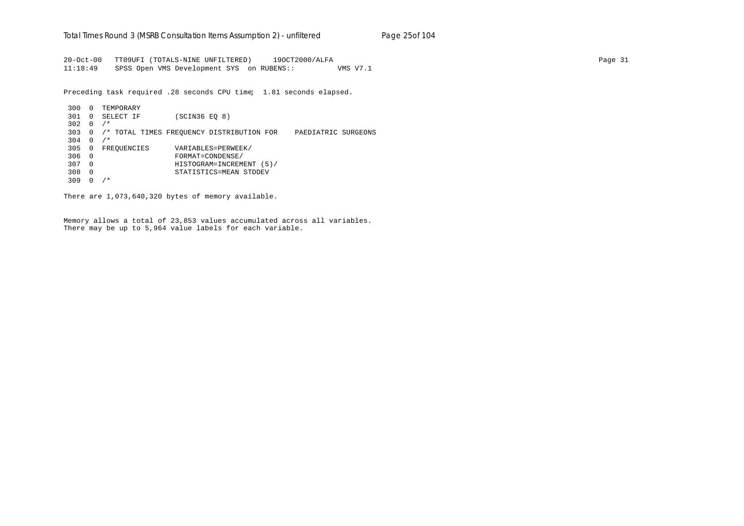20-Oct-00 TT09UFI (TOTALS-NINE UNFILTERED) 19OCT2000/ALFA Page 31 11:18:49 SPSS Open VMS Development SYS on RUBENS:: VMS V7.1

Preceding task required .28 seconds CPU time; 1.81 seconds elapsed.

300 0 TEMPORARY 301 0 SELECT IF (SCIN36 EQ 8) 302 0 /\* 303 0 /\* TOTAL TIMES FREQUENCY DISTRIBUTION FOR PAEDIATRIC SURGEONS  $304 \quad 0 \quad /$ \* 305 0 FREQUENCIES VARIABLES=PERWEEK/ 306 0 FORMAT=CONDENSE/ 307 0 HISTOGRAM=INCREMENT (5)/ 308 0 STATISTICS=MEAN STDDEV 309 0 /\*

There are 1,073,640,320 bytes of memory available.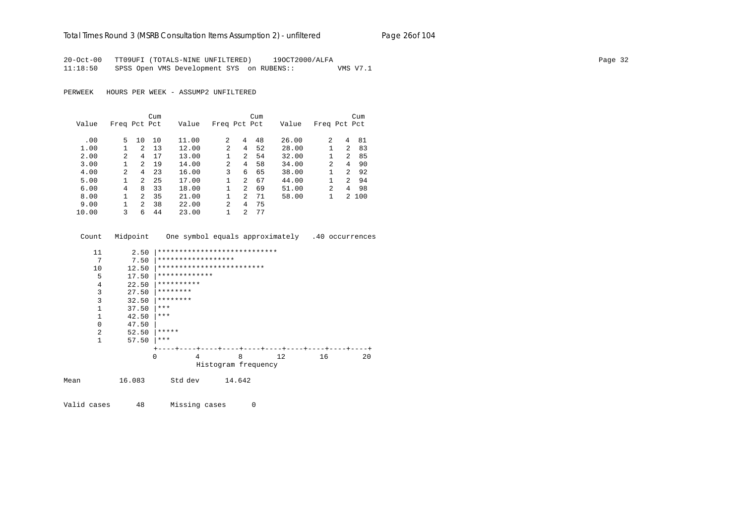# Total Times Round 3 (MSRB Consultation Items Assumption 2) - *unfiltered* Page 26of 104

20-Oct-00 TT09UFI (TOTALS-NINE UNFILTERED) 19OCT2000/ALFA Page 32 11:18:50 SPSS Open VMS Development SYS on RUBENS:: VMS V7.1

PERWEEK HOURS PER WEEK - ASSUMP2 UNFILTERED

|       |              |               | Cum |       |                |   | Cum |       |                |                | Cum   |
|-------|--------------|---------------|-----|-------|----------------|---|-----|-------|----------------|----------------|-------|
| Value | Freq Pct Pct |               |     | Value | Freq Pct Pct   |   |     | Value | Freq Pct Pct   |                |       |
|       |              |               |     |       |                |   |     |       |                |                |       |
| .00   | 5.           | 10            | 10  | 11.00 | 2              | 4 | 48  | 26.00 | $\mathfrak{D}$ | 4              | 81    |
| 1.00  |              | $\mathcal{L}$ | 13  | 12.00 | $\overline{a}$ | 4 | 52  | 28.00 |                | $\mathfrak{D}$ | 83    |
| 2.00  | 2            | 4             | 17  | 13.00 | 1              | 2 | 54  | 32.00 |                | 2              | 85    |
| 3.00  |              | $\mathcal{D}$ | 19  | 14.00 | $\overline{a}$ | 4 | 58  | 34.00 | $\overline{2}$ | 4              | 90    |
| 4.00  | 2            | 4             | 23  | 16.00 | 3              | 6 | 65  | 38.00 |                | $\overline{2}$ | 92    |
| 5.00  | 1            | $\mathcal{L}$ | 25  | 17.00 | $\mathbf{1}$   | 2 | 67  | 44.00 |                | $\mathfrak{D}$ | 94    |
| 6.00  | 4            | 8             | 33  | 18.00 | 1.             | 2 | 69  | 51.00 | $\mathfrak{D}$ | 4              | 98    |
| 8.00  |              | 2             | 35  | 21.00 |                | 2 | 71  | 58.00 |                |                | 2 100 |
| 9.00  |              | $2^{1}$       | 38  | 22.00 | $\overline{a}$ | 4 | 75  |       |                |                |       |
| 10.00 | 3            | 6             | 44  | 23.00 |                | 2 | 77  |       |                |                |       |

|      | Count    | Midpoint |          |                    |                              |   | One symbol equals approximately .40 occurrences |    |  |    |  |
|------|----------|----------|----------|--------------------|------------------------------|---|-------------------------------------------------|----|--|----|--|
|      | 11       | 2.50     |          |                    | **************************** |   |                                                 |    |  |    |  |
|      | 7        | 7.50     |          | ****************** |                              |   |                                                 |    |  |    |  |
|      | 10       | 12.50    |          |                    | *************************    |   |                                                 |    |  |    |  |
|      | 5        | 17.50    |          | *************      |                              |   |                                                 |    |  |    |  |
|      | 4        | 22.50    |          | **********         |                              |   |                                                 |    |  |    |  |
|      | 3        | 27.50    | ******** |                    |                              |   |                                                 |    |  |    |  |
|      | 3        | 32.50    | ******** |                    |                              |   |                                                 |    |  |    |  |
|      | 1        | 37.50    | ***      |                    |                              |   |                                                 |    |  |    |  |
|      | 1        | 42.50    | ***      |                    |                              |   |                                                 |    |  |    |  |
|      | $\Omega$ | 47.50    |          |                    |                              |   |                                                 |    |  |    |  |
|      | 2        | 52.50    | *****    |                    |                              |   |                                                 |    |  |    |  |
|      | 1        | 57.50    | ***      |                    |                              |   |                                                 |    |  |    |  |
|      |          |          |          |                    |                              |   |                                                 |    |  |    |  |
|      |          |          | 0        | 4                  |                              | 8 | 12                                              | 16 |  | 20 |  |
|      |          |          |          |                    | Histogram frequency          |   |                                                 |    |  |    |  |
| Mean |          | 16.083   |          | Std dev            | 14.642                       |   |                                                 |    |  |    |  |

Valid cases 48 Missing cases 0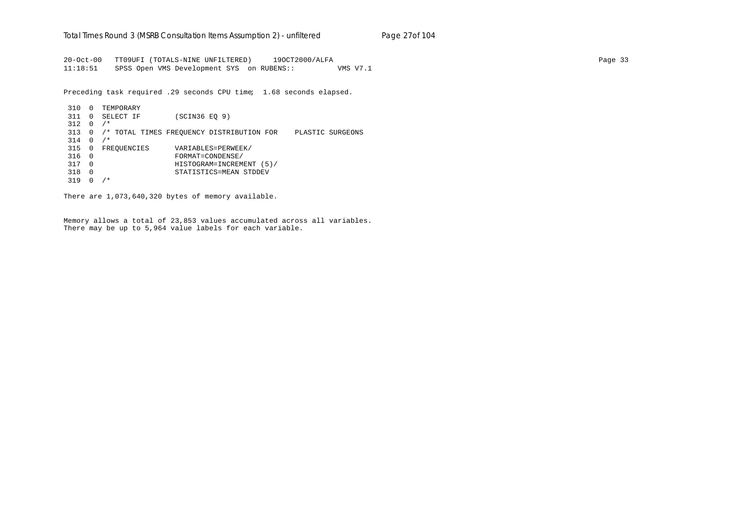20-Oct-00 TT09UFI (TOTALS-NINE UNFILTERED) 19OCT2000/ALFA Page 33 11:18:51 SPSS Open VMS Development SYS on RUBENS:: VMS V7.1

Preceding task required .29 seconds CPU time; 1.68 seconds elapsed.

310 0 TEMPORARY 311 0 SELECT IF (SCIN36 EQ 9)  $312 \t 0 / *$ 313 0 /\* TOTAL TIMES FREQUENCY DISTRIBUTION FOR PLASTIC SURGEONS  $314 \t 0 \t /\t$ 315 0 FREQUENCIES VARIABLES=PERWEEK/ 316 0 FORMAT=CONDENSE/ 317 0 HISTOGRAM=INCREMENT (5)/ 318 0 STATISTICS=MEAN STDDEV 319 0 /\*

There are 1,073,640,320 bytes of memory available.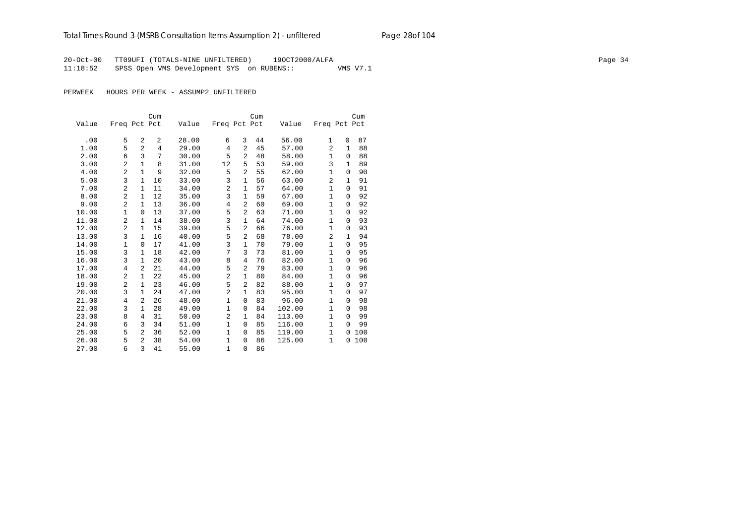## Total Times Round 3 (MSRB Consultation Items Assumption 2) - *unfiltered* Page 28of 104

20-Oct-00 TT09UFI (TOTALS-NINE UNFILTERED) 19OCT2000/ALFA Page 34 11:18:52 SPSS Open VMS Development SYS on RUBENS:: VMS V7.1

|       |                |                | Cum |       |                |                | Cum |        |                |              | Cum |
|-------|----------------|----------------|-----|-------|----------------|----------------|-----|--------|----------------|--------------|-----|
| Value | Freq Pct Pct   |                |     | Value | Freq Pct Pct   |                |     | Value  | Freq Pct Pct   |              |     |
|       |                |                |     |       |                |                |     |        |                |              |     |
| .00   | 5              | 2              | 2   | 28.00 | 6              | 3              | 44  | 56.00  | $\mathbf{1}$   | 0            | 87  |
| 1.00  | 5              | $\overline{a}$ | 4   | 29.00 | 4              | 2              | 45  | 57.00  | 2              | 1            | 88  |
| 2.00  | 6              | 3              | 7   | 30.00 | 5              | 2              | 48  | 58.00  | 1              | $\Omega$     | 88  |
| 3.00  | $\overline{a}$ | 1              | 8   | 31.00 | 12             | 5              | 53  | 59.00  | 3              | $\mathbf{1}$ | 89  |
| 4.00  | $\overline{2}$ | $\mathbf{1}$   | 9   | 32.00 | 5              | $\overline{2}$ | 55  | 62.00  | $\mathbf{1}$   | $\Omega$     | 90  |
| 5.00  | 3              | 1              | 10  | 33.00 | 3              | $\mathbf{1}$   | 56  | 63.00  | $\overline{2}$ | 1            | 91  |
| 7.00  | $\overline{a}$ | 1              | 11  | 34.00 | 2              | $\mathbf{1}$   | 57  | 64.00  | $\mathbf{1}$   | 0            | 91  |
| 8.00  | 2              | 1              | 12  | 35.00 | 3              | $\mathbf 1$    | 59  | 67.00  | $\mathbf{1}$   | $\Omega$     | 92  |
| 9.00  | $\overline{a}$ | 1              | 13  | 36.00 | $\overline{4}$ | 2              | 60  | 69.00  | $\mathbf{1}$   | 0            | 92  |
| 10.00 | $\mathbf{1}$   | $\Omega$       | 13  | 37.00 | 5              | $\overline{a}$ | 63  | 71.00  | $\mathbf{1}$   | $\Omega$     | 92  |
| 11.00 | 2              | 1              | 14  | 38.00 | 3              | $\mathbf{1}$   | 64  | 74.00  | $\mathbf{1}$   | $\Omega$     | 93  |
| 12.00 | $\overline{2}$ | 1              | 15  | 39.00 | 5              | 2              | 66  | 76.00  | 1              | $\Omega$     | 93  |
| 13.00 | 3              | 1              | 16  | 40.00 | 5              | 2              | 68  | 78.00  | 2              | 1            | 94  |
| 14.00 | 1              | 0              | 17  | 41.00 | 3              | $\mathbf{1}$   | 70  | 79.00  | 1              | $\Omega$     | 95  |
| 15.00 | 3              | 1              | 18  | 42.00 | 7              | 3              | 73  | 81.00  | $\mathbf{1}$   | 0            | 95  |
| 16.00 | 3              | 1              | 20  | 43.00 | 8              | 4              | 76  | 82.00  | $\mathbf{1}$   | $\Omega$     | 96  |
| 17.00 | $\overline{4}$ | $\mathfrak{D}$ | 21  | 44.00 | 5              | 2              | 79  | 83.00  | $\mathbf{1}$   | $\Omega$     | 96  |
| 18.00 | $\overline{a}$ | 1              | 22  | 45.00 | $\overline{2}$ | $\mathbf{1}$   | 80  | 84.00  | 1              | $\Omega$     | 96  |
| 19.00 | 2              | $\mathbf 1$    | 23  | 46.00 | 5              | 2              | 82  | 88.00  | $\mathbf{1}$   | $\Omega$     | 97  |
| 20.00 | 3              | 1              | 24  | 47.00 | $\overline{2}$ | $\mathbf{1}$   | 83  | 95.00  | $\mathbf{1}$   | $\Omega$     | 97  |
| 21.00 | 4              | 2              | 26  | 48.00 | $\mathbf{1}$   | $\mathbf 0$    | 83  | 96.00  | $\mathbf{1}$   | 0            | 98  |
| 22.00 | 3              | 1              | 28  | 49.00 | 1              | $\mathbf 0$    | 84  | 102.00 | $\mathbf{1}$   | $\Omega$     | 98  |
| 23.00 | 8              | 4              | 31  | 50.00 | $\overline{c}$ | 1              | 84  | 113.00 | $\mathbf{1}$   | $\Omega$     | 99  |
| 24.00 | 6              | 3              | 34  | 51.00 | 1              | $\mathbf 0$    | 85  | 116.00 | 1              | $\Omega$     | 99  |
| 25.00 | 5              | 2              | 36  | 52.00 | $\mathbf{1}$   | $\mathbf 0$    | 85  | 119.00 | $\mathbf{1}$   | $\Omega$     | 100 |
| 26.00 | 5              | $\mathfrak{D}$ | 38  | 54.00 | 1              | $\mathbf 0$    | 86  | 125.00 | 1              | 0            | 100 |
| 27.00 | 6              | 3              | 41  | 55.00 | $\mathbf{1}$   | $\mathbf 0$    | 86  |        |                |              |     |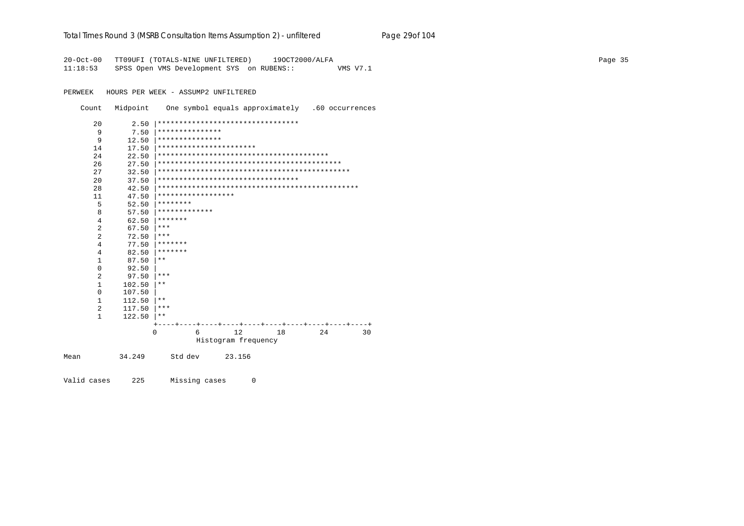### Total Times Round 3 (MSRB Consultation Items Assumption 2) - unfiltered Page 29of 104

20-Oct-00 TT09UFI (TOTALS-NINE UNFILTERED) 190CT2000/ALFA 11:18:53 SPSS Open VMS Development SYS on RUBENS:: VMS V7.1

PERWEEK HOURS PER WEEK - ASSUMP2 UNFILTERED

Count Midpoint One symbol equals approximately .60 occurrences

| 20             | 2.50   |                    | ********************************* |    |    |    |
|----------------|--------|--------------------|-----------------------------------|----|----|----|
| 9              | 7.50   | ***************    |                                   |    |    |    |
| 9              | 12.50  | ***************    |                                   |    |    |    |
| 14             | 17.50  |                    | ***********************           |    |    |    |
| 24             | 22.50  |                    |                                   |    |    |    |
| 26             | 27.50  |                    |                                   |    |    |    |
| 27             | 32.50  |                    |                                   |    |    |    |
| 20             | 37.50  |                    | ********************************* |    |    |    |
| 28             | 42.50  |                    |                                   |    |    |    |
| 11             | 47.50  | ****************** |                                   |    |    |    |
| 5              | 52.50  | ********           |                                   |    |    |    |
| 8              | 57.50  | *************      |                                   |    |    |    |
| 4              | 62.50  | *******            |                                   |    |    |    |
| $\overline{a}$ | 67.50  | $***$              |                                   |    |    |    |
| 2              | 72.50  | $***$              |                                   |    |    |    |
| 4              | 77.50  | *******            |                                   |    |    |    |
| 4              | 82.50  | *******            |                                   |    |    |    |
| $\mathbf{1}$   | 87.50  | $***$              |                                   |    |    |    |
| 0              | 92.50  |                    |                                   |    |    |    |
| 2              | 97.50  | ***                |                                   |    |    |    |
| $\mathbf{1}$   | 102.50 | $***$              |                                   |    |    |    |
| 0              | 107.50 |                    |                                   |    |    |    |
| 1              | 112.50 | $***$              |                                   |    |    |    |
| $\overline{a}$ | 117.50 | ***                |                                   |    |    |    |
| $\mathbf 1$    | 122.50 | $***$              |                                   |    |    |    |
|                |        |                    |                                   |    |    |    |
|                |        | $\mathbf 0$<br>6   | 12                                | 18 | 24 | 30 |
|                |        |                    | Histogram frequency               |    |    |    |
| Mean           | 34.249 | Std dev            | 23.156                            |    |    |    |

Valid cases 225 Missing cases  $\mathsf{O}$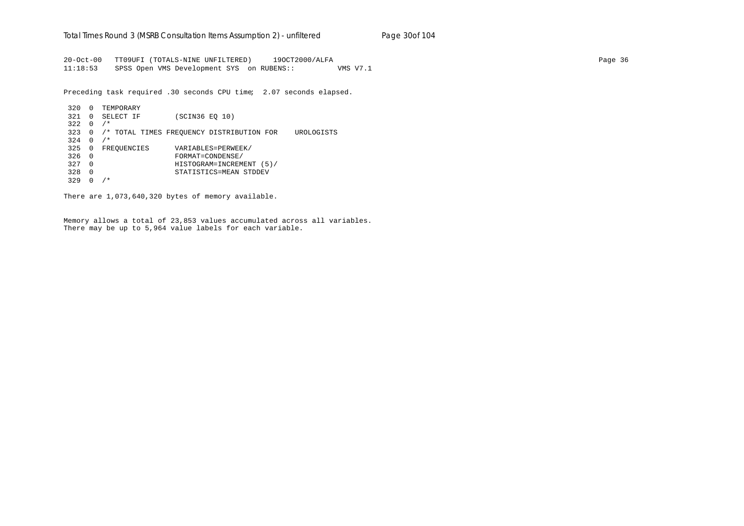20-Oct-00 TT09UFI (TOTALS-NINE UNFILTERED) 19OCT2000/ALFA Page 36 11:18:53 SPSS Open VMS Development SYS on RUBENS:: VMS V7.1

Preceding task required .30 seconds CPU time; 2.07 seconds elapsed.

| 320 | <sup>0</sup> | TEMPORARY   |                                                         |  |
|-----|--------------|-------------|---------------------------------------------------------|--|
| 321 | 0            | SELECT IF   | (SCIN36 EO 10)                                          |  |
| 322 | <sup>0</sup> | $/$ *       |                                                         |  |
| 323 |              |             | /* TOTAL TIMES FREOUENCY DISTRIBUTION FOR<br>UROLOGISTS |  |
| 324 | 0            | $/$ *       |                                                         |  |
| 325 | 0            | FREOUENCIES | VARIABLES=PERWEEK/                                      |  |
| 326 | $\Omega$     |             | FORMAT=CONDENSE/                                        |  |
| 327 | $\Omega$     |             | HISTOGRAM=INCREMENT (5)/                                |  |
| 328 | 0            |             | STATISTICS=MEAN STDDEV                                  |  |
| 329 |              | ∗           |                                                         |  |

There are 1,073,640,320 bytes of memory available.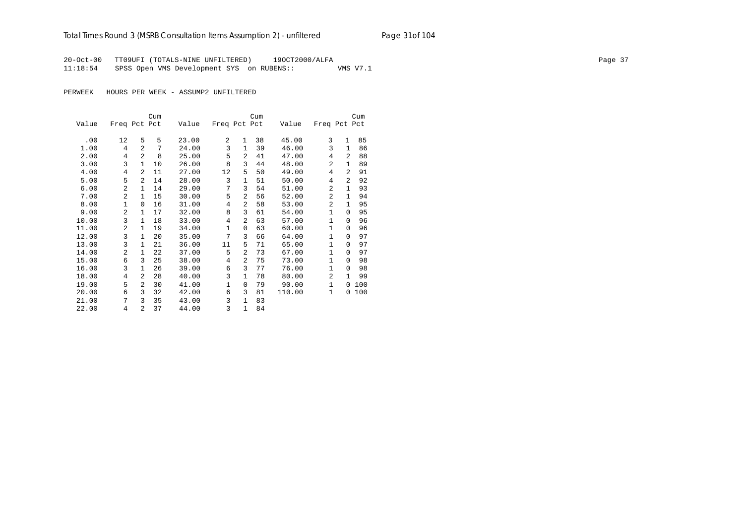## Total Times Round 3 (MSRB Consultation Items Assumption 2) - *unfiltered* Page 31of 104

20-Oct-00 TT09UFI (TOTALS-NINE UNFILTERED) 19OCT2000/ALFA Page 37 11:18:54 SPSS Open VMS Development SYS on RUBENS:: VMS V7.1

|       |                |                | Cum |       |                |                | Cum |        |                |              | Cum |
|-------|----------------|----------------|-----|-------|----------------|----------------|-----|--------|----------------|--------------|-----|
| Value | Freq Pct Pct   |                |     | Value | Freq Pct Pct   |                |     | Value  | Freq Pct Pct   |              |     |
|       |                |                |     |       |                |                |     |        |                |              |     |
| .00   | 12             | 5              | 5   | 23.00 | $\overline{2}$ | 1              | 38  | 45.00  | 3              | $\mathbf{1}$ | 85  |
| 1.00  | 4              | $\overline{2}$ | 7   | 24.00 | 3              | 1              | 39  | 46.00  | 3              | $\mathbf{1}$ | 86  |
| 2.00  | 4              | $\overline{2}$ | 8   | 25.00 | 5              | 2              | 41  | 47.00  | 4              | 2            | 88  |
| 3.00  | 3              | $\mathbf{1}$   | 10  | 26.00 | 8              | 3              | 44  | 48.00  | $\overline{a}$ | $\mathbf{1}$ | 89  |
| 4.00  | 4              | $\overline{a}$ | 11  | 27.00 | 12             | 5              | 50  | 49.00  | 4              | 2            | 91  |
| 5.00  | 5              | $\overline{a}$ | 14  | 28.00 | 3              | 1              | 51  | 50.00  | 4              | 2            | 92  |
| 6.00  | $\overline{a}$ | 1              | 14  | 29.00 | 7              | 3              | 54  | 51.00  | $\overline{2}$ | $\mathbf{1}$ | 93  |
| 7.00  | 2              | 1              | 15  | 30.00 | 5              | 2              | 56  | 52.00  | $\overline{a}$ | $\mathbf{1}$ | 94  |
| 8.00  | 1              | $\Omega$       | 16  | 31.00 | 4              | $\overline{2}$ | 58  | 53.00  | $\overline{2}$ | $\mathbf{1}$ | 95  |
| 9.00  | $\overline{a}$ | $\mathbf{1}$   | 17  | 32.00 | 8              | 3              | 61  | 54.00  | $\mathbf{1}$   | $\Omega$     | 95  |
| 10.00 | 3              | $\mathbf{1}$   | 18  | 33.00 | 4              | 2              | 63  | 57.00  | $\mathbf{1}$   | $\Omega$     | 96  |
| 11.00 | 2              | 1              | 19  | 34.00 | $\mathbf{1}$   | $\Omega$       | 63  | 60.00  | $\mathbf{1}$   | $\Omega$     | 96  |
| 12.00 | 3              | $\mathbf{1}$   | 20  | 35.00 | 7              | 3              | 66  | 64.00  | $\mathbf{1}$   | $\Omega$     | 97  |
| 13.00 | 3              | 1              | 21  | 36.00 | 11             | 5              | 71  | 65.00  | 1              | $\Omega$     | 97  |
| 14.00 | 2              | 1              | 22  | 37.00 | 5              | 2              | 73  | 67.00  | 1              | $\Omega$     | 97  |
| 15.00 | 6              | 3              | 25  | 38.00 | 4              | 2              | 75  | 73.00  | $\mathbf{1}$   | $\Omega$     | 98  |
| 16.00 | 3              | 1              | 26  | 39.00 | 6              | 3              | 77  | 76.00  | $\mathbf{1}$   | $\Omega$     | 98  |
| 18.00 | 4              | 2              | 28  | 40.00 | 3              | $\mathbf{1}$   | 78  | 80.00  | 2              | $\mathbf{1}$ | 99  |
| 19.00 | 5              | 2              | 30  | 41.00 | 1              | $\mathbf 0$    | 79  | 90.00  | 1              | 0            | 100 |
| 20.00 | 6              | 3              | 32  | 42.00 | 6              | 3              | 81  | 110.00 | 1              | 0            | 100 |
| 21.00 | 7              | 3              | 35  | 43.00 | 3              | $\mathbf{1}$   | 83  |        |                |              |     |
| 22.00 | 4              | $\overline{a}$ | 37  | 44.00 | 3              | $\mathbf{1}$   | 84  |        |                |              |     |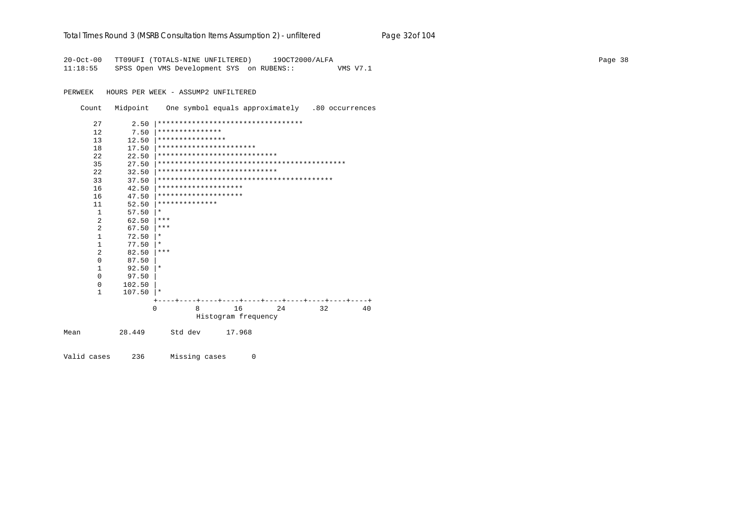|  | Total Times Round 3 (MSRB Consultation Items Assumption 2) - unfiltered | Page 32of 104 |
|--|-------------------------------------------------------------------------|---------------|
|  |                                                                         |               |

20-Oct-00 TT09UFI (TOTALS-NINE UNFILTERED) 19OCT2000/ALFA 11:18:55 SPSS Open VMS Development SYS on RUBENS:: VMS V7.1

PERWEEK HOURS PER WEEK - ASSUMP2 UNFILTERED

Count Midpoint One symbol equals approximately .80 occurrences

| 27           | 2.50   | ********************************** |                     |           |    |    |
|--------------|--------|------------------------------------|---------------------|-----------|----|----|
| 12           | 7.50   | ***************                    |                     |           |    |    |
| 13           | 12.50  | ****************                   |                     |           |    |    |
|              |        | ***********************            |                     |           |    |    |
| 18           | 17.50  | ****************************       |                     |           |    |    |
| 2.2.         | 22.50  |                                    |                     |           |    |    |
| 35           | 27.50  |                                    |                     |           |    |    |
| 2.2.         | 32.50  | ****************************       |                     |           |    |    |
| 33           | 37.50  |                                    |                     |           |    |    |
| 16           | 42.50  | ********************               |                     |           |    |    |
| 16           | 47.50  | ********************               |                     |           |    |    |
| 11           | 52.50  | **************                     |                     |           |    |    |
| $\mathbf{1}$ | 57.50  | $\ast$                             |                     |           |    |    |
| 2            | 62.50  | ***                                |                     |           |    |    |
| 2            | 67.50  | ***                                |                     |           |    |    |
| $\mathbf{1}$ | 72.50  | $\ast$                             |                     |           |    |    |
| $\mathbf{1}$ | 77.50  | $\ast$                             |                     |           |    |    |
| 2            | 82.50  | ***                                |                     |           |    |    |
| $\Omega$     | 87.50  |                                    |                     |           |    |    |
| $\mathbf{1}$ | 92.50  | $\ast$                             |                     |           |    |    |
| $\Omega$     | 97.50  |                                    |                     |           |    |    |
| $\Omega$     | 102.50 |                                    |                     |           |    |    |
| $\mathbf{1}$ | 107.50 | $\star$                            |                     |           |    |    |
|              |        |                                    | ----+----           | ----+---- |    |    |
|              |        | 8<br>$\Omega$                      | 16                  | 24        | 32 | 40 |
|              |        |                                    | Histogram frequency |           |    |    |
|              |        |                                    |                     |           |    |    |
| Mean         | 28.449 | Std dev                            | 17.968              |           |    |    |
|              |        |                                    |                     |           |    |    |
|              |        |                                    |                     |           |    |    |

Valid cases 236 Missing cases  $\overline{0}$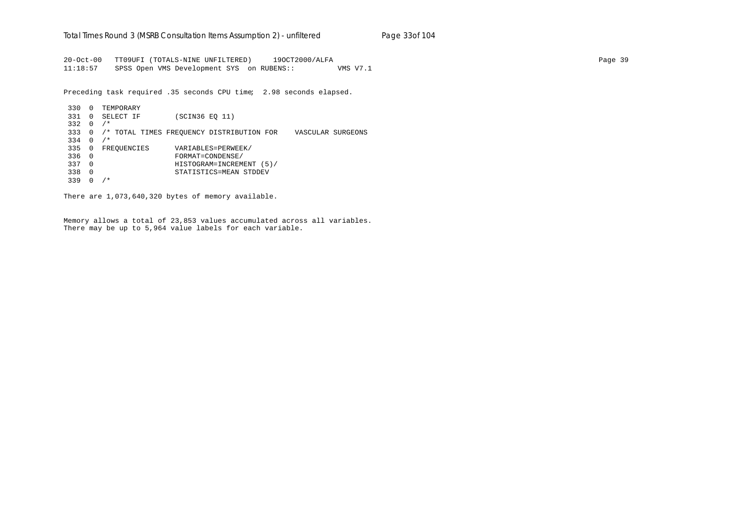20-Oct-00 TT09UFI (TOTALS-NINE UNFILTERED) 19OCT2000/ALFA Page 39 11:18:57 SPSS Open VMS Development SYS on RUBENS:: VMS V7.1

Preceding task required .35 seconds CPU time; 2.98 seconds elapsed.

330 0 TEMPORARY 331 0 SELECT IF (SCIN36 EQ 11) 332 0 /\* 333 0 /\* TOTAL TIMES FREQUENCY DISTRIBUTION FOR VASCULAR SURGEONS 334 0 /\* 335 0 FREQUENCIES VARIABLES=PERWEEK/ 336 0 FORMAT=CONDENSE/ 337 0 HISTOGRAM=INCREMENT (5)/ 338 0 STATISTICS=MEAN STDDEV 339 0 /\*

There are 1,073,640,320 bytes of memory available.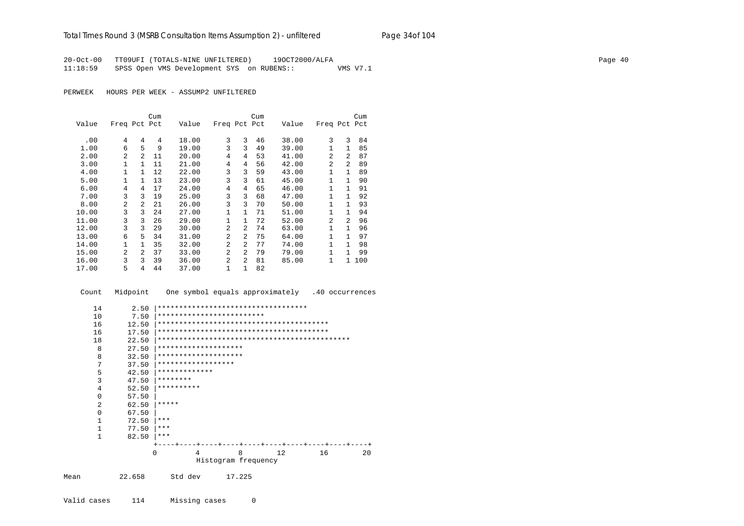20-Oct-00 TT09UFI (TOTALS-NINE UNFILTERED) 19OCT2000/ALFA Page 40 11:18:59 SPSS Open VMS Development SYS on RUBENS:: VMS V7.1

|       |                |                | Cum |       |                |                | Cum |       |                |                | Cum |
|-------|----------------|----------------|-----|-------|----------------|----------------|-----|-------|----------------|----------------|-----|
| Value | Freq Pct Pct   |                |     | Value | Freq Pct Pct   |                |     | Value | Freq Pct Pct   |                |     |
| .00   | 4              | 4              | 4   | 18.00 | 3              | 3              | 46  | 38.00 | 3              | ζ              | 84  |
| 1.00  | 6              | 5              | 9   | 19.00 | 3              | 3              | 49  | 39.00 | $\mathbf{1}$   | $\mathbf{1}$   | 85  |
| 2.00  | 2              | $\mathfrak{D}$ | 11  | 20.00 | 4              | 4              | 53  | 41.00 | $\overline{a}$ | $\overline{a}$ | 87  |
| 3.00  | 1              | 1              | 11  | 21.00 | 4              | 4              | 56  | 42.00 | $\overline{2}$ | $\overline{a}$ | 89  |
| 4.00  | 1              | 1              | 12  | 22.00 | 3              | 3              | 59  | 43.00 | 1              | $\mathbf{1}$   | 89  |
| 5.00  | 1              | $\mathbf{1}$   | 13  | 23.00 | 3              | 3              | 61  | 45.00 | 1              | $\mathbf{1}$   | 90  |
| 6.00  | 4              | 4              | 17  | 24.00 | 4              | 4              | 65  | 46.00 | 1              | 1.             | 91  |
| 7.00  | 3              | 3              | 19  | 25.00 | 3              | 3              | 68  | 47.00 | 1              | 1.             | 92  |
| 8.00  | 2              | $\mathfrak{D}$ | 21  | 26.00 | 3              | 3              | 70  | 50.00 | 1              | 1.             | 93  |
| 10.00 | 3              | 3              | 24  | 27.00 | 1              | $\mathbf{1}$   | 71  | 51.00 | 1              | 1.             | 94  |
| 11.00 | 3              | 3              | 26  | 29.00 | $\mathbf{1}$   | $\mathbf{1}$   | 72  | 52.00 | 2              | $\overline{2}$ | 96  |
| 12.00 | 3              | 3              | 29  | 30.00 | $\overline{a}$ | 2              | 74  | 63.00 | $\mathbf{1}$   | 1              | 96  |
| 13.00 | 6              | 5              | 34  | 31.00 | $\overline{a}$ | $\overline{a}$ | 75  | 64.00 | $\mathbf{1}$   | 1.             | 97  |
| 14.00 | 1              | $\mathbf{1}$   | 35  | 32.00 | $\overline{a}$ | $\mathfrak{D}$ | 77  | 74.00 | $\mathbf{1}$   | 1.             | 98  |
| 15.00 | $\mathfrak{D}$ | $\mathcal{L}$  | 37  | 33.00 | $\mathfrak{D}$ | $\overline{a}$ | 79  | 79.00 | $\mathbf{1}$   | 1              | 99  |
| 16.00 | 3              | 3              | 39  | 36.00 | $\overline{a}$ | 2              | 81  | 85.00 | 1              | $\mathbf{1}$   | 100 |
| 17.00 | 5              | 4              | 44  | 37.00 | 1              | 1              | 82  |       |                |                |     |

|      | Count          | Midpoint | One symbol equals approximately .40 occurrences |
|------|----------------|----------|-------------------------------------------------|
|      | 14             | 2.50     | ***********************************             |
|      | 10             | 7.50     | *************************                       |
|      | 16             | 12.50    |                                                 |
|      | 16             | 17.50    |                                                 |
|      | 18             | 22.50    |                                                 |
|      | 8              | 27.50    | ********************                            |
|      | 8              | 32.50    | ********************                            |
|      | 7              | 37.50    | ******************                              |
|      | 5              | 42.50    | *************                                   |
|      | $\overline{3}$ | 47.50    | ********                                        |
|      | 4              | 52.50    | **********                                      |
|      | $\Omega$       | 57.50    |                                                 |
|      | $\overline{a}$ | 62.50    | *****                                           |
|      | $\Omega$       | 67.50    |                                                 |
|      | $\mathbf{1}$   | 72.50    | $***$                                           |
|      | $\mathbf{1}$   | 77.50    | ***                                             |
|      | $\mathbf{1}$   | 82.50    | ***                                             |
|      |                |          |                                                 |
|      |                |          | 8<br>16<br>12<br>20<br>$\Omega$<br>4            |
|      |                |          | Histogram frequency                             |
| Mean |                | 22.658   | Std dev<br>17.225                               |
|      |                |          |                                                 |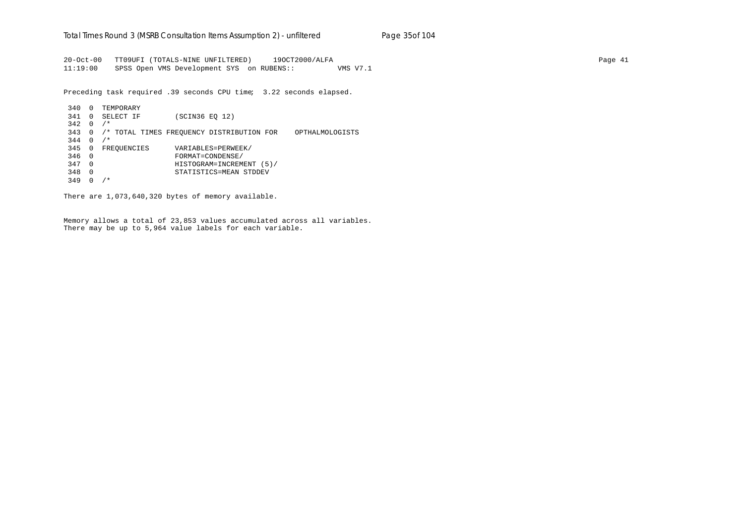20-Oct-00 TT09UFI (TOTALS-NINE UNFILTERED) 19OCT2000/ALFA Page 41 11:19:00 SPSS Open VMS Development SYS on RUBENS:: VMS V7.1

Preceding task required .39 seconds CPU time; 3.22 seconds elapsed.

340 0 TEMPORARY 341 0 SELECT IF (SCIN36 EQ 12)  $342 \quad 0 \quad /*$ 343 0 /\* TOTAL TIMES FREQUENCY DISTRIBUTION FOR OPTHALMOLOGISTS  $344 \quad 0 \quad /$ \* 345 0 FREQUENCIES VARIABLES=PERWEEK/ 346 0 FORMAT=CONDENSE/ 347 0 HISTOGRAM=INCREMENT (5)/ 348 0 STATISTICS=MEAN STDDEV 349 0 /\*

There are 1,073,640,320 bytes of memory available.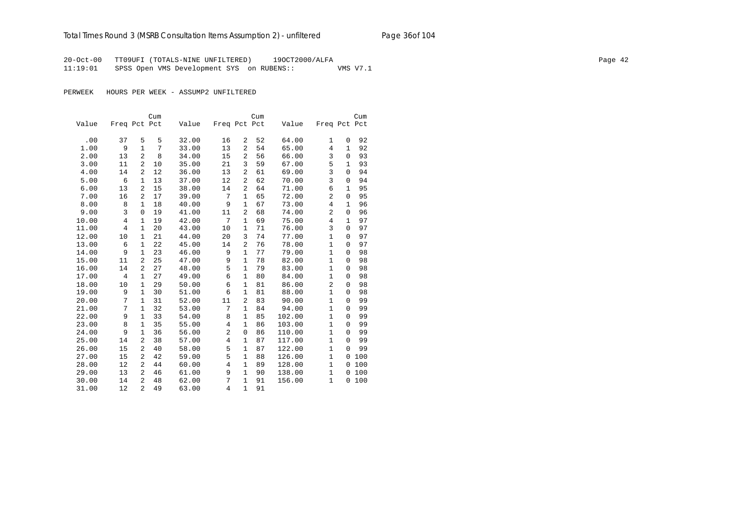20-Oct-00 TT09UFI (TOTALS-NINE UNFILTERED) 19OCT2000/ALFA Page 42 11:19:01 SPSS Open VMS Development SYS on RUBENS:: VMS V7.1

|       |                |                | Cum |       |                |                | Cum |        |                |              | Cum |
|-------|----------------|----------------|-----|-------|----------------|----------------|-----|--------|----------------|--------------|-----|
| Value | Freq Pct Pct   |                |     | Value | Freq Pct Pct   |                |     | Value  | Freq Pct Pct   |              |     |
|       |                |                |     |       |                |                |     |        |                |              |     |
| .00   | 37             | 5              | 5   | 32.00 | 16             | $\overline{a}$ | 52  | 64.00  | 1              | 0            | 92  |
| 1.00  | 9              | $\mathbf{1}$   | 7   | 33.00 | 13             | $\overline{a}$ | 54  | 65.00  | 4              | 1            | 92  |
| 2.00  | 13             | $\overline{2}$ | 8   | 34.00 | 15             | $\overline{2}$ | 56  | 66.00  | 3              | $\mathbf 0$  | 93  |
| 3.00  | 11             | $\overline{2}$ | 10  | 35.00 | 21             | 3              | 59  | 67.00  | 5              | 1            | 93  |
| 4.00  | 14             | 2              | 12  | 36.00 | 13             | $\overline{a}$ | 61  | 69.00  | 3              | $\mathbf 0$  | 94  |
| 5.00  | 6              | $\mathbf{1}$   | 13  | 37.00 | 12             | $\overline{a}$ | 62  | 70.00  | 3              | $\mathbf 0$  | 94  |
| 6.00  | 13             | $\overline{a}$ | 15  | 38.00 | 14             | $\overline{a}$ | 64  | 71.00  | 6              | 1            | 95  |
| 7.00  | 16             | $\overline{a}$ | 17  | 39.00 | 7              | 1              | 65  | 72.00  | $\overline{2}$ | $\mathbf 0$  | 95  |
| 8.00  | 8              | $\mathbf{1}$   | 18  | 40.00 | 9              | $\mathbf{1}$   | 67  | 73.00  | 4              | $\mathbf{1}$ | 96  |
| 9.00  | 3              | $\mathbf 0$    | 19  | 41.00 | 11             | 2              | 68  | 74.00  | 2              | $\mathbf 0$  | 96  |
| 10.00 | $\overline{4}$ | 1              | 19  | 42.00 | 7              | $\mathbf{1}$   | 69  | 75.00  | 4              | $\mathbf{1}$ | 97  |
| 11.00 | $\overline{4}$ | 1              | 20  | 43.00 | 10             | $\mathbf{1}$   | 71  | 76.00  | 3              | $\mathbf 0$  | 97  |
| 12.00 | 10             | 1              | 21  | 44.00 | 20             | 3              | 74  | 77.00  | $\mathbf{1}$   | $\mathbf 0$  | 97  |
| 13.00 | 6              | 1              | 22  | 45.00 | 14             | $\overline{2}$ | 76  | 78.00  | $\mathbf{1}$   | 0            | 97  |
| 14.00 | 9              | $\mathbf{1}$   | 23  | 46.00 | 9              | $\mathbf{1}$   | 77  | 79.00  | $\mathbf{1}$   | 0            | 98  |
| 15.00 | 11             | $\overline{a}$ | 25  | 47.00 | 9              | $\mathbf{1}$   | 78  | 82.00  | $\mathbf{1}$   | 0            | 98  |
| 16.00 | 14             | $\overline{2}$ | 27  | 48.00 | 5              | $\mathbf{1}$   | 79  | 83.00  | $\mathbf{1}$   | $\mathbf 0$  | 98  |
| 17.00 | 4              | $\mathbf 1$    | 27  | 49.00 | 6              | $\mathbf{1}$   | 80  | 84.00  | $\mathbf{1}$   | $\mathbf 0$  | 98  |
| 18.00 | 10             | 1              | 29  | 50.00 | 6              | $1\,$          | 81  | 86.00  | 2              | $\mathbf 0$  | 98  |
| 19.00 | 9              | $\mathbf 1$    | 30  | 51.00 | 6              | $\mathbf{1}$   | 81  | 88.00  | $\mathbf{1}$   | 0            | 98  |
| 20.00 | 7              | $\mathbf 1$    | 31  | 52.00 | 11             | $\overline{2}$ | 83  | 90.00  | $\mathbf{1}$   | $\Omega$     | 99  |
| 21.00 | 7              | $\mathbf{1}$   | 32  | 53.00 | 7              | $\mathbf{1}$   | 84  | 94.00  | $\mathbf{1}$   | $\mathbf 0$  | 99  |
| 22.00 | 9              | $\mathbf 1$    | 33  | 54.00 | 8              | $\mathbf{1}$   | 85  | 102.00 | $\mathbf 1$    | $\Omega$     | 99  |
| 23.00 | 8              | $\mathbf 1$    | 35  | 55.00 | 4              | $\mathbf{1}$   | 86  | 103.00 | $\mathbf{1}$   | $\mathbf 0$  | 99  |
| 24.00 | 9              | $\mathbf{1}$   | 36  | 56.00 | $\overline{c}$ | $\mathbf{0}$   | 86  | 110.00 | $\mathbf{1}$   | $\mathbf 0$  | 99  |
| 25.00 | 14             | 2              | 38  | 57.00 | $\overline{4}$ | $\mathbf{1}$   | 87  | 117.00 | $\mathbf{1}$   | $\mathbf 0$  | 99  |
| 26.00 | 15             | 2              | 40  | 58.00 | 5              | $\mathbf{1}$   | 87  | 122.00 | $\mathbf{1}$   | $\Omega$     | 99  |
| 27.00 | 15             | 2              | 42  | 59.00 | 5              | $\mathbf{1}$   | 88  | 126.00 | $\mathbf{1}$   | 0            | 100 |
| 28.00 | 12             | 2              | 44  | 60.00 | 4              | $\mathbf{1}$   | 89  | 128.00 | $\mathbf{1}$   | 0            | 100 |
| 29.00 | 13             | 2              | 46  | 61.00 | 9              | 1              | 90  | 138.00 | $\mathbf{1}$   | 0            | 100 |
| 30.00 | 14             | 2              | 48  | 62.00 | 7              | $\mathbf{1}$   | 91  | 156.00 | $\mathbf{1}$   | 0            | 100 |
| 31.00 | 12             | $\overline{a}$ | 49  | 63.00 | $\overline{4}$ | $\mathbf{1}$   | 91  |        |                |              |     |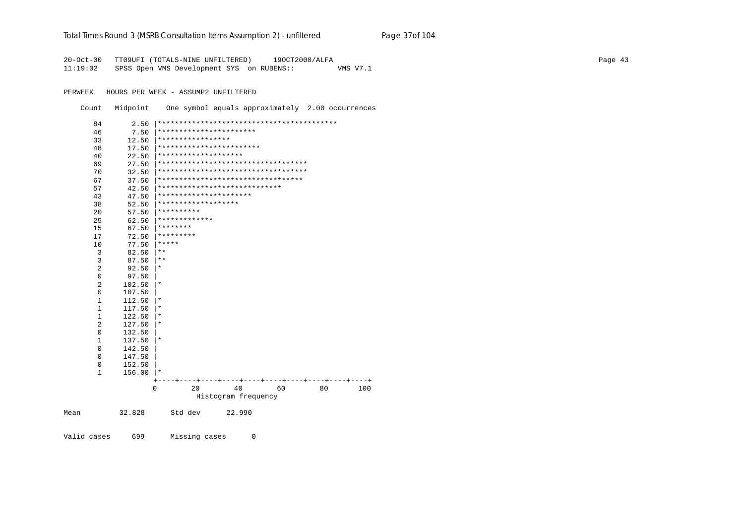### Total Times Round 3 (MSRB Consultation Items Assumption 2) - unfiltered Page 37of 104

20-Oct-00 TT09UFI (TOTALS-NINE UNFILTERED) 190CT2000/ALFA 11:19:02 SPSS Open VMS Development SYS on RUBENS:: VMS V7.1

PERWEEK HOURS PER WEEK - ASSUMP2 UNFILTERED

Count Midpoint One symbol equals approximately 2.00 occurrences

| 84             | 2.50   |                                      |                     |    |    |     |
|----------------|--------|--------------------------------------|---------------------|----|----|-----|
| 46             | 7.50   | ***********************              |                     |    |    |     |
| 33             | 12.50  | *****************                    |                     |    |    |     |
| 48             | 17.50  | ************************             |                     |    |    |     |
| 40             | 22.50  | ********************                 |                     |    |    |     |
| 69             | 27.50  | ************************************ |                     |    |    |     |
| 70             | 32.50  | ***********************************  |                     |    |    |     |
| 67             | 37.50  | **********************************   |                     |    |    |     |
| 57             | 42.50  | *****************************        |                     |    |    |     |
| 43             | 47.50  | **********************               |                     |    |    |     |
| 38             | 52.50  | *******************                  |                     |    |    |     |
| 20             | 57.50  | **********                           |                     |    |    |     |
| 25             | 62.50  | *************                        |                     |    |    |     |
| 15             | 67.50  | ********                             |                     |    |    |     |
| 17             | 72.50  | *********                            |                     |    |    |     |
| 10             | 77.50  | *****                                |                     |    |    |     |
| 3              | 82.50  | $* *$                                |                     |    |    |     |
| 3              | 87.50  | $***$                                |                     |    |    |     |
| $\overline{2}$ | 92.50  | $^\star$                             |                     |    |    |     |
| $\mathbf 0$    | 97.50  |                                      |                     |    |    |     |
| $\overline{2}$ | 102.50 | $^\star$                             |                     |    |    |     |
| $\mathbf 0$    | 107.50 |                                      |                     |    |    |     |
| $\mathbf{1}$   | 112.50 | $\ast$                               |                     |    |    |     |
| $\mathbf{1}$   | 117.50 | $^\ast$                              |                     |    |    |     |
| $\mathbf{1}$   | 122.50 | $\star$                              |                     |    |    |     |
| $\overline{2}$ | 127.50 | $^\ast$                              |                     |    |    |     |
| $\mathbf 0$    | 132.50 |                                      |                     |    |    |     |
| 1              | 137.50 | $^\star$                             |                     |    |    |     |
| $\mathbf 0$    | 142.50 |                                      |                     |    |    |     |
| 0              | 147.50 |                                      |                     |    |    |     |
| 0              | 152.50 |                                      |                     |    |    |     |
| 1              | 156.00 | $^\ast$                              |                     |    |    |     |
|                |        | $^{+}$                               |                     |    |    |     |
|                |        | 0<br>20                              | 40                  | 60 | 80 | 100 |
|                |        |                                      | Histogram frequency |    |    |     |
| Mean           | 32.828 | Std dev                              | 22.990              |    |    |     |
|                |        |                                      |                     |    |    |     |

Valid cases 699 Missing cases  $\mathsf 0$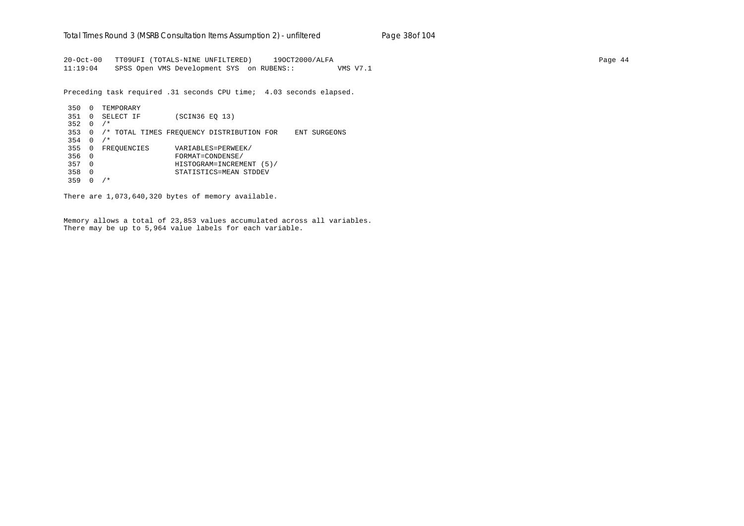20-Oct-00 TT09UFI (TOTALS-NINE UNFILTERED) 19OCT2000/ALFA Page 44 11:19:04 SPSS Open VMS Development SYS on RUBENS:: VMS V7.1

Preceding task required .31 seconds CPU time; 4.03 seconds elapsed.

 350 0 TEMPORARY 351 0 SELECT IF (SCIN36 EQ 13) 352 0 /\* 353 0 /\* TOTAL TIMES FREQUENCY DISTRIBUTION FOR ENT SURGEONS  $354 \t 0 / *$  355 0 FREQUENCIES VARIABLES=PERWEEK/ 356 0 FORMAT=CONDENSE/ 357 0 HISTOGRAM=INCREMENT (5)/ 358 0 STATISTICS=MEAN STDDEV 359 0 /\*

There are 1,073,640,320 bytes of memory available.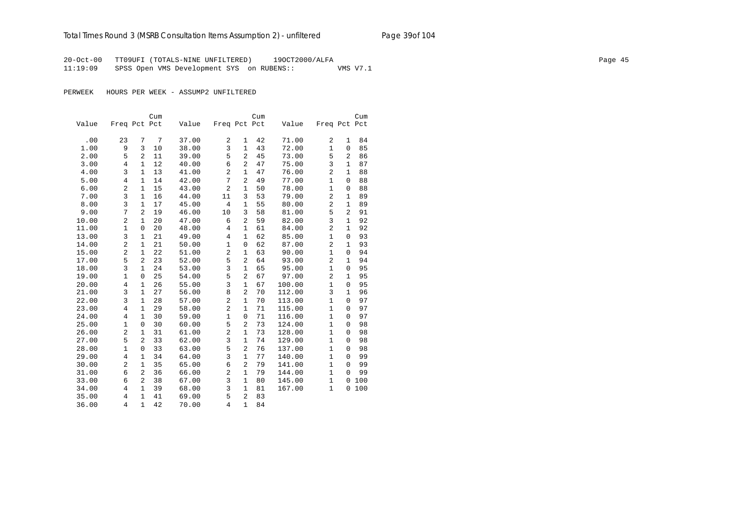20-Oct-00 TT09UFI (TOTALS-NINE UNFILTERED) 19OCT2000/ALFA Page 45 11:19:09 SPSS Open VMS Development SYS on RUBENS:: VMS V7.1

|       |                |                | Cum |       |                |                | Cum |        |                |                | Cum |
|-------|----------------|----------------|-----|-------|----------------|----------------|-----|--------|----------------|----------------|-----|
| Value | Freq Pct Pct   |                |     | Value | Freq Pct Pct   |                |     | Value  | Freq Pct Pct   |                |     |
|       |                |                |     |       |                |                |     |        |                |                |     |
| .00   | 23             | 7              | 7   | 37.00 | 2              | 1              | 42  | 71.00  | 2              | 1              | 84  |
| 1.00  | 9              | 3              | 10  | 38.00 | 3              | $\mathbf{1}$   | 43  | 72.00  | $\mathbf{1}$   | $\mathbf{0}$   | 85  |
| 2.00  | 5              | 2              | 11  | 39.00 | 5              | $\overline{a}$ | 45  | 73.00  | 5              | $\overline{2}$ | 86  |
| 3.00  | $\overline{4}$ | $\mathbf{1}$   | 12  | 40.00 | 6              | $\overline{a}$ | 47  | 75.00  | 3              | $\mathbf{1}$   | 87  |
| 4.00  | 3              | $\mathbf{1}$   | 13  | 41.00 | $\overline{c}$ | $\mathbf{1}$   | 47  | 76.00  | $\overline{2}$ | $1\,$          | 88  |
| 5.00  | 4              | 1              | 14  | 42.00 | 7              | $\overline{a}$ | 49  | 77.00  | 1              | $\mathbf{0}$   | 88  |
| 6.00  | $\overline{2}$ | $\mathbf{1}$   | 15  | 43.00 | $\overline{2}$ | $\mathbf{1}$   | 50  | 78.00  | $\mathbf{1}$   | 0              | 88  |
| 7.00  | 3              | $\mathbf{1}$   | 16  | 44.00 | 11             | 3              | 53  | 79.00  | $\overline{2}$ | $\mathbf{1}$   | 89  |
| 8.00  | 3              | $\mathbf{1}$   | 17  | 45.00 | 4              | $\mathbf{1}$   | 55  | 80.00  | $\overline{2}$ | $\mathbf{1}$   | 89  |
| 9.00  | 7              | $\overline{a}$ | 19  | 46.00 | 10             | 3              | 58  | 81.00  | 5              | 2              | 91  |
| 10.00 | 2              | $\mathbf{1}$   | 20  | 47.00 | 6              | $\overline{a}$ | 59  | 82.00  | 3              | $\mathbf 1$    | 92  |
| 11.00 | 1              | $\mathbf 0$    | 20  | 48.00 | $\overline{4}$ | $\mathbf{1}$   | 61  | 84.00  | $\overline{2}$ | $\mathbf 1$    | 92  |
| 13.00 | 3              | $\mathbf{1}$   | 21  | 49.00 | $\overline{4}$ | $\mathbf{1}$   | 62  | 85.00  | $\mathbf{1}$   | $\mathbf{0}$   | 93  |
| 14.00 | $\overline{2}$ | $\mathbf{1}$   | 21  | 50.00 | $\mathbf{1}$   | 0              | 62  | 87.00  | $\overline{2}$ | $\mathbf{1}$   | 93  |
| 15.00 | $\overline{a}$ | $\mathbf{1}$   | 22  | 51.00 | $\overline{a}$ | $\mathbf{1}$   | 63  | 90.00  | $\mathbf{1}$   | $\mathbf{0}$   | 94  |
| 17.00 | 5              | 2              | 23  | 52.00 | 5              | $\overline{2}$ | 64  | 93.00  | $\overline{2}$ | $\mathbf{1}$   | 94  |
| 18.00 | 3              | $\mathbf{1}$   | 24  | 53.00 | 3              | $\mathbf{1}$   | 65  | 95.00  | $\mathbf{1}$   | $\Omega$       | 95  |
| 19.00 | $\mathbf{1}$   | $\mathbf 0$    | 25  | 54.00 | 5              | $\overline{2}$ | 67  | 97.00  | $\overline{2}$ | $\mathbf{1}$   | 95  |
| 20.00 | 4              | $\mathbf{1}$   | 26  | 55.00 | 3              | $\mathbf{1}$   | 67  | 100.00 | $\mathbf{1}$   | $\mathbf{0}$   | 95  |
| 21.00 | 3              | $\mathbf{1}$   | 27  | 56.00 | 8              | $\overline{a}$ | 70  | 112.00 | 3              | $\mathbf{1}$   | 96  |
| 22.00 | 3              | $\mathbf{1}$   | 28  | 57.00 | $\overline{c}$ | $\mathbf{1}$   | 70  | 113.00 | $\mathbf{1}$   | $\Omega$       | 97  |
| 23.00 | 4              | $\mathbf{1}$   | 29  | 58.00 | $\overline{a}$ | $\mathbf{1}$   | 71  | 115.00 | $\mathbf{1}$   | $\Omega$       | 97  |
| 24.00 | 4              | $\mathbf{1}$   | 30  | 59.00 | $\mathbf{1}$   | $\mathbf 0$    | 71  | 116.00 | $\mathbf 1$    | $\mathbf{0}$   | 97  |
| 25.00 | 1              | $\mathbf 0$    | 30  | 60.00 | 5              | $\overline{a}$ | 73  | 124.00 | $\mathbf{1}$   | $\mathbf{0}$   | 98  |
| 26.00 | 2              | $\mathbf{1}$   | 31  | 61.00 | $\overline{c}$ | $\mathbf{1}$   | 73  | 128.00 | $\mathbf{1}$   | $\Omega$       | 98  |
| 27.00 | 5              | $\overline{a}$ | 33  | 62.00 | 3              | $\mathbf{1}$   | 74  | 129.00 | $\mathbf{1}$   | $\mathbf{0}$   | 98  |
| 28.00 | $\mathbf{1}$   | $\mathbf 0$    | 33  | 63.00 | 5              | $\overline{a}$ | 76  | 137.00 | $\mathbf{1}$   | $\mathbf{0}$   | 98  |
| 29.00 | 4              | $\mathbf{1}$   | 34  | 64.00 | 3              | $\mathbf{1}$   | 77  | 140.00 | $\mathbf{1}$   | $\mathbf{0}$   | 99  |
| 30.00 | $\overline{c}$ | $\mathbf{1}$   | 35  | 65.00 | 6              | $\overline{a}$ | 79  | 141.00 | $\mathbf{1}$   | $\Omega$       | 99  |
| 31.00 | 6              | $\overline{2}$ | 36  | 66.00 | $\overline{c}$ | $\mathbf{1}$   | 79  | 144.00 | $\mathbf{1}$   | $\mathbf 0$    | 99  |
| 33.00 | 6              | 2              | 38  | 67.00 | 3              | $\mathbf{1}$   | 80  | 145.00 | $\mathbf{1}$   | 0              | 100 |
| 34.00 | 4              | $\mathbf{1}$   | 39  | 68.00 | 3              | $\mathbf{1}$   | 81  | 167.00 | $\mathbf{1}$   | 0              | 100 |
| 35.00 | $\overline{4}$ | $\mathbf{1}$   | 41  | 69.00 | 5              | $\overline{a}$ | 83  |        |                |                |     |
| 36.00 | $\overline{4}$ | $\mathbf{1}$   | 42  | 70.00 | $\overline{4}$ | $\mathbf{1}$   | 84  |        |                |                |     |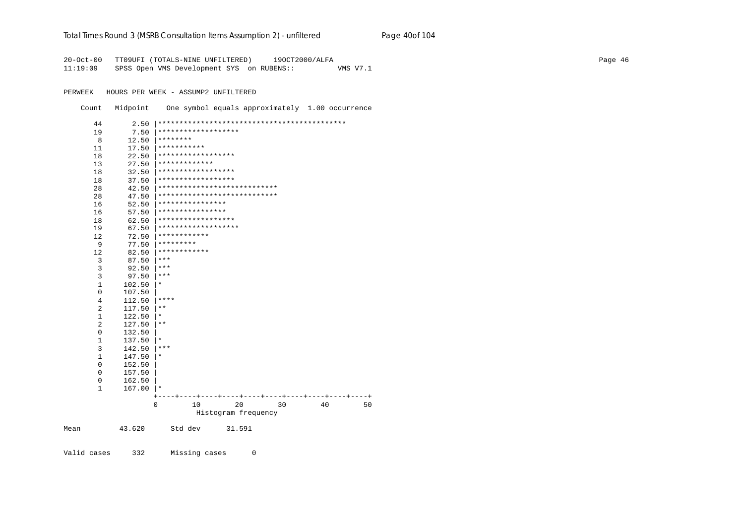### Total Times Round 3 (MSRB Consultation Items Assumption 2) - unfiltered Page 40of 104

20-Oct-00 TT09UFI (TOTALS-NINE UNFILTERED) 190CT2000/ALFA 11:19:09 SPSS Open VMS Development SYS on RUBENS:: VMS V7.1

PERWEEK HOURS PER WEEK - ASSUMP2 UNFILTERED

Count Midpoint One symbol equals approximately 1.00 occurrence

| 44             | 2.50   |                                 |
|----------------|--------|---------------------------------|
| 19             | 7.50   | *******************             |
| 8              | 12.50  | ********                        |
| 11             | 17.50  | ***********                     |
| 18             | 22.50  | ******************              |
| 13             | 27.50  | *************                   |
| 18             | 32.50  | ******************              |
| 18             | 37.50  | ******************              |
| 28             | 42.50  | ****************************    |
| 28             | 47.50  | ****************************    |
| 16             | 52.50  | ****************                |
| 16             | 57.50  | ****************                |
| 18             | 62.50  | ******************              |
| 19             | 67.50  | *******************             |
| 12             | 72.50  | ************                    |
| 9              | 77.50  | *********                       |
| 12             | 82.50  | ************                    |
| 3              | 87.50  | $***$                           |
| 3              | 92.50  | $***$                           |
| $\overline{3}$ | 97.50  | $***$                           |
| $\mathbf{1}$   | 102.50 | $^\star$                        |
| 0              | 107.50 |                                 |
| 4              | 112.50 | ****                            |
| $\overline{2}$ | 117.50 | $***$                           |
| $\mathbf{1}$   | 122.50 | $^\star$                        |
| $\overline{2}$ | 127.50 | $\star\star$                    |
| 0              | 132.50 |                                 |
| 1              | 137.50 | $^\star$                        |
| $\overline{3}$ | 142.50 | $***$                           |
| $\mathbf{1}$   | 147.50 | $^\star$                        |
| $\mathbf 0$    | 152.50 |                                 |
| 0              | 157.50 |                                 |
| 0              | 162.50 |                                 |
| $\mathbf{1}$   | 167.00 | $\star$                         |
|                |        |                                 |
|                |        | 0<br>20<br>10<br>30<br>40<br>50 |
|                |        | Histogram frequency             |
| Mean           | 43.620 | Std dev<br>31.591               |
|                |        |                                 |
| Valid cases    | 332    | Missing cases<br>0              |
|                |        |                                 |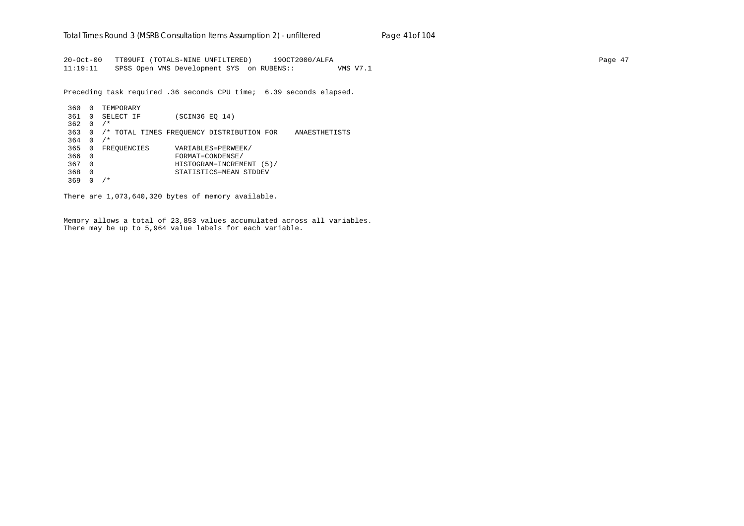20-Oct-00 TT09UFI (TOTALS-NINE UNFILTERED) 19OCT2000/ALFA Page 47 11:19:11 SPSS Open VMS Development SYS on RUBENS:: VMS V7.1

Preceding task required .36 seconds CPU time; 6.39 seconds elapsed.

 360 0 TEMPORARY 361 0 SELECT IF (SCIN36 EQ 14)  $362 \quad 0 \quad /*$  363 0 /\* TOTAL TIMES FREQUENCY DISTRIBUTION FOR ANAESTHETISTS  $364 \quad 0 \quad /$ \* 365 0 FREQUENCIES VARIABLES=PERWEEK/ 366 0 FORMAT=CONDENSE/ 367 0 HISTOGRAM=INCREMENT (5)/ 368 0 STATISTICS=MEAN STDDEV 369 0 /\*

There are 1,073,640,320 bytes of memory available.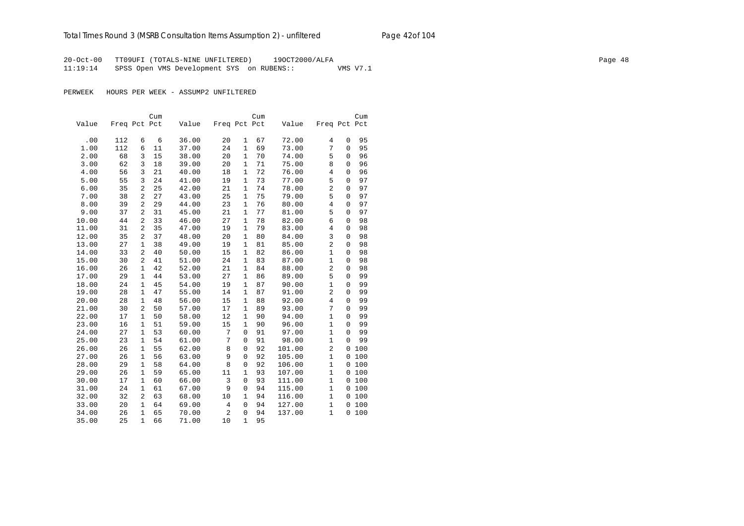20-Oct-00 TT09UFI (TOTALS-NINE UNFILTERED) 19OCT2000/ALFA Page 48 11:19:14 SPSS Open VMS Development SYS on RUBENS:: VMS V7.1

|       |              |                | Cum |       |                |              | Cum |        |                         |              | Cum   |
|-------|--------------|----------------|-----|-------|----------------|--------------|-----|--------|-------------------------|--------------|-------|
| Value | Freq Pct Pct |                |     | Value | Freq Pct Pct   |              |     | Value  | Freq Pct Pct            |              |       |
|       |              |                |     |       |                |              |     |        |                         |              |       |
| .00   | 112          | 6              | 6   | 36.00 | 20             | 1            | 67  | 72.00  | $\overline{4}$          | 0            | 95    |
| 1.00  | 112          | 6              | 11  | 37.00 | 24             | $\mathbf{1}$ | 69  | 73.00  | 7                       | $\Omega$     | 95    |
| 2.00  | 68           | 3              | 15  | 38.00 | 20             | 1            | 70  | 74.00  | 5                       | $\Omega$     | 96    |
| 3.00  | 62           | 3              | 18  | 39.00 | 20             | $\mathbf{1}$ | 71  | 75.00  | 8                       | $\Omega$     | 96    |
| 4.00  | 56           | 3              | 21  | 40.00 | 18             | 1            | 72  | 76.00  | 4                       | 0            | 96    |
| 5.00  | 55           | 3              | 24  | 41.00 | 19             | 1            | 73  | 77.00  | 5                       | 0            | 97    |
| 6.00  | 35           | 2              | 25  | 42.00 | 21             | $\mathbf{1}$ | 74  | 78.00  | $\overline{\mathbf{c}}$ | 0            | 97    |
| 7.00  | 38           | $\overline{a}$ | 27  | 43.00 | 25             | $\mathbf{1}$ | 75  | 79.00  | 5                       | 0            | 97    |
| 8.00  | 39           | 2              | 29  | 44.00 | 23             | $\mathbf{1}$ | 76  | 80.00  | $\overline{4}$          | 0            | 97    |
| 9.00  | 37           | 2              | 31  | 45.00 | 21             | $\mathbf{1}$ | 77  | 81.00  | 5                       | 0            | 97    |
| 10.00 | 44           | 2              | 33  | 46.00 | 27             | $\mathbf{1}$ | 78  | 82.00  | 6                       | 0            | 98    |
| 11.00 | 31           | $\overline{2}$ | 35  | 47.00 | 19             | $\mathbf{1}$ | 79  | 83.00  | 4                       | 0            | 98    |
| 12.00 | 35           | $\overline{a}$ | 37  | 48.00 | 20             | $\mathbf{1}$ | 80  | 84.00  | 3                       | $\Omega$     | 98    |
| 13.00 | 27           | $\mathbf{1}$   | 38  | 49.00 | 19             | $\mathbf{1}$ | 81  | 85.00  | $\overline{2}$          | $\Omega$     | 98    |
| 14.00 | 33           | 2              | 40  | 50.00 | 15             | $\mathbf{1}$ | 82  | 86.00  | $\mathbf{1}$            | 0            | 98    |
| 15.00 | 30           | $\overline{a}$ | 41  | 51.00 | 24             | $\mathbf{1}$ | 83  | 87.00  | 1                       | 0            | 98    |
| 16.00 | 26           | $\mathbf{1}$   | 42  | 52.00 | 21             | 1            | 84  | 88.00  | 2                       | 0            | 98    |
| 17.00 | 29           | $\mathbf{1}$   | 44  | 53.00 | 27             | 1            | 86  | 89.00  | 5                       | 0            | 99    |
| 18.00 | 24           | 1              | 45  | 54.00 | 19             | $\mathbf{1}$ | 87  | 90.00  | $\mathbf{1}$            | 0            | 99    |
| 19.00 | 28           | $\mathbf{1}$   | 47  | 55.00 | 14             | 1            | 87  | 91.00  | 2                       | $\mathbf{0}$ | 99    |
| 20.00 | 28           | $\mathbf{1}$   | 48  | 56.00 | 15             | $\mathbf{1}$ | 88  | 92.00  | $\overline{4}$          | 0            | 99    |
| 21.00 | 30           | $\overline{a}$ | 50  | 57.00 | 17             | $\mathbf{1}$ | 89  | 93.00  | 7                       | 0            | 99    |
| 22.00 | 17           | $\mathbf{1}$   | 50  | 58.00 | 12             | $\mathbf{1}$ | 90  | 94.00  | $\mathbf{1}$            | 0            | 99    |
| 23.00 | 16           | $\mathbf{1}$   | 51  | 59.00 | 15             | $\mathbf 1$  | 90  | 96.00  | $\mathbf{1}$            | 0            | 99    |
| 24.00 | 27           | $\mathbf{1}$   | 53  | 60.00 | 7              | $\mathbf 0$  | 91  | 97.00  | $\mathbf{1}$            | 0            | 99    |
| 25.00 | 23           | $\mathbf{1}$   | 54  | 61.00 | 7              | $\mathbf 0$  | 91  | 98.00  | $\mathbf{1}$            | 0            | 99    |
| 26.00 | 26           | $\mathbf{1}$   | 55  | 62.00 | 8              | 0            | 92  | 101.00 | 2                       | $\mathbf{0}$ | 100   |
| 27.00 | 26           | $\mathbf{1}$   | 56  | 63.00 | 9              | $\mathbf 0$  | 92  | 105.00 | $\mathbf{1}$            | $\mathbf{0}$ | 100   |
| 28.00 | 29           | $\mathbf{1}$   | 58  | 64.00 | 8              | $\mathbf 0$  | 92  | 106.00 | $\mathbf 1$             | $\mathbf{0}$ | 100   |
| 29.00 | 26           | 1              | 59  | 65.00 | 11             | 1            | 93  | 107.00 | $\mathbf{1}$            | 0            | 100   |
| 30.00 | 17           | 1              | 60  | 66.00 | $\overline{3}$ | $\mathbf 0$  | 93  | 111.00 | $\mathbf 1$             | $\mathbf{0}$ | 100   |
| 31.00 | 24           | $\mathbf{1}$   | 61  | 67.00 | 9              | 0            | 94  | 115.00 | $\mathbf{1}$            |              | 0 100 |
| 32.00 | 32           | 2              | 63  | 68.00 | 10             | $\mathbf{1}$ | 94  | 116.00 | $\mathbf{1}$            | 0            | 100   |
| 33.00 | 20           | $\mathbf{1}$   | 64  | 69.00 | 4              | 0            | 94  | 127.00 | $\mathbf{1}$            | 0            | 100   |
| 34.00 | 26           | $\mathbf{1}$   | 65  | 70.00 | $\overline{c}$ | $\mathbf 0$  | 94  | 137.00 | $\mathbf{1}$            | 0            | 100   |
| 35.00 | 25           | $\mathbf{1}$   | 66  | 71.00 | 10             | $\mathbf{1}$ | 95  |        |                         |              |       |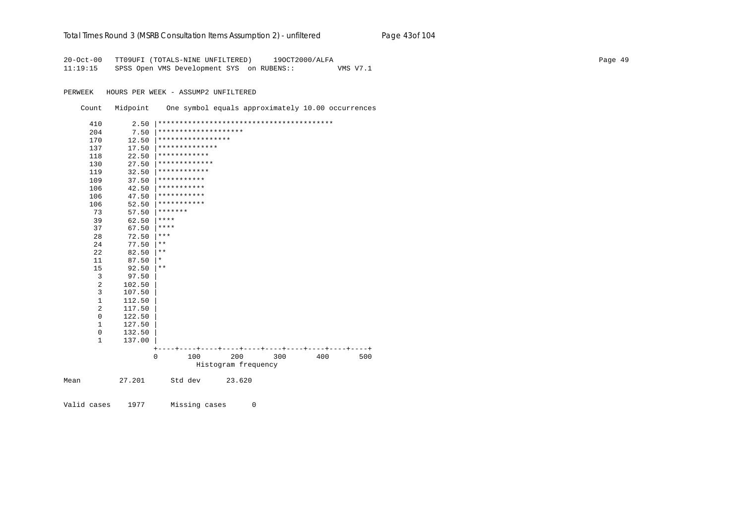### Total Times Round 3 (MSRB Consultation Items Assumption 2) - *unfiltered* Page 43of 104

20-Oct-00 TT09UFI (TOTALS-NINE UNFILTERED) 19OCT2000/ALFA Page 49 11:19:15 SPSS Open VMS Development SYS on RUBENS:: VMS V7.1

PERWEEK HOURS PER WEEK - ASSUMP2 UNFILTERED

Count Midpoint One symbol equals approximately 10.00 occurrences

| 410            | 2.50   |          |                      |                     |     |     |     |
|----------------|--------|----------|----------------------|---------------------|-----|-----|-----|
| 204            | 7.50   |          | ******************** |                     |     |     |     |
| 170            | 12.50  |          | *****************    |                     |     |     |     |
| 137            | 17.50  |          | **************       |                     |     |     |     |
| 118            | 22.50  |          | ************         |                     |     |     |     |
| 130            | 27.50  |          | *************        |                     |     |     |     |
| 119            | 32.50  |          | ************         |                     |     |     |     |
| 109            | 37.50  |          | ***********          |                     |     |     |     |
| 106            | 42.50  |          | ***********          |                     |     |     |     |
| 106            | 47.50  |          | ***********          |                     |     |     |     |
| 106            | 52.50  |          | ***********          |                     |     |     |     |
| 73             | 57.50  | *******  |                      |                     |     |     |     |
| 39             | 62.50  | ****     |                      |                     |     |     |     |
| 37             | 67.50  | ****     |                      |                     |     |     |     |
| 28             | 72.50  | ***      |                      |                     |     |     |     |
| 24             | 77.50  | $***$    |                      |                     |     |     |     |
| 22             | 82.50  | $* *$    |                      |                     |     |     |     |
| 11             | 87.50  | $^\star$ |                      |                     |     |     |     |
| 15             | 92.50  | $***$    |                      |                     |     |     |     |
| 3              | 97.50  |          |                      |                     |     |     |     |
| $\overline{2}$ | 102.50 |          |                      |                     |     |     |     |
| $\overline{3}$ | 107.50 |          |                      |                     |     |     |     |
| 1              | 112.50 |          |                      |                     |     |     |     |
| 2              | 117.50 |          |                      |                     |     |     |     |
| $\mathbf 0$    | 122.50 |          |                      |                     |     |     |     |
| 1              | 127.50 |          |                      |                     |     |     |     |
| $\mathbf 0$    | 132.50 |          |                      |                     |     |     |     |
| $\mathbf{1}$   | 137.00 |          |                      |                     |     |     |     |
|                |        |          |                      |                     |     |     |     |
|                |        | $\Omega$ | 100                  | 200                 | 300 | 400 | 500 |
|                |        |          |                      | Histogram frequency |     |     |     |
| Mean           | 27.201 |          | Std dev              | 23.620              |     |     |     |

Valid cases 1977 Missing cases 0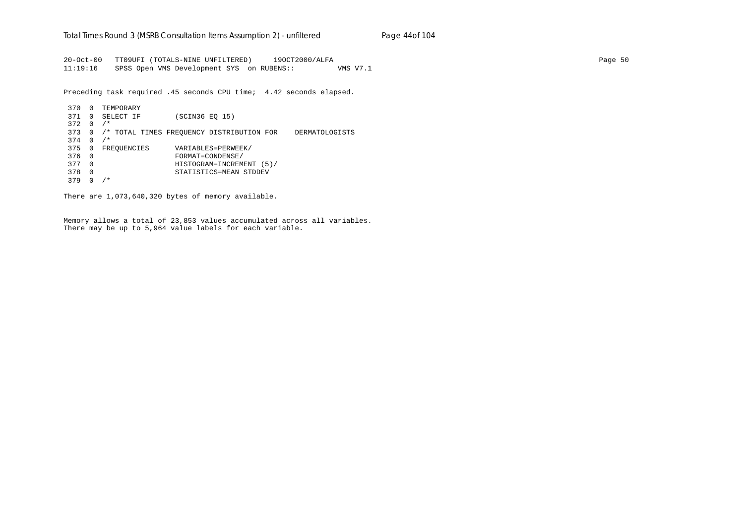20-Oct-00 TT09UFI (TOTALS-NINE UNFILTERED) 19OCT2000/ALFA Page 50 11:19:16 SPSS Open VMS Development SYS on RUBENS:: VMS V7.1

Preceding task required .45 seconds CPU time; 4.42 seconds elapsed.

 370 0 TEMPORARY 371 0 SELECT IF (SCIN36 EQ 15) 372 0 /\* 373 0 /\* TOTAL TIMES FREQUENCY DISTRIBUTION FOR DERMATOLOGISTS 374 0 /\* 375 0 FREQUENCIES VARIABLES=PERWEEK/<br>376 0 FORMAT=CONDENSE/ 376 0 FORMAT=CONDENSE/ 377 0 HISTOGRAM=INCREMENT (5)/ 378 0 STATISTICS=MEAN STDDEV 379 0 /\*

There are 1,073,640,320 bytes of memory available.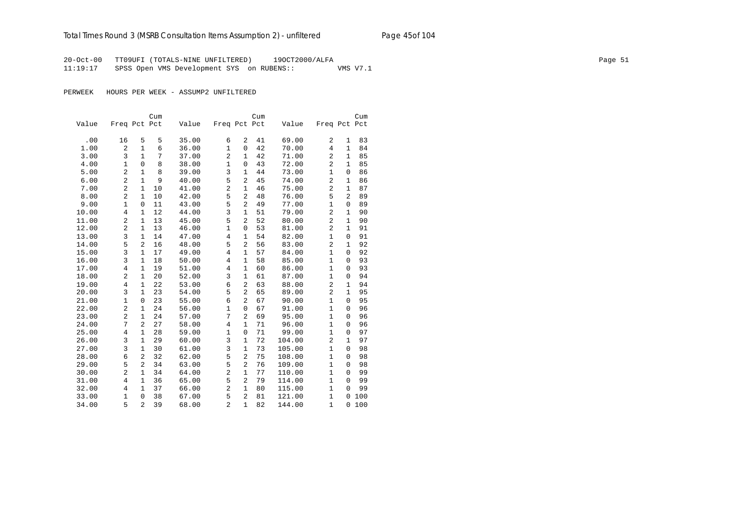20-Oct-00 TT09UFI (TOTALS-NINE UNFILTERED) 19OCT2000/ALFA Page 51 11:19:17 SPSS Open VMS Development SYS on RUBENS:: VMS V7.1

|       |                |                | Cum |       |                |                | Cum |        |                |              | Cum |
|-------|----------------|----------------|-----|-------|----------------|----------------|-----|--------|----------------|--------------|-----|
| Value | Freq Pct Pct   |                |     | Value | Freq Pct Pct   |                |     | Value  | Freq Pct Pct   |              |     |
|       |                |                |     |       |                |                |     |        |                |              |     |
| .00   | 16             | 5              | 5   | 35.00 | 6              | 2              | 41  | 69.00  | 2              | 1            | 83  |
| 1.00  | $\overline{2}$ | $\mathbf{1}$   | 6   | 36.00 | $\mathbf{1}$   | $\Omega$       | 42  | 70.00  | $\overline{4}$ | $\mathbf 1$  | 84  |
| 3.00  | 3              | $\mathbf{1}$   | 7   | 37.00 | $\overline{2}$ | $\mathbf{1}$   | 42  | 71.00  | $\overline{2}$ | $\mathbf 1$  | 85  |
| 4.00  | 1              | $\mathbf 0$    | 8   | 38.00 | $1\,$          | $\Omega$       | 43  | 72.00  | 2              | $\mathbf{1}$ | 85  |
| 5.00  | $\overline{c}$ | $\mathbf{1}$   | 8   | 39.00 | 3              | 1              | 44  | 73.00  | 1              | 0            | 86  |
| 6.00  | 2              | $\mathbf{1}$   | 9   | 40.00 | 5              | 2              | 45  | 74.00  | 2              | 1            | 86  |
| 7.00  | 2              | $\mathbf{1}$   | 10  | 41.00 | $\overline{a}$ | 1              | 46  | 75.00  | $\overline{a}$ | $\mathbf 1$  | 87  |
| 8.00  | 2              | $\mathbf{1}$   | 10  | 42.00 | 5              | $\overline{a}$ | 48  | 76.00  | 5              | 2            | 89  |
| 9.00  | $\mathbf{1}$   | $\mathbf 0$    | 11  | 43.00 | 5              | $\overline{a}$ | 49  | 77.00  | $\mathbf{1}$   | 0            | 89  |
| 10.00 | $\overline{4}$ | $\mathbf{1}$   | 12  | 44.00 | 3              | 1              | 51  | 79.00  | 2              | $\mathbf{1}$ | 90  |
| 11.00 | 2              | $\mathbf{1}$   | 13  | 45.00 | 5              | $\overline{a}$ | 52  | 80.00  | 2              | $\mathbf{1}$ | 90  |
| 12.00 | $\overline{a}$ | $\mathbf{1}$   | 13  | 46.00 | $\mathbf 1$    | $\mathbf 0$    | 53  | 81.00  | $\overline{a}$ | $\mathbf{1}$ | 91  |
| 13.00 | 3              | $\mathbf{1}$   | 14  | 47.00 | $\overline{4}$ | 1              | 54  | 82.00  | $\mathbf{1}$   | 0            | 91  |
| 14.00 | 5              | $\overline{2}$ | 16  | 48.00 | 5              | $\overline{a}$ | 56  | 83.00  | 2              | $\mathbf{1}$ | 92  |
| 15.00 | 3              | $\mathbf{1}$   | 17  | 49.00 | $\overline{4}$ | $\mathbf{1}$   | 57  | 84.00  | 1              | 0            | 92  |
| 16.00 | 3              | $\mathbf{1}$   | 18  | 50.00 | 4              | $\mathbf{1}$   | 58  | 85.00  | $\mathbf{1}$   | 0            | 93  |
| 17.00 | 4              | $\mathbf{1}$   | 19  | 51.00 | $\overline{4}$ | $\mathbf{1}$   | 60  | 86.00  | $\mathbf{1}$   | $\mathbf{0}$ | 93  |
| 18.00 | $\overline{a}$ | $\mathbf{1}$   | 20  | 52.00 | 3              | $\mathbf{1}$   | 61  | 87.00  | 1              | 0            | 94  |
| 19.00 | $\overline{4}$ | $\mathbf{1}$   | 22  | 53.00 | 6              | 2              | 63  | 88.00  | 2              | $\mathbf{1}$ | 94  |
| 20.00 | 3              | $\mathbf{1}$   | 23  | 54.00 | 5              | $\overline{a}$ | 65  | 89.00  | 2              | $\mathbf{1}$ | 95  |
| 21.00 | $\mathbf{1}$   | $\mathbf 0$    | 23  | 55.00 | 6              | 2              | 67  | 90.00  | $\mathbf{1}$   | 0            | 95  |
| 22.00 | $\overline{2}$ | $\mathbf{1}$   | 24  | 56.00 | $\mathbf{1}$   | $\mathbf 0$    | 67  | 91.00  | $\mathbf{1}$   | 0            | 96  |
| 23.00 | 2              | $\mathbf{1}$   | 24  | 57.00 | 7              | 2              | 69  | 95.00  | 1              | $\Omega$     | 96  |
| 24.00 | 7              | $\overline{2}$ | 27  | 58.00 | $\overline{4}$ | $\mathbf{1}$   | 71  | 96.00  | $\mathbf{1}$   | $\Omega$     | 96  |
| 25.00 | $\overline{4}$ | 1              | 28  | 59.00 | $\mathbf{1}$   | $\mathbf 0$    | 71  | 99.00  | $\mathbf{1}$   | 0            | 97  |
| 26.00 | 3              | $\mathbf{1}$   | 29  | 60.00 | 3              | $\mathbf{1}$   | 72  | 104.00 | $\overline{2}$ | $\mathbf{1}$ | 97  |
| 27.00 | 3              | $\mathbf{1}$   | 30  | 61.00 | 3              | $\mathbf{1}$   | 73  | 105.00 | $\mathbf{1}$   | 0            | 98  |
| 28.00 | 6              | 2              | 32  | 62.00 | 5              | $\overline{2}$ | 75  | 108.00 | $\mathbf{1}$   | 0            | 98  |
| 29.00 | 5              | $\overline{2}$ | 34  | 63.00 | 5              | $\overline{c}$ | 76  | 109.00 | $\mathbf{1}$   | 0            | 98  |
| 30.00 | $\overline{c}$ | $\mathbf{1}$   | 34  | 64.00 | $\overline{2}$ | $\mathbf{1}$   | 77  | 110.00 | $\mathbf{1}$   | 0            | 99  |
| 31.00 | 4              | $\mathbf{1}$   | 36  | 65.00 | 5              | $\overline{a}$ | 79  | 114.00 | $\mathbf{1}$   | 0            | 99  |
| 32.00 | $\overline{4}$ | $\mathbf{1}$   | 37  | 66.00 | $\overline{c}$ | $\mathbf{1}$   | 80  | 115.00 | $\mathbf{1}$   | 0            | 99  |
| 33.00 | $\mathbf{1}$   | $\mathbf 0$    | 38  | 67.00 | 5              | $\overline{c}$ | 81  | 121.00 | $\mathbf{1}$   | 0            | 100 |
| 34.00 | 5              | $\overline{a}$ | 39  | 68.00 | $\overline{2}$ | $\mathbf{1}$   | 82  | 144.00 | $\mathbf{1}$   | 0            | 100 |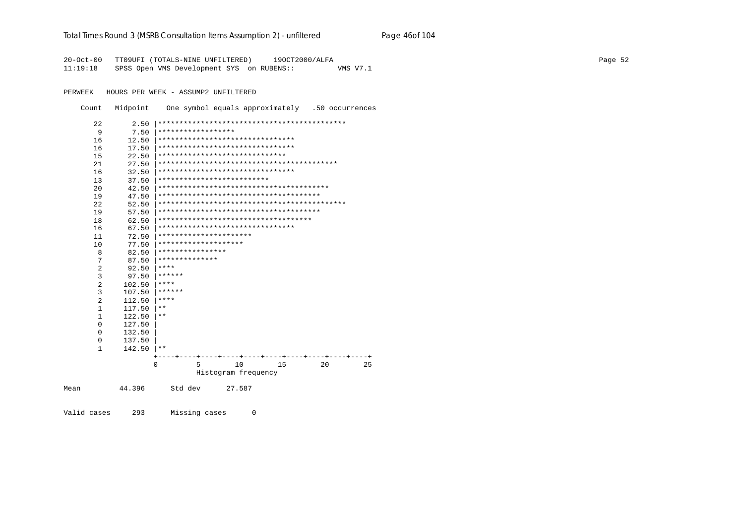### Total Times Round 3 (MSRB Consultation Items Assumption 2) - unfiltered Page 46of 104

20-Oct-00 TT09UFI (TOTALS-NINE UNFILTERED) 19OCT2000/ALFA 11:19:18 SPSS Open VMS Development SYS on RUBENS:: VMS V7.1

PERWEEK HOURS PER WEEK - ASSUMP2 UNFILTERED

Count Midpoint One symbol equals approximately .50 occurrences

| 22             | 2.50   |                      |                                      |    |    |    |
|----------------|--------|----------------------|--------------------------------------|----|----|----|
| 9              | 7.50   | ******************   |                                      |    |    |    |
| 16             | 12.50  |                      | ********************************     |    |    |    |
| 16             | 17.50  |                      | ********************************     |    |    |    |
| 15             | 22.50  |                      | ******************************       |    |    |    |
| 21             | 27.50  |                      |                                      |    |    |    |
| 16             | 32.50  |                      | ********************************     |    |    |    |
| 13             | 37.50  |                      | **************************           |    |    |    |
| 20             | 42.50  |                      |                                      |    |    |    |
| 19             | 47.50  |                      |                                      |    |    |    |
| 22             | 52.50  |                      |                                      |    |    |    |
| 19             | 57.50  |                      |                                      |    |    |    |
| 18             | 62.50  |                      | ************************************ |    |    |    |
| 16             | 67.50  |                      | ********************************     |    |    |    |
| 11             | 72.50  |                      | **********************               |    |    |    |
| 10             | 77.50  | ******************** |                                      |    |    |    |
| 8              | 82.50  | ****************     |                                      |    |    |    |
| 7              | 87.50  | **************       |                                      |    |    |    |
| $\overline{2}$ | 92.50  | ****                 |                                      |    |    |    |
| 3              | 97.50  | ******               |                                      |    |    |    |
| $\overline{2}$ | 102.50 | ****                 |                                      |    |    |    |
| 3              | 107.50 | ******               |                                      |    |    |    |
| $\overline{2}$ | 112.50 | ****                 |                                      |    |    |    |
| $\mathbf{1}$   | 117.50 | $* *$                |                                      |    |    |    |
| 1              | 122.50 | $***$                |                                      |    |    |    |
| $\mathbf 0$    | 127.50 |                      |                                      |    |    |    |
| $\Omega$       | 132.50 |                      |                                      |    |    |    |
| 0              | 137.50 |                      |                                      |    |    |    |
| $\mathbf{1}$   | 142.50 | $* *$                |                                      |    |    |    |
|                |        |                      |                                      |    |    |    |
|                |        | 5<br>0               | 10                                   | 15 | 20 | 25 |
|                |        |                      | Histogram frequency                  |    |    |    |
| Mean           | 44.396 | Std dev              | 27.587                               |    |    |    |

Valid cases 293 Missing cases  $\overline{0}$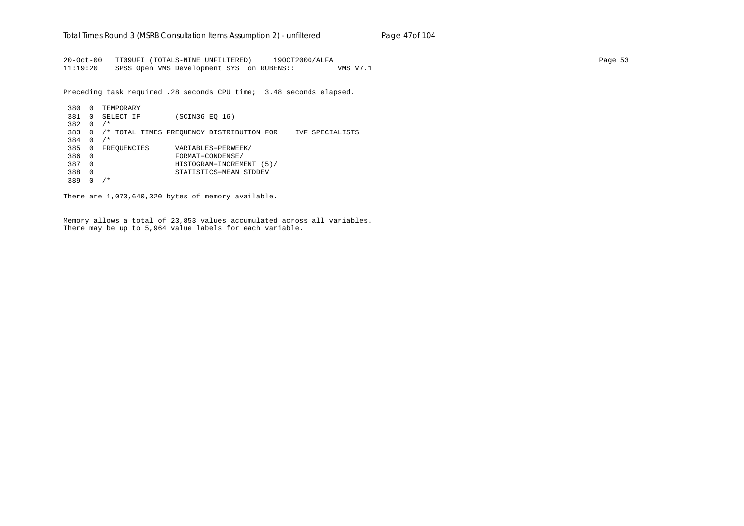20-Oct-00 TT09UFI (TOTALS-NINE UNFILTERED) 19OCT2000/ALFA Page 53 11:19:20 SPSS Open VMS Development SYS on RUBENS:: VMS V7.1

Preceding task required .28 seconds CPU time; 3.48 seconds elapsed.

 380 0 TEMPORARY 381 0 SELECT IF (SCIN36 EQ 16) 382 0 /\* 383 0 /\* TOTAL TIMES FREQUENCY DISTRIBUTION FOR IVF SPECIALISTS 384 0 /\* 385 0 FREQUENCIES VARIABLES=PERWEEK/ 386 0 FORMAT=CONDENSE/ 387 0 HISTOGRAM=INCREMENT (5)/ 388 0 STATISTICS=MEAN STDDEV 389 0 /\*

There are 1,073,640,320 bytes of memory available.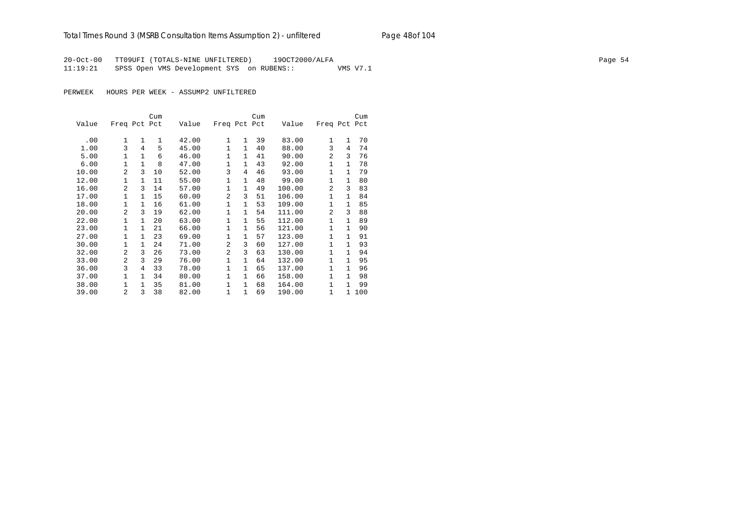## Total Times Round 3 (MSRB Consultation Items Assumption 2) - *unfiltered* Page 48of 104

20-Oct-00 TT09UFI (TOTALS-NINE UNFILTERED) 19OCT2000/ALFA Page 54 11:19:21 SPSS Open VMS Development SYS on RUBENS:: VMS V7.1

|       |                |              | Cum |       |                |              | Cum |        |                |              | Cum |
|-------|----------------|--------------|-----|-------|----------------|--------------|-----|--------|----------------|--------------|-----|
| Value | Freq Pct Pct   |              |     | Value | Freq Pct Pct   |              |     | Value  | Freq Pct Pct   |              |     |
| .00   | $\mathbf{1}$   | $\mathbf{1}$ | 1   | 42.00 | $\mathbf{1}$   | $\mathbf{1}$ | 39  | 83.00  | $\mathbf{1}$   | $\mathbf{1}$ | 70  |
| 1.00  | 3              | 4            | 5   | 45.00 | $\mathbf{1}$   | $\mathbf{1}$ | 40  | 88.00  | 3              | 4            | 74  |
| 5.00  | 1              | 1            | 6   | 46.00 | 1              | 1            | 41  | 90.00  | 2              | 3            | 76  |
| 6.00  | $\mathbf{1}$   | $\mathbf{1}$ | 8   | 47.00 | 1              | $\mathbf{1}$ | 43  | 92.00  | $\mathbf{1}$   | $\mathbf{1}$ | 78  |
| 10.00 | $\overline{a}$ | 3            | 10  | 52.00 | 3              | 4            | 46  | 93.00  | 1              | $\mathbf{1}$ | 79  |
| 12.00 | $\mathbf{1}$   | $\mathbf{1}$ | 11  | 55.00 | 1              | $\mathbf{1}$ | 48  | 99.00  | $\mathbf{1}$   | $\mathbf{1}$ | 80  |
| 16.00 | $\overline{a}$ | 3            | 14  | 57.00 | $\mathbf{1}$   | $\mathbf{1}$ | 49  | 100.00 | 2              | 3            | 83  |
| 17.00 | 1              | $\mathbf{1}$ | 15  | 60.00 | 2              | 3            | 51  | 106.00 | 1              | $\mathbf{1}$ | 84  |
| 18.00 | $\mathbf{1}$   | $\mathbf{1}$ | 16  | 61.00 | 1              | $\mathbf{1}$ | 53  | 109.00 | $\mathbf{1}$   | $\mathbf{1}$ | 85  |
| 20.00 | $\overline{a}$ | 3            | 19  | 62.00 | 1              | $\mathbf{1}$ | 54  | 111.00 | $\mathfrak{D}$ | 3            | 88  |
| 22.00 | 1              | 1            | 20  | 63.00 | 1              | 1            | 55  | 112.00 | 1              | 1            | 89  |
| 23.00 | $\mathbf{1}$   | $\mathbf{1}$ | 21  | 66.00 | $\mathbf{1}$   | $\mathbf{1}$ | 56  | 121.00 | $\mathbf{1}$   | $\mathbf{1}$ | 90  |
| 27.00 | 1              | $\mathbf{1}$ | 23  | 69.00 | 1              | $\mathbf{1}$ | 57  | 123.00 | 1              | $\mathbf{1}$ | 91  |
| 30.00 | $\mathbf{1}$   | $\mathbf{1}$ | 24  | 71.00 | $\overline{a}$ | 3            | 60  | 127.00 | 1              | $\mathbf{1}$ | 93  |
| 32.00 | $\overline{2}$ | 3            | 26  | 73.00 | $\overline{a}$ | 3            | 63  | 130.00 | $\mathbf{1}$   | $\mathbf{1}$ | 94  |
| 33.00 | $\overline{a}$ | 3            | 29  | 76.00 | $\mathbf{1}$   | $\mathbf{1}$ | 64  | 132.00 | 1              | $\mathbf{1}$ | 95  |
| 36.00 | 3              | 4            | 33  | 78.00 | 1              | $\mathbf{1}$ | 65  | 137.00 | 1              | $\mathbf{1}$ | 96  |
| 37.00 | $\mathbf{1}$   | $\mathbf{1}$ | 34  | 80.00 | $\mathbf{1}$   | $\mathbf{1}$ | 66  | 158.00 | $\mathbf{1}$   | $\mathbf{1}$ | 98  |
| 38.00 | $\mathbf{1}$   | $\mathbf{1}$ | 35  | 81.00 | $\mathbf{1}$   | $\mathbf{1}$ | 68  | 164.00 | $\mathbf{1}$   | $\mathbf{1}$ | 99  |
| 39.00 | 2              | 3            | 38  | 82.00 | 1              | 1            | 69  | 190.00 | $\mathbf{1}$   | 1            | 100 |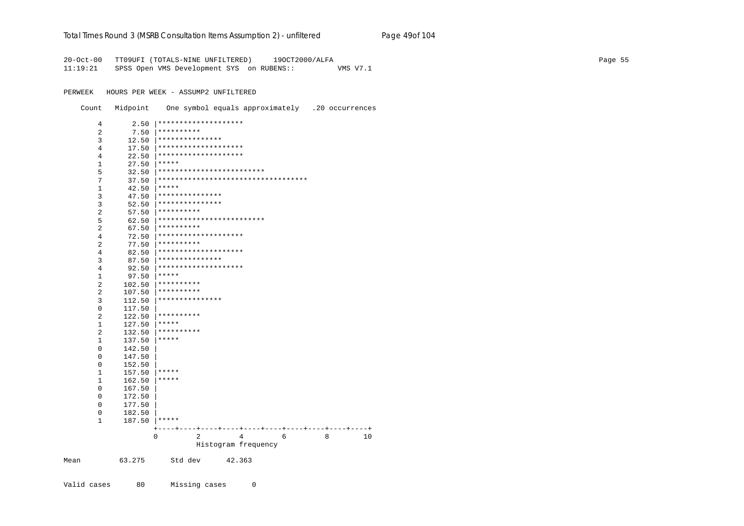### Total Times Round 3 (MSRB Consultation Items Assumption 2) - unfiltered Page 49of 104

20-Oct-00 TT09UFI (TOTALS-NINE UNFILTERED) 19OCT2000/ALFA 11:19:21 SPSS Open VMS Development SYS on RUBENS:: VMS V7.1

PERWEEK HOURS PER WEEK - ASSUMP2 UNFILTERED

Count Midpoint One symbol equals approximately .20 occurrences

| 4              | 2.50   | ********************                                              |
|----------------|--------|-------------------------------------------------------------------|
| $\overline{2}$ | 7.50   | **********                                                        |
| 3              | 12.50  | ***************                                                   |
| 4              | 17.50  | ********************                                              |
| 4              | 22.50  | ********************                                              |
| 1              | 27.50  | *****                                                             |
| 5              | 32.50  | *************************                                         |
| 7              | 37.50  | ***********************************                               |
| $1\,$          | 42.50  | *****                                                             |
| 3              | 47.50  | ***************                                                   |
| 3              | 52.50  | ***************                                                   |
| 2              | 57.50  | **********                                                        |
| 5              | 62.50  | *************************                                         |
| 2              | 67.50  | **********                                                        |
| 4              | 72.50  | ********************                                              |
| $\overline{2}$ | 77.50  | **********                                                        |
| 4              | 82.50  | ********************                                              |
| 3              | 87.50  | ***************                                                   |
| 4              | 92.50  | ********************                                              |
| 1              | 97.50  | *****                                                             |
| $\overline{2}$ | 102.50 | **********                                                        |
| 2              | 107.50 | **********                                                        |
| 3              | 112.50 | ***************                                                   |
| 0              | 117.50 |                                                                   |
| $\overline{2}$ | 122.50 | **********                                                        |
| 1              | 127.50 | *****                                                             |
| 2              | 132.50 | **********                                                        |
| 1              | 137.50 | *****                                                             |
| 0              | 142.50 |                                                                   |
| 0              | 147.50 |                                                                   |
| $\Omega$       | 152.50 |                                                                   |
| 1              | 157.50 | *****                                                             |
| $1\,$          | 162.50 | *****                                                             |
| 0              | 167.50 |                                                                   |
| 0              | 172.50 |                                                                   |
| 0              | 177.50 |                                                                   |
| 0              | 182.50 |                                                                   |
| 1              | 187.50 | *****                                                             |
|                |        | ----+----+---+----+<br>$+ -$<br>+----+----+----+----+<br>---+---- |
|                |        | 8<br>0<br>2<br>4<br>6<br>10                                       |
|                |        | Histogram frequency                                               |
| Mean           | 63.275 | Std dev<br>42.363                                                 |

Valid cases 80 Missing cases  $\overline{0}$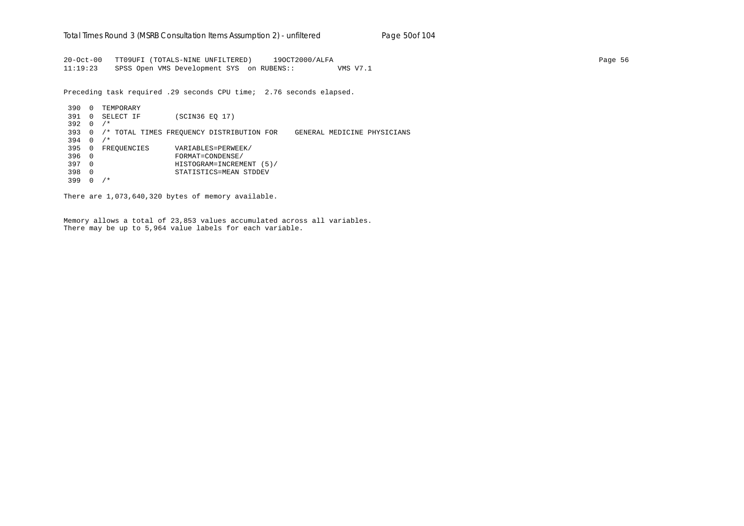20-Oct-00 TT09UFI (TOTALS-NINE UNFILTERED) 19OCT2000/ALFA Page 56 11:19:23 SPSS Open VMS Development SYS on RUBENS:: VMS V7.1

Preceding task required .29 seconds CPU time; 2.76 seconds elapsed.

 390 0 TEMPORARY 391 0 SELECT IF (SCIN36 EQ 17) 392 0 /\* 393 0 /\* TOTAL TIMES FREQUENCY DISTRIBUTION FOR GENERAL MEDICINE PHYSICIANS 394 0 /\* 395 0 FREQUENCIES VARIABLES=PERWEEK/ 396 0 FORMAT=CONDENSE/ 397 0 HISTOGRAM=INCREMENT (5)/ 398 0 STATISTICS=MEAN STDDEV 399 0 /\*

There are 1,073,640,320 bytes of memory available.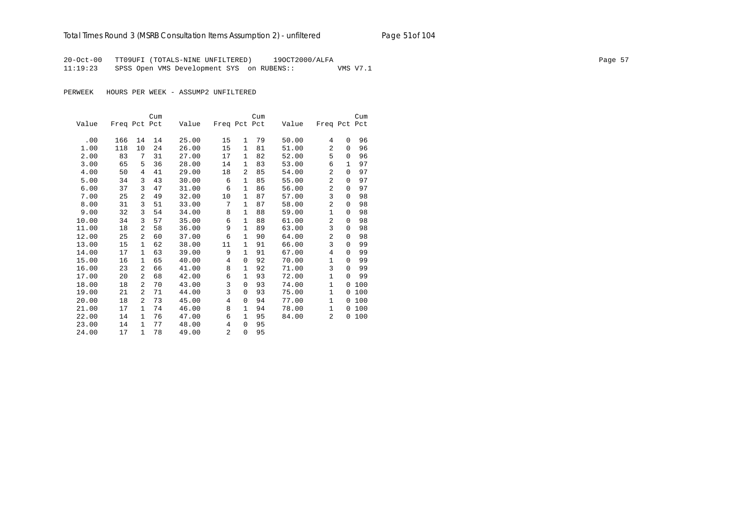# Total Times Round 3 (MSRB Consultation Items Assumption 2) - *unfiltered* Page 51of 104

20-Oct-00 TT09UFI (TOTALS-NINE UNFILTERED) 19OCT2000/ALFA Page 57 11:19:23 SPSS Open VMS Development SYS on RUBENS:: VMS V7.1

|       |              |                | Cum |       |                |                | Cum |       |                |          | Cum |
|-------|--------------|----------------|-----|-------|----------------|----------------|-----|-------|----------------|----------|-----|
| Value | Freq Pct Pct |                |     | Value | Freq Pct Pct   |                |     | Value | Freq Pct Pct   |          |     |
|       |              |                |     |       |                |                |     |       |                |          |     |
| .00   | 166          | 14             | 14  | 25.00 | 15             | 1              | 79  | 50.00 | 4              | $\Omega$ | 96  |
| 1.00  | 118          | 10             | 24  | 26.00 | 15             | 1              | 81  | 51.00 | 2              | $\Omega$ | 96  |
| 2.00  | 83           | 7              | 31  | 27.00 | 17             | 1              | 82  | 52.00 | 5              | $\Omega$ | 96  |
| 3.00  | 65           | 5              | 36  | 28.00 | 14             | 1              | 83  | 53.00 | 6              | 1        | 97  |
| 4.00  | 50           | 4              | 41  | 29.00 | 18             | $\overline{a}$ | 85  | 54.00 | $\overline{a}$ | $\Omega$ | 97  |
| 5.00  | 34           | 3              | 43  | 30.00 | 6              | 1              | 85  | 55.00 | 2              | 0        | 97  |
| 6.00  | 37           | 3              | 47  | 31.00 | 6              | 1              | 86  | 56.00 | 2              | $\Omega$ | 97  |
| 7.00  | 25           | 2              | 49  | 32.00 | 10             | $\mathbf{1}$   | 87  | 57.00 | 3              | $\Omega$ | 98  |
| 8.00  | 31           | 3              | 51  | 33.00 | 7              | $\mathbf{1}$   | 87  | 58.00 | 2              | 0        | 98  |
| 9.00  | 32           | 3              | 54  | 34.00 | 8              | 1              | 88  | 59.00 | 1              | $\Omega$ | 98  |
| 10.00 | 34           | 3              | 57  | 35.00 | 6              | $\mathbf{1}$   | 88  | 61.00 | 2              | $\Omega$ | 98  |
| 11.00 | 18           | 2              | 58  | 36.00 | 9              | $\mathbf{1}$   | 89  | 63.00 | 3              | 0        | 98  |
| 12.00 | 25           | 2              | 60  | 37.00 | 6              | 1              | 90  | 64.00 | $\overline{a}$ | $\Omega$ | 98  |
| 13.00 | 15           | 1              | 62  | 38.00 | 11             | 1              | 91  | 66.00 | 3              | $\Omega$ | 99  |
| 14.00 | 17           | $\mathbf{1}$   | 63  | 39.00 | 9              | $\mathbf{1}$   | 91  | 67.00 | 4              | $\Omega$ | 99  |
| 15.00 | 16           | $\mathbf{1}$   | 65  | 40.00 | 4              | 0              | 92  | 70.00 | 1              | $\Omega$ | 99  |
| 16.00 | 23           | 2              | 66  | 41.00 | 8              | 1              | 92  | 71.00 | 3              | $\Omega$ | 99  |
| 17.00 | 20           | 2              | 68  | 42.00 | 6              | 1              | 93  | 72.00 | $\mathbf{1}$   | $\Omega$ | 99  |
| 18.00 | 18           | $\overline{a}$ | 70  | 43.00 | 3              | $\Omega$       | 93  | 74.00 | 1              | $\Omega$ | 100 |
| 19.00 | 21           | 2              | 71  | 44.00 | 3              | 0              | 93  | 75.00 | $\mathbf{1}$   | 0        | 100 |
| 20.00 | 18           | $\overline{a}$ | 73  | 45.00 | 4              | 0              | 94  | 77.00 | $\mathbf{1}$   | $\Omega$ | 100 |
| 21.00 | 17           | 1              | 74  | 46.00 | 8              | 1              | 94  | 78.00 | 1              | $\Omega$ | 100 |
| 22.00 | 14           | $\mathbf{1}$   | 76  | 47.00 | 6              | 1              | 95  | 84.00 | 2              | 0        | 100 |
| 23.00 | 14           | $\mathbf{1}$   | 77  | 48.00 | $\overline{4}$ | 0              | 95  |       |                |          |     |
| 24.00 | 17           | $\mathbf{1}$   | 78  | 49.00 | $\overline{a}$ | $\Omega$       | 95  |       |                |          |     |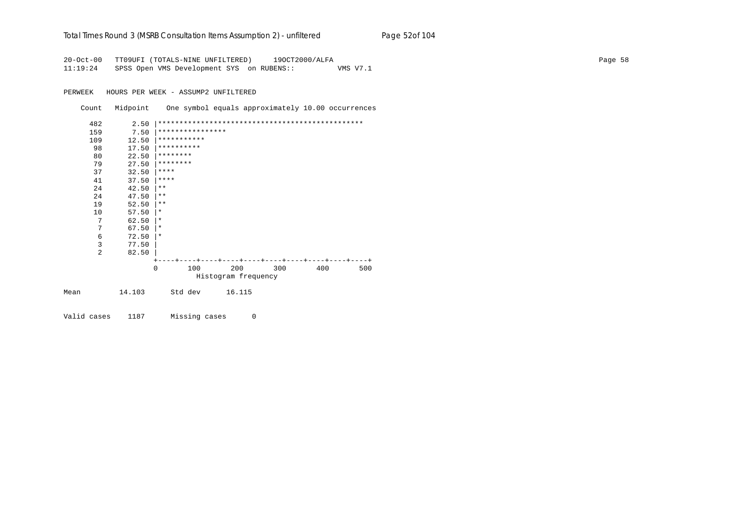| Total Times Round 3 (MSRB Consultation Items Assumption 2) - unfiltered | Page 52of 104 |
|-------------------------------------------------------------------------|---------------|
|-------------------------------------------------------------------------|---------------|

20-Oct-00 TT09UFI (TOTALS-NINE UNFILTERED) 19OCT2000/ALFA Page 58 11:19:24 SPSS Open VMS Development SYS on RUBENS:: VMS V7.1

PERWEEK HOURS PER WEEK - ASSUMP2 UNFILTERED

Count Midpoint One symbol equals approximately 10.00 occurrences

|      | 482 | 2.50   |                  |         |                     |     |     |     |
|------|-----|--------|------------------|---------|---------------------|-----|-----|-----|
|      | 159 | 7.50   | **************** |         |                     |     |     |     |
|      | 109 | 12.50  | ***********      |         |                     |     |     |     |
|      | 98  | 17.50  | **********       |         |                     |     |     |     |
|      | 80  | 22.50  | ********         |         |                     |     |     |     |
|      | 79  | 27.50  | ********         |         |                     |     |     |     |
|      | 37  | 32.50  | $* * * * *$      |         |                     |     |     |     |
|      | 41  | 37.50  | $* * * * *$      |         |                     |     |     |     |
|      | 24  | 42.50  | $* *$            |         |                     |     |     |     |
|      | 24  | 47.50  | $***$            |         |                     |     |     |     |
|      | 19  | 52.50  | $* *$            |         |                     |     |     |     |
|      | 10  | 57.50  | $\ast$           |         |                     |     |     |     |
|      | 7   | 62.50  | $\ast$           |         |                     |     |     |     |
|      | 7   | 67.50  | $\star$          |         |                     |     |     |     |
|      | 6   | 72.50  | $\ast$           |         |                     |     |     |     |
|      | 3   | 77.50  |                  |         |                     |     |     |     |
|      | 2   | 82.50  |                  |         |                     |     |     |     |
|      |     |        |                  |         |                     |     |     |     |
|      |     |        | $\Omega$         | 100     | 200                 | 300 | 400 | 500 |
|      |     |        |                  |         | Histogram frequency |     |     |     |
|      |     |        |                  |         |                     |     |     |     |
| Mean |     | 14.103 |                  | Std dev | 16.115              |     |     |     |
|      |     |        |                  |         |                     |     |     |     |
|      |     |        |                  |         |                     |     |     |     |

Valid cases 1187 Missing cases 0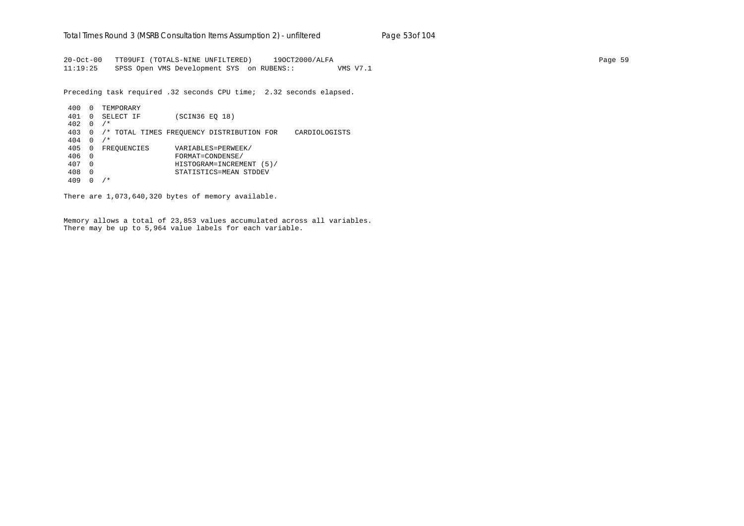20-Oct-00 TT09UFI (TOTALS-NINE UNFILTERED) 19OCT2000/ALFA Page 59 11:19:25 SPSS Open VMS Development SYS on RUBENS:: VMS V7.1

Preceding task required .32 seconds CPU time; 2.32 seconds elapsed.

 400 0 TEMPORARY 401 0 SELECT IF (SCIN36 EQ 18) 402 0 /\* 403 0 /\* TOTAL TIMES FREQUENCY DISTRIBUTION FOR CARDIOLOGISTS 404 0 /\* 405 0 FREQUENCIES VARIABLES=PERWEEK/ 406 0 FORMAT=CONDENSE/ 407 0 HISTOGRAM=INCREMENT (5)/ 408 0 STATISTICS=MEAN STDDEV 409 0 /\*

There are 1,073,640,320 bytes of memory available.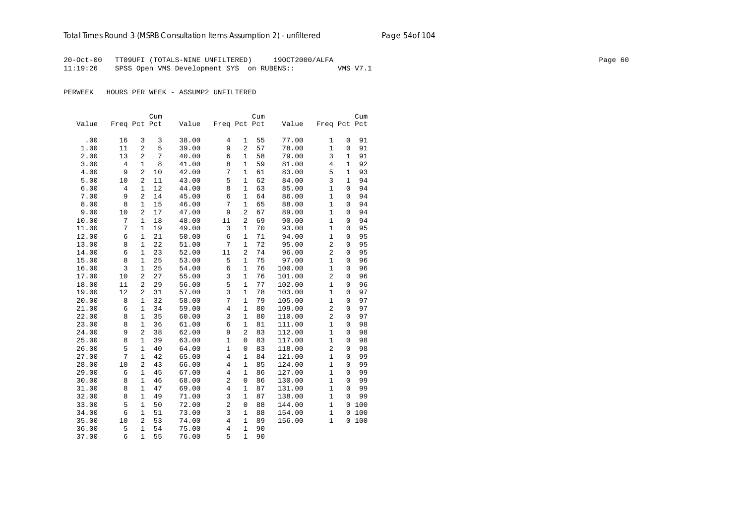20-Oct-00 TT09UFI (TOTALS-NINE UNFILTERED) 19OCT2000/ALFA Page 60 11:19:26 SPSS Open VMS Development SYS on RUBENS:: VMS V7.1

|       |                |                | Cum |       |                |                | Cum |        |                |                | Cum |
|-------|----------------|----------------|-----|-------|----------------|----------------|-----|--------|----------------|----------------|-----|
| Value | Freq Pct Pct   |                |     | Value | Freq Pct Pct   |                |     | Value  | Freq Pct Pct   |                |     |
|       |                |                |     |       |                |                |     |        |                |                |     |
| .00   | 16             | 3              | 3   | 38.00 | 4              | 1              | 55  | 77.00  | $\mathbf{1}$   | 0              | 91  |
| 1.00  | 11             | $\overline{a}$ | 5   | 39.00 | 9              | $\overline{a}$ | 57  | 78.00  | $1\,$          | 0              | 91  |
| 2.00  | 13             | $\overline{2}$ | 7   | 40.00 | 6              | $\mathbf{1}$   | 58  | 79.00  | 3              | $\mathbf{1}$   | 91  |
| 3.00  | $\,4$          | $\mathbf{1}$   | 8   | 41.00 | 8              | $\mathbf{1}$   | 59  | 81.00  | $\,4$          | $\mathbf{1}$   | 92  |
| 4.00  | 9              | $\overline{a}$ | 10  | 42.00 | 7              | $\mathbf{1}$   | 61  | 83.00  | 5              | $\mathbf{1}$   | 93  |
| 5.00  | 10             | 2              | 11  | 43.00 | 5              | 1              | 62  | 84.00  | 3              | 1              | 94  |
| 6.00  | $\overline{4}$ | 1              | 12  | 44.00 | 8              | 1              | 63  | 85.00  | $1\,$          | 0              | 94  |
| 7.00  | 9              | $\overline{a}$ | 14  | 45.00 | 6              | $\mathbf{1}$   | 64  | 86.00  | $\mathbf{1}$   | 0              | 94  |
| 8.00  | 8              | $\mathbf{1}$   | 15  | 46.00 | 7              | $\mathbf{1}$   | 65  | 88.00  | $\mathbf{1}$   | 0              | 94  |
| 9.00  | 10             | $\overline{2}$ | 17  | 47.00 | 9              | $\overline{2}$ | 67  | 89.00  | $1\,$          | $\Omega$       | 94  |
| 10.00 | 7              | $\mathbf{1}$   | 18  | 48.00 | 11             | $\overline{2}$ | 69  | 90.00  | $1\,$          | $\Omega$       | 94  |
| 11.00 | 7              | $\mathbf{1}$   | 19  | 49.00 | 3              | $\mathbf{1}$   | 70  | 93.00  | $\mathbf{1}$   | 0              | 95  |
| 12.00 | 6              | $\mathbf{1}$   | 21  | 50.00 | 6              | 1              | 71  | 94.00  | $1\,$          | 0              | 95  |
| 13.00 | 8              | $\mathbf{1}$   | 22  | 51.00 | 7              | $\mathbf{1}$   | 72  | 95.00  | $\overline{2}$ | $\overline{0}$ | 95  |
| 14.00 | 6              | $\mathbf{1}$   | 23  | 52.00 | 11             | $\overline{c}$ | 74  | 96.00  | $\overline{c}$ | 0              | 95  |
| 15.00 | 8              | $\mathbf{1}$   | 25  | 53.00 | 5              | $\mathbf{1}$   | 75  | 97.00  | $1\,$          | 0              | 96  |
| 16.00 | $\overline{3}$ | $\mathbf{1}$   | 25  | 54.00 | 6              | $\mathbf{1}$   | 76  | 100.00 | $\mathbf{1}$   | 0              | 96  |
| 17.00 | 10             | $\overline{a}$ | 27  | 55.00 | 3              | 1              | 76  | 101.00 | $\overline{2}$ | 0              | 96  |
| 18.00 | 11             | $\overline{a}$ | 29  | 56.00 | 5              | $\mathbf{1}$   | 77  | 102.00 | $\mathbf{1}$   | $\Omega$       | 96  |
| 19.00 | 12             | 2              | 31  | 57.00 | $\overline{3}$ | $\mathbf{1}$   | 78  | 103.00 | $\mathbf{1}$   | 0              | 97  |
| 20.00 | 8              | $\mathbf{1}$   | 32  | 58.00 | 7              | $\mathbf{1}$   | 79  | 105.00 | $\mathbf{1}$   | $\overline{0}$ | 97  |
| 21.00 | 6              | $\mathbf{1}$   | 34  | 59.00 | $\overline{4}$ | $\mathbf{1}$   | 80  | 109.00 | 2              | $\overline{0}$ | 97  |
| 22.00 | 8              | $\mathbf{1}$   | 35  | 60.00 | $\overline{3}$ | $\mathbf{1}$   | 80  | 110.00 | $\overline{2}$ | $\overline{0}$ | 97  |
| 23.00 | 8              | $\mathbf{1}$   | 36  | 61.00 | 6              | 1              | 81  | 111.00 | $1\,$          | 0              | 98  |
| 24.00 | 9              | 2              | 38  | 62.00 | 9              | $\overline{a}$ | 83  | 112.00 | $1\,$          | 0              | 98  |
| 25.00 | 8              | $\mathbf{1}$   | 39  | 63.00 | $\mathbf{1}$   | 0              | 83  | 117.00 | $1\,$          | 0              | 98  |
| 26.00 | 5              | $\mathbf{1}$   | 40  | 64.00 | $\mathbf{1}$   | $\mathbf 0$    | 83  | 118.00 | $\overline{2}$ | 0              | 98  |
| 27.00 | 7              | $\mathbf{1}$   | 42  | 65.00 | $\overline{4}$ | 1              | 84  | 121.00 | $\mathbf{1}$   | 0              | 99  |
| 28.00 | 10             | 2              | 43  | 66.00 | $\overline{4}$ | 1              | 85  | 124.00 | $\mathbf{1}$   | 0              | 99  |
| 29.00 | 6              | $\mathbf{1}$   | 45  | 67.00 | 4              | $\mathbf{1}$   | 86  | 127.00 | $\mathbf{1}$   | 0              | 99  |
| 30.00 | 8              | $\mathbf{1}$   | 46  | 68.00 | $\overline{c}$ | 0              | 86  | 130.00 | $1\,$          | 0              | 99  |
| 31.00 | 8              | $\mathbf{1}$   | 47  | 69.00 | $\overline{4}$ | $\mathbf{1}$   | 87  | 131.00 | $\mathbf{1}$   | 0              | 99  |
| 32.00 | 8              | $\mathbf{1}$   | 49  | 71.00 | 3              | $\mathbf{1}$   | 87  | 138.00 | $1\,$          | $\overline{0}$ | 99  |
| 33.00 | 5              | $\mathbf{1}$   | 50  | 72.00 | $\overline{a}$ | $\mathbf 0$    | 88  | 144.00 | $1\,$          | $\overline{0}$ | 100 |
| 34.00 | 6              | $\mathbf{1}$   | 51  | 73.00 | 3              | 1              | 88  | 154.00 | $\mathbf 1$    | 0              | 100 |
| 35.00 | 10             | $\overline{2}$ | 53  | 74.00 | $\overline{4}$ | 1              | 89  | 156.00 | $\mathbf{1}$   | 0              | 100 |
| 36.00 | 5              | $\mathbf{1}$   | 54  | 75.00 | $\overline{4}$ | 1              | 90  |        |                |                |     |
| 37.00 | 6              | $\mathbf{1}$   | 55  | 76.00 | 5              | $\mathbf{1}$   | 90  |        |                |                |     |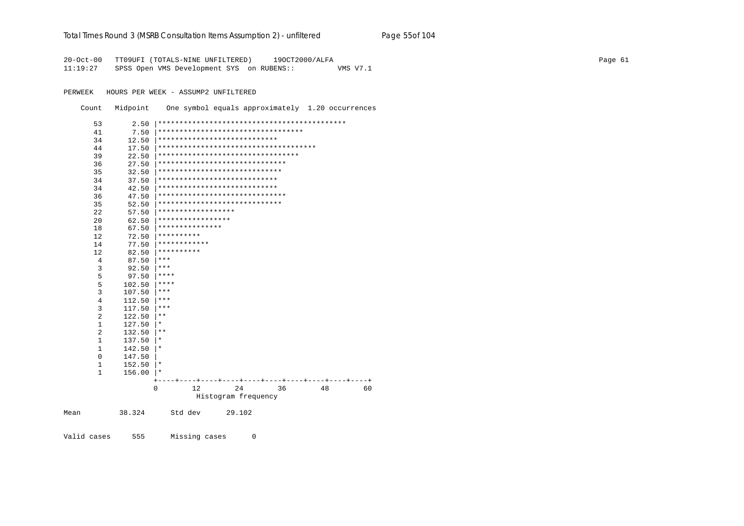### Total Times Round 3 (MSRB Consultation Items Assumption 2) - unfiltered Page 55of 104

20-Oct-00 TT09UFI (TOTALS-NINE UNFILTERED) 190CT2000/ALFA 11:19:27 SPSS Open VMS Development SYS on RUBENS:: VMS V7.1

PERWEEK HOURS PER WEEK - ASSUMP2 UNFILTERED

Count Midpoint One symbol equals approximately 1.20 occurrences

| 53             | 2.50   |                                        |
|----------------|--------|----------------------------------------|
| 41             | 7.50   | **********************************     |
| 34             | 12.50  | ****************************           |
| 44             | 17.50  | ************************************** |
| 39             | 22.50  | *********************************      |
| 36             | 27.50  | ******************************         |
| 35             | 32.50  | *****************************          |
| 34             | 37.50  | ****************************           |
| 34             | 42.50  | ****************************           |
| 36             | 47.50  | ******************************         |
| 35             | 52.50  | *****************************          |
| 22             | 57.50  | ******************                     |
| 20             | 62.50  | *****************                      |
| 18             | 67.50  | ***************                        |
| 12             | 72.50  | **********                             |
| 14             | 77.50  | ************                           |
| 12             | 82.50  | **********                             |
| 4              | 87.50  | ***                                    |
| 3              | 92.50  | ***                                    |
| 5              | 97.50  | ****                                   |
| 5              | 102.50 | ****                                   |
| $\overline{3}$ | 107.50 | ***                                    |
| $\overline{4}$ | 112.50 | $***$                                  |
| 3              | 117.50 | ***                                    |
| $\overline{2}$ | 122.50 | $* *$                                  |
| $\mathbf{1}$   | 127.50 | $^\star$                               |
| $\overline{2}$ | 132.50 | $***$                                  |
| $\mathbf{1}$   | 137.50 | *                                      |
| $\mathbf{1}$   | 142.50 | $^\star$                               |
| $\mathbf{0}$   | 147.50 |                                        |
| $\mathbf{1}$   | 152.50 | $^\star$                               |
| $\mathbf{1}$   | 156.00 | $\star$                                |
|                |        |                                        |
|                |        | $\Omega$<br>12<br>24<br>36<br>48<br>60 |
|                |        | Histogram frequency                    |
| Mean           | 38.324 | Std dev<br>29.102                      |

Valid cases 555 Missing cases  $\overline{0}$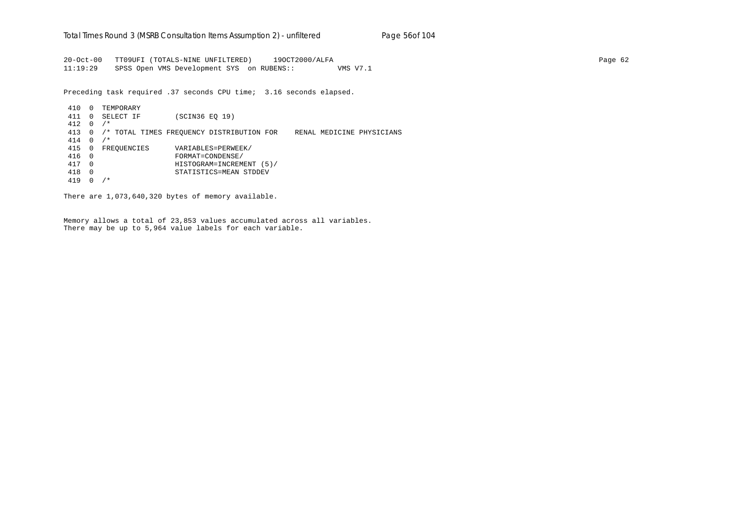20-Oct-00 TT09UFI (TOTALS-NINE UNFILTERED) 19OCT2000/ALFA Page 62 11:19:29 SPSS Open VMS Development SYS on RUBENS:: VMS V7.1

Preceding task required .37 seconds CPU time; 3.16 seconds elapsed.

 410 0 TEMPORARY 411 0 SELECT IF (SCIN36 EQ 19) 412 0 /\* 413 0 /\* TOTAL TIMES FREQUENCY DISTRIBUTION FOR RENAL MEDICINE PHYSICIANS 414 0 /\* 415 0 FREQUENCIES VARIABLES=PERWEEK/ 416 0 FORMAT=CONDENSE/ 417 0 HISTOGRAM=INCREMENT (5)/ 418 0 STATISTICS=MEAN STDDEV 419 0 /\*

There are 1,073,640,320 bytes of memory available.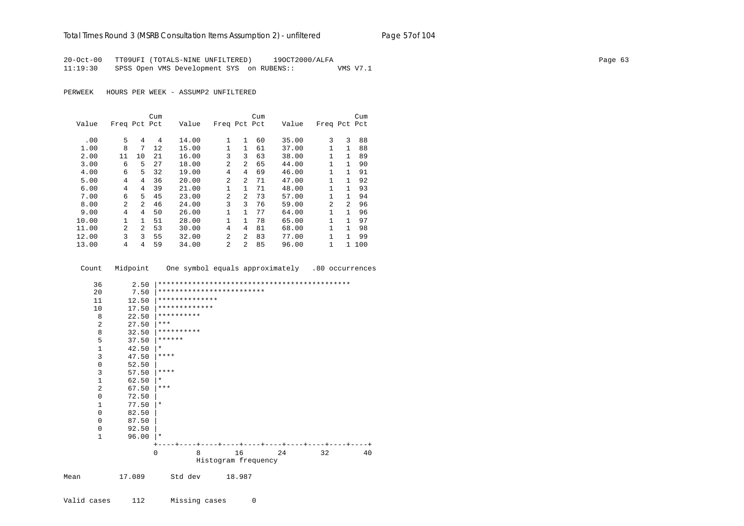### Total Times Round 3 (MSRB Consultation Items Assumption 2) - unfiltered Page 57of 104

20-Oct-00 TT09UFI (TOTALS-NINE UNFILTERED) 190CT2000/ALFA 11:19:30 SPSS Open VMS Development SYS on RUBENS:: VMS V7.1

PERWEEK HOURS PER WEEK - ASSUMP2 UNFILTERED

|       |                |                | Cum |       |                |                | Cum |       |              |                | Cum |
|-------|----------------|----------------|-----|-------|----------------|----------------|-----|-------|--------------|----------------|-----|
| Value | Freq Pct Pct   |                |     | Value | Freq Pct Pct   |                |     | Value | Freq Pct Pct |                |     |
|       |                |                |     |       |                |                |     |       |              |                |     |
| .00   | 5              | 4              | 4   | 14.00 | $\mathbf{1}$   | 1              | 60  | 35.00 | 3            | 3              | 88  |
| 1.00  | 8              | 7              | 12  | 15.00 | 1              | 1              | 61  | 37.00 | 1            | 1              | 88  |
| 2.00  | 11             | 10             | 21  | 16.00 | 3              | 3              | 63  | 38.00 | 1            | 1              | 89  |
| 3.00  | 6              | 5              | 27  | 18.00 | $\mathfrak{D}$ | $\mathfrak{D}$ | 65  | 44.00 | 1            | 1              | 90  |
| 4.00  | 6              | 5              | 32  | 19.00 | 4              | 4              | 69  | 46.00 | 1            | 1              | 91  |
| 5.00  | 4              | 4              | 36  | 20.00 | $\mathfrak{D}$ | $\mathfrak{D}$ | 71  | 47.00 | 1            |                | 92  |
| 6.00  | 4              | 4              | 39  | 21.00 | 1              | 1.             | 71  | 48.00 | 1            | 1              | 93  |
| 7.00  | 6              | 5              | 45  | 23.00 | $\mathfrak{D}$ | $\mathfrak{D}$ | 73  | 57.00 | 1            | $\mathbf{1}$   | 94  |
| 8.00  | $\mathfrak{D}$ | $\mathfrak{D}$ | 46  | 24.00 | 3              | ζ              | 76  | 59.00 | 2            | $\mathfrak{D}$ | 96  |
| 9.00  | 4              | 4              | 50  | 26.00 | 1              | $\mathbf{1}$   | 77  | 64.00 | 1            |                | 96  |
| 10.00 | 1              |                | 51  | 28.00 | 1              | 1              | 78  | 65.00 | 1            | 1              | 97  |
| 11.00 | 2              | $\mathfrak{D}$ | 53  | 30.00 | 4              | 4              | 81  | 68.00 | 1            | 1              | 98  |
| 12.00 | 3              | 3              | 55  | 32.00 | 2              | $\mathfrak{D}$ | 83  | 77.00 | 1            | 1              | 99  |
| 13.00 | 4              | 4              | 59  | 34.00 | 2              | $\overline{a}$ | 85  | 96.00 | 1            | 1.             | 100 |

Count Midpoint One symbol equals approximately .80 occurrences

| 36             | 2.50   |             |                |                           |                              |    |    |
|----------------|--------|-------------|----------------|---------------------------|------------------------------|----|----|
| 20             | 7.50   |             |                | ************************* |                              |    |    |
| 11             | 12.50  |             | ************** |                           |                              |    |    |
| 10             | 17.50  |             | *************  |                           |                              |    |    |
| 8              | 22.50  | **********  |                |                           |                              |    |    |
| $\overline{2}$ | 27.50  | $***$       |                |                           |                              |    |    |
| 8              | 32.50  | **********  |                |                           |                              |    |    |
| 5              | 37.50  | ******      |                |                           |                              |    |    |
| $\mathbf{1}$   | 42.50  | $\star$     |                |                           |                              |    |    |
| 3              | 47.50  | $***$ * * * |                |                           |                              |    |    |
| 0              | 52.50  |             |                |                           |                              |    |    |
| 3              | 57.50  | $***$ * * * |                |                           |                              |    |    |
| $\mathbf 1$    | 62.50  | $^\star$    |                |                           |                              |    |    |
| $\overline{2}$ | 67.50  | $***$       |                |                           |                              |    |    |
| $\Omega$       | 72.50  |             |                |                           |                              |    |    |
| 1              | 77.50  | $^\ast$     |                |                           |                              |    |    |
| 0              | 82.50  |             |                |                           |                              |    |    |
| 0              | 87.50  |             |                |                           |                              |    |    |
| 0              | 92.50  |             |                |                           |                              |    |    |
| $\mathbf{1}$   | 96.00  | $\star$     |                |                           |                              |    |    |
|                |        |             |                |                           | ----+----+----+----+----+--- |    |    |
|                |        | $\Omega$    | 8              | 16                        | 24                           | 32 | 40 |
|                |        |             |                | Histogram frequency       |                              |    |    |
| Mean           | 17.089 |             | Std dev        | 18.987                    |                              |    |    |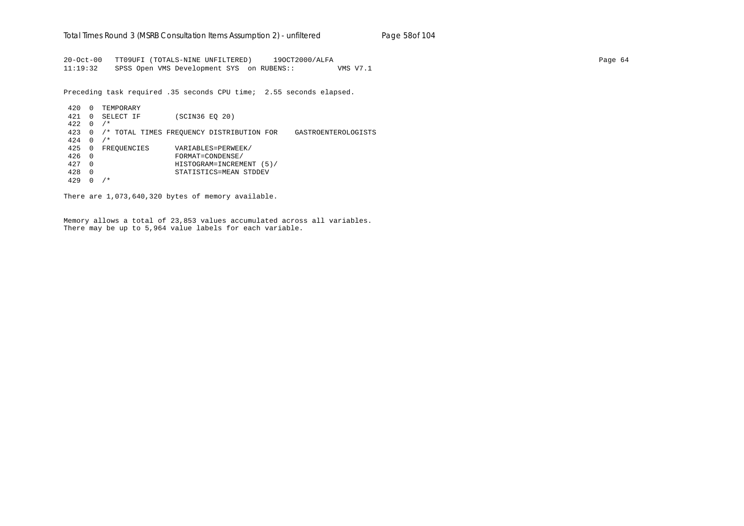20-Oct-00 TT09UFI (TOTALS-NINE UNFILTERED) 19OCT2000/ALFA Page 64 11:19:32 SPSS Open VMS Development SYS on RUBENS:: VMS V7.1

Preceding task required .35 seconds CPU time; 2.55 seconds elapsed.

 420 0 TEMPORARY 421 0 SELECT IF (SCIN36 EQ 20)  $422 \quad 0 \quad / *$  423 0 /\* TOTAL TIMES FREQUENCY DISTRIBUTION FOR GASTROENTEROLOGISTS 424 0 /\* 425 0 FREQUENCIES VARIABLES=PERWEEK/ 426 0 FORMAT=CONDENSE/ 427 0 HISTOGRAM=INCREMENT (5)/ 428 0 STATISTICS=MEAN STDDEV 429 0 /\*

There are 1,073,640,320 bytes of memory available.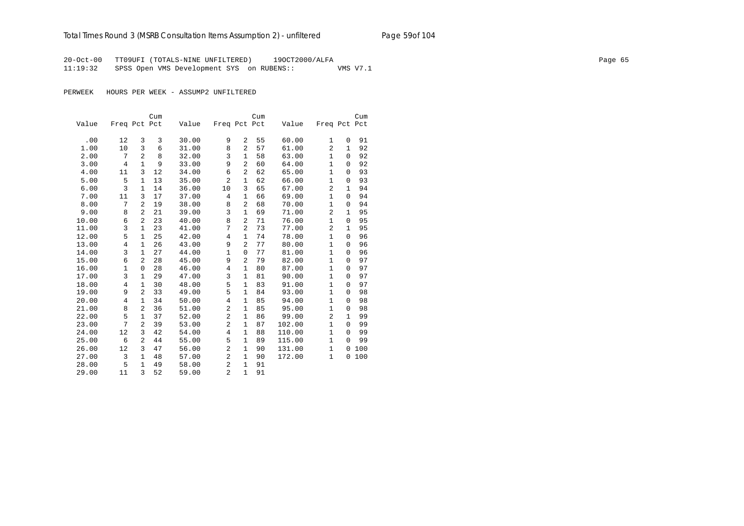20-Oct-00 TT09UFI (TOTALS-NINE UNFILTERED) 19OCT2000/ALFA Page 65 11:19:32 SPSS Open VMS Development SYS on RUBENS:: VMS V7.1

|       |                |                | Cum |       |                |                | Cum |        |                |              | Cum |
|-------|----------------|----------------|-----|-------|----------------|----------------|-----|--------|----------------|--------------|-----|
| Value | Freq Pct Pct   |                |     | Value | Freq Pct Pct   |                |     | Value  | Freq Pct Pct   |              |     |
|       |                |                |     |       |                |                |     |        |                |              |     |
| .00   | 12             | 3              | 3   | 30.00 | 9              | 2              | 55  | 60.00  | $\mathbf{1}$   | 0            | 91  |
| 1.00  | 10             | 3              | 6   | 31.00 | 8              | 2              | 57  | 61.00  | 2              | 1            | 92  |
| 2.00  | 7              | $\overline{a}$ | 8   | 32.00 | 3              | $\mathbf{1}$   | 58  | 63.00  | $\mathbf{1}$   | $\Omega$     | 92  |
| 3.00  | $\overline{4}$ | $\mathbf{1}$   | 9   | 33.00 | 9              | $\overline{a}$ | 60  | 64.00  | $\mathbf{1}$   | $\mathbf 0$  | 92  |
| 4.00  | 11             | 3              | 12  | 34.00 | 6              | 2              | 62  | 65.00  | $\mathbf{1}$   | 0            | 93  |
| 5.00  | 5              | $\mathbf{1}$   | 13  | 35.00 | $\overline{a}$ | $\mathbf{1}$   | 62  | 66.00  | $\mathbf{1}$   | 0            | 93  |
| 6.00  | 3              | $\mathbf{1}$   | 14  | 36.00 | 10             | 3              | 65  | 67.00  | 2              | 1            | 94  |
| 7.00  | 11             | 3              | 17  | 37.00 | 4              | $\mathbf{1}$   | 66  | 69.00  | $\mathbf{1}$   | 0            | 94  |
| 8.00  | 7              | $\overline{a}$ | 19  | 38.00 | 8              | $\overline{a}$ | 68  | 70.00  | $\mathbf{1}$   | 0            | 94  |
| 9.00  | 8              | $\overline{a}$ | 21  | 39.00 | 3              | $\mathbf{1}$   | 69  | 71.00  | $\overline{a}$ | $\mathbf{1}$ | 95  |
| 10.00 | 6              | 2              | 23  | 40.00 | 8              | $\overline{2}$ | 71  | 76.00  | $\mathbf{1}$   | $\mathbf 0$  | 95  |
| 11.00 | $\overline{3}$ | $\mathbf{1}$   | 23  | 41.00 | 7              | $\overline{a}$ | 73  | 77.00  | $\overline{a}$ | $\mathbf{1}$ | 95  |
| 12.00 | 5              | 1              | 25  | 42.00 | 4              | $\mathbf{1}$   | 74  | 78.00  | $\mathbf{1}$   | 0            | 96  |
| 13.00 | $\overline{4}$ | $\mathbf{1}$   | 26  | 43.00 | 9              | 2              | 77  | 80.00  | $\mathbf{1}$   | $\Omega$     | 96  |
| 14.00 | 3              | $\mathbf{1}$   | 27  | 44.00 | $\mathbf 1$    | $\mathbf 0$    | 77  | 81.00  | 1              | $\mathbf 0$  | 96  |
| 15.00 | 6              | 2              | 28  | 45.00 | 9              | 2              | 79  | 82.00  | $\mathbf{1}$   | $\mathbf 0$  | 97  |
| 16.00 | 1              | $\mathbf 0$    | 28  | 46.00 | $\overline{4}$ | 1              | 80  | 87.00  | $\mathbf{1}$   | $\Omega$     | 97  |
| 17.00 | 3              | $\mathbf{1}$   | 29  | 47.00 | 3              | $\mathbf 1$    | 81  | 90.00  | $\mathbf{1}$   | $\Omega$     | 97  |
| 18.00 | $\overline{4}$ | $\mathbf{1}$   | 30  | 48.00 | 5              | $\mathbf{1}$   | 83  | 91.00  | $\mathbf{1}$   | $\mathbf 0$  | 97  |
| 19.00 | 9              | $\overline{a}$ | 33  | 49.00 | 5              | $\mathbf{1}$   | 84  | 93.00  | $\mathbf{1}$   | 0            | 98  |
| 20.00 | $\overline{4}$ | $\mathbf{1}$   | 34  | 50.00 | 4              | $\mathbf{1}$   | 85  | 94.00  | $\mathbf{1}$   | $\Omega$     | 98  |
| 21.00 | 8              | 2              | 36  | 51.00 | $\overline{2}$ | $\mathbf{1}$   | 85  | 95.00  | $\mathbf{1}$   | 0            | 98  |
| 22.00 | 5              | $\mathbf{1}$   | 37  | 52.00 | $\overline{c}$ | 1              | 86  | 99.00  | $\overline{2}$ | $\mathbf{1}$ | 99  |
| 23.00 | 7              | 2              | 39  | 53.00 | $\overline{c}$ | 1              | 87  | 102.00 | $\mathbf{1}$   | $\Omega$     | 99  |
| 24.00 | 12             | 3              | 42  | 54.00 | $\overline{4}$ | $\mathbf{1}$   | 88  | 110.00 | $\mathbf{1}$   | $\Omega$     | 99  |
| 25.00 | 6              | 2              | 44  | 55.00 | 5              | $\mathbf{1}$   | 89  | 115.00 | $\mathbf{1}$   | $\Omega$     | 99  |
| 26.00 | 12             | 3              | 47  | 56.00 | $\overline{c}$ | $\mathbf{1}$   | 90  | 131.00 | $\mathbf{1}$   | 0            | 100 |
| 27.00 | 3              | $\mathbf{1}$   | 48  | 57.00 | $\overline{2}$ | 1              | 90  | 172.00 | $\mathbf{1}$   | 0            | 100 |
| 28.00 | 5              | $\mathbf{1}$   | 49  | 58.00 | 2              | 1              | 91  |        |                |              |     |
| 29.00 | 11             | 3              | 52  | 59.00 | $\overline{2}$ | $\mathbf{1}$   | 91  |        |                |              |     |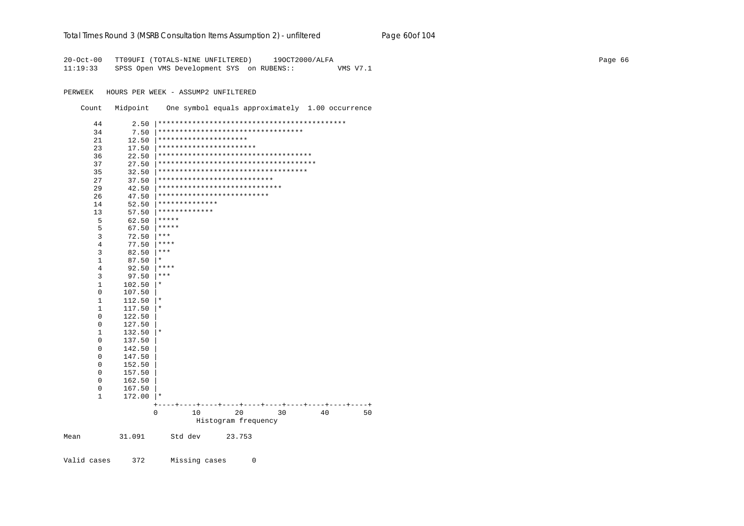### Total Times Round 3 (MSRB Consultation Items Assumption 2) - unfiltered Page 60of 104

20-Oct-00 TT09UFI (TOTALS-NINE UNFILTERED) 190CT2000/ALFA  $11:19:33$ SPSS Open VMS Development SYS on RUBENS:: VMS V7.1

PERWEEK HOURS PER WEEK - ASSUMP2 UNFILTERED

Count Midpoint One symbol equals approximately 1.00 occurrence

| 44             | 2.50   |                                           |
|----------------|--------|-------------------------------------------|
| 34             | 7.50   | **********************************        |
| 21             | 12.50  | *********************                     |
| 23             | 17.50  | ***********************                   |
| 36             | 22.50  | ************************************      |
| 37             | 27.50  | **************************************    |
| 35             | 32.50  | ***********************************       |
| 27             | 37.50  | ***************************               |
| 29             | 42.50  | *****************************             |
| 26             | 47.50  | **************************                |
| 14             | 52.50  | **************                            |
| 13             | 57.50  | *************                             |
| 5              | 62.50  | *****                                     |
| 5              | 67.50  | *****                                     |
| 3              | 72.50  | ***                                       |
| $\overline{4}$ | 77.50  | ****                                      |
| 3              | 82.50  | ***                                       |
| 1              | 87.50  | *                                         |
| 4              | 92.50  | ****                                      |
| 3              | 97.50  | $***$                                     |
| $\mathbf{1}$   | 102.50 | $^\ast$                                   |
| 0              | 107.50 |                                           |
| 1              | 112.50 | $^\ast$                                   |
| $\mathbf{1}$   | 117.50 | $^\star$                                  |
| $\mathbf 0$    | 122.50 |                                           |
| 0              | 127.50 |                                           |
| 1              | 132.50 | $^\star$                                  |
| 0              | 137.50 |                                           |
| 0              | 142.50 |                                           |
| 0              | 147.50 |                                           |
| 0              | 152.50 |                                           |
| 0              | 157.50 |                                           |
| 0              | 162.50 |                                           |
| 0              | 167.50 |                                           |
| 1              | 172.00 | ∗                                         |
|                |        |                                           |
|                |        | $\mathbf 0$<br>20<br>30<br>40<br>10<br>50 |
|                |        | Histogram frequency                       |
|                |        |                                           |
| Mean           | 31.091 | Std dev<br>23.753                         |
|                |        |                                           |
| Valid cases    | 372    | Missing cases<br>0                        |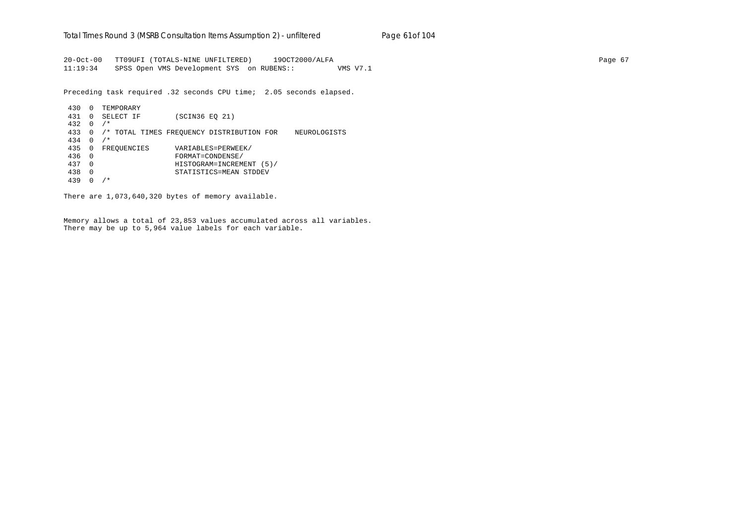20-Oct-00 TT09UFI (TOTALS-NINE UNFILTERED) 19OCT2000/ALFA Page 67 11:19:34 SPSS Open VMS Development SYS on RUBENS:: VMS V7.1

Preceding task required .32 seconds CPU time; 2.05 seconds elapsed.

 430 0 TEMPORARY 431 0 SELECT IF (SCIN36 EQ 21) 432 0 /\* 433 0 /\* TOTAL TIMES FREQUENCY DISTRIBUTION FOR NEUROLOGISTS 434 0 /\* 435 0 FREQUENCIES VARIABLES=PERWEEK/ 436 0 FORMAT=CONDENSE/ 437 0 HISTOGRAM=INCREMENT (5)/ 438 0 STATISTICS=MEAN STDDEV 439 0 /\*

There are 1,073,640,320 bytes of memory available.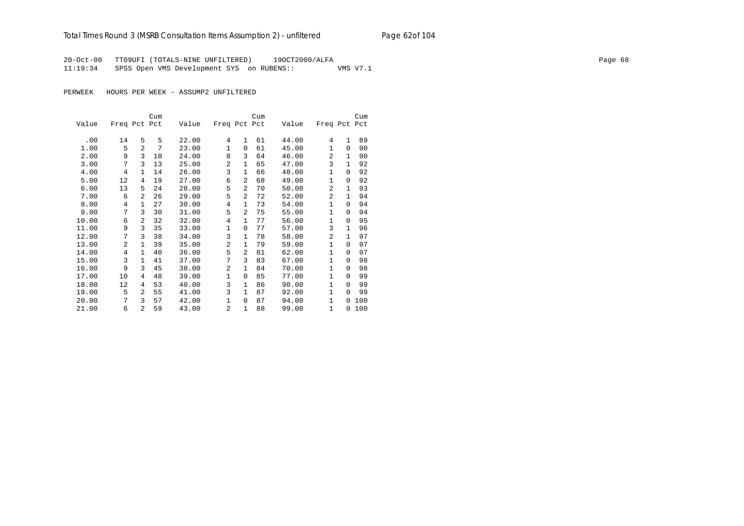## Total Times Round 3 (MSRB Consultation Items Assumption 2) - *unfiltered* Page 62of 104

20-Oct-00 TT09UFI (TOTALS-NINE UNFILTERED) 19OCT2000/ALFA Page 68 11:19:34 SPSS Open VMS Development SYS on RUBENS:: VMS V7.1

|       |              |                | Cum |       |                |                | Cum |       |                |              | Cum |
|-------|--------------|----------------|-----|-------|----------------|----------------|-----|-------|----------------|--------------|-----|
| Value | Freq Pct Pct |                |     | Value | Freq Pct Pct   |                |     | Value | Freq Pct Pct   |              |     |
|       |              |                |     |       |                |                |     |       |                |              |     |
| .00   | 14           | 5              | 5   | 22.00 | 4              | $\mathbf{1}$   | 61  | 44.00 | 4              | $\mathbf{1}$ | 89  |
| 1.00  | 5            | $\overline{a}$ | 7   | 23.00 | $\mathbf{1}$   | $\Omega$       | 61  | 45.00 | 1              | $\Omega$     | 90  |
| 2.00  | 9            | 3              | 10  | 24.00 | 8              | 3              | 64  | 46.00 | $\overline{2}$ | 1            | 90  |
| 3.00  | 7            | 3              | 13  | 25.00 | $\overline{a}$ | $\mathbf{1}$   | 65  | 47.00 | 3              | $\mathbf{1}$ | 92  |
| 4.00  | 4            | $\mathbf{1}$   | 14  | 26.00 | 3              | $\mathbf{1}$   | 66  | 48.00 | 1              | $\Omega$     | 92  |
| 5.00  | 12           | 4              | 19  | 27.00 | 6              | 2              | 68  | 49.00 | 1              | 0            | 92  |
| 6.00  | 13           | 5              | 24  | 28.00 | 5              | $\overline{2}$ | 70  | 50.00 | 2              | 1            | 93  |
| 7.00  | 6            | $\overline{a}$ | 26  | 29.00 | 5              | $\overline{a}$ | 72  | 52.00 | $\overline{2}$ | 1            | 94  |
| 8.00  | 4            | $\mathbf{1}$   | 27  | 30.00 | 4              | $\mathbf{1}$   | 73  | 54.00 | $\mathbf{1}$   | $\Omega$     | 94  |
| 9.00  | 7            | 3              | 30  | 31.00 | 5              | 2              | 75  | 55.00 | 1              | 0            | 94  |
| 10.00 | 6            | $\overline{a}$ | 32  | 32.00 | 4              | 1              | 77  | 56.00 | $\mathbf 1$    | $\Omega$     | 95  |
| 11.00 | 9            | 3              | 35  | 33.00 | $\mathbf{1}$   | $\Omega$       | 77  | 57.00 | 3              | 1            | 96  |
| 12.00 | 7            | 3              | 38  | 34.00 | 3              | $\mathbf{1}$   | 78  | 58.00 | 2              | 1            | 97  |
| 13.00 | 2            | $\mathbf{1}$   | 39  | 35.00 | $\overline{a}$ | $\mathbf{1}$   | 79  | 59.00 | $\mathbf 1$    | 0            | 97  |
| 14.00 | 4            | $\mathbf{1}$   | 40  | 36.00 | 5              | $\overline{a}$ | 81  | 62.00 | $\mathbf{1}$   | $\Omega$     | 97  |
| 15.00 | 3            | $\mathbf{1}$   | 41  | 37.00 | 7              | 3              | 83  | 67.00 | 1              | 0            | 98  |
| 16.00 | 9            | 3              | 45  | 38.00 | $\overline{a}$ | $\mathbf{1}$   | 84  | 70.00 | $\mathbf{1}$   | $\Omega$     | 98  |
| 17.00 | 10           | 4              | 48  | 39.00 | $\mathbf{1}$   | $\Omega$       | 85  | 77.00 | $\mathbf 1$    | $\Omega$     | 99  |
| 18.00 | 12           | 4              | 53  | 40.00 | 3              | $\mathbf{1}$   | 86  | 90.00 | $\mathbf{1}$   | 0            | 99  |
| 19.00 | 5            | $\overline{a}$ | 55  | 41.00 | 3              | $\mathbf{1}$   | 87  | 92.00 | $\mathbf{1}$   | 0            | 99  |
| 20.00 | 7            | 3              | 57  | 42.00 | $\mathbf{1}$   | $\Omega$       | 87  | 94.00 | $\mathbf{1}$   | 0            | 100 |
| 21.00 | 6            | $\overline{a}$ | 59  | 43.00 | 2              | $\mathbf{1}$   | 88  | 99.00 | $\mathbf{1}$   | $\Omega$     | 100 |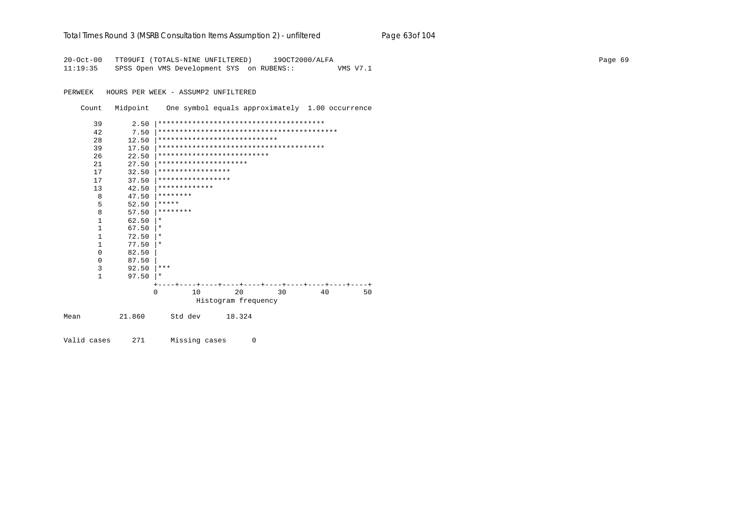| Total Times Round 3 (MSRB Consultation Items Assumption 2) - unfiltered | Page 63of 104 |
|-------------------------------------------------------------------------|---------------|
|-------------------------------------------------------------------------|---------------|

20-Oct-00 TT09UFI (TOTALS-NINE UNFILTERED) 19OCT2000/ALFA Page 69 11:19:35 SPSS Open VMS Development SYS on RUBENS:: VMS V7.1

PERWEEK HOURS PER WEEK - ASSUMP2 UNFILTERED

Count Midpoint One symbol equals approximately 1.00 occurrence

|      | 39           | 2.50   |                              |    |                     |        |    |  |    |  |  |    |  |    |
|------|--------------|--------|------------------------------|----|---------------------|--------|----|--|----|--|--|----|--|----|
|      | 42           | 7.50   |                              |    |                     |        |    |  |    |  |  |    |  |    |
|      | 28           | 12.50  | **************************** |    |                     |        |    |  |    |  |  |    |  |    |
|      | 39           | 17.50  |                              |    |                     |        |    |  |    |  |  |    |  |    |
|      | 26           | 22.50  | **************************   |    |                     |        |    |  |    |  |  |    |  |    |
|      | 21           | 27.50  | *********************        |    |                     |        |    |  |    |  |  |    |  |    |
|      | 17           | 32.50  | *****************            |    |                     |        |    |  |    |  |  |    |  |    |
|      | 17           | 37.50  | *****************            |    |                     |        |    |  |    |  |  |    |  |    |
|      | 13           | 42.50  | *************                |    |                     |        |    |  |    |  |  |    |  |    |
|      | 8            | 47.50  | ********                     |    |                     |        |    |  |    |  |  |    |  |    |
|      | 5            | 52.50  | *****                        |    |                     |        |    |  |    |  |  |    |  |    |
|      | 8            | 57.50  | ********                     |    |                     |        |    |  |    |  |  |    |  |    |
|      | $\mathbf{1}$ | 62.50  | $\ast$                       |    |                     |        |    |  |    |  |  |    |  |    |
|      | $\mathbf{1}$ | 67.50  | $\ast$                       |    |                     |        |    |  |    |  |  |    |  |    |
|      | $\mathbf{1}$ | 72.50  | $\ast$                       |    |                     |        |    |  |    |  |  |    |  |    |
|      | $\mathbf{1}$ | 77.50  | $\ast$                       |    |                     |        |    |  |    |  |  |    |  |    |
|      | 0            | 82.50  |                              |    |                     |        |    |  |    |  |  |    |  |    |
|      | 0            | 87.50  |                              |    |                     |        |    |  |    |  |  |    |  |    |
|      | 3            | 92.50  | ***                          |    |                     |        |    |  |    |  |  |    |  |    |
|      | $\mathbf{1}$ | 97.50  | $\star$                      |    |                     |        |    |  |    |  |  |    |  |    |
|      |              |        |                              |    |                     |        |    |  |    |  |  |    |  |    |
|      |              |        | $\Omega$                     | 10 |                     |        | 20 |  | 30 |  |  | 40 |  | 50 |
|      |              |        |                              |    | Histogram frequency |        |    |  |    |  |  |    |  |    |
| Mean |              | 21.860 | Std dev                      |    |                     | 18.324 |    |  |    |  |  |    |  |    |
|      |              |        |                              |    |                     |        |    |  |    |  |  |    |  |    |

Valid cases 271 Missing cases 0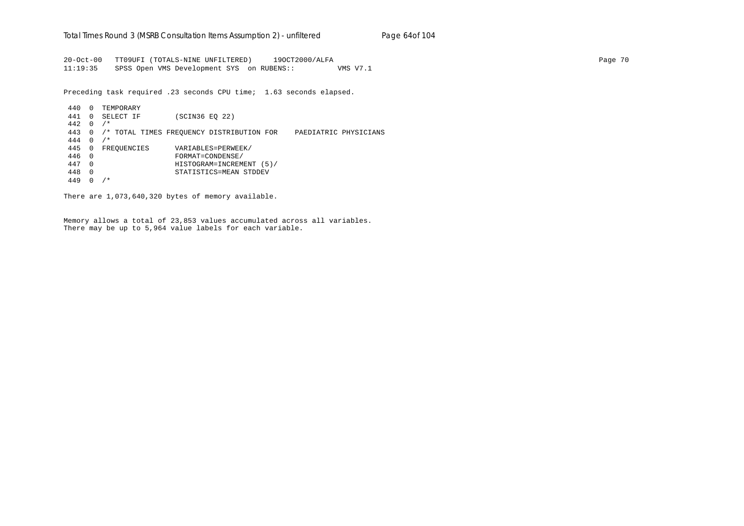20-Oct-00 TT09UFI (TOTALS-NINE UNFILTERED) 19OCT2000/ALFA Page 70 11:19:35 SPSS Open VMS Development SYS on RUBENS:: VMS V7.1

Preceding task required .23 seconds CPU time; 1.63 seconds elapsed.

 440 0 TEMPORARY 441 0 SELECT IF (SCIN36 EQ 22) 442 0 /\* 443 0 /\* TOTAL TIMES FREQUENCY DISTRIBUTION FOR PAEDIATRIC PHYSICIANS 444 0 /\* 445 0 FREQUENCIES VARIABLES=PERWEEK/ 446 0 FORMAT=CONDENSE/ 447 0 HISTOGRAM=INCREMENT (5)/ 448 0 STATISTICS=MEAN STDDEV 449 0 /\*

There are 1,073,640,320 bytes of memory available.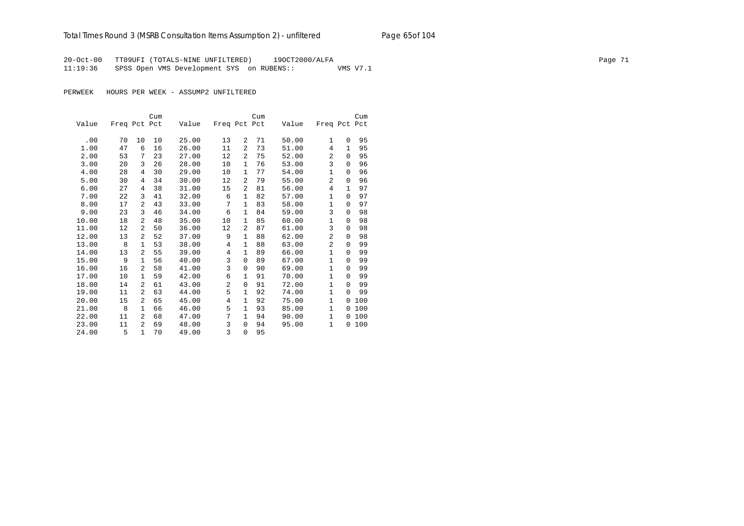## Total Times Round 3 (MSRB Consultation Items Assumption 2) - *unfiltered* Page 65of 104

20-Oct-00 TT09UFI (TOTALS-NINE UNFILTERED) 19OCT2000/ALFA Page 71 11:19:36 SPSS Open VMS Development SYS on RUBENS:: VMS V7.1

PERWEEK HOURS PER WEEK - ASSUMP2 UNFILTERED

|       |              |                | Cum |       |                |                | Cum |       |                |          | Cum |
|-------|--------------|----------------|-----|-------|----------------|----------------|-----|-------|----------------|----------|-----|
| Value | Freq Pct Pct |                |     | Value | Freq Pct Pct   |                |     | Value | Freq Pct Pct   |          |     |
|       |              |                |     |       |                |                |     |       |                |          |     |
| .00   | 70           | 10             | 10  | 25.00 | 13             | 2              | 71  | 50.00 | $\mathbf{1}$   | $\Omega$ | 95  |
| 1.00  | 47           | 6              | 16  | 26.00 | 11             | $\overline{a}$ | 73  | 51.00 | 4              | 1        | 95  |
| 2.00  | 53           | 7              | 23  | 27.00 | 12             | 2              | 75  | 52.00 | 2              | 0        | 95  |
| 3.00  | 20           | 3              | 26  | 28.00 | 10             | $\mathbf{1}$   | 76  | 53.00 | 3              | $\Omega$ | 96  |
| 4.00  | 28           | 4              | 30  | 29.00 | 10             | 1              | 77  | 54.00 | 1              | $\Omega$ | 96  |
| 5.00  | 30           | 4              | 34  | 30.00 | 12             | $\overline{a}$ | 79  | 55.00 | $\overline{2}$ | 0        | 96  |
| 6.00  | 27           | 4              | 38  | 31.00 | 15             | 2              | 81  | 56.00 | 4              | 1        | 97  |
| 7.00  | 22           | 3              | 41  | 32.00 | 6              | 1              | 82  | 57.00 | 1              | $\Omega$ | 97  |
| 8.00  | 17           | $\overline{a}$ | 43  | 33.00 | 7              | $\mathbf{1}$   | 83  | 58.00 | $\mathbf{1}$   | 0        | 97  |
| 9.00  | 23           | 3              | 46  | 34.00 | 6              | 1              | 84  | 59.00 | 3              | $\Omega$ | 98  |
| 10.00 | 18           | $\overline{a}$ | 48  | 35.00 | 10             | 1              | 85  | 60.00 | 1              | $\Omega$ | 98  |
| 11.00 | 12           | 2              | 50  | 36.00 | 12             | 2              | 87  | 61.00 | 3              | 0        | 98  |
| 12.00 | 13           | 2              | 52  | 37.00 | 9              | 1              | 88  | 62.00 | $\overline{2}$ | $\Omega$ | 98  |
| 13.00 | 8            | 1              | 53  | 38.00 | 4              | 1              | 88  | 63.00 | $\overline{2}$ | $\Omega$ | 99  |
| 14.00 | 13           | $\overline{a}$ | 55  | 39.00 | 4              | 1              | 89  | 66.00 | $\mathbf{1}$   | $\Omega$ | 99  |
| 15.00 | 9            | 1              | 56  | 40.00 | 3              | 0              | 89  | 67.00 | 1              | 0        | 99  |
| 16.00 | 16           | $\overline{a}$ | 58  | 41.00 | 3              | $\Omega$       | 90  | 69.00 | $\mathbf{1}$   | $\Omega$ | 99  |
| 17.00 | 10           | $\mathbf{1}$   | 59  | 42.00 | 6              | 1              | 91  | 70.00 | $\mathbf{1}$   | $\Omega$ | 99  |
| 18.00 | 14           | 2              | 61  | 43.00 | $\overline{a}$ | 0              | 91  | 72.00 | 1              | $\Omega$ | 99  |
| 19.00 | 11           | $\overline{a}$ | 63  | 44.00 | 5              | 1              | 92  | 74.00 | $\mathbf{1}$   | $\Omega$ | 99  |
| 20.00 | 15           | 2              | 65  | 45.00 | 4              | 1              | 92  | 75.00 | $\mathbf{1}$   | $\Omega$ | 100 |
| 21.00 | 8            | $\mathbf{1}$   | 66  | 46.00 | 5              | 1              | 93  | 85.00 | $\mathbf{1}$   | $\Omega$ | 100 |
| 22.00 | 11           | $\overline{a}$ | 68  | 47.00 | 7              | 1              | 94  | 90.00 | $\mathbf{1}$   | 0        | 100 |
| 23.00 | 11           | $\overline{a}$ | 69  | 48.00 | 3              | $\Omega$       | 94  | 95.00 | $\mathbf{1}$   | 0        | 100 |
| 24.00 | 5            | $\mathbf{1}$   | 70  | 49.00 | 3              | $\Omega$       | 95  |       |                |          |     |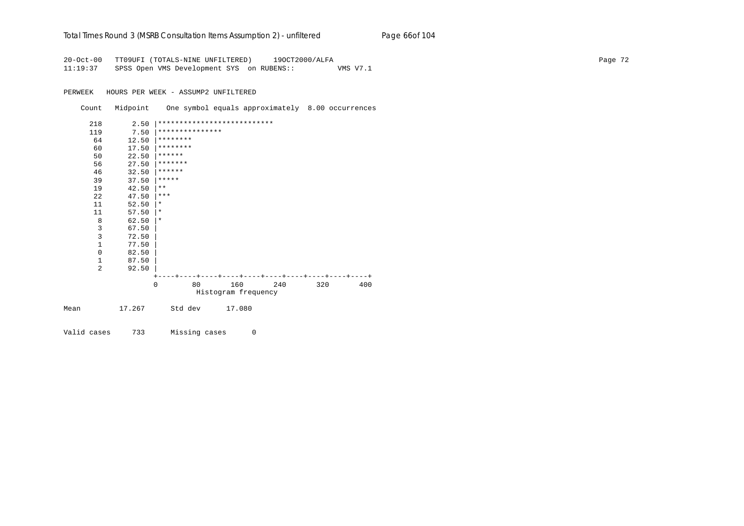#### Total Times Round 3 (MSRB Consultation Items Assumption 2) - *unfiltered* Page 66of 104

20-Oct-00 TT09UFI (TOTALS-NINE UNFILTERED) 19OCT2000/ALFA Page 72 11:19:37 SPSS Open VMS Development SYS on RUBENS:: VMS V7.1

PERWEEK HOURS PER WEEK - ASSUMP2 UNFILTERED

Count Midpoint One symbol equals approximately 8.00 occurrences



Valid cases 733 Missing cases 0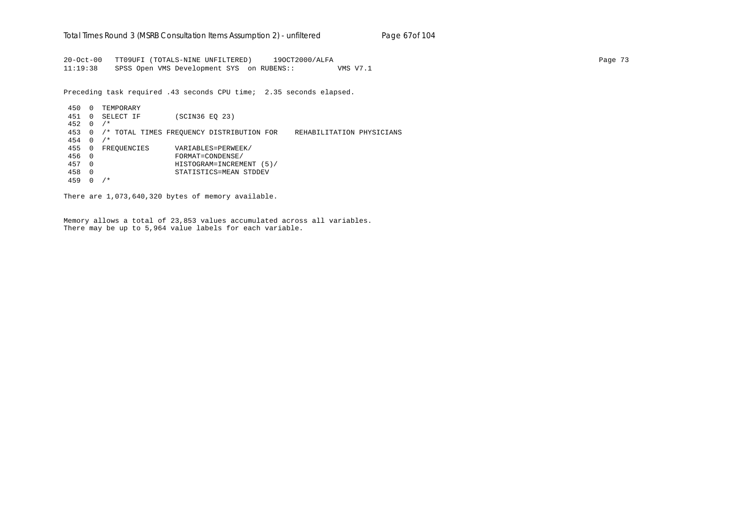20-Oct-00 TT09UFI (TOTALS-NINE UNFILTERED) 19OCT2000/ALFA Page 73 11:19:38 SPSS Open VMS Development SYS on RUBENS:: VMS V7.1

Preceding task required .43 seconds CPU time; 2.35 seconds elapsed.

 450 0 TEMPORARY 451 0 SELECT IF (SCIN36 EQ 23) 452 0 /\* 453 0 /\* TOTAL TIMES FREQUENCY DISTRIBUTION FOR REHABILITATION PHYSICIANS 454 0 /\* 455 0 FREQUENCIES VARIABLES=PERWEEK/ 456 0 FORMAT=CONDENSE/ 457 0 HISTOGRAM=INCREMENT (5)/ 458 0 STATISTICS=MEAN STDDEV 459 0 /\*

There are 1,073,640,320 bytes of memory available.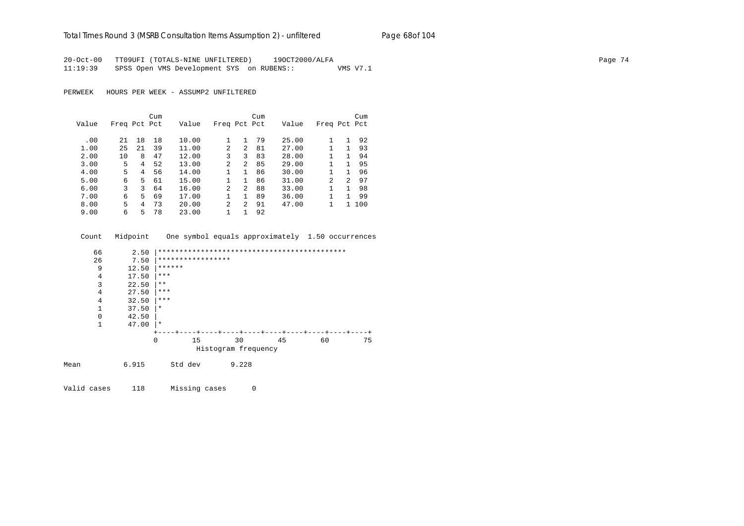### Total Times Round 3 (MSRB Consultation Items Assumption 2) - *unfiltered* Page 68of 104

20-Oct-00 TT09UFI (TOTALS-NINE UNFILTERED) 19OCT2000/ALFA Page 74 11:19:39 SPSS Open VMS Development SYS on RUBENS:: VMS V7.1

PERWEEK HOURS PER WEEK - ASSUMP2 UNFILTERED

|       |              |    | Cum |       |                |                | Cum |       |                |               | Cum |
|-------|--------------|----|-----|-------|----------------|----------------|-----|-------|----------------|---------------|-----|
| Value | Freq Pct Pct |    |     | Value | Freq Pct Pct   |                |     | Value | Freq Pct Pct   |               |     |
|       |              |    |     |       |                |                |     |       |                |               |     |
| .00   | 21           | 18 | 18  | 10.00 |                |                | 79  | 25.00 |                |               | 92  |
| 1.00  | 25           | 21 | 39  | 11.00 | $\mathfrak{D}$ | 2              | 81  | 27.00 |                |               | 93  |
| 2.00  | 10           | 8  | 47  | 12.00 | 3              | 3              | 83  | 28.00 |                |               | 94  |
| 3.00  | 5            | 4  | 52  | 13.00 | 2              | $\overline{2}$ | 85  | 29.00 |                |               | 95  |
| 4.00  | 5            | 4  | 56  | 14.00 |                | 1.             | 86  | 30.00 |                |               | 96  |
| 5.00  | 6            | 5  | 61  | 15.00 |                | 1.             | 86  | 31.00 | $\mathfrak{D}$ | $\mathcal{L}$ | 97  |
| 6.00  | ζ            | 3  | 64  | 16.00 | 2              | 2              | 88  | 33.00 |                |               | 98  |
| 7.00  | 6            | 5  | 69  | 17.00 |                |                | 89  | 36.00 |                |               | 99  |
| 8.00  | 5            | 4  | 73  | 20.00 | 2              | $\overline{2}$ | 91  | 47.00 |                | 1.            | 100 |
| 9.00  | 6            | 5  | 78  | 23.00 |                |                | 92  |       |                |               |     |

|      | Count          | Midpoint |          |                   |                     |          | One symbol equals approximately 1.50 occurrences |    |    |
|------|----------------|----------|----------|-------------------|---------------------|----------|--------------------------------------------------|----|----|
|      | 66             | 2.50     |          |                   |                     |          |                                                  |    |    |
|      | 26             | 7.50     |          | ***************** |                     |          |                                                  |    |    |
|      | 9              | 12.50    | ******   |                   |                     |          |                                                  |    |    |
|      | $\overline{4}$ | 17.50    | $***$    |                   |                     |          |                                                  |    |    |
|      | 3              | 22.50    | $***$    |                   |                     |          |                                                  |    |    |
|      | $\overline{4}$ | 27.50    | $***$    |                   |                     |          |                                                  |    |    |
|      | 4              | 32.50    | $***$    |                   |                     |          |                                                  |    |    |
|      | 1              | 37.50    | $\star$  |                   |                     |          |                                                  |    |    |
|      | 0              | 42.50    |          |                   |                     |          |                                                  |    |    |
|      | 1              | 47.00    | $\star$  |                   |                     |          |                                                  |    |    |
|      |                |          |          |                   |                     | $-- + -$ |                                                  |    |    |
|      |                |          | $\Omega$ | 15                | 30                  |          | 45                                               | 60 | 75 |
|      |                |          |          |                   | Histogram frequency |          |                                                  |    |    |
| Mean |                | 6.915    |          | Std dev           |                     | 9.228    |                                                  |    |    |
|      |                |          |          |                   |                     |          |                                                  |    |    |

Valid cases 118 Missing cases 0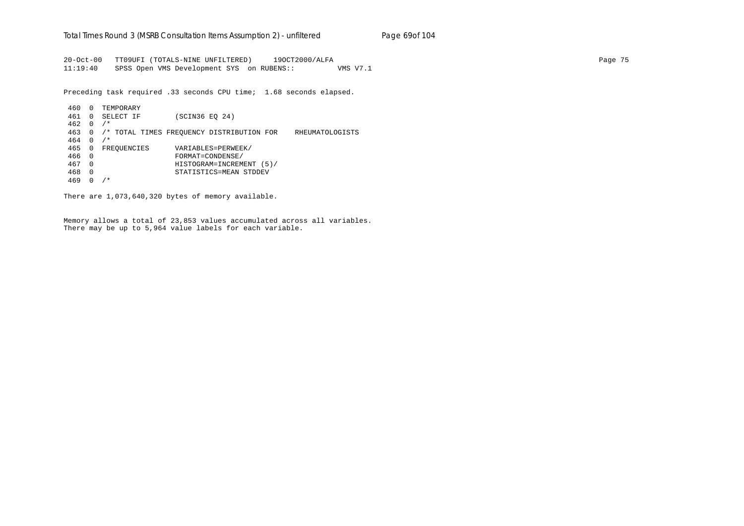20-Oct-00 TT09UFI (TOTALS-NINE UNFILTERED) 19OCT2000/ALFA Page 75 11:19:40 SPSS Open VMS Development SYS on RUBENS:: VMS V7.1

Preceding task required .33 seconds CPU time; 1.68 seconds elapsed.

 460 0 TEMPORARY 461 0 SELECT IF (SCIN36 EQ 24) 462 0 /\* 463 0 /\* TOTAL TIMES FREQUENCY DISTRIBUTION FOR RHEUMATOLOGISTS 464 0 /\* 465 0 FREQUENCIES VARIABLES=PERWEEK/ 466 0 FORMAT=CONDENSE/ 467 0 HISTOGRAM=INCREMENT (5)/ 468 0 STATISTICS=MEAN STDDEV 469 0 /\*

There are 1,073,640,320 bytes of memory available.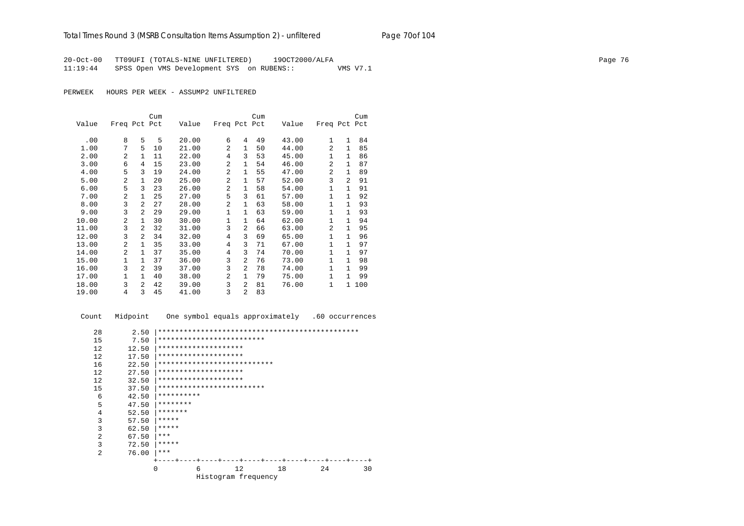20-Oct-00 TT09UFI (TOTALS-NINE UNFILTERED) 19OCT2000/ALFA Page 76 11:19:44 SPSS Open VMS Development SYS on RUBENS:: VMS V7.1

PERWEEK HOURS PER WEEK - ASSUMP2 UNFILTERED

|       |                |                | Cum |       |                |                | Cum |       |              |                | Cum |
|-------|----------------|----------------|-----|-------|----------------|----------------|-----|-------|--------------|----------------|-----|
| Value | Freq Pct Pct   |                |     | Value | Freq Pct Pct   |                |     | Value | Freq Pct Pct |                |     |
|       |                |                |     |       |                |                |     |       |              |                |     |
| .00   | 8              | 5              | 5   | 20.00 | 6              | 4              | 49  | 43.00 | 1            | $\mathbf{1}$   | 84  |
| 1.00  | 7              | 5              | 10  | 21.00 | 2              | 1              | 50  | 44.00 | 2            | 1              | 85  |
| 2.00  | 2              | 1              | 11  | 22.00 | 4              | 3              | 53  | 45.00 | $\mathbf{1}$ | 1              | 86  |
| 3.00  | 6              | 4              | 15  | 23.00 | $\overline{a}$ | 1              | 54  | 46.00 | 2            | $\mathbf{1}$   | 87  |
| 4.00  | 5              | 3              | 19  | 24.00 | $\overline{a}$ | 1              | 55  | 47.00 | 2            | $\mathbf{1}$   | 89  |
| 5.00  | $\overline{a}$ | 1              | 20  | 25.00 | $\overline{a}$ | 1              | 57  | 52.00 | 3            | $\overline{a}$ | 91  |
| 6.00  | 5              | 3              | 23  | 26.00 | 2              | 1              | 58  | 54.00 | 1            | $\mathbf{1}$   | 91  |
| 7.00  | 2              | 1              | 25  | 27.00 | 5              | 3              | 61  | 57.00 | 1            | 1              | 92  |
| 8.00  | 3              | $\mathfrak{D}$ | 27  | 28.00 | $\overline{a}$ | 1              | 63  | 58.00 | $\mathbf{1}$ | $\mathbf{1}$   | 93  |
| 9.00  | 3              | $\mathfrak{D}$ | 29  | 29.00 | 1              | 1              | 63  | 59.00 | 1            | $\mathbf{1}$   | 93  |
| 10.00 | $\overline{a}$ | 1              | 30  | 30.00 | 1              | 1              | 64  | 62.00 | 1            | $\mathbf{1}$   | 94  |
| 11.00 | 3              | $\mathfrak{D}$ | 32  | 31.00 | 3              | 2              | 66  | 63.00 | 2            | $\mathbf{1}$   | 95  |
| 12.00 | 3              | $\mathfrak{D}$ | 34  | 32.00 | 4              | 3              | 69  | 65.00 | 1            | 1              | 96  |
| 13.00 | $\overline{a}$ | $\mathbf{1}$   | 35  | 33.00 | 4              | 3              | 71  | 67.00 | $\mathbf{1}$ | $\mathbf{1}$   | 97  |
| 14.00 | $\mathfrak{D}$ | $\mathbf{1}$   | 37  | 35.00 | 4              | 3              | 74  | 70.00 | $\mathbf{1}$ | $\mathbf{1}$   | 97  |
| 15.00 | 1              | 1              | 37  | 36.00 | 3              | $\mathfrak{D}$ | 76  | 73.00 | $\mathbf{1}$ | $\mathbf{1}$   | 98  |
| 16.00 | 3              | $\overline{a}$ | 39  | 37.00 | 3              | $\overline{a}$ | 78  | 74.00 | $\mathbf{1}$ | 1              | 99  |
| 17.00 | $\mathbf{1}$   | $\mathbf{1}$   | 40  | 38.00 | 2              | $\mathbf{1}$   | 79  | 75.00 | $\mathbf{1}$ | $\mathbf{1}$   | 99  |
| 18.00 | 3              | $\overline{a}$ | 42  | 39.00 | 3              | $\overline{a}$ | 81  | 76.00 | 1            | $\mathbf{1}$   | 100 |
| 19.00 | 4              | 3              | 45  | 41.00 | 3              | $\overline{a}$ | 83  |       |              |                |     |

| Count          | Midpoint | One symbol equals approximately<br>.60 occurrences |
|----------------|----------|----------------------------------------------------|
| 28             | 2.50     |                                                    |
| 15             | 7.50     | *************************                          |
| 12             | 12.50    | ********************                               |
| 12             | 17.50    | ********************                               |
| 16             | 22.50    | ***************************                        |
| 12             | 27.50    | ********************                               |
| 12             | 32.50    | ********************                               |
| 15             | 37.50    | *************************                          |
| 6              | 42.50    | **********                                         |
| 5              | 47.50    | ********                                           |
| 4              | 52.50    | *******                                            |
| 3              | 57.50    | *****                                              |
| 3              | 62.50    | *****                                              |
| 2              | 67.50    | ***                                                |
| 3              | 72.50    | *****                                              |
| $\overline{2}$ | 76.00    | $***$                                              |
|                |          |                                                    |
|                |          | 12<br>18<br>$\Omega$<br>24<br>30<br>6              |
|                |          | Histogram frequency                                |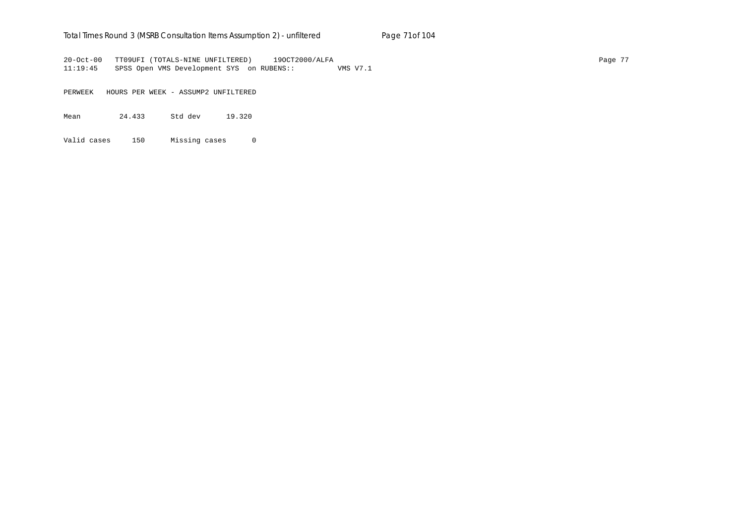### Total Times Round 3 (MSRB Consultation Items Assumption 2) - *unfiltered* Page 71of 104

20-Oct-00 TT09UFI (TOTALS-NINE UNFILTERED) 19OCT2000/ALFA Page 77 11:19:45 SPSS Open VMS Development SYS on RUBENS:: VMS V7.1

PERWEEK HOURS PER WEEK - ASSUMP2 UNFILTERED

Mean 24.433 Std dev 19.320

Valid cases 150 Missing cases 0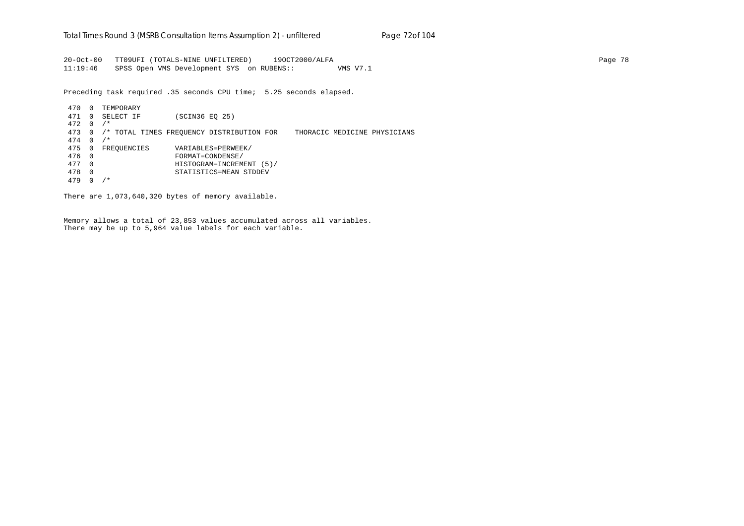20-Oct-00 TT09UFI (TOTALS-NINE UNFILTERED) 19OCT2000/ALFA Page 78 11:19:46 SPSS Open VMS Development SYS on RUBENS:: VMS V7.1

Preceding task required .35 seconds CPU time; 5.25 seconds elapsed.

 470 0 TEMPORARY 471 0 SELECT IF (SCIN36 EQ 25) 472 0 /\* 473 0 /\* TOTAL TIMES FREQUENCY DISTRIBUTION FOR THORACIC MEDICINE PHYSICIANS 474 0 /\* 475 0 FREQUENCIES VARIABLES=PERWEEK/ 476 0 FORMAT=CONDENSE/ 477 0 HISTOGRAM=INCREMENT (5)/ 478 0 STATISTICS=MEAN STDDEV 479 0 /\*

There are 1,073,640,320 bytes of memory available.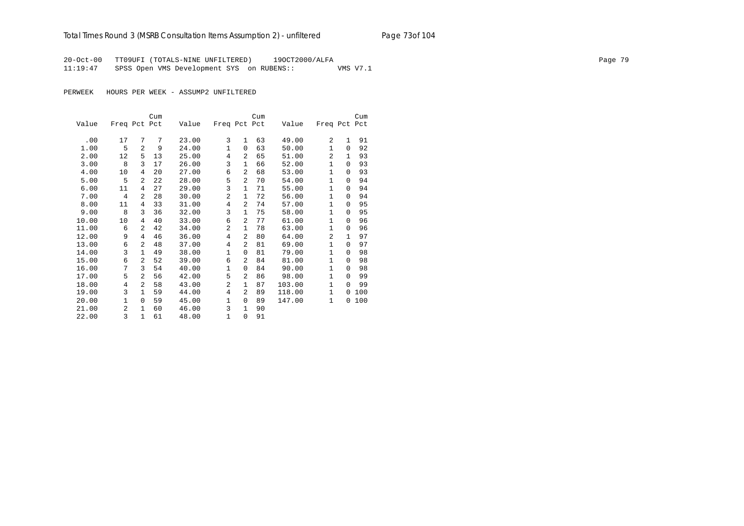## Total Times Round 3 (MSRB Consultation Items Assumption 2) - *unfiltered* Page 73of 104

20-Oct-00 TT09UFI (TOTALS-NINE UNFILTERED) 19OCT2000/ALFA Page 79 11:19:47 SPSS Open VMS Development SYS on RUBENS:: VMS V7.1

PERWEEK HOURS PER WEEK - ASSUMP2 UNFILTERED

|       |              |                | Cum |       |                |                | Cum |        |                |              | Cum |
|-------|--------------|----------------|-----|-------|----------------|----------------|-----|--------|----------------|--------------|-----|
| Value | Freq Pct Pct |                |     | Value | Freq Pct Pct   |                |     | Value  | Freq Pct Pct   |              |     |
|       |              |                |     |       |                |                |     |        |                |              |     |
| .00   | 17           | 7              | 7   | 23.00 | 3              | $\mathbf{1}$   | 63  | 49.00  | $\overline{a}$ | $\mathbf{1}$ | 91  |
| 1.00  | 5            | $\overline{a}$ | 9   | 24.00 | $\mathbf 1$    | $\Omega$       | 63  | 50.00  | $\mathbf{1}$   | $\Omega$     | 92  |
| 2.00  | 12           | 5              | 13  | 25.00 | 4              | 2              | 65  | 51.00  | $\overline{a}$ | $\mathbf{1}$ | 93  |
| 3.00  | 8            | 3              | 17  | 26.00 | 3              | $\mathbf{1}$   | 66  | 52.00  | $\mathbf{1}$   | 0            | 93  |
| 4.00  | 10           | 4              | 20  | 27.00 | 6              | 2              | 68  | 53.00  | 1              | 0            | 93  |
| 5.00  | 5            | $\overline{a}$ | 22  | 28.00 | 5              | 2              | 70  | 54.00  | 1              | $\Omega$     | 94  |
| 6.00  | 11           | 4              | 27  | 29.00 | 3              | $\mathbf{1}$   | 71  | 55.00  | $\mathbf{1}$   | $\Omega$     | 94  |
| 7.00  | 4            | $\overline{a}$ | 28  | 30.00 | $\overline{a}$ | $\mathbf{1}$   | 72  | 56.00  | $\mathbf{1}$   | $\Omega$     | 94  |
| 8.00  | 11           | 4              | 33  | 31.00 | 4              | 2              | 74  | 57.00  | $\mathbf{1}$   | $\Omega$     | 95  |
| 9.00  | 8            | 3              | 36  | 32.00 | 3              | $\mathbf{1}$   | 75  | 58.00  | 1              | $\Omega$     | 95  |
| 10.00 | 10           | 4              | 40  | 33.00 | 6              | 2              | 77  | 61.00  | $\mathbf{1}$   | 0            | 96  |
| 11.00 | 6            | $\overline{a}$ | 42  | 34.00 | 2              | $\mathbf{1}$   | 78  | 63.00  | 1              | $\Omega$     | 96  |
| 12.00 | 9            | 4              | 46  | 36.00 | 4              | 2              | 80  | 64.00  | 2              | 1            | 97  |
| 13.00 | 6            | $\overline{a}$ | 48  | 37.00 | 4              | 2              | 81  | 69.00  | 1              | $\Omega$     | 97  |
| 14.00 | 3            | $\mathbf{1}$   | 49  | 38.00 | $\mathbf{1}$   | $\Omega$       | 81  | 79.00  | 1              | $\Omega$     | 98  |
| 15.00 | 6            | $\overline{a}$ | 52  | 39.00 | 6              | $\mathfrak{D}$ | 84  | 81.00  | $\mathbf{1}$   | $\Omega$     | 98  |
| 16.00 | 7            | 3              | 54  | 40.00 | $\mathbf{1}$   | $\Omega$       | 84  | 90.00  | $\mathbf{1}$   | $\Omega$     | 98  |
| 17.00 | 5            | $\overline{a}$ | 56  | 42.00 | 5              | $\overline{a}$ | 86  | 98.00  | 1              | $\Omega$     | 99  |
| 18.00 | 4            | $\overline{a}$ | 58  | 43.00 | 2              | $\mathbf{1}$   | 87  | 103.00 | 1              | $\Omega$     | 99  |
| 19.00 | 3            | $\mathbf{1}$   | 59  | 44.00 | 4              | $\mathfrak{D}$ | 89  | 118.00 | $\mathbf{1}$   | 0            | 100 |
| 20.00 | 1            | $\Omega$       | 59  | 45.00 | $\mathbf 1$    | 0              | 89  | 147.00 | 1              | 0            | 100 |
| 21.00 | 2            | 1              | 60  | 46.00 | 3              | $\mathbf{1}$   | 90  |        |                |              |     |
| 22.00 | 3            | $\mathbf{1}$   | 61  | 48.00 | $\mathbf{1}$   | 0              | 91  |        |                |              |     |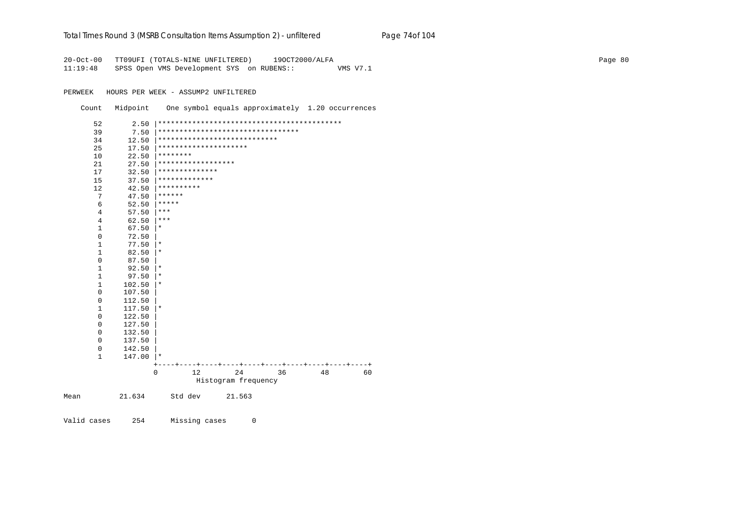#### Total Times Round 3 (MSRB Consultation Items Assumption 2) - *unfiltered* Page 74of 104

20-Oct-00 TT09UFI (TOTALS-NINE UNFILTERED) 19OCT2000/ALFA Page 80 11:19:48 SPSS Open VMS Development SYS on RUBENS:: VMS V7.1

PERWEEK HOURS PER WEEK - ASSUMP2 UNFILTERED

Count Midpoint One symbol equals approximately 1.20 occurrences

| 52   | 2.50                   |            |                    |                                   |    |    |    |
|------|------------------------|------------|--------------------|-----------------------------------|----|----|----|
| 39   | 7.50                   |            |                    | ********************************* |    |    |    |
| 34   | 12.50                  |            |                    | ****************************      |    |    |    |
| 25   | 17.50                  |            |                    | *********************             |    |    |    |
| 10   | 22.50                  | ********   |                    |                                   |    |    |    |
| 21   | 27.50                  |            | ****************** |                                   |    |    |    |
| 17   | 32.50                  |            | **************     |                                   |    |    |    |
| 15   | 37.50                  |            | *************      |                                   |    |    |    |
| 12   | 42.50                  | ********** |                    |                                   |    |    |    |
|      | 7<br>47.50             | ******     |                    |                                   |    |    |    |
|      | 6<br>52.50             | *****      |                    |                                   |    |    |    |
|      | 4<br>57.50             | ***        |                    |                                   |    |    |    |
|      | 4<br>62.50             | ***        |                    |                                   |    |    |    |
|      | $\mathbf 1$<br>67.50   | $^\star$   |                    |                                   |    |    |    |
|      | $\mathbf{0}$<br>72.50  |            |                    |                                   |    |    |    |
|      | $\mathbf 1$<br>77.50   | $^\star$   |                    |                                   |    |    |    |
|      | $\mathbf{1}$<br>82.50  | $^\star$   |                    |                                   |    |    |    |
|      | $\mathbf 0$<br>87.50   |            |                    |                                   |    |    |    |
|      | $\mathbf{1}$<br>92.50  | $^\star$   |                    |                                   |    |    |    |
|      | $\mathbf{1}$<br>97.50  | $^\star$   |                    |                                   |    |    |    |
|      | 1<br>102.50            | $^\star$   |                    |                                   |    |    |    |
|      | 0<br>107.50            |            |                    |                                   |    |    |    |
|      | 0<br>112.50            |            |                    |                                   |    |    |    |
|      | $\mathbf{1}$<br>117.50 | $\star$    |                    |                                   |    |    |    |
|      | $\mathsf 0$<br>122.50  |            |                    |                                   |    |    |    |
|      | 127.50<br>0            |            |                    |                                   |    |    |    |
|      | 0<br>132.50            |            |                    |                                   |    |    |    |
|      | 0<br>137.50            |            |                    |                                   |    |    |    |
|      | $\mathbf 0$<br>142.50  |            |                    |                                   |    |    |    |
|      | 1<br>147.00            | $\star$    |                    |                                   |    |    |    |
|      |                        |            |                    |                                   |    |    |    |
|      |                        | $\Omega$   | 12                 | 24                                | 36 | 48 | 60 |
|      |                        |            |                    | Histogram frequency               |    |    |    |
| Mean | 21.634                 |            | Std dev            | 21.563                            |    |    |    |

Valid cases 254 Missing cases 0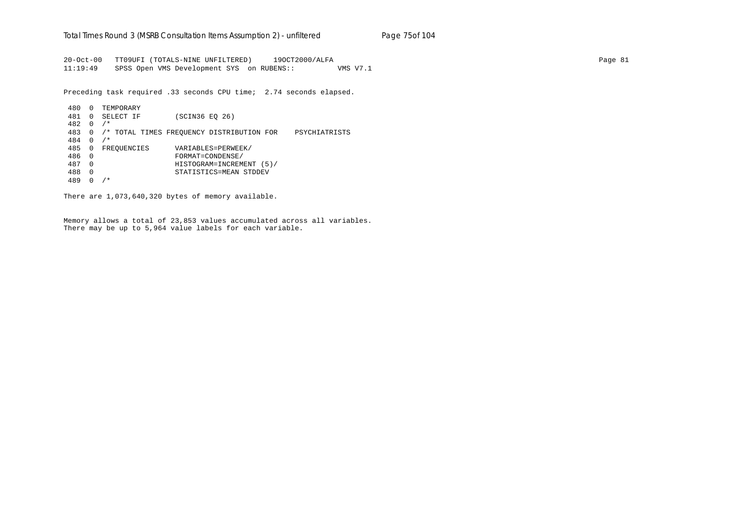20-Oct-00 TT09UFI (TOTALS-NINE UNFILTERED) 19OCT2000/ALFA Page 81 11:19:49 SPSS Open VMS Development SYS on RUBENS:: VMS V7.1

Preceding task required .33 seconds CPU time; 2.74 seconds elapsed.

 480 0 TEMPORARY 481 0 SELECT IF (SCIN36 EQ 26) 482 0 /\* 483 0 /\* TOTAL TIMES FREQUENCY DISTRIBUTION FOR PSYCHIATRISTS 484 0 /\* 485 0 FREQUENCIES VARIABLES=PERWEEK/ 486 0 FORMAT=CONDENSE/ 487 0 HISTOGRAM=INCREMENT (5)/ 488 0 STATISTICS=MEAN STDDEV 489 0 /\*

There are 1,073,640,320 bytes of memory available.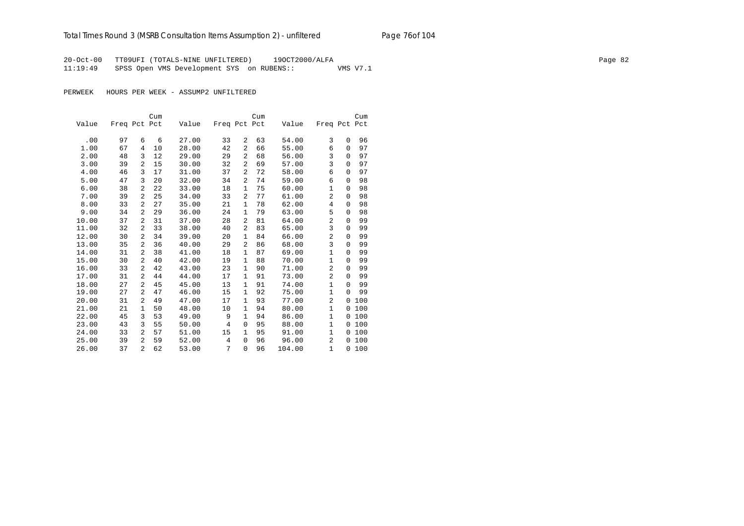## Total Times Round 3 (MSRB Consultation Items Assumption 2) - *unfiltered* Page 76of 104

20-Oct-00 TT09UFI (TOTALS-NINE UNFILTERED) 19OCT2000/ALFA Page 82 11:19:49 SPSS Open VMS Development SYS on RUBENS:: VMS V7.1

PERWEEK HOURS PER WEEK - ASSUMP2 UNFILTERED

|       |              |                | Cum |       |              |                | Cum |        |                |          | Cum   |
|-------|--------------|----------------|-----|-------|--------------|----------------|-----|--------|----------------|----------|-------|
| Value | Freq Pct Pct |                |     | Value | Freq Pct Pct |                |     | Value  | Freq Pct Pct   |          |       |
|       |              |                |     |       |              |                |     |        |                |          |       |
| .00   | 97           | 6              | 6   | 27.00 | 33           | 2              | 63  | 54.00  | 3              | $\Omega$ | 96    |
| 1.00  | 67           | 4              | 10  | 28.00 | 42           | $\overline{a}$ | 66  | 55.00  | 6              | $\Omega$ | 97    |
| 2.00  | 48           | 3              | 12  | 29.00 | 29           | 2              | 68  | 56.00  | 3              | 0        | 97    |
| 3.00  | 39           | 2              | 15  | 30.00 | 32           | $\overline{a}$ | 69  | 57.00  | 3              | $\Omega$ | 97    |
| 4.00  | 46           | 3              | 17  | 31.00 | 37           | $\overline{a}$ | 72  | 58.00  | 6              | 0        | 97    |
| 5.00  | 47           | 3              | 20  | 32.00 | 34           | 2              | 74  | 59.00  | 6              | $\Omega$ | 98    |
| 6.00  | 38           | 2              | 22  | 33.00 | 18           | 1              | 75  | 60.00  | 1              | 0        | 98    |
| 7.00  | 39           | 2              | 25  | 34.00 | 33           | $\overline{a}$ | 77  | 61.00  | $\overline{2}$ | $\Omega$ | 98    |
| 8.00  | 33           | 2              | 27  | 35.00 | 21           | 1              | 78  | 62.00  | 4              | 0        | 98    |
| 9.00  | 34           | 2              | 29  | 36.00 | 24           | 1              | 79  | 63.00  | 5              | $\Omega$ | 98    |
| 10.00 | 37           | 2              | 31  | 37.00 | 28           | 2              | 81  | 64.00  | $\overline{2}$ | $\Omega$ | 99    |
| 11.00 | 32           | 2              | 33  | 38.00 | 40           | $\overline{a}$ | 83  | 65.00  | 3              | $\Omega$ | 99    |
| 12.00 | 30           | 2              | 34  | 39.00 | 20           | 1              | 84  | 66.00  | $\overline{2}$ | 0        | 99    |
| 13.00 | 35           | 2              | 36  | 40.00 | 29           | $\overline{a}$ | 86  | 68.00  | 3              | $\Omega$ | 99    |
| 14.00 | 31           | 2              | 38  | 41.00 | 18           | $\mathbf{1}$   | 87  | 69.00  | $\mathbf{1}$   | 0        | 99    |
| 15.00 | 30           | 2              | 40  | 42.00 | 19           | 1              | 88  | 70.00  | 1              | $\Omega$ | 99    |
| 16.00 | 33           | 2              | 42  | 43.00 | 23           | 1              | 90  | 71.00  | 2              | 0        | 99    |
| 17.00 | 31           | 2              | 44  | 44.00 | 17           | 1              | 91  | 73.00  | $\overline{2}$ | $\Omega$ | 99    |
| 18.00 | 27           | 2              | 45  | 45.00 | 13           | $\mathbf{1}$   | 91  | 74.00  | $\mathbf{1}$   | $\Omega$ | 99    |
| 19.00 | 27           | 2              | 47  | 46.00 | 15           | 1              | 92  | 75.00  | $\mathbf{1}$   | $\Omega$ | 99    |
| 20.00 | 31           | 2              | 49  | 47.00 | 17           | 1              | 93  | 77.00  | $\overline{2}$ | 0        | 100   |
| 21.00 | 21           | $\mathbf{1}$   | 50  | 48.00 | 10           | 1              | 94  | 80.00  | $\mathbf{1}$   | 0        | 100   |
| 22.00 | 45           | 3              | 53  | 49.00 | 9            | $\mathbf{1}$   | 94  | 86.00  | $\mathbf{1}$   | 0        | 100   |
| 23.00 | 43           | 3              | 55  | 50.00 | 4            | 0              | 95  | 88.00  | 1              | 0        | 100   |
| 24.00 | 33           | 2              | 57  | 51.00 | 15           | 1              | 95  | 91.00  | $\mathbf{1}$   | 0        | 100   |
| 25.00 | 39           | 2              | 59  | 52.00 | 4            | $\Omega$       | 96  | 96.00  | $\overline{a}$ |          | 0 100 |
| 26.00 | 37           | $\overline{2}$ | 62  | 53.00 | 7            | 0              | 96  | 104.00 | $\mathbf{1}$   | 0        | 100   |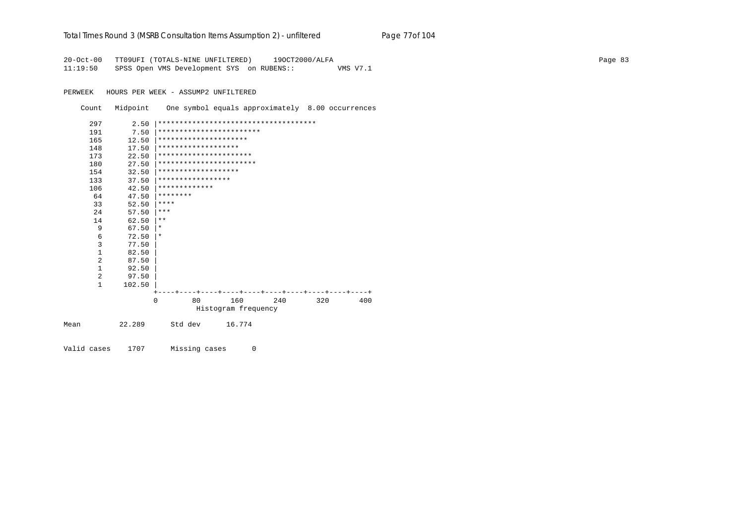#### Total Times Round 3 (MSRB Consultation Items Assumption 2) - *unfiltered* Page 77of 104

20-Oct-00 TT09UFI (TOTALS-NINE UNFILTERED) 19OCT2000/ALFA Page 83 11:19:50 SPSS Open VMS Development SYS on RUBENS:: VMS V7.1

PERWEEK HOURS PER WEEK - ASSUMP2 UNFILTERED

Count Midpoint One symbol equals approximately 8.00 occurrences

|      | 297          | 2.50   |          |                     |                          | ************************************* |     |     |
|------|--------------|--------|----------|---------------------|--------------------------|---------------------------------------|-----|-----|
|      | 191          | 7.50   |          |                     | ************************ |                                       |     |     |
|      | 165          | 12.50  |          |                     | *********************    |                                       |     |     |
|      | 148          | 17.50  |          | ******************* |                          |                                       |     |     |
|      | 173          |        |          |                     | **********************   |                                       |     |     |
|      |              | 22.50  |          |                     | ***********************  |                                       |     |     |
|      | 180          | 27.50  |          |                     |                          |                                       |     |     |
|      | 154          | 32.50  |          | ******************* |                          |                                       |     |     |
|      | 133          | 37.50  |          | *****************   |                          |                                       |     |     |
|      | 106          | 42.50  |          | *************       |                          |                                       |     |     |
|      | 64           | 47.50  | ******** |                     |                          |                                       |     |     |
|      | 33           | 52.50  | ****     |                     |                          |                                       |     |     |
|      | 24           | 57.50  | ***      |                     |                          |                                       |     |     |
|      | 14           | 62.50  | $* *$    |                     |                          |                                       |     |     |
|      | 9            | 67.50  | $\star$  |                     |                          |                                       |     |     |
|      | 6            | 72.50  | $\ast$   |                     |                          |                                       |     |     |
|      | 3            | 77.50  |          |                     |                          |                                       |     |     |
|      | $\mathbf{1}$ | 82.50  |          |                     |                          |                                       |     |     |
|      | 2            | 87.50  |          |                     |                          |                                       |     |     |
|      | $\mathbf{1}$ | 92.50  |          |                     |                          |                                       |     |     |
|      | 2            | 97.50  |          |                     |                          |                                       |     |     |
|      | $\mathbf{1}$ | 102.50 |          |                     |                          |                                       |     |     |
|      |              |        |          |                     |                          |                                       |     |     |
|      |              |        | $\Omega$ | 80                  | 160                      | 240                                   | 320 | 400 |
|      |              |        |          |                     | Histogram frequency      |                                       |     |     |
|      |              |        |          |                     |                          |                                       |     |     |
| Mean |              | 22.289 |          | Std dev             | 16.774                   |                                       |     |     |
|      |              |        |          |                     |                          |                                       |     |     |
|      |              |        |          |                     |                          |                                       |     |     |

Valid cases 1707 Missing cases 0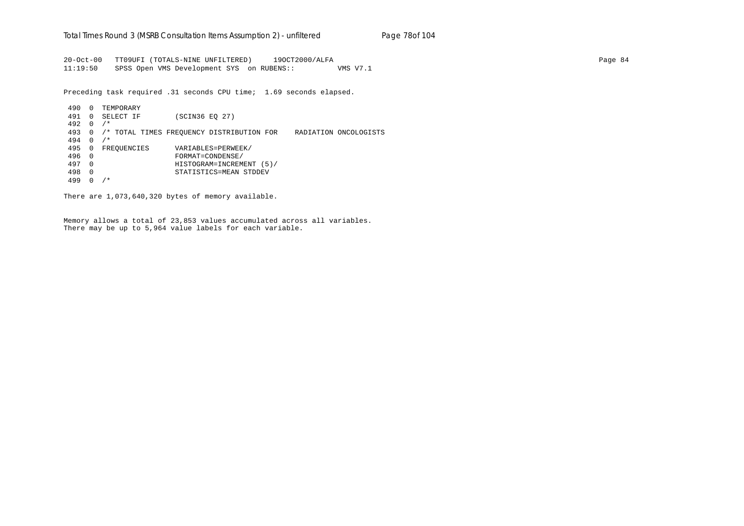20-Oct-00 TT09UFI (TOTALS-NINE UNFILTERED) 19OCT2000/ALFA Page 84 11:19:50 SPSS Open VMS Development SYS on RUBENS:: VMS V7.1

Preceding task required .31 seconds CPU time; 1.69 seconds elapsed.

 490 0 TEMPORARY 491 0 SELECT IF (SCIN36 EQ 27) 492 0 /\* 493 0 /\* TOTAL TIMES FREQUENCY DISTRIBUTION FOR RADIATION ONCOLOGISTS 494 0 /\* 495 0 FREQUENCIES VARIABLES=PERWEEK/ 496 0 FORMAT=CONDENSE/ 497 0 HISTOGRAM=INCREMENT (5)/ 498 0 STATISTICS=MEAN STDDEV 499 0 /\*

There are 1,073,640,320 bytes of memory available.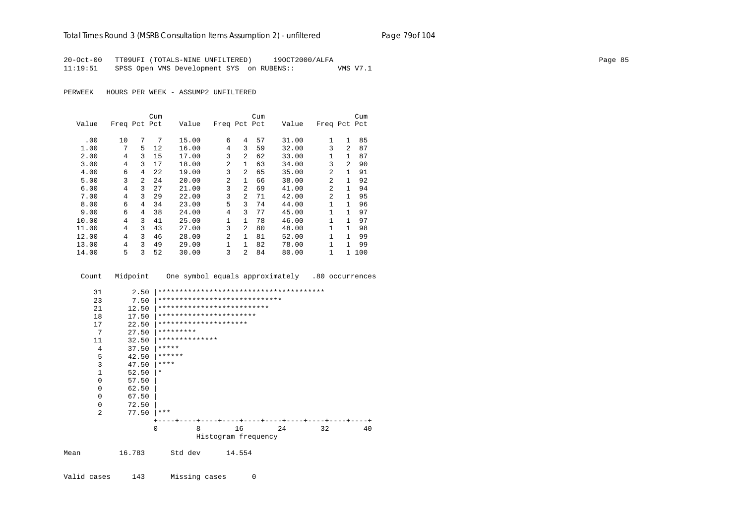20-Oct-00 TT09UFI (TOTALS-NINE UNFILTERED) 19OCT2000/ALFA Page 85 11:19:51 SPSS Open VMS Development SYS on RUBENS:: VMS V7.1

PERWEEK HOURS PER WEEK - ASSUMP2 UNFILTERED

|       |              |                | Cum |       |                |                | Cum |       |                |                | Cum |
|-------|--------------|----------------|-----|-------|----------------|----------------|-----|-------|----------------|----------------|-----|
| Value | Freq Pct Pct |                |     | Value | Freq Pct Pct   |                |     | Value | Freq Pct Pct   |                |     |
|       |              | 7              | 7   |       | 6              | 4              |     |       | $\mathbf{1}$   | $\mathbf{1}$   |     |
| .00   | 10           |                |     | 15.00 |                |                | 57  | 31.00 |                |                | 85  |
| 1.00  | 7            | 5.             | 12  | 16.00 | 4              | 3              | 59  | 32.00 | 3              | $\mathfrak{D}$ | 87  |
| 2.00  | 4            | 3              | 15  | 17.00 | 3              | $\overline{a}$ | 62  | 33.00 | 1              | 1              | 87  |
| 3.00  | 4            | 3              | 17  | 18.00 | 2              | $\mathbf{1}$   | 63  | 34.00 | 3              | $\mathfrak{D}$ | 90  |
| 4.00  | 6            | 4              | 22  | 19.00 | 3              | $\overline{a}$ | 65  | 35.00 | 2              | 1              | 91  |
| 5.00  | 3            | $\overline{a}$ | 24  | 20.00 | 2              | $\mathbf{1}$   | 66  | 38.00 | 2              | 1              | 92  |
| 6.00  | 4            | 3              | 27  | 21.00 | 3              | $\mathfrak{D}$ | 69  | 41.00 | $\mathfrak{D}$ | 1              | 94  |
| 7.00  | 4            | 3              | 29  | 22.00 | 3              | $\overline{a}$ | 71  | 42.00 | 2              | $\mathbf{1}$   | 95  |
| 8.00  | 6            | 4              | 34  | 23.00 | 5              | 3              | 74  | 44.00 | 1              | 1              | 96  |
| 9.00  | 6            | 4              | 38  | 24.00 | $\overline{4}$ | 3              | 77  | 45.00 | 1              | 1              | 97  |
| 10.00 | 4            | 3              | 41  | 25.00 | 1              | $\mathbf{1}$   | 78  | 46.00 | 1              | 1              | 97  |
| 11.00 | 4            | 3              | 43  | 27.00 | 3              | $\overline{a}$ | 80  | 48.00 | $\mathbf{1}$   | $\mathbf{1}$   | 98  |
| 12.00 | 4            | ζ              | 46  | 28.00 | $\mathfrak{D}$ | $\mathbf{1}$   | 81  | 52.00 | $\mathbf{1}$   | 1              | 99  |
| 13.00 | 4            | ζ              | 49  | 29.00 | 1              | $\mathbf{1}$   | 82  | 78.00 | 1              | 1              | 99  |
| 14.00 | 5            | 3              | 52  | 30.00 | 3              | $\mathfrak{D}$ | 84  | 80.00 | 1              | 1.             | 100 |

Count Midpoint One symbol equals approximately .80 occurrences

| 31             | 2.50   |           |                |                               |    |    |    |
|----------------|--------|-----------|----------------|-------------------------------|----|----|----|
| 23             | 7.50   |           |                | ***************************** |    |    |    |
| 21             | 12.50  |           |                | **************************    |    |    |    |
| 18             | 17.50  |           |                | ***********************       |    |    |    |
| 17             | 22.50  |           |                | *********************         |    |    |    |
| 7              | 27.50  | ********* |                |                               |    |    |    |
| 11             | 32.50  |           | ************** |                               |    |    |    |
| 4              | 37.50  | *****     |                |                               |    |    |    |
| 5              | 42.50  | ******    |                |                               |    |    |    |
| 3              | 47.50  | ****      |                |                               |    |    |    |
| 1              | 52.50  | $\star$   |                |                               |    |    |    |
| $\Omega$       | 57.50  |           |                |                               |    |    |    |
| $\Omega$       | 62.50  |           |                |                               |    |    |    |
| $\Omega$       | 67.50  |           |                |                               |    |    |    |
| $\Omega$       | 72.50  |           |                |                               |    |    |    |
| $\overline{a}$ | 77.50  | ***       |                |                               |    |    |    |
|                |        |           |                | -+----+----+----+----+---     |    |    |    |
|                |        | $\Omega$  | 8              | 16                            | 24 | 32 | 40 |
|                |        |           |                | Histogram frequency           |    |    |    |
| Mean           | 16.783 | Std dev   |                | 14.554                        |    |    |    |

Valid cases 143 Missing cases 0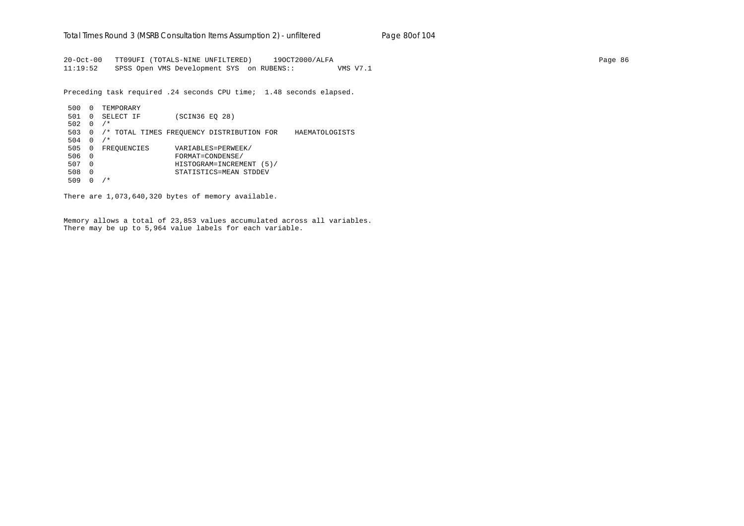20-Oct-00 TT09UFI (TOTALS-NINE UNFILTERED) 19OCT2000/ALFA Page 86 11:19:52 SPSS Open VMS Development SYS on RUBENS:: VMS V7.1

Preceding task required .24 seconds CPU time; 1.48 seconds elapsed.

 500 0 TEMPORARY 501 0 SELECT IF (SCIN36 EQ 28) 502 0 /\* 503 0 /\* TOTAL TIMES FREQUENCY DISTRIBUTION FOR HAEMATOLOGISTS 504 0 /\* 505 0 FREQUENCIES VARIABLES=PERWEEK/ 506 0 FORMAT=CONDENSE/ 507 0 HISTOGRAM=INCREMENT (5)/ 508 0 STATISTICS=MEAN STDDEV 509 0 /\*

There are 1,073,640,320 bytes of memory available.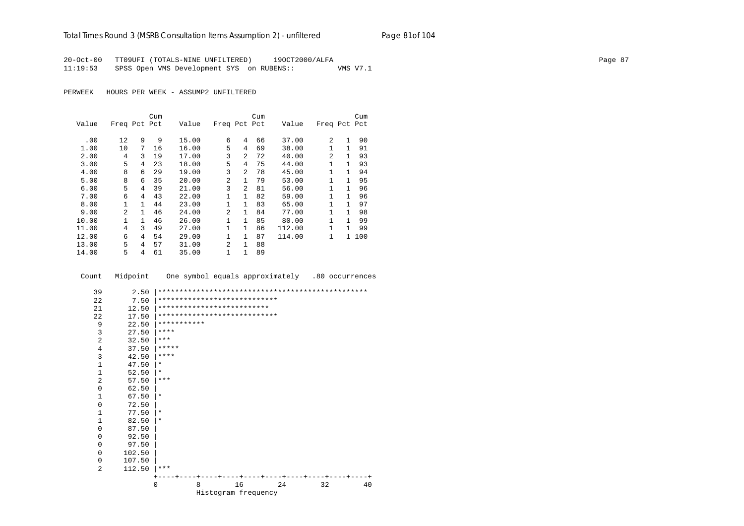### Total Times Round 3 (MSRB Consultation Items Assumption 2) - *unfiltered* Page 81of 104

20-Oct-00 TT09UFI (TOTALS-NINE UNFILTERED) 19OCT2000/ALFA Page 87 11:19:53 SPSS Open VMS Development SYS on RUBENS:: VMS V7.1

PERWEEK HOURS PER WEEK - ASSUMP2 UNFILTERED

|       |                |              | Cum |       |                |                | Cum |        |              |              | Cum |
|-------|----------------|--------------|-----|-------|----------------|----------------|-----|--------|--------------|--------------|-----|
| Value | Freq Pct Pct   |              |     | Value | Freq Pct Pct   |                |     | Value  | Freq Pct Pct |              |     |
|       |                |              |     |       |                |                |     |        |              |              |     |
| .00   | 12             | 9            | 9   | 15.00 | 6              | 4              | 66  | 37.00  | 2            | $\mathbf{1}$ | 90  |
| 1.00  | 10             | 7            | 16  | 16.00 | 5              | 4              | 69  | 38.00  | $\mathbf{1}$ | $\mathbf{1}$ | 91  |
| 2.00  | 4              | 3            | 19  | 17.00 | 3              | $\overline{2}$ | 72  | 40.00  | 2            | 1            | 93  |
| 3.00  | 5              | 4            | 23  | 18.00 | 5              | 4              | 75  | 44.00  | 1            | 1            | 93  |
| 4.00  | 8              | 6            | 29  | 19.00 | 3              | $\overline{a}$ | 78  | 45.00  | 1.           | 1            | 94  |
| 5.00  | 8              | 6            | 35  | 20.00 | $\mathfrak{D}$ | $\mathbf{1}$   | 79  | 53.00  | $\mathbf{1}$ | 1            | 95  |
| 6.00  | 5              | 4            | 39  | 21.00 | 3              | $\overline{a}$ | 81  | 56.00  | $\mathbf{1}$ | $\mathbf{1}$ | 96  |
| 7.00  | 6              | 4            | 43  | 22.00 | $\mathbf 1$    | $\mathbf{1}$   | 82  | 59.00  | 1            | 1            | 96  |
| 8.00  | 1              | $\mathbf{1}$ | 44  | 23.00 | 1              | $\mathbf{1}$   | 83  | 65.00  | $\mathbf{1}$ | 1            | 97  |
| 9.00  | $\overline{a}$ | 1            | 46  | 24.00 | $\overline{a}$ | $\mathbf{1}$   | 84  | 77.00  | $\mathbf{1}$ | 1            | 98  |
| 10.00 | 1              | 1.           | 46  | 26.00 | $\mathbf{1}$   | $\mathbf{1}$   | 85  | 80.00  | $\mathbf{1}$ | 1            | 99  |
| 11.00 | 4              | ζ            | 49  | 27.00 | $\mathbf{1}$   | $\mathbf{1}$   | 86  | 112.00 | $\mathbf{1}$ | 1            | 99  |
| 12.00 | 6              | 4            | 54  | 29.00 | $\mathbf{1}$   | $\mathbf{1}$   | 87  | 114.00 | $\mathbf{1}$ | $\mathbf{1}$ | 100 |
| 13.00 | 5              | 4            | 57  | 31.00 | $\overline{a}$ | $\mathbf{1}$   | 88  |        |              |              |     |
| 14.00 | 5              | 4            | 61  | 35.00 | 1              | 1              | 89  |        |              |              |     |

Count Midpoint One symbol equals approximately .80 occurrences

| 39             | 2.50   |             |   |                              |    |    |    |
|----------------|--------|-------------|---|------------------------------|----|----|----|
| 22             | 7.50   |             |   | **************************** |    |    |    |
| 21             | 12.50  |             |   | **************************   |    |    |    |
| 22             | 17.50  |             |   | **************************** |    |    |    |
| 9              | 22.50  | *********** |   |                              |    |    |    |
| 3              | 27.50  | $* * * * *$ |   |                              |    |    |    |
| $\overline{a}$ | 32.50  | $***$       |   |                              |    |    |    |
| 4              | 37.50  | *****       |   |                              |    |    |    |
| 3              | 42.50  | $* * * * *$ |   |                              |    |    |    |
| 1              | 47.50  | $\star$     |   |                              |    |    |    |
| $\mathbf 1$    | 52.50  | $\ast$      |   |                              |    |    |    |
| $\overline{a}$ | 57.50  | $***$       |   |                              |    |    |    |
| $\mathbf 0$    | 62.50  |             |   |                              |    |    |    |
| 1              | 67.50  | $\star$     |   |                              |    |    |    |
| $\mathbf 0$    | 72.50  |             |   |                              |    |    |    |
| 1              | 77.50  | $\star$     |   |                              |    |    |    |
| 1              | 82.50  | $\ast$      |   |                              |    |    |    |
| $\mathbf 0$    | 87.50  |             |   |                              |    |    |    |
| $\mathbf 0$    | 92.50  |             |   |                              |    |    |    |
| $\mathbf 0$    | 97.50  |             |   |                              |    |    |    |
| $\mathbf 0$    | 102.50 |             |   |                              |    |    |    |
| $\mathbf 0$    | 107.50 |             |   |                              |    |    |    |
| $\overline{a}$ | 112.50 | $***$       |   |                              |    |    |    |
|                |        |             |   |                              |    |    |    |
|                |        | $\Omega$    | 8 | 16                           | 24 | 32 | 40 |
|                |        |             |   | Histogram frequency          |    |    |    |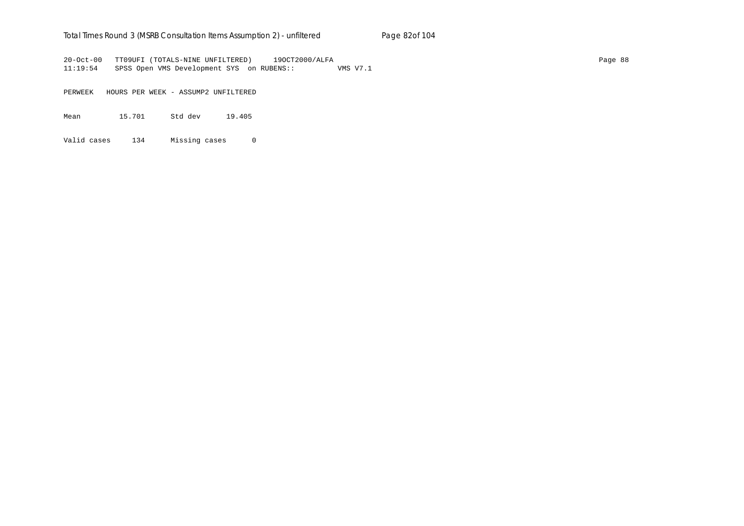### Total Times Round 3 (MSRB Consultation Items Assumption 2) - *unfiltered* Page 82of 104

20-Oct-00 TT09UFI (TOTALS-NINE UNFILTERED) 19OCT2000/ALFA Page 88 11:19:54 SPSS Open VMS Development SYS on RUBENS:: VMS V7.1

PERWEEK HOURS PER WEEK - ASSUMP2 UNFILTERED

Mean 15.701 Std dev 19.405

Valid cases 134 Missing cases 0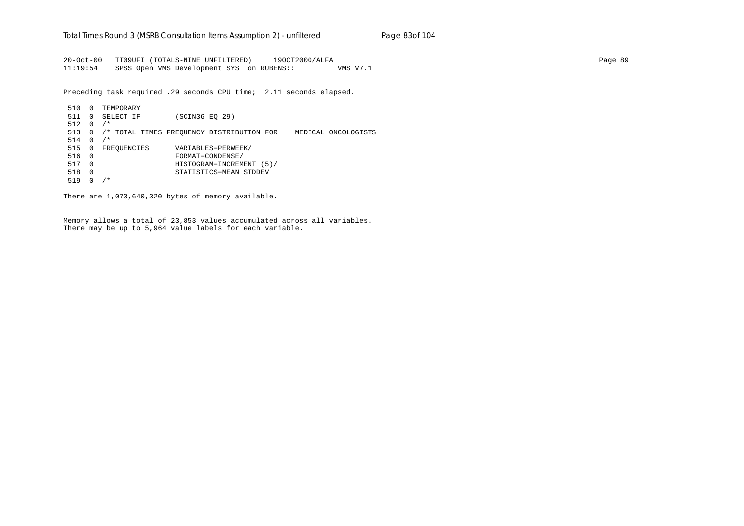20-Oct-00 TT09UFI (TOTALS-NINE UNFILTERED) 19OCT2000/ALFA Page 89 11:19:54 SPSS Open VMS Development SYS on RUBENS:: VMS V7.1

Preceding task required .29 seconds CPU time; 2.11 seconds elapsed.

 510 0 TEMPORARY 511 0 SELECT IF (SCIN36 EQ 29) 512 0 /\* 513 0 /\* TOTAL TIMES FREQUENCY DISTRIBUTION FOR MEDICAL ONCOLOGISTS 514 0 /\* 515 0 FREQUENCIES VARIABLES=PERWEEK/ 516 0 FORMAT=CONDENSE/ 517 0 HISTOGRAM=INCREMENT (5)/ 518 0 STATISTICS=MEAN STDDEV 519 0 /\*

There are 1,073,640,320 bytes of memory available.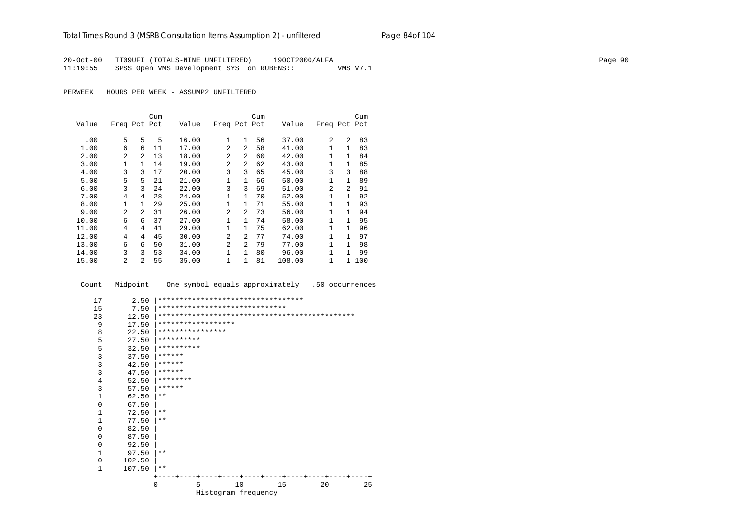20-Oct-00 TT09UFI (TOTALS-NINE UNFILTERED) 19OCT2000/ALFA Page 90 11:19:55 SPSS Open VMS Development SYS on RUBENS:: VMS V7.1

PERWEEK HOURS PER WEEK - ASSUMP2 UNFILTERED

|       |                |                | Cum |       |                |                | Cum |        |                |                | Cum |
|-------|----------------|----------------|-----|-------|----------------|----------------|-----|--------|----------------|----------------|-----|
| Value | Freq Pct Pct   |                |     | Value | Freq Pct Pct   |                |     | Value  | Freq Pct Pct   |                |     |
|       |                |                |     |       |                |                |     |        |                |                |     |
| .00   | 5              | 5              | 5   | 16.00 | 1              | $\mathbf{1}$   | 56  | 37.00  | 2              | $\mathfrak{D}$ | 83  |
| 1.00  | 6              | 6              | 11  | 17.00 | $\overline{2}$ | $\mathfrak{D}$ | 58  | 41.00  |                | 1              | 83  |
| 2.00  | 2              | 2              | 13  | 18.00 | $\mathfrak{D}$ | $\mathfrak{D}$ | 60  | 42.00  | 1              | $\mathbf{1}$   | 84  |
| 3.00  | 1              | 1              | 14  | 19.00 | $\overline{2}$ | 2              | 62  | 43.00  |                | 1              | 85  |
| 4.00  | 3              | 3              | 17  | 20.00 | 3              | 3              | 65  | 45.00  | 3              | 3              | 88  |
| 5.00  | 5              | 5              | 21  | 21.00 | 1              | $\mathbf{1}$   | 66  | 50.00  |                | 1              | 89  |
| 6.00  | 3              | 3              | 24  | 22.00 | 3              | 3              | 69  | 51.00  | $\overline{a}$ | $\mathfrak{D}$ | 91  |
| 7.00  | 4              | 4              | 28  | 24.00 | 1              | 1              | 70  | 52.00  | 1              |                | 92  |
| 8.00  | $\mathbf{1}$   | 1              | 29  | 25.00 | 1              | $\mathbf{1}$   | 71  | 55.00  | 1              | 1              | 93  |
| 9.00  | $\overline{a}$ | $\overline{a}$ | 31  | 26.00 | 2              | $\mathfrak{D}$ | 73  | 56.00  | 1              | 1              | 94  |
| 10.00 | 6              | 6              | 37  | 27.00 | 1              | $\mathbf{1}$   | 74  | 58.00  | 1              |                | 95  |
| 11.00 | 4              | 4              | 41  | 29.00 | 1              | 1              | 75  | 62.00  | 1              | 1.             | 96  |
| 12.00 | 4              | 4              | 45  | 30.00 | $\mathfrak{D}$ | 2              | 77  | 74.00  | 1              |                | 97  |
| 13.00 | 6              | 6              | 50  | 31.00 | $\overline{2}$ | 2              | 79  | 77.00  | 1              |                | 98  |
| 14.00 | 3              | 3              | 53  | 34.00 | 1              | $\mathbf{1}$   | 80  | 96.00  | 1              | 1              | 99  |
| 15.00 | 2              | 2              | 55  | 35.00 | 1              | 1              | 81  | 108.00 | 1              | $\mathbf{1}$   | 100 |

Count Midpoint One symbol equals approximately .50 occurrences

| 17             | 2.50   | ********************************** |   |                     |    |  |    |    |    |
|----------------|--------|------------------------------------|---|---------------------|----|--|----|----|----|
| 15             | 7.50   | ******************************     |   |                     |    |  |    |    |    |
| 23             | 12.50  |                                    |   |                     |    |  |    |    |    |
| 9              | 17.50  | ******************                 |   |                     |    |  |    |    |    |
| 8              | 22.50  | ****************                   |   |                     |    |  |    |    |    |
| 5              | 27.50  | **********                         |   |                     |    |  |    |    |    |
| 5              | 32.50  | **********                         |   |                     |    |  |    |    |    |
| 3              | 37.50  | ******                             |   |                     |    |  |    |    |    |
| 3              | 42.50  | ******                             |   |                     |    |  |    |    |    |
| 3              | 47.50  | ******                             |   |                     |    |  |    |    |    |
| $\overline{4}$ | 52.50  | ********                           |   |                     |    |  |    |    |    |
| 3              | 57.50  | ******                             |   |                     |    |  |    |    |    |
| $\mathbf{1}$   | 62.50  | $***$                              |   |                     |    |  |    |    |    |
| 0              | 67.50  |                                    |   |                     |    |  |    |    |    |
| $\mathbf{1}$   | 72.50  | $***$                              |   |                     |    |  |    |    |    |
| $\mathbf{1}$   | 77.50  | $***$                              |   |                     |    |  |    |    |    |
| 0              | 82.50  |                                    |   |                     |    |  |    |    |    |
| 0              | 87.50  |                                    |   |                     |    |  |    |    |    |
| 0              | 92.50  |                                    |   |                     |    |  |    |    |    |
| $\mathbf{1}$   | 97.50  | $***$                              |   |                     |    |  |    |    |    |
| $\Omega$       | 102.50 |                                    |   |                     |    |  |    |    |    |
| $\mathbf{1}$   | 107.50 | $***$                              |   |                     |    |  |    |    |    |
|                |        |                                    |   |                     |    |  |    |    |    |
|                |        | 0                                  | 5 |                     | 10 |  | 15 | 20 | 25 |
|                |        |                                    |   | Histogram frequency |    |  |    |    |    |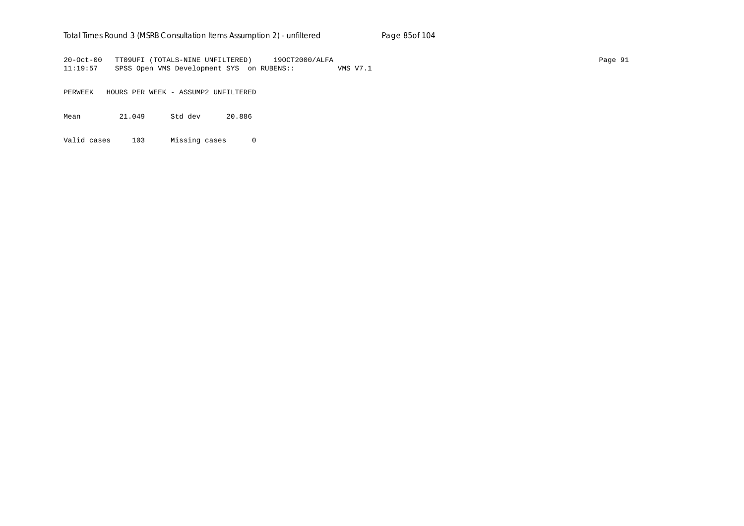### Total Times Round 3 (MSRB Consultation Items Assumption 2) - *unfiltered* Page 85of 104

20-Oct-00 TT09UFI (TOTALS-NINE UNFILTERED) 19OCT2000/ALFA Page 91 11:19:57 SPSS Open VMS Development SYS on RUBENS:: VMS V7.1

PERWEEK HOURS PER WEEK - ASSUMP2 UNFILTERED

Mean 21.049 Std dev 20.886

Valid cases 103 Missing cases 0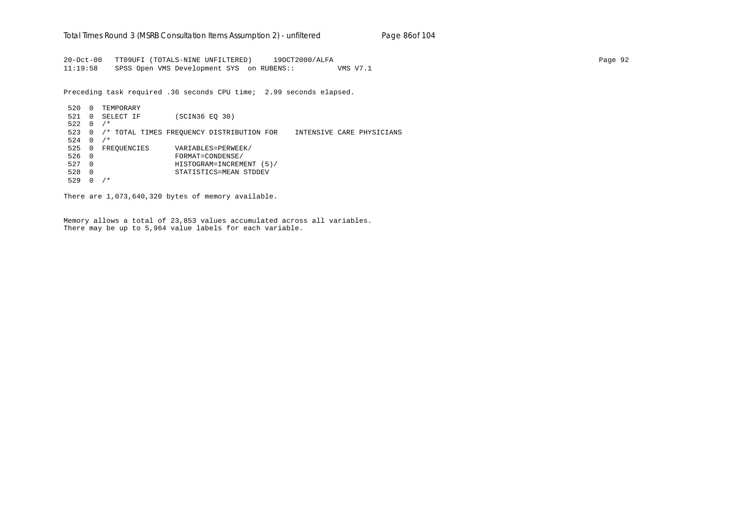20-Oct-00 TT09UFI (TOTALS-NINE UNFILTERED) 19OCT2000/ALFA Page 92 11:19:58 SPSS Open VMS Development SYS on RUBENS:: VMS V7.1

Preceding task required .36 seconds CPU time; 2.99 seconds elapsed.

 520 0 TEMPORARY 521 0 SELECT IF (SCIN36 EQ 30)  $522 \quad 0 \quad / *$  523 0 /\* TOTAL TIMES FREQUENCY DISTRIBUTION FOR INTENSIVE CARE PHYSICIANS  $524 \quad 0 \quad /$ \* 525 0 FREQUENCIES VARIABLES=PERWEEK/ 526 0 FORMAT=CONDENSE/ 527 0 HISTOGRAM=INCREMENT (5)/ 528 0 STATISTICS=MEAN STDDEV 529 0 /\*

There are 1,073,640,320 bytes of memory available.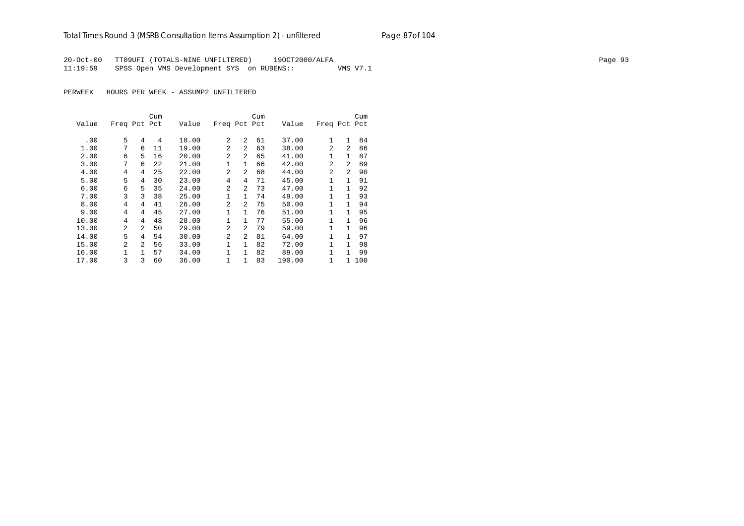## Total Times Round 3 (MSRB Consultation Items Assumption 2) - *unfiltered* Page 87of 104

20-Oct-00 TT09UFI (TOTALS-NINE UNFILTERED) 19OCT2000/ALFA Page 93 11:19:59 SPSS Open VMS Development SYS on RUBENS:: VMS V7.1

PERWEEK HOURS PER WEEK - ASSUMP2 UNFILTERED

|       |                |                | Cum |       |                |                | Cum |        |                |                | Cum |
|-------|----------------|----------------|-----|-------|----------------|----------------|-----|--------|----------------|----------------|-----|
| Value | Freq Pct Pct   |                |     | Value | Freq Pct Pct   |                |     | Value  | Freq Pct Pct   |                |     |
|       |                |                |     |       |                |                |     |        |                |                |     |
| .00   | 5              | 4              | 4   | 18.00 | 2              | $\mathfrak{D}$ | 61  | 37.00  | 1              | $\mathbf{1}$   | 84  |
| 1.00  | 7              | 6              | 11  | 19.00 | $\mathfrak{D}$ | $\mathfrak{D}$ | 63  | 38.00  | $\mathfrak{D}$ | 2              | 86  |
| 2.00  | 6              | 5              | 16  | 20.00 | 2              | $\mathfrak{D}$ | 65  | 41.00  | 1              | $\mathbf{1}$   | 87  |
| 3.00  | 7              | 6              | 22  | 21.00 | 1              | $\mathbf{1}$   | 66  | 42.00  | $\mathfrak{D}$ | $\mathfrak{D}$ | 89  |
| 4.00  | 4              | 4              | 25  | 22.00 | $\mathfrak{D}$ | $\mathfrak{D}$ | 68  | 44.00  | $\overline{a}$ | $\mathfrak{D}$ | 90  |
| 5.00  | 5              | 4              | 30  | 23.00 | 4              | 4              | 71  | 45.00  | 1              | 1              | 91  |
| 6.00  | 6              | 5              | 35  | 24.00 | $\overline{2}$ | $\mathfrak{D}$ | 73  | 47.00  | 1              |                | 92  |
| 7.00  | 3              | 3              | 38  | 25.00 | 1              | 1              | 74  | 49.00  | 1              |                | 93  |
| 8.00  | 4              | 4              | 41  | 26.00 | $\overline{a}$ | $\mathfrak{D}$ | 75  | 50.00  | 1              |                | 94  |
| 9.00  | 4              | 4              | 45  | 27.00 | $\mathbf{1}$   | 1              | 76  | 51.00  | $\mathbf{1}$   |                | 95  |
| 10.00 | 4              | 4              | 48  | 28.00 | $\mathbf{1}$   | 1              | 77  | 55.00  | 1              | 1              | 96  |
| 13.00 | 2              | 2              | 50  | 29.00 | $\overline{2}$ | 2              | 79  | 59.00  | 1              | 1              | 96  |
| 14.00 | 5              | 4              | 54  | 30.00 | $\overline{2}$ | $\mathfrak{D}$ | 81  | 64.00  | 1              | 1              | 97  |
| 15.00 | $\overline{a}$ | $\overline{2}$ | 56  | 33.00 | 1              | $\mathbf{1}$   | 82  | 72.00  | 1              | 1              | 98  |
| 16.00 | 1              | 1              | 57  | 34.00 | 1              | $\mathbf{1}$   | 82  | 89.00  | 1              | 1              | 99  |
| 17.00 | 3              | 3              | 60  | 36.00 | 1              | 1              | 83  | 190.00 | 1              | 1.             | 100 |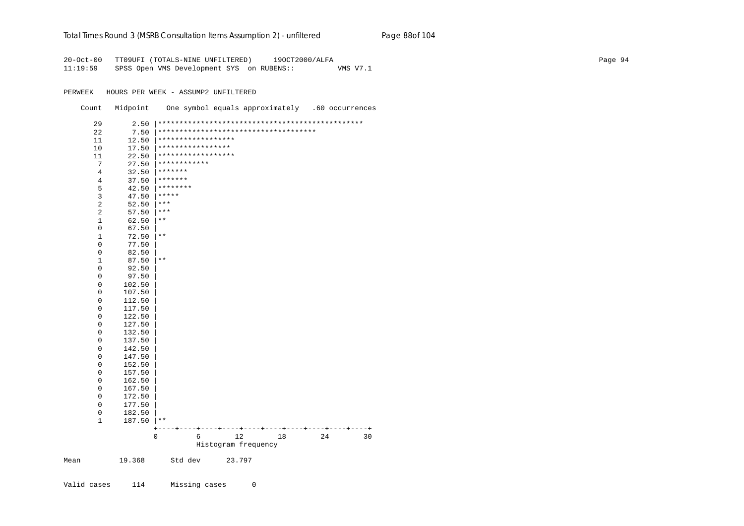#### Total Times Round 3 (MSRB Consultation Items Assumption 2) - *unfiltered* Page 88of 104

20-Oct-00 TT09UFI (TOTALS-NINE UNFILTERED) 19OCT2000/ALFA Page 94 11:19:59 SPSS Open VMS Development SYS on RUBENS:: VMS V7.1

PERWEEK HOURS PER WEEK - ASSUMP2 UNFILTERED

Count Midpoint One symbol equals approximately .60 occurrences

|      | 29                  | 2.50             |                    |                   |                                       |    |    |    |
|------|---------------------|------------------|--------------------|-------------------|---------------------------------------|----|----|----|
|      | 22                  | 7.50             |                    |                   | ************************************* |    |    |    |
|      | 11                  | 12.50            | ****************** |                   |                                       |    |    |    |
|      | 10                  | 17.50            |                    | ***************** |                                       |    |    |    |
|      | 11                  | 22.50            | ****************** |                   |                                       |    |    |    |
|      | 7                   | 27.50            | ************       |                   |                                       |    |    |    |
|      | 4                   | 32.50            | *******            |                   |                                       |    |    |    |
|      | $\overline{4}$      | 37.50            | *******            |                   |                                       |    |    |    |
|      | 5                   | 42.50            | $*********$        |                   |                                       |    |    |    |
|      | 3                   | 47.50            | *****              |                   |                                       |    |    |    |
|      | 2                   | 52.50            | $***$              |                   |                                       |    |    |    |
|      | $\overline{2}$      | 57.50            | $***$              |                   |                                       |    |    |    |
|      | $\mathbf 1$         | 62.50            | $\star\star$       |                   |                                       |    |    |    |
|      | $\mathsf 0$         | 67.50            |                    |                   |                                       |    |    |    |
|      | $\mathbf{1}$        | 72.50            | $***$              |                   |                                       |    |    |    |
|      | $\mathsf 0$         | 77.50            |                    |                   |                                       |    |    |    |
|      | $\mathsf 0$         | 82.50            |                    |                   |                                       |    |    |    |
|      | $\mathbf{1}$        | 87.50            | $\star\star$       |                   |                                       |    |    |    |
|      | $\mathsf 0$         | 92.50            |                    |                   |                                       |    |    |    |
|      | $\mathsf 0$         | 97.50            |                    |                   |                                       |    |    |    |
|      | $\mathbf 0$         | 102.50           |                    |                   |                                       |    |    |    |
|      | $\mathsf 0$         | 107.50           |                    |                   |                                       |    |    |    |
|      | 0                   | 112.50           |                    |                   |                                       |    |    |    |
|      | 0                   | 117.50           |                    |                   |                                       |    |    |    |
|      | $\mathbf 0$         | 122.50           |                    |                   |                                       |    |    |    |
|      | $\mathsf 0$         | 127.50           |                    |                   |                                       |    |    |    |
|      | 0                   | 132.50           |                    |                   |                                       |    |    |    |
|      | $\mathbf 0$         | 137.50           |                    |                   |                                       |    |    |    |
|      | $\mathsf 0$         | 142.50           |                    |                   |                                       |    |    |    |
|      | 0<br>0              | 147.50<br>152.50 |                    |                   |                                       |    |    |    |
|      | $\mathsf 0$         | 157.50           |                    |                   |                                       |    |    |    |
|      | $\mathsf 0$         | 162.50           |                    |                   |                                       |    |    |    |
|      | 0                   | 167.50           |                    |                   |                                       |    |    |    |
|      | $\mathbf 0$         | 172.50           |                    |                   |                                       |    |    |    |
|      | $\mathsf{O}\xspace$ | 177.50           |                    |                   |                                       |    |    |    |
|      | $\mathsf 0$         | 182.50           |                    |                   |                                       |    |    |    |
|      | $\mathbf 1$         | 187.50           | $***$              |                   |                                       |    |    |    |
|      |                     |                  | $\ddot{}$          |                   |                                       |    |    |    |
|      |                     |                  | 0                  | 6                 | 12                                    | 18 | 24 | 30 |
|      |                     |                  |                    |                   | Histogram frequency                   |    |    |    |
|      |                     |                  |                    |                   |                                       |    |    |    |
| Mean |                     | 19.368           |                    | Std dev           | 23.797                                |    |    |    |

Valid cases 114 Missing cases 0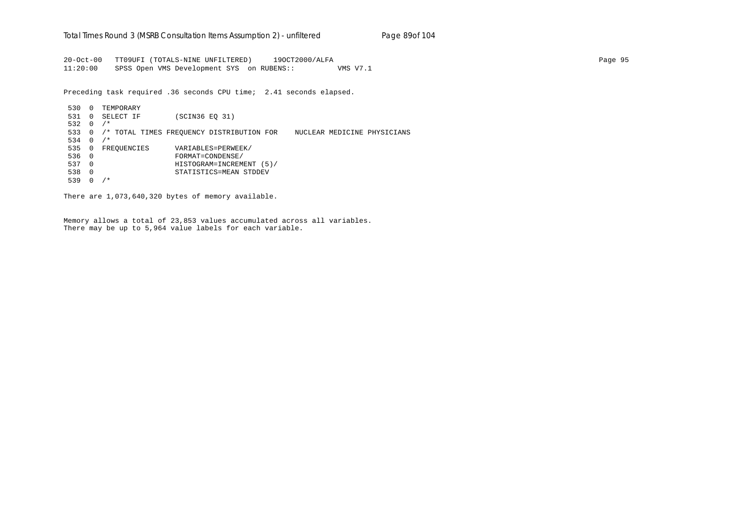20-Oct-00 TT09UFI (TOTALS-NINE UNFILTERED) 19OCT2000/ALFA Page 95 11:20:00 SPSS Open VMS Development SYS on RUBENS:: VMS V7.1

Preceding task required .36 seconds CPU time; 2.41 seconds elapsed.

 530 0 TEMPORARY 531 0 SELECT IF (SCIN36 EQ 31) 532 0 /\* 533 0 /\* TOTAL TIMES FREQUENCY DISTRIBUTION FOR NUCLEAR MEDICINE PHYSICIANS 534 0 /\* 535 0 FREQUENCIES VARIABLES=PERWEEK/ 536 0 FORMAT=CONDENSE/ 537 0 HISTOGRAM=INCREMENT (5)/ 538 0 STATISTICS=MEAN STDDEV 539 0 /\*

There are 1,073,640,320 bytes of memory available.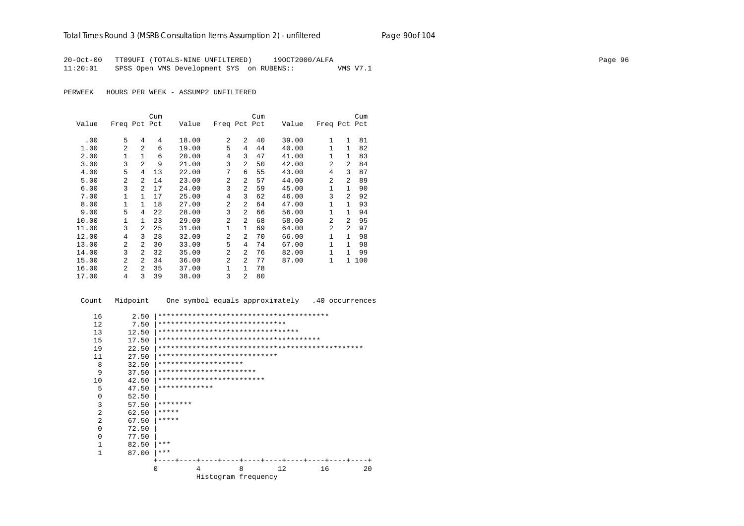20-Oct-00 TT09UFI (TOTALS-NINE UNFILTERED) 19OCT2000/ALFA Page 96 11:20:01 SPSS Open VMS Development SYS on RUBENS:: VMS V7.1

PERWEEK HOURS PER WEEK - ASSUMP2 UNFILTERED

|       |                |                | Cum |       |                |                | Cum |       |                |                | Cum |
|-------|----------------|----------------|-----|-------|----------------|----------------|-----|-------|----------------|----------------|-----|
| Value | Freq Pct Pct   |                |     | Value | Freq Pct Pct   |                |     | Value | Freq Pct Pct   |                |     |
| .00   | 5              | 4              | 4   | 18.00 | 2              | $\overline{a}$ | 40  | 39.00 | 1              | $\mathbf{1}$   | 81  |
| 1.00  | 2              | $\overline{a}$ | 6   | 19.00 | 5              | 4              | 44  | 40.00 | $\mathbf{1}$   | $\mathbf{1}$   | 82  |
| 2.00  | $\mathbf{1}$   | $\mathbf{1}$   | 6   | 20.00 | 4              | 3              | 47  | 41.00 | $\mathbf{1}$   | 1              | 83  |
| 3.00  | 3              | $\overline{a}$ | 9   | 21.00 | 3              | 2              | 50  | 42.00 | 2              | $\overline{a}$ | 84  |
| 4.00  | 5              | 4              | 13  | 22.00 | 7              | 6              | 55  | 43.00 | 4              | ζ              | 87  |
| 5.00  | 2              | $\overline{a}$ | 14  | 23.00 | $\overline{a}$ | $\mathfrak{D}$ | 57  | 44.00 | 2              | 2              | 89  |
| 6.00  | 3              | 2              | 17  | 24.00 | 3              | 2              | 59  | 45.00 | 1              | $\mathbf{1}$   | 90  |
| 7.00  | $\mathbf{1}$   | $\mathbf{1}$   | 17  | 25.00 | $\overline{4}$ | 3              | 62  | 46.00 | 3              | $\overline{a}$ | 92  |
| 8.00  | $\mathbf{1}$   | $\mathbf{1}$   | 18  | 27.00 | $\mathfrak{D}$ | $\overline{2}$ | 64  | 47.00 | $\mathbf{1}$   | $\mathbf{1}$   | 93  |
| 9.00  | 5              | 4              | 22  | 28.00 | 3              | $\overline{2}$ | 66  | 56.00 | $\mathbf{1}$   | 1              | 94  |
| 10.00 | 1              | 1.             | 23  | 29.00 | $\mathfrak{D}$ | $\overline{2}$ | 68  | 58.00 | $\overline{a}$ | $\mathfrak{D}$ | 95  |
| 11.00 | 3              | 2              | 25  | 31.00 | $\mathbf{1}$   | $\mathbf{1}$   | 69  | 64.00 | $\overline{2}$ | 2              | 97  |
| 12.00 | 4              | 3              | 28  | 32.00 | $\overline{a}$ | 2              | 70  | 66.00 | 1              | $\mathbf{1}$   | 98  |
| 13.00 | $\mathfrak{D}$ | 2              | 30  | 33.00 | 5              | 4              | 74  | 67.00 | $\mathbf{1}$   | 1              | 98  |
| 14.00 | 3              | $\overline{a}$ | 32  | 35.00 | $\overline{a}$ | $\overline{2}$ | 76  | 82.00 | $\mathbf{1}$   | $\mathbf{1}$   | 99  |
| 15.00 | 2              | $\overline{a}$ | 34  | 36.00 | $\overline{a}$ | $\overline{a}$ | 77  | 87.00 | 1              | $\mathbf{1}$   | 100 |
| 16.00 | $\overline{a}$ | $\overline{a}$ | 35  | 37.00 | 1              | $\mathbf{1}$   | 78  |       |                |                |     |
| 17.00 | 4              | 3              | 39  | 38.00 | 3              | $\overline{a}$ | 80  |       |                |                |     |

Count Midpoint One symbol equals approximately .40 occurrences

```
 16 2.50 |****************************************
12 7.50 |***********************************<br>13 12.50 |*********************************
 13 12.50 |*********************************
 15 17.50 |**************************************
 19 22.50 |************************************************
 11 27.50 ***********************************8 32.50 |*********************<br>9 37.50 |********************
 9 37.50 |***********************
 10 42.50 |***************************<br>5 47.50 |*************
           5 47.50 |*************
 0 52.50<br>3 57.503 57.50 ********<br>2 62.50 *****2 62.50 ****<br>2 67.50 ****2 67.50 ****<br>0 72.50
           0 72.50 |
 \begin{array}{ccc} 0 & & 77.50 \\ 1 & & 82.50 \end{array}\begin{array}{ccc} 1 & 82.50 & \ast \ast \ast \\ 1 & 87.00 & \ast \ast \ast \end{array}87.00 |***
                   +----+----+----+----+----+----+----+----+----+----+
                            0 4 8 12 16 20
                                Histogram frequency
```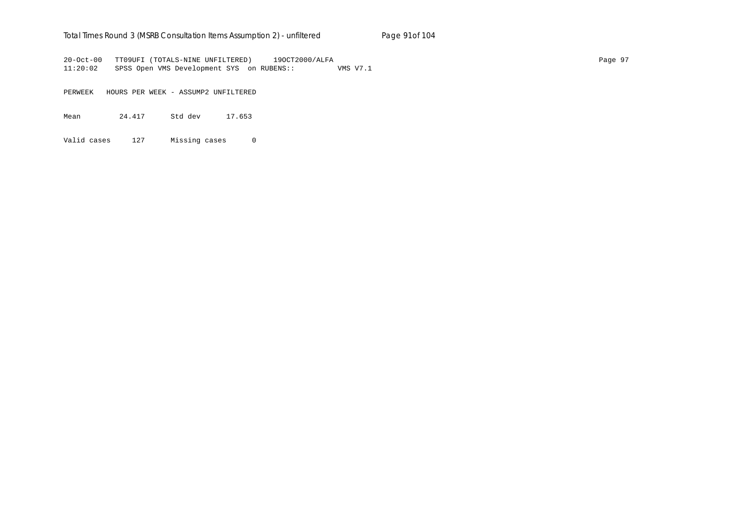### Total Times Round 3 (MSRB Consultation Items Assumption 2) - *unfiltered* Page 91of 104

20-Oct-00 TT09UFI (TOTALS-NINE UNFILTERED) 19OCT2000/ALFA Page 97 11:20:02 SPSS Open VMS Development SYS on RUBENS:: VMS V7.1

PERWEEK HOURS PER WEEK - ASSUMP2 UNFILTERED

Mean 24.417 Std dev 17.653

Valid cases 127 Missing cases 0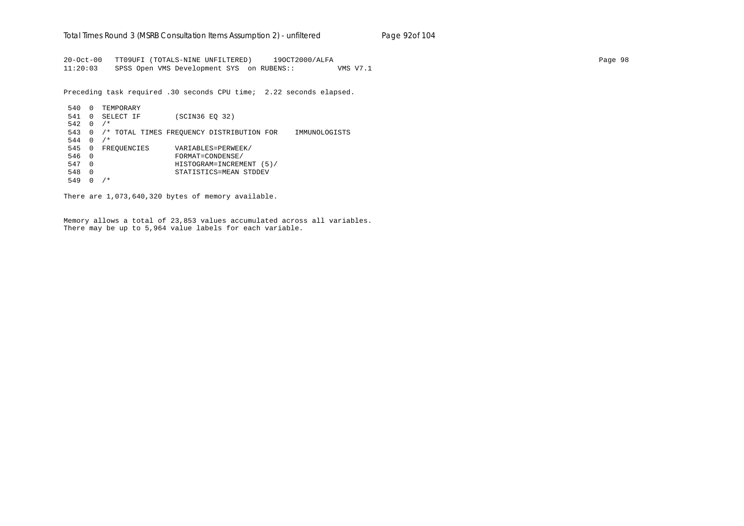20-Oct-00 TT09UFI (TOTALS-NINE UNFILTERED) 19OCT2000/ALFA Page 98 11:20:03 SPSS Open VMS Development SYS on RUBENS:: VMS V7.1

Preceding task required .30 seconds CPU time; 2.22 seconds elapsed.

 540 0 TEMPORARY 541 0 SELECT IF (SCIN36 EQ 32)  $542 \quad 0 \quad / *$  543 0 /\* TOTAL TIMES FREQUENCY DISTRIBUTION FOR IMMUNOLOGISTS  $544 \t0 \t/*$  545 0 FREQUENCIES VARIABLES=PERWEEK/ 546 0 FORMAT=CONDENSE/ 547 0 HISTOGRAM=INCREMENT (5)/ 548 0 STATISTICS=MEAN STDDEV 549 0 /\*

There are 1,073,640,320 bytes of memory available.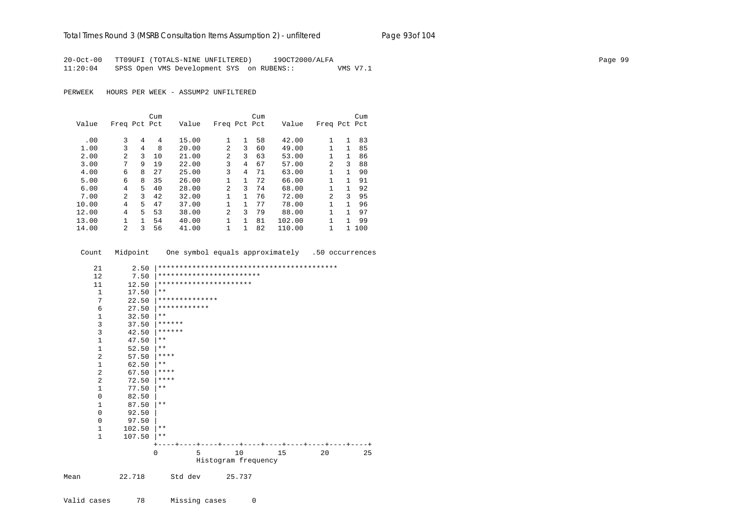### Total Times Round 3 (MSRB Consultation Items Assumption 2) - *unfiltered* Page 93of 104

20-Oct-00 TT09UFI (TOTALS-NINE UNFILTERED) 19OCT2000/ALFA Page 99 11:20:04 SPSS Open VMS Development SYS on RUBENS:: VMS V7.1

PERWEEK HOURS PER WEEK - ASSUMP2 UNFILTERED

|       |              |    | Cum |       |              |              | Cum |        |              |              | Cum |
|-------|--------------|----|-----|-------|--------------|--------------|-----|--------|--------------|--------------|-----|
| Value | Freq Pct Pct |    |     | Value | Freq Pct Pct |              |     | Value  | Freq Pct Pct |              |     |
|       |              |    |     |       |              |              |     |        |              |              |     |
| .00   | 3            | 4  | 4   | 15.00 |              | 1            | 58  | 42.00  | 1            | 1            | 83  |
| 1.00  | 3            | 4  | 8   | 20.00 | 2            | 3            | 60  | 49.00  | 1            | $\mathbf{1}$ | 85  |
| 2.00  | 2            | 3  | 10  | 21.00 | 2            | 3            | 63  | 53.00  | 1            | $\mathbf{1}$ | 86  |
| 3.00  | 7            | 9  | 19  | 22.00 | 3            | 4            | 67  | 57.00  | 2            | ζ            | 88  |
| 4.00  | 6            | 8  | 27  | 25.00 | 3            | 4            | 71  | 63.00  | $\mathbf{1}$ | 1.           | 90  |
| 5.00  | 6            | 8  | 35  | 26.00 |              | $\mathbf{1}$ | 72  | 66.00  | 1            | 1            | 91  |
| 6.00  | 4            | 5. | 40  | 28.00 | 2            | 3            | 74  | 68.00  | $\mathbf{1}$ |              | 92  |
| 7.00  | 2            | 3  | 42  | 32.00 |              | 1            | 76  | 72.00  | 2            | ς            | 95  |
| 10.00 | 4            | 5. | 47  | 37.00 |              |              | 77  | 78.00  | 1            |              | 96  |
| 12.00 | 4            | 5  | 53  | 38.00 | 2            | ζ            | 79  | 88.00  | 1            | 1            | 97  |
| 13.00 |              |    | 54  | 40.00 |              | $\mathbf{1}$ | 81  | 102.00 | 1            | 1            | 99  |
| 14.00 | 2            | ζ  | 56  | 41.00 | 1            |              | 82  | 110.00 | 1            | 1.           | 100 |

Count Midpoint One symbol equals approximately .50 occurrences

|      | 21           | 2.50   |                          |         |                     |        |    |    |    |
|------|--------------|--------|--------------------------|---------|---------------------|--------|----|----|----|
|      | 12           | 7.50   | ************************ |         |                     |        |    |    |    |
|      | 11           | 12.50  | **********************   |         |                     |        |    |    |    |
|      | 1            | 17.50  | $* *$                    |         |                     |        |    |    |    |
|      | 7            | 22.50  | **************           |         |                     |        |    |    |    |
|      | 6            | 27.50  | ************             |         |                     |        |    |    |    |
|      | 1            | 32.50  | $***$                    |         |                     |        |    |    |    |
|      | 3            | 37.50  | ******                   |         |                     |        |    |    |    |
|      | 3            | 42.50  | ******                   |         |                     |        |    |    |    |
|      | $\mathbf 1$  | 47.50  | $* *$                    |         |                     |        |    |    |    |
|      | $\mathbf{1}$ | 52.50  | $***$                    |         |                     |        |    |    |    |
|      | 2            | 57.50  | ****                     |         |                     |        |    |    |    |
|      | $\mathbf{1}$ | 62.50  | $***$                    |         |                     |        |    |    |    |
|      | 2            | 67.50  | ****                     |         |                     |        |    |    |    |
|      | 2            | 72.50  | $***$ * * *              |         |                     |        |    |    |    |
|      | $\mathbf{1}$ | 77.50  | $***$                    |         |                     |        |    |    |    |
|      | $\mathbf{0}$ | 82.50  |                          |         |                     |        |    |    |    |
|      | $\mathbf{1}$ | 87.50  | $***$                    |         |                     |        |    |    |    |
|      | 0            | 92.50  |                          |         |                     |        |    |    |    |
|      | $\Omega$     | 97.50  |                          |         |                     |        |    |    |    |
|      | $\mathbf{1}$ | 102.50 | **                       |         |                     |        |    |    |    |
|      | $\mathbf{1}$ | 107.50 | $***$                    |         |                     |        |    |    |    |
|      |              |        |                          |         |                     |        |    |    |    |
|      |              |        | 0                        | 5       |                     | 10     | 15 | 20 | 25 |
|      |              |        |                          |         | Histogram frequency |        |    |    |    |
| Mean |              | 22.718 |                          | Std dev |                     | 25.737 |    |    |    |
|      |              |        |                          |         |                     |        |    |    |    |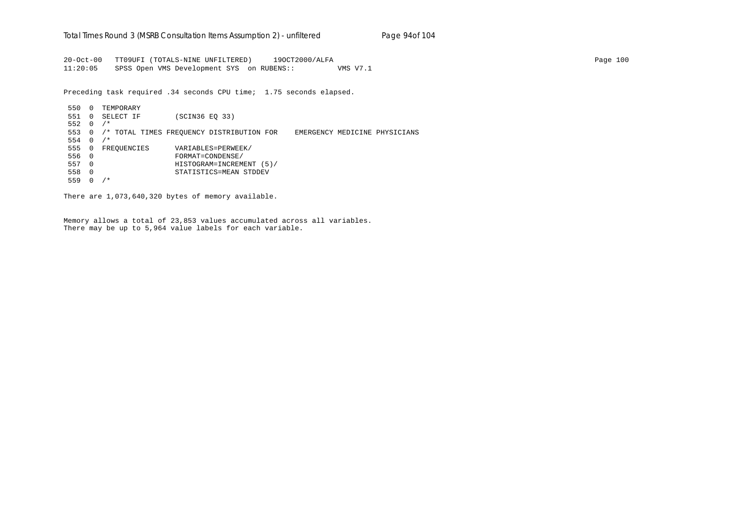20-Oct-00 TT09UFI (TOTALS-NINE UNFILTERED) 19OCT2000/ALFA Page 100 11:20:05 SPSS Open VMS Development SYS on RUBENS:: VMS V7.1

Preceding task required .34 seconds CPU time; 1.75 seconds elapsed.

 550 0 TEMPORARY 551 0 SELECT IF (SCIN36 EQ 33) 552 0 /\* 553 0 /\* TOTAL TIMES FREQUENCY DISTRIBUTION FOR EMERGENCY MEDICINE PHYSICIANS 554 0 /\* 555 0 FREQUENCIES VARIABLES=PERWEEK/ 556 0 FORMAT=CONDENSE/ 557 0 HISTOGRAM=INCREMENT (5)/ 558 0 STATISTICS=MEAN STDDEV 559 0 /\*

There are 1,073,640,320 bytes of memory available.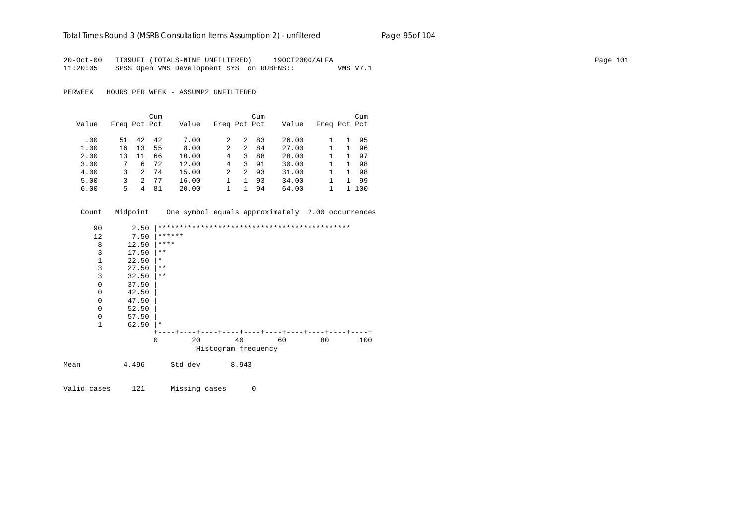#### Total Times Round 3 (MSRB Consultation Items Assumption 2) - *unfiltered* Page 95of 104

20-Oct-00 TT09UFI (TOTALS-NINE UNFILTERED) 19OCT2000/ALFA Page 101 11:20:05 SPSS Open VMS Development SYS on RUBENS:: VMS V7.1

PERWEEK HOURS PER WEEK - ASSUMP2 UNFILTERED

|       |              |    | Cum |       |              |    | Cum |       |              | Cum |
|-------|--------------|----|-----|-------|--------------|----|-----|-------|--------------|-----|
| Value | Freq Pct Pct |    |     | Value | Freq Pct Pct |    |     | Value | Freq Pct Pct |     |
| .00   | 51           | 42 | 42  | 7.00  |              | 2. | 83  | 26.00 |              | 95  |
| 1.00  | 16           | 13 | 55  | 8.00  | 2            | 2  | 84  | 27.00 |              | 96  |
| 2.00  | 13           | 11 | 66  | 10.00 | 4            | 3  | 88  | 28.00 |              | 97  |
| 3.00  |              | 6  | 72  | 12.00 | 4            | 3  | 91  | 30.00 |              | 98  |
| 4.00  | 3            | 2  | 74  | 15.00 | 2            | 2  | 93  | 31.00 |              | 98  |
| 5.00  | ζ            | 2  | 77  | 16.00 |              |    | 93  | 34.00 |              | 99  |
| 6.00  | 5            | 4  | 81  | 20.00 |              |    | 94  | 64.00 |              | 100 |

Count Midpoint One symbol equals approximately 2.00 occurrences

| 90          | 2.50  |              |    |                     |    |    |     |
|-------------|-------|--------------|----|---------------------|----|----|-----|
| 12          | 7.50  | ******       |    |                     |    |    |     |
| 8           | 12.50 | $***$ * * *  |    |                     |    |    |     |
| 3           | 17.50 | $\star\star$ |    |                     |    |    |     |
| 1           | 22.50 | $\star$      |    |                     |    |    |     |
| 3           | 27.50 | $***$        |    |                     |    |    |     |
| 3           | 32.50 | $***$        |    |                     |    |    |     |
| $\mathbf 0$ | 37.50 |              |    |                     |    |    |     |
| $\mathbf 0$ | 42.50 |              |    |                     |    |    |     |
| $\Omega$    | 47.50 |              |    |                     |    |    |     |
| $\mathbf 0$ | 52.50 |              |    |                     |    |    |     |
| $\Omega$    | 57.50 |              |    |                     |    |    |     |
| 1           | 62.50 | $\star$      |    |                     |    |    |     |
|             |       |              |    |                     |    |    |     |
|             |       | $\mathbf 0$  | 20 | 40                  | 60 | 80 | 100 |
|             |       |              |    | Histogram frequency |    |    |     |
| Mean        | 4.496 | Std dev      |    | 8.943               |    |    |     |

Valid cases 121 Missing cases 0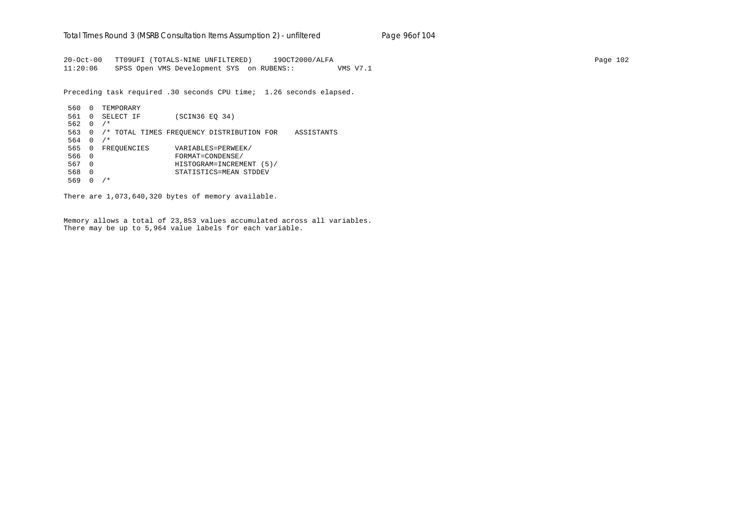20-Oct-00 TT09UFI (TOTALS-NINE UNFILTERED) 19OCT2000/ALFA Page 102 11:20:06 SPSS Open VMS Development SYS on RUBENS:: VMS V7.1

Preceding task required .30 seconds CPU time; 1.26 seconds elapsed.

 560 0 TEMPORARY 561 0 SELECT IF (SCIN36 EQ 34) 562 0 /\* 563 0 /\* TOTAL TIMES FREQUENCY DISTRIBUTION FOR ASSISTANTS 564 0 /\* 565 0 FREQUENCIES VARIABLES=PERWEEK/ 566 0 FORMAT=CONDENSE/ 567 0 HISTOGRAM=INCREMENT (5)/ 568 0 STATISTICS=MEAN STDDEV 569 0 /\*

There are 1,073,640,320 bytes of memory available.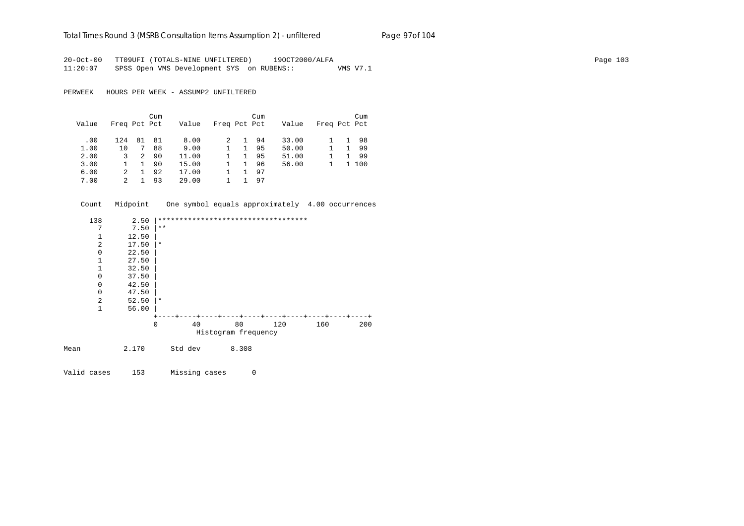# Total Times Round 3 (MSRB Consultation Items Assumption 2) - *unfiltered* Page 97of 104

20-Oct-00 TT09UFI (TOTALS-NINE UNFILTERED) 19OCT2000/ALFA Page 103 11:20:07 SPSS Open VMS Development SYS on RUBENS:: VMS V7.1

PERWEEK HOURS PER WEEK - ASSUMP2 UNFILTERED

|       |              |    | Cum |       |              |    | Cum |       |              |    | Cum |
|-------|--------------|----|-----|-------|--------------|----|-----|-------|--------------|----|-----|
| Value | Freq Pct Pct |    |     | Value | Freq Pct Pct |    |     | Value | Freq Pct Pct |    |     |
| .00   | 124          | 81 | 81  | 8.00  |              | 1. | 94  | 33.00 |              | 1. | 98  |
| 1.00  | 10           |    | 88  | 9.00  |              | 1  | 95  | 50.00 |              |    | 99  |
| 2.00  | 3            | 2  | 90  | 11.00 |              | 1. | 95  | 51.00 |              |    | -99 |
| 3.00  |              | 1. | 90  | 15.00 |              |    | 96  | 56.00 |              |    | 100 |
| 6.00  |              |    | 92  | 17.00 |              |    | 97  |       |              |    |     |
| 7.00  | 2            |    | 93  | 29.00 |              |    | 97  |       |              |    |     |

| Count        |       |              |         |       |                                     |     | Midpoint One symbol equals approximately 4.00 occurrences |
|--------------|-------|--------------|---------|-------|-------------------------------------|-----|-----------------------------------------------------------|
| 138          | 2.50  |              |         |       | *********************************** |     |                                                           |
| 7            | 7.50  | $\star\star$ |         |       |                                     |     |                                                           |
| $\mathbf{1}$ | 12.50 |              |         |       |                                     |     |                                                           |
| 2            | 17.50 | $\star$      |         |       |                                     |     |                                                           |
| 0            | 22.50 |              |         |       |                                     |     |                                                           |
| $\mathbf{1}$ | 27.50 |              |         |       |                                     |     |                                                           |
| 1            | 32.50 |              |         |       |                                     |     |                                                           |
| $\mathbf 0$  | 37.50 |              |         |       |                                     |     |                                                           |
| $\mathbf 0$  | 42.50 |              |         |       |                                     |     |                                                           |
| 0            | 47.50 |              |         |       |                                     |     |                                                           |
| 2            | 52.50 | 1 *          |         |       |                                     |     |                                                           |
| $\mathbf{1}$ | 56.00 |              |         |       |                                     |     |                                                           |
|              |       |              |         |       | ---+----+----+----+----+----+----+- |     |                                                           |
|              |       | $\Omega$     | 40      | 80    | 120                                 | 160 | 200                                                       |
|              |       |              |         |       | Histogram frequency                 |     |                                                           |
| Mean         | 2.170 |              | Std dev | 8.308 |                                     |     |                                                           |

Valid cases 153 Missing cases 0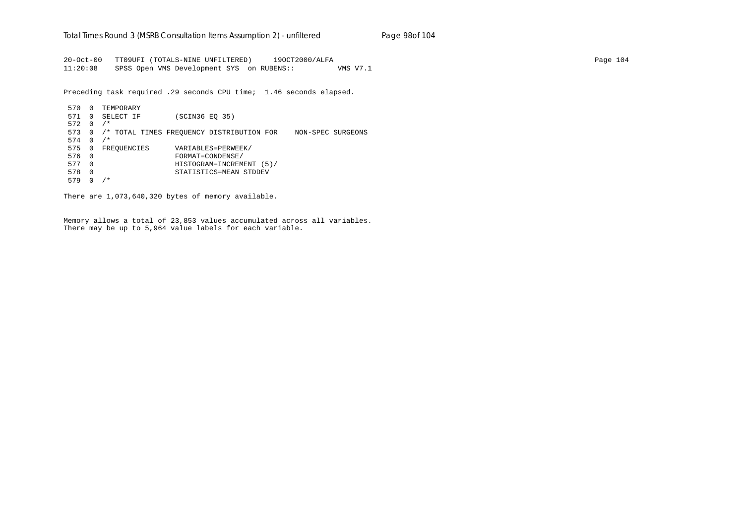20-Oct-00 TT09UFI (TOTALS-NINE UNFILTERED) 19OCT2000/ALFA Page 104 11:20:08 SPSS Open VMS Development SYS on RUBENS:: VMS V7.1

Preceding task required .29 seconds CPU time; 1.46 seconds elapsed.

 570 0 TEMPORARY 571 0 SELECT IF (SCIN36 EQ 35) 572 0 /\* 573 0 /\* TOTAL TIMES FREQUENCY DISTRIBUTION FOR NON-SPEC SURGEONS 574 0 /\* 575 0 FREQUENCIES VARIABLES=PERWEEK/ 576 0 FORMAT=CONDENSE/ 577 0 HISTOGRAM=INCREMENT (5)/ 578 0 STATISTICS=MEAN STDDEV 579 0 /\*

There are 1,073,640,320 bytes of memory available.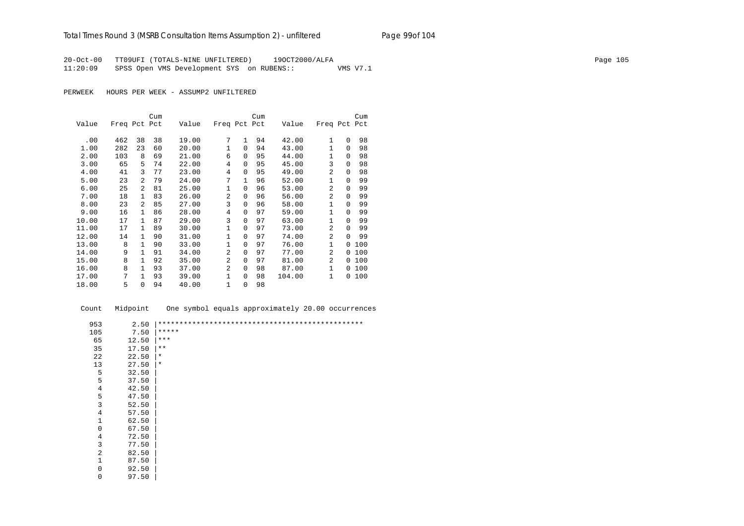20-Oct-00 TT09UFI (TOTALS-NINE UNFILTERED) 19OCT2000/ALFA Page 105 11:20:09 SPSS Open VMS Development SYS on RUBENS:: VMS V7.1

PERWEEK HOURS PER WEEK - ASSUMP2 UNFILTERED

|       |              |              | Cum |       |              |              | Cum |        |                |          | Cum |
|-------|--------------|--------------|-----|-------|--------------|--------------|-----|--------|----------------|----------|-----|
| Value | Freq Pct Pct |              |     | Value | Freq Pct Pct |              |     | Value  | Freq Pct       |          | Pct |
| .00   | 462          | 38           | 38  | 19.00 | 7            | $\mathbf{1}$ | 94  | 42.00  | $\mathbf{1}$   | $\Omega$ | 98  |
| 1.00  | 282          | 23           | 60  | 20.00 | 1            | 0            | 94  | 43.00  | 1              | $\Omega$ | 98  |
| 2.00  | 103          | 8            | 69  | 21.00 | 6            | 0            | 95  | 44.00  | 1              | $\Omega$ | 98  |
| 3.00  | 65           | 5            | 74  | 22.00 | 4            | $\Omega$     | 95  | 45.00  | 3              | $\Omega$ | 98  |
| 4.00  | 41           | 3            | 77  | 23.00 | 4            | $\Omega$     | 95  | 49.00  | 2              | $\Omega$ | 98  |
| 5.00  | 23           | 2            | 79  | 24.00 | 7            | 1            | 96  | 52.00  | $\mathbf{1}$   | $\Omega$ | 99  |
| 6.00  | 25           | 2            | 81  | 25.00 | 1            | $\Omega$     | 96  | 53.00  | $\overline{a}$ | $\Omega$ | 99  |
| 7.00  | 18           | $\mathbf{1}$ | 83  | 26.00 | 2            | 0            | 96  | 56.00  | $\overline{a}$ | $\Omega$ | 99  |
| 8.00  | 23           | 2            | 85  | 27.00 | 3            | $\Omega$     | 96  | 58.00  | $\mathbf{1}$   | $\Omega$ | 99  |
| 9.00  | 16           | $\mathbf{1}$ | 86  | 28.00 | 4            | $\Omega$     | 97  | 59.00  | $\mathbf{1}$   | $\Omega$ | 99  |
| 10.00 | 17           | $\mathbf{1}$ | 87  | 29.00 | 3            | $\Omega$     | 97  | 63.00  | 1              | $\Omega$ | 99  |
| 11.00 | 17           | $\mathbf{1}$ | 89  | 30.00 | 1            | $\Omega$     | 97  | 73.00  | $\mathfrak{D}$ | $\Omega$ | 99  |
| 12.00 | 14           | $\mathbf{1}$ | 90  | 31.00 | 1            | 0            | 97  | 74.00  | 2              | $\Omega$ | 99  |
| 13.00 | 8            | 1            | 90  | 33.00 | $\mathbf{1}$ | $\Omega$     | 97  | 76.00  | $\mathbf{1}$   | $\Omega$ | 100 |
| 14.00 | 9            | $\mathbf{1}$ | 91  | 34.00 | 2            | $\Omega$     | 97  | 77.00  | 2              | $\Omega$ | 100 |
| 15.00 | 8            | $\mathbf{1}$ | 92  | 35.00 | 2            | $\Omega$     | 97  | 81.00  | $\overline{a}$ | $\Omega$ | 100 |
| 16.00 | 8            | $\mathbf{1}$ | 93  | 37.00 | 2            | $\Omega$     | 98  | 87.00  | $\mathbf{1}$   | $\Omega$ | 100 |
| 17.00 | 7            | $\mathbf{1}$ | 93  | 39.00 | 1            | 0            | 98  | 104.00 | 1              | $\Omega$ | 100 |
| 18.00 | 5            | $\Omega$     | 94  | 40.00 | 1            | 0            | 98  |        |                |          |     |

| Count          | Midpoint | One symbol equals approximately 20.00 occurrences |
|----------------|----------|---------------------------------------------------|
| 953            | 2.50     |                                                   |
| 105            | 7.50     | *****                                             |
| 65             | 12.50    | $***$                                             |
| 35             | 17.50    | $\star\star$                                      |
| 22             | 22.50    | $^\ast$                                           |
| 13             | 27.50    | $\ast$                                            |
| 5              | 32.50    |                                                   |
| 5              | 37.50    |                                                   |
| 4              | 42.50    |                                                   |
| 5              | 47.50    |                                                   |
| 3              | 52.50    |                                                   |
| 4              | 57.50    |                                                   |
| $\mathbf 1$    | 62.50    |                                                   |
| $\mathbf 0$    | 67.50    |                                                   |
| $\overline{4}$ | 72.50    |                                                   |
| 3              | 77.50    |                                                   |
| $\overline{a}$ | 82.50    |                                                   |
| $\mathbf{1}$   | 87.50    |                                                   |
| $\mathbf 0$    | 92.50    |                                                   |
| $\mathbf 0$    | 97.50    |                                                   |
|                |          |                                                   |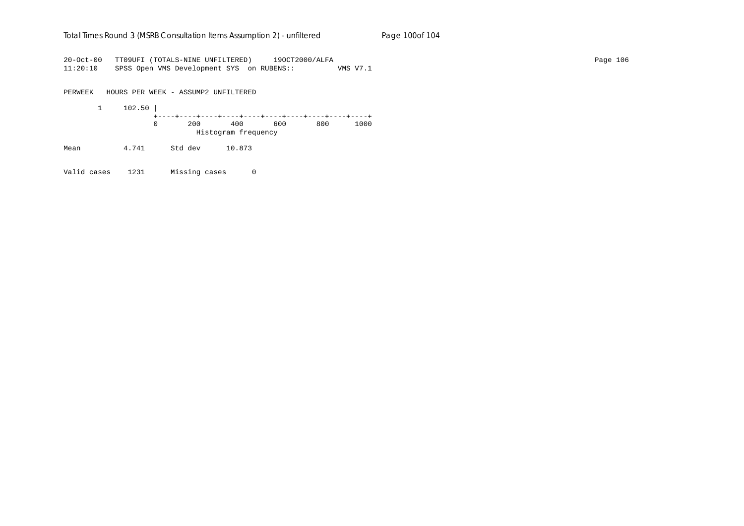## Total Times Round 3 (MSRB Consultation Items Assumption 2) - *unfiltered* Page 100of 104

20-Oct-00 TT09UFI (TOTALS-NINE UNFILTERED) 19OCT2000/ALFA Page 106 11:20:10 SPSS Open VMS Development SYS on RUBENS:: VMS V7.1

PERWEEK HOURS PER WEEK - ASSUMP2 UNFILTERED 1 102.50 | +----+----+----+----+----+----+----+----+----+----+ 0 200 400 600 800 1000 Histogram frequency

Mean 4.741 Std dev 10.873

Valid cases 1231 Missing cases 0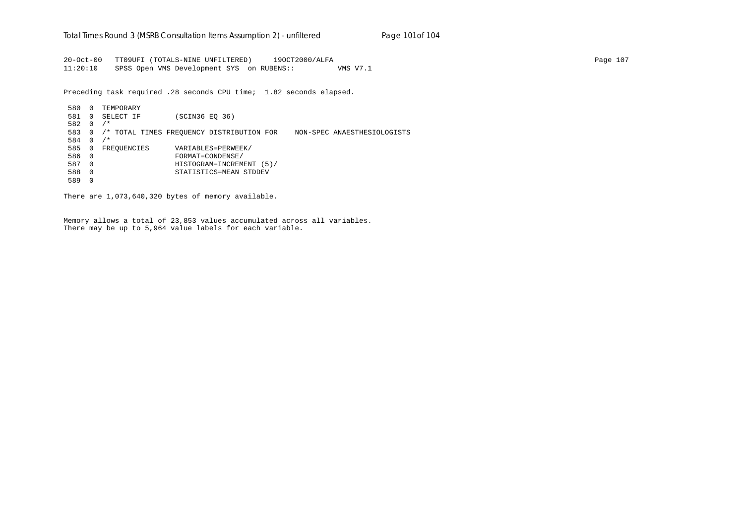20-Oct-00 TT09UFI (TOTALS-NINE UNFILTERED) 19OCT2000/ALFA Page 107 11:20:10 SPSS Open VMS Development SYS on RUBENS:: VMS V7.1

Preceding task required .28 seconds CPU time; 1.82 seconds elapsed.

 580 0 TEMPORARY 581 0 SELECT IF (SCIN36 EQ 36) 582 0 /\* 583 0 /\* TOTAL TIMES FREQUENCY DISTRIBUTION FOR NON-SPEC ANAESTHESIOLOGISTS 584 0 /\* 585 0 FREQUENCIES VARIABLES=PERWEEK/ 586 0 FORMAT=CONDENSE/ 587 0 HISTOGRAM=INCREMENT (5)/ 588 0 STATISTICS=MEAN STDDEV 589 0

There are 1,073,640,320 bytes of memory available.

Memory allows a total of 23,853 values accumulated across all variables. There may be up to 5,964 value labels for each variable.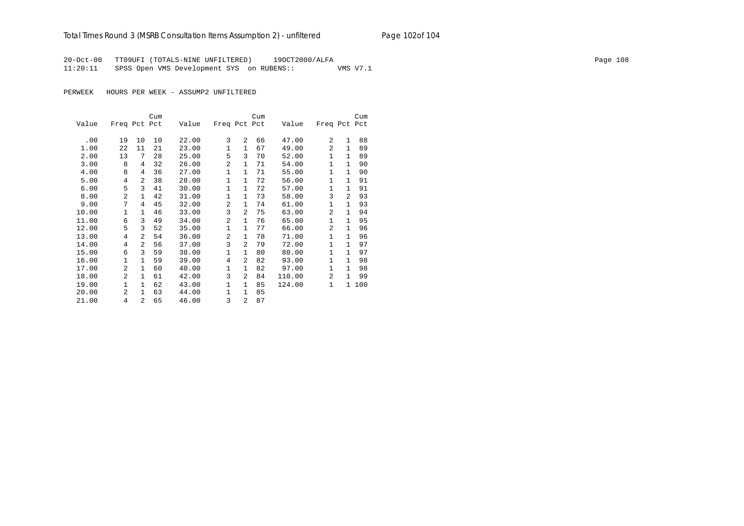## Total Times Round 3 (MSRB Consultation Items Assumption 2) - *unfiltered* Page 102of 104

20-Oct-00 TT09UFI (TOTALS-NINE UNFILTERED) 19OCT2000/ALFA Page 108 11:20:11 SPSS Open VMS Development SYS on RUBENS:: VMS V7.1

PERWEEK HOURS PER WEEK - ASSUMP2 UNFILTERED

|       |                |                | Cum |       |                |                | Cum |        |                |              | Cum |
|-------|----------------|----------------|-----|-------|----------------|----------------|-----|--------|----------------|--------------|-----|
| Value | Freq Pct Pct   |                |     | Value | Freq Pct Pct   |                |     | Value  | Freq Pct Pct   |              |     |
|       |                |                |     |       |                |                |     |        |                |              |     |
| .00   | 19             | 10             | 10  | 22.00 | 3              | $\mathfrak{D}$ | 66  | 47.00  | 2              | $\mathbf{1}$ | 88  |
| 1.00  | 22             | 11             | 21  | 23.00 | $\mathbf{1}$   | $\mathbf{1}$   | 67  | 49.00  | 2              | $\mathbf{1}$ | 89  |
| 2.00  | 13             | 7              | 28  | 25.00 | 5              | 3              | 70  | 52.00  | $\mathbf{1}$   | $\mathbf{1}$ | 89  |
| 3.00  | 8              | 4              | 32  | 26.00 | $\overline{a}$ | $\mathbf{1}$   | 71  | 54.00  | $\mathbf{1}$   | $\mathbf{1}$ | 90  |
| 4.00  | 8              | 4              | 36  | 27.00 | $\mathbf{1}$   | $\mathbf{1}$   | 71  | 55.00  | 1              | $\mathbf{1}$ | 90  |
| 5.00  | 4              | $\overline{a}$ | 38  | 28.00 | 1              | $\mathbf{1}$   | 72  | 56.00  | 1              | $\mathbf{1}$ | 91  |
| 6.00  | 5              | 3              | 41  | 30.00 | 1              | $\mathbf{1}$   | 72  | 57.00  | 1              | $\mathbf{1}$ | 91  |
| 8.00  | 2              | $\mathbf{1}$   | 42  | 31.00 | 1              | 1              | 73  | 58.00  | 3              | 2            | 93  |
| 9.00  | 7              | 4              | 45  | 32.00 | 2              | $\mathbf{1}$   | 74  | 61.00  | 1              | $\mathbf{1}$ | 93  |
| 10.00 | $\mathbf{1}$   | $\mathbf{1}$   | 46  | 33.00 | 3              | $\mathfrak{D}$ | 75  | 63.00  | $\overline{a}$ | $\mathbf{1}$ | 94  |
| 11.00 | 6              | 3              | 49  | 34.00 | 2              | 1              | 76  | 65.00  | 1              | $\mathbf{1}$ | 95  |
| 12.00 | 5              | 3              | 52  | 35.00 | $\mathbf{1}$   | 1              | 77  | 66.00  | $\overline{a}$ | $\mathbf{1}$ | 96  |
| 13.00 | 4              | $\overline{a}$ | 54  | 36.00 | $\overline{a}$ | $\mathbf{1}$   | 78  | 71.00  | 1              | $\mathbf{1}$ | 96  |
| 14.00 | 4              | $\overline{a}$ | 56  | 37.00 | 3              | 2              | 79  | 72.00  | $\mathbf{1}$   | $\mathbf{1}$ | 97  |
| 15.00 | 6              | 3              | 59  | 38.00 | 1              | $\mathbf{1}$   | 80  | 80.00  | $\mathbf{1}$   | $\mathbf{1}$ | 97  |
| 16.00 | 1              | 1              | 59  | 39.00 | 4              | $\overline{a}$ | 82  | 93.00  | $\mathbf{1}$   | $\mathbf{1}$ | 98  |
| 17.00 | $\overline{a}$ | 1              | 60  | 40.00 | $\mathbf{1}$   | $\mathbf{1}$   | 82  | 97.00  | $\mathbf{1}$   | $\mathbf{1}$ | 98  |
| 18.00 | $\overline{a}$ | $\mathbf{1}$   | 61  | 42.00 | 3              | $\overline{a}$ | 84  | 110.00 | 2              | 1            | 99  |
| 19.00 | $\mathbf{1}$   | $\mathbf{1}$   | 62  | 43.00 | $\mathbf{1}$   | $\mathbf{1}$   | 85  | 124.00 | $\mathbf{1}$   | 1            | 100 |
| 20.00 | 2              | $\mathbf{1}$   | 63  | 44.00 | 1              | 1              | 85  |        |                |              |     |
| 21.00 | 4              | $\overline{a}$ | 65  | 46.00 | 3              | $\overline{2}$ | 87  |        |                |              |     |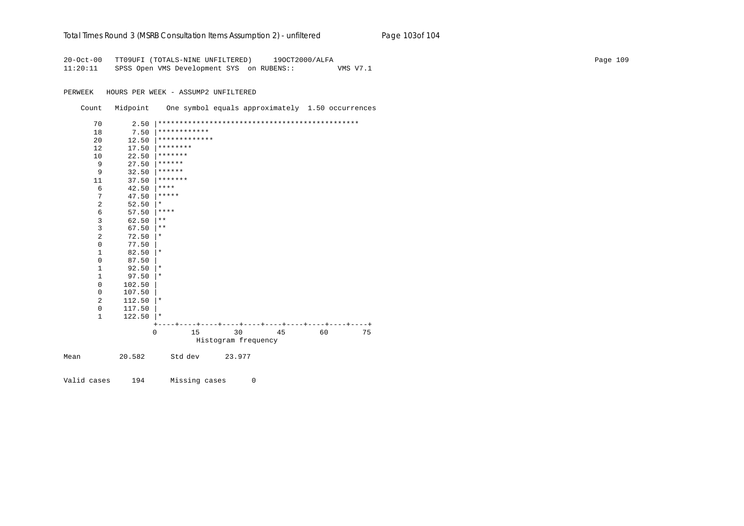| Total Times Round 3 (MSRB Consultation Items Assumption 2) - unfiltered |  | Page 103of 104 |
|-------------------------------------------------------------------------|--|----------------|
|-------------------------------------------------------------------------|--|----------------|

20-Oct-00 TT09UFI (TOTALS-NINE UNFILTERED) 19OCT2000/ALFA Page 109 11:20:11 SPSS Open VMS Development SYS on RUBENS:: VMS V7.1

PERWEEK HOURS PER WEEK - ASSUMP2 UNFILTERED

| Count | Midpoint               |                |                     | One symbol equals approximately 1.50 occurrences |    |    |
|-------|------------------------|----------------|---------------------|--------------------------------------------------|----|----|
| 70    | 2.50                   |                |                     |                                                  |    |    |
| 18    | 7.50                   | ************   |                     |                                                  |    |    |
| 20    | 12.50                  | *************  |                     |                                                  |    |    |
| 12    | 17.50                  | ********       |                     |                                                  |    |    |
| 10    | 22.50                  | *******        |                     |                                                  |    |    |
|       | 9<br>27.50             | ******         |                     |                                                  |    |    |
|       | 9<br>32.50             | ******         |                     |                                                  |    |    |
| 11    | 37.50                  | *******        |                     |                                                  |    |    |
|       | 6<br>42.50             | ****           |                     |                                                  |    |    |
|       | 7<br>47.50             | $***$ * * *    |                     |                                                  |    |    |
|       | 2<br>52.50             | $^\ast$        |                     |                                                  |    |    |
|       | 6<br>57.50             | ****           |                     |                                                  |    |    |
|       | 3<br>62.50             | $***$          |                     |                                                  |    |    |
|       | 3<br>67.50             | $***$          |                     |                                                  |    |    |
|       | 2<br>72.50             | $^\ast$        |                     |                                                  |    |    |
|       | $\mathbf 0$<br>77.50   |                |                     |                                                  |    |    |
|       | 82.50<br>1             | $^\star$       |                     |                                                  |    |    |
|       | 0<br>87.50             |                |                     |                                                  |    |    |
|       | $\mathbf{1}$<br>92.50  | $\star$        |                     |                                                  |    |    |
|       | 1<br>97.50             | *              |                     |                                                  |    |    |
|       | $\mathbf 0$<br>102.50  |                |                     |                                                  |    |    |
|       | 0<br>107.50            |                |                     |                                                  |    |    |
|       | 2<br>112.50            | ∗              |                     |                                                  |    |    |
|       | $\mathbf 0$<br>117.50  |                |                     |                                                  |    |    |
|       | $\mathbf{1}$<br>122.50 | $\star$        |                     |                                                  |    |    |
|       |                        |                |                     |                                                  |    |    |
|       |                        | $\Omega$<br>15 | 30                  | 45                                               | 60 | 75 |
|       |                        |                | Histogram frequency |                                                  |    |    |
| Mean  | 20.582                 | Std dev        | 23.977              |                                                  |    |    |

Valid cases 194 Missing cases 0